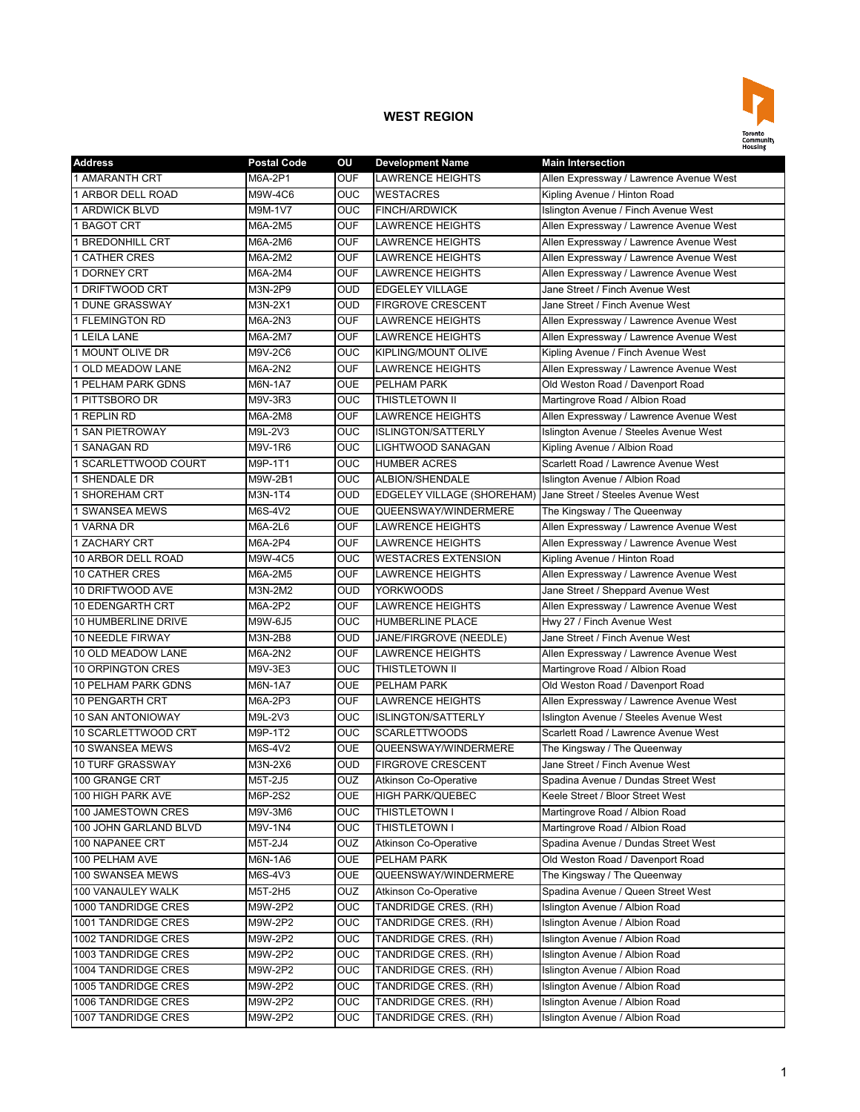

| <b>Address</b>          | <b>Postal Code</b> | OU         | <b>Development Name</b>                                      | <b>Main Intersection</b>                |
|-------------------------|--------------------|------------|--------------------------------------------------------------|-----------------------------------------|
| 1 AMARANTH CRT          | M6A-2P1            | <b>OUF</b> | <b>LAWRENCE HEIGHTS</b>                                      | Allen Expressway / Lawrence Avenue West |
| 1 ARBOR DELL ROAD       | M9W-4C6            | <b>OUC</b> | <b>WESTACRES</b>                                             | Kipling Avenue / Hinton Road            |
| 1 ARDWICK BLVD          | M9M-1V7            | <b>OUC</b> | <b>FINCH/ARDWICK</b>                                         | Islington Avenue / Finch Avenue West    |
| 1 BAGOT CRT             | M6A-2M5            | <b>OUF</b> | <b>LAWRENCE HEIGHTS</b>                                      | Allen Expressway / Lawrence Avenue West |
| <b>1 BREDONHILL CRT</b> | M6A-2M6            | <b>OUF</b> | <b>LAWRENCE HEIGHTS</b>                                      | Allen Expressway / Lawrence Avenue West |
| <b>1 CATHER CRES</b>    | M6A-2M2            | <b>OUF</b> | <b>LAWRENCE HEIGHTS</b>                                      | Allen Expressway / Lawrence Avenue West |
| 1 DORNEY CRT            | M6A-2M4            | <b>OUF</b> | <b>LAWRENCE HEIGHTS</b>                                      | Allen Expressway / Lawrence Avenue West |
| 1 DRIFTWOOD CRT         | M3N-2P9            | <b>OUD</b> | <b>EDGELEY VILLAGE</b>                                       | Jane Street / Finch Avenue West         |
| 1 DUNE GRASSWAY         | M3N-2X1            | <b>OUD</b> | <b>FIRGROVE CRESCENT</b>                                     | Jane Street / Finch Avenue West         |
| 1 FLEMINGTON RD         | M6A-2N3            | <b>OUF</b> | <b>LAWRENCE HEIGHTS</b>                                      | Allen Expressway / Lawrence Avenue West |
| 1 LEILA LANE            | M6A-2M7            | <b>OUF</b> | <b>LAWRENCE HEIGHTS</b>                                      | Allen Expressway / Lawrence Avenue West |
| 1 MOUNT OLIVE DR        | M9V-2C6            | <b>OUC</b> | <b>KIPLING/MOUNT OLIVE</b>                                   | Kipling Avenue / Finch Avenue West      |
| 1 OLD MEADOW LANE       | M6A-2N2            | <b>OUF</b> | <b>LAWRENCE HEIGHTS</b>                                      | Allen Expressway / Lawrence Avenue West |
| 1 PELHAM PARK GDNS      | M6N-1A7            | <b>OUE</b> | PELHAM PARK                                                  | Old Weston Road / Davenport Road        |
| 1 PITTSBORO DR          | M9V-3R3            | OUC        | THISTLETOWN II                                               | Martingrove Road / Albion Road          |
| 1 REPLIN RD             | M6A-2M8            | <b>OUF</b> | <b>LAWRENCE HEIGHTS</b>                                      | Allen Expressway / Lawrence Avenue West |
| 1 SAN PIETROWAY         | M9L-2V3            | <b>OUC</b> | <b>ISLINGTON/SATTERLY</b>                                    | Islington Avenue / Steeles Avenue West  |
| 1 SANAGAN RD            | M9V-1R6            | OUC        | LIGHTWOOD SANAGAN                                            | Kipling Avenue / Albion Road            |
| 1 SCARLETTWOOD COURT    | M9P-1T1            | OUC        | <b>HUMBER ACRES</b>                                          | Scarlett Road / Lawrence Avenue West    |
| 1 SHENDALE DR           | M9W-2B1            | <b>OUC</b> | ALBION/SHENDALE                                              | Islington Avenue / Albion Road          |
| <b>1 SHOREHAM CRT</b>   | M3N-1T4            | <b>OUD</b> | EDGELEY VILLAGE (SHOREHAM) Jane Street / Steeles Avenue West |                                         |
| <b>1 SWANSEA MEWS</b>   | M6S-4V2            | <b>OUE</b> | QUEENSWAY/WINDERMERE                                         | The Kingsway / The Queenway             |
| 1 VARNA DR              | M6A-2L6            | <b>OUF</b> | <b>LAWRENCE HEIGHTS</b>                                      | Allen Expressway / Lawrence Avenue West |
| 1 ZACHARY CRT           | M6A-2P4            | <b>OUF</b> | <b>LAWRENCE HEIGHTS</b>                                      | Allen Expressway / Lawrence Avenue West |
| 10 ARBOR DELL ROAD      | M9W-4C5            | OUC        | <b>WESTACRES EXTENSION</b>                                   | Kipling Avenue / Hinton Road            |
| <b>10 CATHER CRES</b>   | M6A-2M5            | <b>OUF</b> | <b>LAWRENCE HEIGHTS</b>                                      | Allen Expressway / Lawrence Avenue West |
| 10 DRIFTWOOD AVE        | M3N-2M2            | <b>OUD</b> | <b>YORKWOODS</b>                                             | Jane Street / Sheppard Avenue West      |
| 10 EDENGARTH CRT        | M6A-2P2            | <b>OUF</b> | <b>LAWRENCE HEIGHTS</b>                                      | Allen Expressway / Lawrence Avenue West |
| 10 HUMBERLINE DRIVE     | M9W-6J5            | <b>OUC</b> | <b>HUMBERLINE PLACE</b>                                      | Hwy 27 / Finch Avenue West              |
| 10 NEEDLE FIRWAY        | M3N-2B8            | <b>OUD</b> | JANE/FIRGROVE (NEEDLE)                                       | Jane Street / Finch Avenue West         |
| 10 OLD MEADOW LANE      | M6A-2N2            | <b>OUF</b> | <b>LAWRENCE HEIGHTS</b>                                      | Allen Expressway / Lawrence Avenue West |
| 10 ORPINGTON CRES       | M9V-3E3            | OUC        | THISTLETOWN II                                               | Martingrove Road / Albion Road          |
| 10 PELHAM PARK GDNS     | M6N-1A7            | <b>OUE</b> | <b>PELHAM PARK</b>                                           | Old Weston Road / Davenport Road        |
| 10 PENGARTH CRT         | M6A-2P3            | <b>OUF</b> | <b>LAWRENCE HEIGHTS</b>                                      | Allen Expressway / Lawrence Avenue West |
| 10 SAN ANTONIOWAY       | M9L-2V3            | OUC        | <b>ISLINGTON/SATTERLY</b>                                    | Islington Avenue / Steeles Avenue West  |
| 10 SCARLETTWOOD CRT     | M9P-1T2            | OUC        | <b>SCARLETTWOODS</b>                                         | Scarlett Road / Lawrence Avenue West    |
| <b>10 SWANSEA MEWS</b>  | M6S-4V2            | <b>OUE</b> | QUEENSWAY/WINDERMERE                                         | The Kingsway / The Queenway             |
| 10 TURF GRASSWAY        | M3N-2X6            | <b>OUD</b> | <b>FIRGROVE CRESCENT</b>                                     | Jane Street / Finch Avenue West         |
| 100 GRANGE CRT          | M5T-2J5            | OUZ        | <b>Atkinson Co-Operative</b>                                 | Spadina Avenue / Dundas Street West     |
| 100 HIGH PARK AVE       | M6P-2S2            | OUE        | <b>HIGH PARK/QUEBEC</b>                                      | Keele Street / Bloor Street West        |
| 100 JAMESTOWN CRES      | M9V-3M6            | OUC        | THISTLETOWN I                                                | Martingrove Road / Albion Road          |
| 100 JOHN GARLAND BLVD   | M9V-1N4            | <b>OUC</b> | THISTLETOWN I                                                | Martingrove Road / Albion Road          |
| 100 NAPANEE CRT         | M5T-2J4            | OUZ        | Atkinson Co-Operative                                        | Spadina Avenue / Dundas Street West     |
| 100 PELHAM AVE          | M6N-1A6            | OUE        | PELHAM PARK                                                  | Old Weston Road / Davenport Road        |
| 100 SWANSEA MEWS        | M6S-4V3            | <b>OUE</b> | QUEENSWAY/WINDERMERE                                         | The Kingsway / The Queenway             |
| 100 VANAULEY WALK       | M5T-2H5            | OUZ        | <b>Atkinson Co-Operative</b>                                 | Spadina Avenue / Queen Street West      |
| 1000 TANDRIDGE CRES     | M9W-2P2            | OUC        | TANDRIDGE CRES. (RH)                                         | Islington Avenue / Albion Road          |
| 1001 TANDRIDGE CRES     | M9W-2P2            | OUC        | TANDRIDGE CRES. (RH)                                         | Islington Avenue / Albion Road          |
| 1002 TANDRIDGE CRES     | M9W-2P2            | OUC        | TANDRIDGE CRES. (RH)                                         | Islington Avenue / Albion Road          |
| 1003 TANDRIDGE CRES     | M9W-2P2            | OUC        | TANDRIDGE CRES. (RH)                                         | Islington Avenue / Albion Road          |
| 1004 TANDRIDGE CRES     | M9W-2P2            | OUC        | TANDRIDGE CRES. (RH)                                         | Islington Avenue / Albion Road          |
| 1005 TANDRIDGE CRES     | M9W-2P2            | OUC        | TANDRIDGE CRES. (RH)                                         | Islington Avenue / Albion Road          |
| 1006 TANDRIDGE CRES     | M9W-2P2            | <b>OUC</b> | TANDRIDGE CRES. (RH)                                         | Islington Avenue / Albion Road          |
| 1007 TANDRIDGE CRES     | M9W-2P2            | <b>OUC</b> | TANDRIDGE CRES. (RH)                                         | Islington Avenue / Albion Road          |
|                         |                    |            |                                                              |                                         |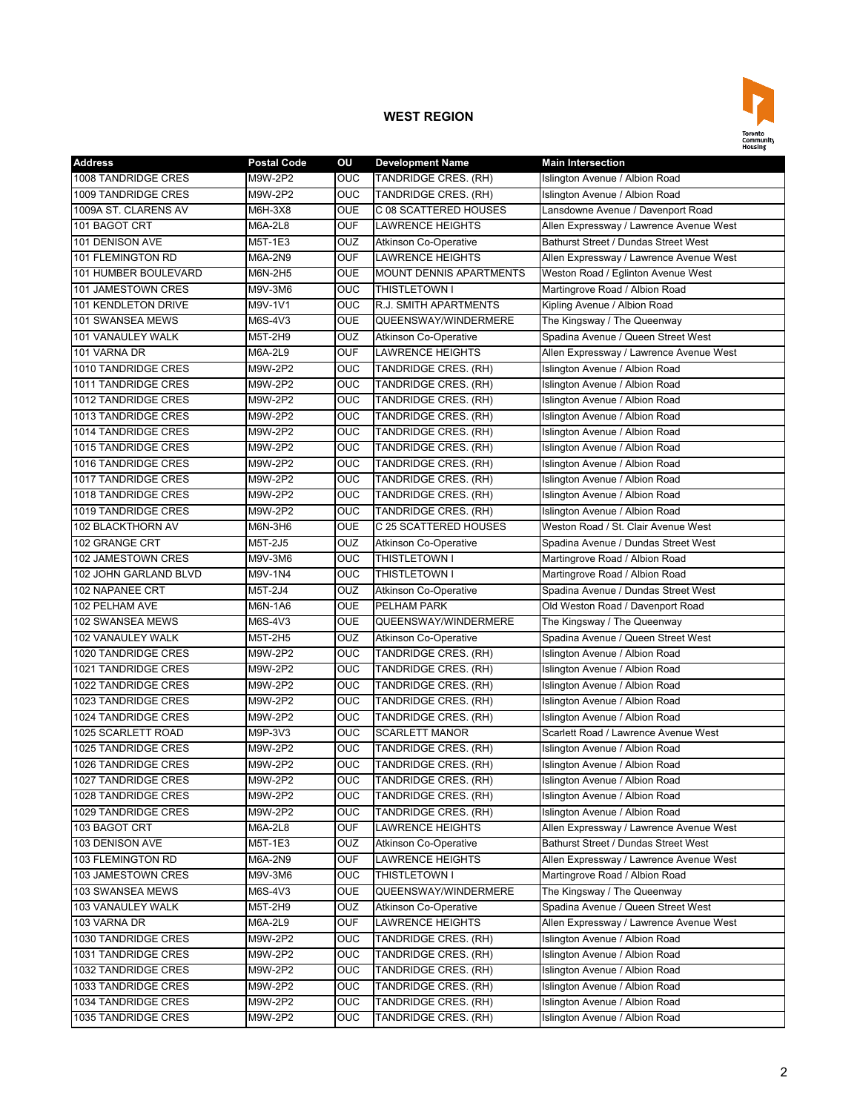

| <b>Address</b>             | <b>Postal Code</b> | ΟU                      | <b>Development Name</b>        | <b>Main Intersection</b>                |
|----------------------------|--------------------|-------------------------|--------------------------------|-----------------------------------------|
| <b>1008 TANDRIDGE CRES</b> | M9W-2P2            | <b>OUC</b>              | TANDRIDGE CRES. (RH)           | Islington Avenue / Albion Road          |
| 1009 TANDRIDGE CRES        | M9W-2P2            | OUC                     | TANDRIDGE CRES. (RH)           | Islington Avenue / Albion Road          |
| 1009A ST. CLARENS AV       | M6H-3X8            | <b>OUE</b>              | C 08 SCATTERED HOUSES          | Lansdowne Avenue / Davenport Road       |
| 101 BAGOT CRT              | M6A-2L8            | <b>OUF</b>              | <b>LAWRENCE HEIGHTS</b>        | Allen Expressway / Lawrence Avenue West |
| 101 DENISON AVE            | M5T-1E3            | OUZ                     | <b>Atkinson Co-Operative</b>   | Bathurst Street / Dundas Street West    |
| 101 FLEMINGTON RD          | M6A-2N9            | <b>OUF</b>              | <b>LAWRENCE HEIGHTS</b>        | Allen Expressway / Lawrence Avenue West |
| 101 HUMBER BOULEVARD       | M6N-2H5            | OUE                     | <b>MOUNT DENNIS APARTMENTS</b> | Weston Road / Eglinton Avenue West      |
| 101 JAMESTOWN CRES         | M9V-3M6            | OUC                     | THISTLETOWN I                  | Martingrove Road / Albion Road          |
| 101 KENDLETON DRIVE        | M9V-1V1            | OUC                     | R.J. SMITH APARTMENTS          | Kipling Avenue / Albion Road            |
| 101 SWANSEA MEWS           | M6S-4V3            | OUE                     | QUEENSWAY/WINDERMERE           | The Kingsway / The Queenway             |
| 101 VANAULEY WALK          | M5T-2H9            | OUZ                     | <b>Atkinson Co-Operative</b>   | Spadina Avenue / Queen Street West      |
| 101 VARNA DR               | M6A-2L9            | <b>OUF</b>              | <b>LAWRENCE HEIGHTS</b>        | Allen Expressway / Lawrence Avenue West |
| 1010 TANDRIDGE CRES        | M9W-2P2            | OUC                     | TANDRIDGE CRES. (RH)           | Islington Avenue / Albion Road          |
| 1011 TANDRIDGE CRES        | M9W-2P2            | OUC                     | TANDRIDGE CRES. (RH)           | Islington Avenue / Albion Road          |
| 1012 TANDRIDGE CRES        | M9W-2P2            | <b>OUC</b>              | TANDRIDGE CRES. (RH)           | Islington Avenue / Albion Road          |
| 1013 TANDRIDGE CRES        | M9W-2P2            | OUC                     | TANDRIDGE CRES. (RH)           | Islington Avenue / Albion Road          |
| 1014 TANDRIDGE CRES        | M9W-2P2            | OUC                     | TANDRIDGE CRES. (RH)           | Islington Avenue / Albion Road          |
| 1015 TANDRIDGE CRES        | M9W-2P2            | <b>OUC</b>              | TANDRIDGE CRES. (RH)           | Islington Avenue / Albion Road          |
| 1016 TANDRIDGE CRES        | M9W-2P2            | OUC                     | TANDRIDGE CRES. (RH)           | Islington Avenue / Albion Road          |
| 1017 TANDRIDGE CRES        | M9W-2P2            | OUC                     | TANDRIDGE CRES. (RH)           | Islington Avenue / Albion Road          |
| 1018 TANDRIDGE CRES        | M9W-2P2            | <b>OUC</b>              | TANDRIDGE CRES. (RH)           | Islington Avenue / Albion Road          |
| 1019 TANDRIDGE CRES        | M9W-2P2            | <b>OUC</b>              | <b>TANDRIDGE CRES. (RH)</b>    | Islington Avenue / Albion Road          |
| 102 BLACKTHORN AV          | M6N-3H6            | <b>OUE</b>              | C 25 SCATTERED HOUSES          | Weston Road / St. Clair Avenue West     |
| 102 GRANGE CRT             | M5T-2J5            | OUZ                     | <b>Atkinson Co-Operative</b>   | Spadina Avenue / Dundas Street West     |
| 102 JAMESTOWN CRES         | M9V-3M6            | OUC                     | THISTLETOWN I                  | Martingrove Road / Albion Road          |
| 102 JOHN GARLAND BLVD      | M9V-1N4            | OUC                     | THISTLETOWN I                  | Martingrove Road / Albion Road          |
| 102 NAPANEE CRT            | M5T-2J4            | OUZ                     | <b>Atkinson Co-Operative</b>   | Spadina Avenue / Dundas Street West     |
| 102 PELHAM AVE             | M6N-1A6            | <b>OUE</b>              | PELHAM PARK                    | Old Weston Road / Davenport Road        |
| 102 SWANSEA MEWS           | M6S-4V3            | <b>OUE</b>              | QUEENSWAY/WINDERMERE           | The Kingsway / The Queenway             |
| 102 VANAULEY WALK          | M5T-2H5            | OUZ                     | <b>Atkinson Co-Operative</b>   | Spadina Avenue / Queen Street West      |
| 1020 TANDRIDGE CRES        | M9W-2P2            | OUC                     | TANDRIDGE CRES. (RH)           | Islington Avenue / Albion Road          |
| 1021 TANDRIDGE CRES        | M9W-2P2            | OUC                     | TANDRIDGE CRES. (RH)           | Islington Avenue / Albion Road          |
| 1022 TANDRIDGE CRES        | M9W-2P2            | OUC                     | TANDRIDGE CRES. (RH)           | Islington Avenue / Albion Road          |
| 1023 TANDRIDGE CRES        | M9W-2P2            | OUC                     | TANDRIDGE CRES. (RH)           | Islington Avenue / Albion Road          |
| 1024 TANDRIDGE CRES        | M9W-2P2            | OUC                     | TANDRIDGE CRES. (RH)           | Islington Avenue / Albion Road          |
| 1025 SCARLETT ROAD         | M9P-3V3            | OUC                     | <b>SCARLETT MANOR</b>          | Scarlett Road / Lawrence Avenue West    |
| 1025 TANDRIDGE CRES        | M9W-2P2            | OUC                     | TANDRIDGE CRES. (RH)           | Islington Avenue / Albion Road          |
| 1026 TANDRIDGE CRES        | M9W-2P2            | OUC                     | TANDRIDGE CRES. (RH)           | Islington Avenue / Albion Road          |
| 1027 TANDRIDGE CRES        | M9W-2P2            | OUC                     | TANDRIDGE CRES. (RH)           | Islington Avenue / Albion Road          |
| 1028 TANDRIDGE CRES        | M9W-2P2            | <b>OUC</b>              | TANDRIDGE CRES. (RH)           | Islington Avenue / Albion Road          |
| 1029 TANDRIDGE CRES        | M9W-2P2            | OUC                     | TANDRIDGE CRES. (RH)           | Islington Avenue / Albion Road          |
| 103 BAGOT CRT              | M6A-2L8            | <b>OUF</b>              | <b>LAWRENCE HEIGHTS</b>        | Allen Expressway / Lawrence Avenue West |
| 103 DENISON AVE            | M5T-1E3            | OUZ                     | Atkinson Co-Operative          | Bathurst Street / Dundas Street West    |
| 103 FLEMINGTON RD          | M6A-2N9            | <b>OUF</b>              | <b>LAWRENCE HEIGHTS</b>        | Allen Expressway / Lawrence Avenue West |
| 103 JAMESTOWN CRES         | M9V-3M6            | OUC                     | THISTLETOWN I                  | Martingrove Road / Albion Road          |
| 103 SWANSEA MEWS           | M6S-4V3            | <b>OUE</b>              | QUEENSWAY/WINDERMERE           | The Kingsway / The Queenway             |
| 103 VANAULEY WALK          | M5T-2H9            | OUZ                     | <b>Atkinson Co-Operative</b>   | Spadina Avenue / Queen Street West      |
| 103 VARNA DR               | M6A-2L9            | <b>OUF</b>              | <b>LAWRENCE HEIGHTS</b>        | Allen Expressway / Lawrence Avenue West |
| 1030 TANDRIDGE CRES        | M9W-2P2            | OUC                     | TANDRIDGE CRES. (RH)           | Islington Avenue / Albion Road          |
| 1031 TANDRIDGE CRES        | M9W-2P2            | OUC                     | TANDRIDGE CRES. (RH)           | Islington Avenue / Albion Road          |
| 1032 TANDRIDGE CRES        | M9W-2P2            | OUC                     | TANDRIDGE CRES. (RH)           | Islington Avenue / Albion Road          |
| 1033 TANDRIDGE CRES        | M9W-2P2            | $\overline{\text{OUC}}$ | TANDRIDGE CRES. (RH)           | Islington Avenue / Albion Road          |
| 1034 TANDRIDGE CRES        | M9W-2P2            | OUC                     | TANDRIDGE CRES. (RH)           | Islington Avenue / Albion Road          |
| 1035 TANDRIDGE CRES        | M9W-2P2            | <b>OUC</b>              | TANDRIDGE CRES. (RH)           | Islington Avenue / Albion Road          |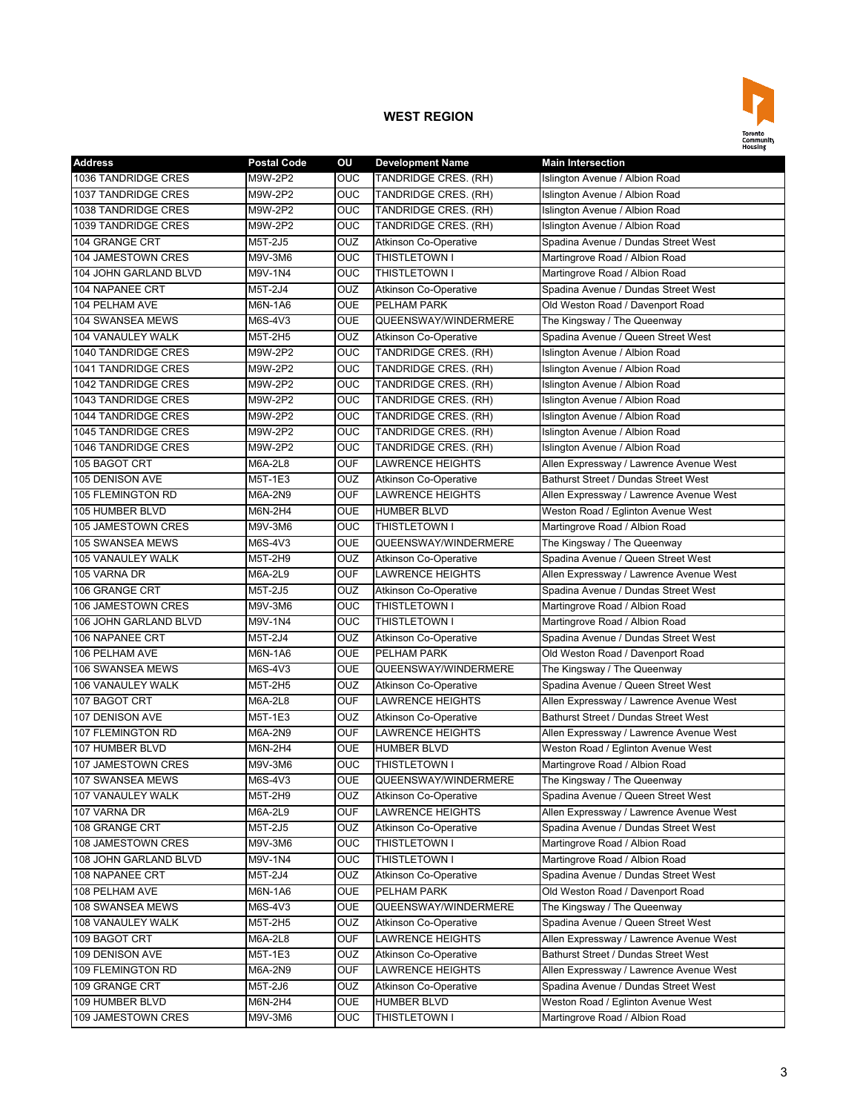

| <b>Address</b>             | <b>Postal Code</b> | ΟU             | <b>Development Name</b>      | <b>Main Intersection</b>                |
|----------------------------|--------------------|----------------|------------------------------|-----------------------------------------|
| 1036 TANDRIDGE CRES        | M9W-2P2            | <b>OUC</b>     | TANDRIDGE CRES. (RH)         | Islington Avenue / Albion Road          |
| <b>1037 TANDRIDGE CRES</b> | M9W-2P2            | <b>OUC</b>     | TANDRIDGE CRES. (RH)         | Islington Avenue / Albion Road          |
| 1038 TANDRIDGE CRES        | M9W-2P2            | <b>OUC</b>     | TANDRIDGE CRES. (RH)         | Islington Avenue / Albion Road          |
| 1039 TANDRIDGE CRES        | M9W-2P2            | <b>OUC</b>     | TANDRIDGE CRES. (RH)         | Islington Avenue / Albion Road          |
| 104 GRANGE CRT             | M5T-2J5            | <b>OUZ</b>     | <b>Atkinson Co-Operative</b> | Spadina Avenue / Dundas Street West     |
| 104 JAMESTOWN CRES         | M9V-3M6            | <b>OUC</b>     | <b>THISTLETOWN I</b>         | Martingrove Road / Albion Road          |
| 104 JOHN GARLAND BLVD      | M9V-1N4            | OUC            | THISTLETOWN I                | Martingrove Road / Albion Road          |
| 104 NAPANEE CRT            | M5T-2J4            | OUZ            | Atkinson Co-Operative        | Spadina Avenue / Dundas Street West     |
| 104 PELHAM AVE             | M6N-1A6            | <b>OUE</b>     | PELHAM PARK                  | Old Weston Road / Davenport Road        |
| 104 SWANSEA MEWS           | M6S-4V3            | <b>OUE</b>     | QUEENSWAY/WINDERMERE         | The Kingsway / The Queenway             |
| 104 VANAULEY WALK          | M5T-2H5            | OUZ            | <b>Atkinson Co-Operative</b> | Spadina Avenue / Queen Street West      |
| 1040 TANDRIDGE CRES        | M9W-2P2            | <b>OUC</b>     | TANDRIDGE CRES. (RH)         | Islington Avenue / Albion Road          |
| 1041 TANDRIDGE CRES        | M9W-2P2            | <b>OUC</b>     | TANDRIDGE CRES. (RH)         | Islington Avenue / Albion Road          |
| 1042 TANDRIDGE CRES        | M9W-2P2            | <b>OUC</b>     | TANDRIDGE CRES. (RH)         | Islington Avenue / Albion Road          |
| 1043 TANDRIDGE CRES        | M9W-2P2            | OUC            | TANDRIDGE CRES. (RH)         | Islington Avenue / Albion Road          |
| 1044 TANDRIDGE CRES        | M9W-2P2            | <b>OUC</b>     | TANDRIDGE CRES. (RH)         | Islington Avenue / Albion Road          |
| 1045 TANDRIDGE CRES        | M9W-2P2            | <b>OUC</b>     | TANDRIDGE CRES. (RH)         | Islington Avenue / Albion Road          |
| 1046 TANDRIDGE CRES        | M9W-2P2            | <b>OUC</b>     | TANDRIDGE CRES. (RH)         | Islington Avenue / Albion Road          |
| 105 BAGOT CRT              | M6A-2L8            | <b>OUF</b>     | <b>LAWRENCE HEIGHTS</b>      | Allen Expressway / Lawrence Avenue West |
| 105 DENISON AVE            | M5T-1E3            | <b>OUZ</b>     | <b>Atkinson Co-Operative</b> | Bathurst Street / Dundas Street West    |
| 105 FLEMINGTON RD          | M6A-2N9            | <b>OUF</b>     | <b>LAWRENCE HEIGHTS</b>      | Allen Expressway / Lawrence Avenue West |
| 105 HUMBER BLVD            | M6N-2H4            | <b>OUE</b>     | <b>HUMBER BLVD</b>           | Weston Road / Eglinton Avenue West      |
| 105 JAMESTOWN CRES         | M9V-3M6            | <b>OUC</b>     | THISTLETOWN I                | Martingrove Road / Albion Road          |
| <b>105 SWANSEA MEWS</b>    | M6S-4V3            | <b>OUE</b>     | QUEENSWAY/WINDERMERE         | The Kingsway / The Queenway             |
| 105 VANAULEY WALK          | M5T-2H9            | <b>OUZ</b>     | Atkinson Co-Operative        | Spadina Avenue / Queen Street West      |
| 105 VARNA DR               | M6A-2L9            | <b>OUF</b>     | <b>LAWRENCE HEIGHTS</b>      | Allen Expressway / Lawrence Avenue West |
| 106 GRANGE CRT             | M5T-2J5            | OUZ            | <b>Atkinson Co-Operative</b> | Spadina Avenue / Dundas Street West     |
| 106 JAMESTOWN CRES         | M9V-3M6            | OUC            | THISTLETOWN I                | Martingrove Road / Albion Road          |
| 106 JOHN GARLAND BLVD      | M9V-1N4            | <b>OUC</b>     | THISTLETOWN I                | Martingrove Road / Albion Road          |
| 106 NAPANEE CRT            | M5T-2J4            | <b>OUZ</b>     | <b>Atkinson Co-Operative</b> | Spadina Avenue / Dundas Street West     |
| 106 PELHAM AVE             | M6N-1A6            | <b>OUE</b>     | PELHAM PARK                  | Old Weston Road / Davenport Road        |
| <b>106 SWANSEA MEWS</b>    | M6S-4V3            | <b>OUE</b>     | QUEENSWAY/WINDERMERE         | The Kingsway / The Queenway             |
| 106 VANAULEY WALK          | M5T-2H5            | <b>OUZ</b>     | <b>Atkinson Co-Operative</b> | Spadina Avenue / Queen Street West      |
| 107 BAGOT CRT              | M6A-2L8            | <b>OUF</b>     | <b>LAWRENCE HEIGHTS</b>      | Allen Expressway / Lawrence Avenue West |
| 107 DENISON AVE            | M5T-1E3            | OUZ            | <b>Atkinson Co-Operative</b> | Bathurst Street / Dundas Street West    |
| 107 FLEMINGTON RD          | M6A-2N9            | <b>OUF</b>     | <b>LAWRENCE HEIGHTS</b>      | Allen Expressway / Lawrence Avenue West |
| 107 HUMBER BLVD            | M6N-2H4            | <b>OUE</b>     | <b>HUMBER BLVD</b>           | Weston Road / Eglinton Avenue West      |
| 107 JAMESTOWN CRES         | M9V-3M6            | <b>OUC</b>     | <b>THISTLETOWN I</b>         | Martingrove Road / Albion Road          |
| 107 SWANSEA MEWS           | M6S-4V3            | OUE            | QUEENSWAY/WINDERMERE         | The Kingsway / The Queenway             |
| 107 VANAULEY WALK          | M5T-2H9            | <b>OUZ</b>     | Atkinson Co-Operative        | Spadina Avenue / Queen Street West      |
| 107 VARNA DR               | M6A-2L9            | <b>OUF</b>     | <b>LAWRENCE HEIGHTS</b>      | Allen Expressway / Lawrence Avenue West |
| 108 GRANGE CRT             | M5T-2J5            | <b>OUZ</b>     | <b>Atkinson Co-Operative</b> | Spadina Avenue / Dundas Street West     |
| 108 JAMESTOWN CRES         | M9V-3M6            | <b>OUC</b>     | THISTLETOWN I                | Martingrove Road / Albion Road          |
| 108 JOHN GARLAND BLVD      | M9V-1N4            | $\overline{C}$ | THISTLETOWN I                | Martingrove Road / Albion Road          |
| 108 NAPANEE CRT            | M5T-2J4            | <b>OUZ</b>     | Atkinson Co-Operative        | Spadina Avenue / Dundas Street West     |
| 108 PELHAM AVE             | M6N-1A6            | <b>OUE</b>     | PELHAM PARK                  | Old Weston Road / Davenport Road        |
| 108 SWANSEA MEWS           | M6S-4V3            | <b>OUE</b>     | QUEENSWAY/WINDERMERE         | The Kingsway / The Queenway             |
| 108 VANAULEY WALK          | M5T-2H5            | <b>OUZ</b>     | Atkinson Co-Operative        | Spadina Avenue / Queen Street West      |
| 109 BAGOT CRT              | M6A-2L8            | <b>OUF</b>     | LAWRENCE HEIGHTS             | Allen Expressway / Lawrence Avenue West |
| 109 DENISON AVE            | M5T-1E3            | OUZ            | Atkinson Co-Operative        | Bathurst Street / Dundas Street West    |
| 109 FLEMINGTON RD          | M6A-2N9            | <b>OUF</b>     | LAWRENCE HEIGHTS             | Allen Expressway / Lawrence Avenue West |
| 109 GRANGE CRT             | M5T-2J6            | <b>OUZ</b>     | Atkinson Co-Operative        | Spadina Avenue / Dundas Street West     |
| 109 HUMBER BLVD            | M6N-2H4            | <b>OUE</b>     | <b>HUMBER BLVD</b>           | Weston Road / Eglinton Avenue West      |
| 109 JAMESTOWN CRES         | M9V-3M6            | <b>OUC</b>     | THISTLETOWN I                | Martingrove Road / Albion Road          |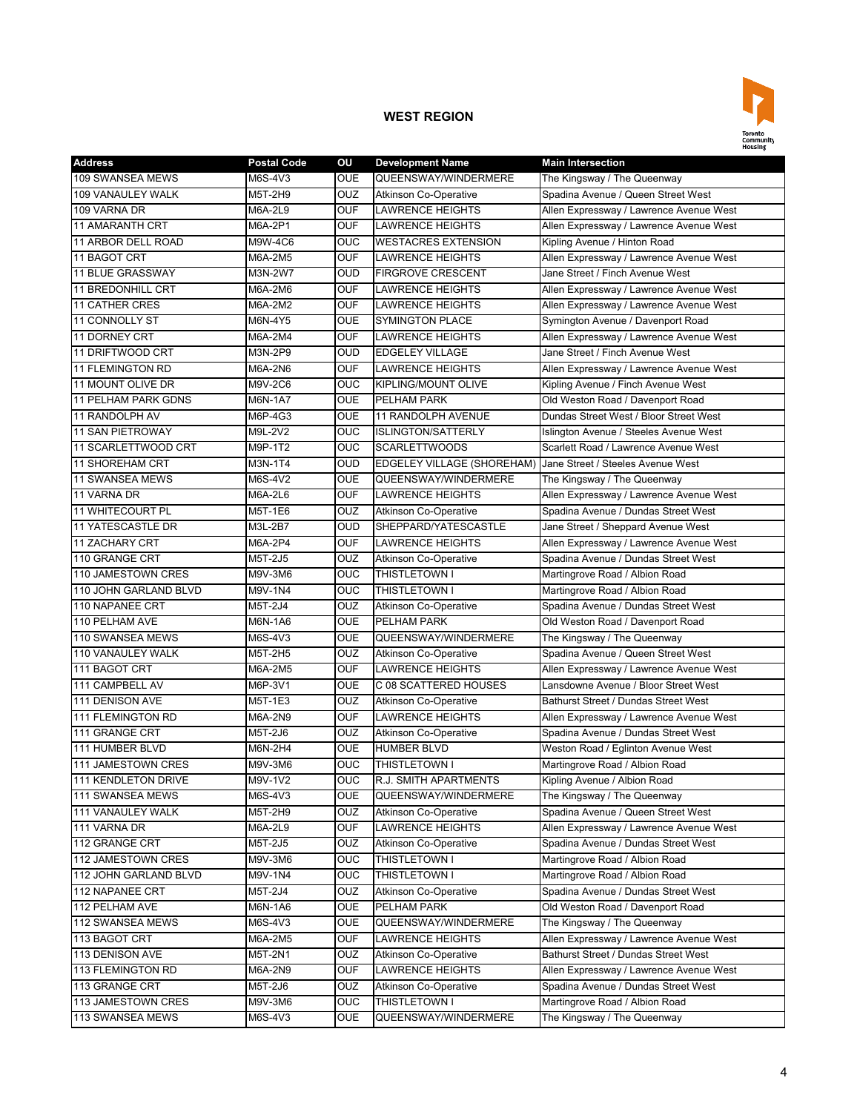

| <b>Address</b>         | <b>Postal Code</b> | OU             | <b>Development Name</b>                                      | <b>Main Intersection</b>                    |
|------------------------|--------------------|----------------|--------------------------------------------------------------|---------------------------------------------|
| 109 SWANSEA MEWS       | M6S-4V3            | <b>OUE</b>     | QUEENSWAY/WINDERMERE                                         | The Kingsway / The Queenway                 |
| 109 VANAULEY WALK      | M5T-2H9            | OUZ            | Atkinson Co-Operative                                        | Spadina Avenue / Queen Street West          |
| 109 VARNA DR           | M6A-2L9            | <b>OUF</b>     | <b>LAWRENCE HEIGHTS</b>                                      | Allen Expressway / Lawrence Avenue West     |
| <b>11 AMARANTH CRT</b> | M6A-2P1            | <b>OUF</b>     | <b>LAWRENCE HEIGHTS</b>                                      | Allen Expressway / Lawrence Avenue West     |
| 11 ARBOR DELL ROAD     | M9W-4C6            | <b>OUC</b>     | <b>WESTACRES EXTENSION</b>                                   | Kipling Avenue / Hinton Road                |
| 11 BAGOT CRT           | M6A-2M5            | <b>OUF</b>     | <b>LAWRENCE HEIGHTS</b>                                      | Allen Expressway / Lawrence Avenue West     |
| 11 BLUE GRASSWAY       | M3N-2W7            | <b>OUD</b>     | <b>FIRGROVE CRESCENT</b>                                     | Jane Street / Finch Avenue West             |
| 11 BREDONHILL CRT      | M6A-2M6            | <b>OUF</b>     | <b>LAWRENCE HEIGHTS</b>                                      | Allen Expressway / Lawrence Avenue West     |
| <b>11 CATHER CRES</b>  | M6A-2M2            | <b>OUF</b>     | <b>LAWRENCE HEIGHTS</b>                                      | Allen Expressway / Lawrence Avenue West     |
| 11 CONNOLLY ST         | M6N-4Y5            | <b>OUE</b>     | <b>SYMINGTON PLACE</b>                                       | Symington Avenue / Davenport Road           |
| 11 DORNEY CRT          | M6A-2M4            | <b>OUF</b>     | <b>LAWRENCE HEIGHTS</b>                                      | Allen Expressway / Lawrence Avenue West     |
| 11 DRIFTWOOD CRT       | M3N-2P9            | <b>OUD</b>     | <b>EDGELEY VILLAGE</b>                                       | Jane Street / Finch Avenue West             |
| 11 FLEMINGTON RD       | M6A-2N6            | <b>OUF</b>     | <b>LAWRENCE HEIGHTS</b>                                      | Allen Expressway / Lawrence Avenue West     |
| 11 MOUNT OLIVE DR      | M9V-2C6            | <b>OUC</b>     | KIPLING/MOUNT OLIVE                                          | Kipling Avenue / Finch Avenue West          |
| 11 PELHAM PARK GDNS    | M6N-1A7            | <b>OUE</b>     | PELHAM PARK                                                  | Old Weston Road / Davenport Road            |
| 11 RANDOLPH AV         | M6P-4G3            | <b>OUE</b>     | 11 RANDOLPH AVENUE                                           | Dundas Street West / Bloor Street West      |
| 11 SAN PIETROWAY       | M9L-2V2            | <b>OUC</b>     | <b>ISLINGTON/SATTERLY</b>                                    | Islington Avenue / Steeles Avenue West      |
| 11 SCARLETTWOOD CRT    | M9P-1T2            | <b>OUC</b>     | <b>SCARLETTWOODS</b>                                         | Scarlett Road / Lawrence Avenue West        |
| 11 SHOREHAM CRT        | M3N-1T4            | <b>OUD</b>     | EDGELEY VILLAGE (SHOREHAM) Jane Street / Steeles Avenue West |                                             |
| <b>11 SWANSEA MEWS</b> | M6S-4V2            | <b>OUE</b>     | QUEENSWAY/WINDERMERE                                         | The Kingsway / The Queenway                 |
| 11 VARNA DR            | M6A-2L6            | <b>OUF</b>     | <b>LAWRENCE HEIGHTS</b>                                      | Allen Expressway / Lawrence Avenue West     |
| 11 WHITECOURT PL       | M5T-1E6            | OUZ            | <b>Atkinson Co-Operative</b>                                 | Spadina Avenue / Dundas Street West         |
| 11 YATESCASTLE DR      | M3L-2B7            | <b>OUD</b>     | SHEPPARD/YATESCASTLE                                         | Jane Street / Sheppard Avenue West          |
| <b>11 ZACHARY CRT</b>  | M6A-2P4            | <b>OUF</b>     | LAWRENCE HEIGHTS                                             | Allen Expressway / Lawrence Avenue West     |
| 110 GRANGE CRT         | M5T-2J5            | <b>OUZ</b>     | <b>Atkinson Co-Operative</b>                                 | Spadina Avenue / Dundas Street West         |
| 110 JAMESTOWN CRES     | M9V-3M6            | <b>OUC</b>     | THISTLETOWN I                                                | Martingrove Road / Albion Road              |
| 110 JOHN GARLAND BLVD  | M9V-1N4            | OUC            | <b>THISTLETOWN I</b>                                         | Martingrove Road / Albion Road              |
| 110 NAPANEE CRT        | M5T-2J4            | OUZ            | <b>Atkinson Co-Operative</b>                                 | Spadina Avenue / Dundas Street West         |
| 110 PELHAM AVE         | M6N-1A6            | <b>OUE</b>     | <b>PELHAM PARK</b>                                           | Old Weston Road / Davenport Road            |
| 110 SWANSEA MEWS       | M6S-4V3            | <b>OUE</b>     | QUEENSWAY/WINDERMERE                                         | The Kingsway / The Queenway                 |
| 110 VANAULEY WALK      | M5T-2H5            | <b>OUZ</b>     | <b>Atkinson Co-Operative</b>                                 | Spadina Avenue / Queen Street West          |
| 111 BAGOT CRT          | M6A-2M5            | <b>OUF</b>     | <b>LAWRENCE HEIGHTS</b>                                      | Allen Expressway / Lawrence Avenue West     |
| 111 CAMPBELL AV        | M6P-3V1            | <b>OUE</b>     | C 08 SCATTERED HOUSES                                        | Lansdowne Avenue / Bloor Street West        |
| 111 DENISON AVE        | M5T-1E3            | OUZ            | <b>Atkinson Co-Operative</b>                                 | <b>Bathurst Street / Dundas Street West</b> |
| 111 FLEMINGTON RD      | M6A-2N9            | <b>OUF</b>     | <b>LAWRENCE HEIGHTS</b>                                      | Allen Expressway / Lawrence Avenue West     |
| 111 GRANGE CRT         | M5T-2J6            | OUZ            | <b>Atkinson Co-Operative</b>                                 | Spadina Avenue / Dundas Street West         |
| 111 HUMBER BLVD        | M6N-2H4            | <b>OUE</b>     | <b>HUMBER BLVD</b>                                           | Weston Road / Eglinton Avenue West          |
| 111 JAMESTOWN CRES     | M9V-3M6            | <b>OUC</b>     | THISTLETOWN I                                                | Martingrove Road / Albion Road              |
| 111 KENDLETON DRIVE    | M9V-1V2            | OUC            | R.J. SMITH APARTMENTS                                        | Kipling Avenue / Albion Road                |
| 111 SWANSEA MEWS       | M6S-4V3            | <b>OUE</b>     | QUEENSWAY/WINDERMERE                                         | The Kingsway / The Queenway                 |
| 111 VANAULEY WALK      | M5T-2H9            | <b>OUZ</b>     | Atkinson Co-Operative                                        | Spadina Avenue / Queen Street West          |
| 111 VARNA DR           | M6A-2L9            | <b>OUF</b>     | LAWRENCE HEIGHTS                                             | Allen Expressway / Lawrence Avenue West     |
| 112 GRANGE CRT         | M5T-2J5            | <b>OUZ</b>     | <b>Atkinson Co-Operative</b>                                 | Spadina Avenue / Dundas Street West         |
| 112 JAMESTOWN CRES     | M9V-3M6            | <b>OUC</b>     | THISTLETOWN I                                                | Martingrove Road / Albion Road              |
| 112 JOHN GARLAND BLVD  | M9V-1N4            | $\overline{C}$ | THISTLETOWN I                                                | Martingrove Road / Albion Road              |
| 112 NAPANEE CRT        | M5T-2J4            | <b>OUZ</b>     | <b>Atkinson Co-Operative</b>                                 | Spadina Avenue / Dundas Street West         |
| 112 PELHAM AVE         | M6N-1A6            | <b>OUE</b>     | PELHAM PARK                                                  | Old Weston Road / Davenport Road            |
| 112 SWANSEA MEWS       | M6S-4V3            | <b>OUE</b>     | QUEENSWAY/WINDERMERE                                         | The Kingsway / The Queenway                 |
| 113 BAGOT CRT          | M6A-2M5            | <b>OUF</b>     | LAWRENCE HEIGHTS                                             | Allen Expressway / Lawrence Avenue West     |
| 113 DENISON AVE        | M5T-2N1            | <b>OUZ</b>     | Atkinson Co-Operative                                        | Bathurst Street / Dundas Street West        |
| 113 FLEMINGTON RD      | M6A-2N9            | <b>OUF</b>     | LAWRENCE HEIGHTS                                             | Allen Expressway / Lawrence Avenue West     |
| 113 GRANGE CRT         | M5T-2J6            | <b>OUZ</b>     | <b>Atkinson Co-Operative</b>                                 | Spadina Avenue / Dundas Street West         |
| 113 JAMESTOWN CRES     | M9V-3M6            | <b>OUC</b>     | THISTLETOWN I                                                | Martingrove Road / Albion Road              |
| 113 SWANSEA MEWS       | M6S-4V3            | <b>OUE</b>     | QUEENSWAY/WINDERMERE                                         | The Kingsway / The Queenway                 |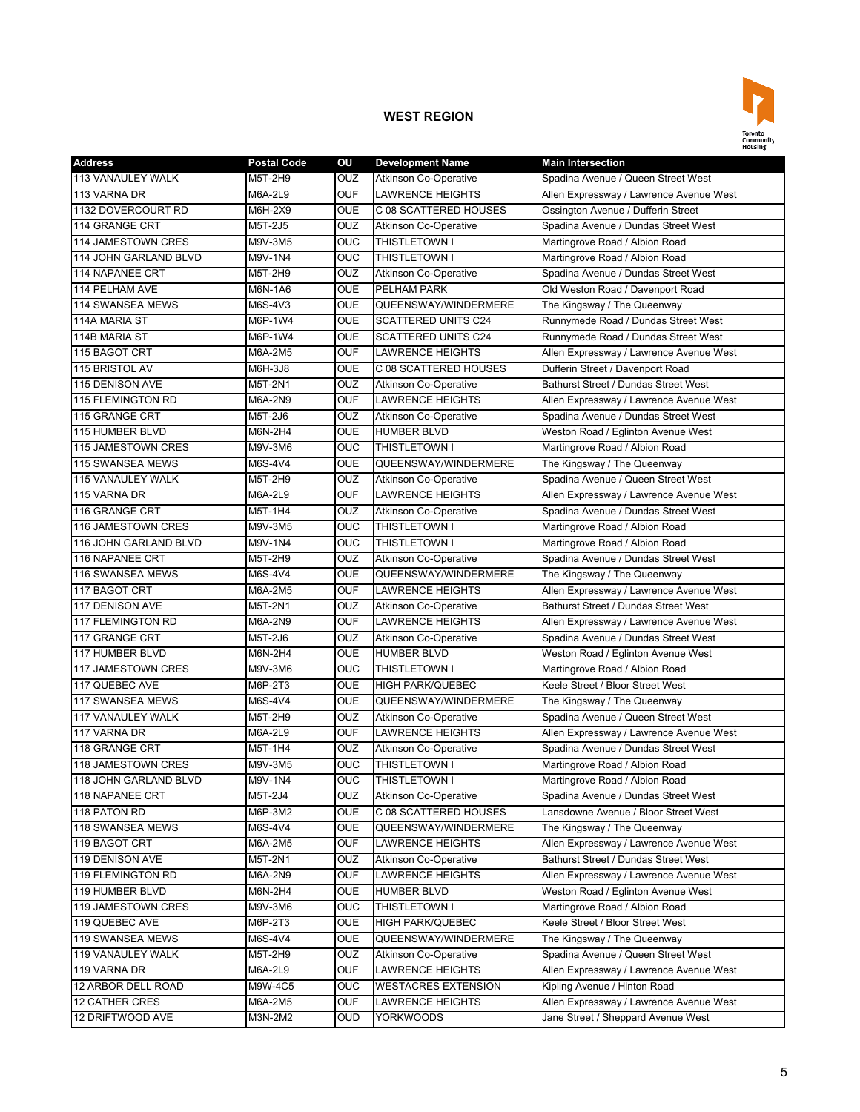

| <b>Address</b>            | <b>Postal Code</b> | OU         | <b>Development Name</b>      | <b>Main Intersection</b>                    |
|---------------------------|--------------------|------------|------------------------------|---------------------------------------------|
| <b>113 VANAULEY WALK</b>  | M5T-2H9            | OUZ        | <b>Atkinson Co-Operative</b> | Spadina Avenue / Queen Street West          |
| 113 VARNA DR              | M6A-2L9            | <b>OUF</b> | <b>LAWRENCE HEIGHTS</b>      | Allen Expressway / Lawrence Avenue West     |
| 1132 DOVERCOURT RD        | M6H-2X9            | <b>OUE</b> | C 08 SCATTERED HOUSES        | Ossington Avenue / Dufferin Street          |
| 114 GRANGE CRT            | M5T-2J5            | <b>OUZ</b> | <b>Atkinson Co-Operative</b> | Spadina Avenue / Dundas Street West         |
| 114 JAMESTOWN CRES        | M9V-3M5            | OUC        | THISTLETOWN I                | Martingrove Road / Albion Road              |
| 114 JOHN GARLAND BLVD     | M9V-1N4            | OUC        | THISTLETOWN I                | Martingrove Road / Albion Road              |
| 114 NAPANEE CRT           | M5T-2H9            | OUZ        | <b>Atkinson Co-Operative</b> | Spadina Avenue / Dundas Street West         |
| 114 PELHAM AVE            | M6N-1A6            | <b>OUE</b> | PELHAM PARK                  | Old Weston Road / Davenport Road            |
| 114 SWANSEA MEWS          | M6S-4V3            | <b>OUE</b> | QUEENSWAY/WINDERMERE         | The Kingsway / The Queenway                 |
| 114A MARIA ST             | M6P-1W4            | <b>OUE</b> | <b>SCATTERED UNITS C24</b>   | Runnymede Road / Dundas Street West         |
| 114B MARIA ST             | M6P-1W4            | <b>OUE</b> | <b>SCATTERED UNITS C24</b>   | Runnymede Road / Dundas Street West         |
| 115 BAGOT CRT             | M6A-2M5            | <b>OUF</b> | <b>LAWRENCE HEIGHTS</b>      | Allen Expressway / Lawrence Avenue West     |
| 115 BRISTOL AV            | M6H-3J8            | <b>OUE</b> | C 08 SCATTERED HOUSES        | Dufferin Street / Davenport Road            |
| 115 DENISON AVE           | M5T-2N1            | OUZ        | <b>Atkinson Co-Operative</b> | <b>Bathurst Street / Dundas Street West</b> |
| 115 FLEMINGTON RD         | M6A-2N9            | OUF        | <b>LAWRENCE HEIGHTS</b>      | Allen Expressway / Lawrence Avenue West     |
| 115 GRANGE CRT            | M5T-2J6            | OUZ        | Atkinson Co-Operative        | Spadina Avenue / Dundas Street West         |
| 115 HUMBER BLVD           | M6N-2H4            | OUE        | <b>HUMBER BLVD</b>           | Weston Road / Eglinton Avenue West          |
| 115 JAMESTOWN CRES        | M9V-3M6            | OUC        | THISTLETOWN I                | Martingrove Road / Albion Road              |
| 115 SWANSEA MEWS          | M6S-4V4            | <b>OUE</b> | QUEENSWAY/WINDERMERE         | The Kingsway / The Queenway                 |
| <b>115 VANAULEY WALK</b>  | M5T-2H9            | OUZ        | <b>Atkinson Co-Operative</b> | Spadina Avenue / Queen Street West          |
| 115 VARNA DR              | M6A-2L9            | <b>OUF</b> | <b>LAWRENCE HEIGHTS</b>      | Allen Expressway / Lawrence Avenue West     |
| 116 GRANGE CRT            | M5T-1H4            | OUZ        | <b>Atkinson Co-Operative</b> | Spadina Avenue / Dundas Street West         |
| 116 JAMESTOWN CRES        | M9V-3M5            | OUC        | THISTLETOWN I                | Martingrove Road / Albion Road              |
| 116 JOHN GARLAND BLVD     | M9V-1N4            | OUC        | THISTLETOWN I                | Martingrove Road / Albion Road              |
| 116 NAPANEE CRT           | M5T-2H9            | OUZ        | <b>Atkinson Co-Operative</b> | Spadina Avenue / Dundas Street West         |
| 116 SWANSEA MEWS          | M6S-4V4            | OUE        | QUEENSWAY/WINDERMERE         | The Kingsway / The Queenway                 |
| 117 BAGOT CRT             | M6A-2M5            | <b>OUF</b> | <b>LAWRENCE HEIGHTS</b>      | Allen Expressway / Lawrence Avenue West     |
| 117 DENISON AVE           | M5T-2N1            | OUZ        | <b>Atkinson Co-Operative</b> | Bathurst Street / Dundas Street West        |
| <b>117 FLEMINGTON RD</b>  | M6A-2N9            | <b>OUF</b> | <b>LAWRENCE HEIGHTS</b>      | Allen Expressway / Lawrence Avenue West     |
| 117 GRANGE CRT            | M5T-2J6            | OUZ        | <b>Atkinson Co-Operative</b> | Spadina Avenue / Dundas Street West         |
| <b>117 HUMBER BLVD</b>    | M6N-2H4            | OUE        | <b>HUMBER BLVD</b>           | Weston Road / Eglinton Avenue West          |
| 117 JAMESTOWN CRES        | M9V-3M6            | OUC        | <b>THISTLETOWN I</b>         | Martingrove Road / Albion Road              |
| 117 QUEBEC AVE            | M6P-2T3            | <b>OUE</b> | <b>HIGH PARK/QUEBEC</b>      | Keele Street / Bloor Street West            |
| 117 SWANSEA MEWS          | M6S-4V4            | OUE        | QUEENSWAY/WINDERMERE         | The Kingsway / The Queenway                 |
| <b>117 VANAULEY WALK</b>  | M5T-2H9            | OUZ        | <b>Atkinson Co-Operative</b> | Spadina Avenue / Queen Street West          |
| 117 VARNA DR              | M6A-2L9            | <b>OUF</b> | <b>LAWRENCE HEIGHTS</b>      | Allen Expressway / Lawrence Avenue West     |
| 118 GRANGE CRT            | M5T-1H4            | <b>OUZ</b> | <b>Atkinson Co-Operative</b> | Spadina Avenue / Dundas Street West         |
| <b>118 JAMESTOWN CRES</b> | M9V-3M5            | OUC        | THISTLETOWN I                | Martingrove Road / Albion Road              |
| 118 JOHN GARLAND BLVD     | M9V-1N4            | OUC        | THISTLETOWN I                | Martingrove Road / Albion Road              |
| 118 NAPANEE CRT           | M5T-2J4            | OUZ        | <b>Atkinson Co-Operative</b> | Spadina Avenue / Dundas Street West         |
| 118 PATON RD              | M6P-3M2            | OUE        | C 08 SCATTERED HOUSES        | Lansdowne Avenue / Bloor Street West        |
| 118 SWANSEA MEWS          | M6S-4V4            | <b>OUE</b> | QUEENSWAY/WINDERMERE         | The Kingsway / The Queenway                 |
| 119 BAGOT CRT             | M6A-2M5            | <b>OUF</b> | <b>LAWRENCE HEIGHTS</b>      | Allen Expressway / Lawrence Avenue West     |
| 119 DENISON AVE           | M5T-2N1            | OUZ        | <b>Atkinson Co-Operative</b> | Bathurst Street / Dundas Street West        |
| 119 FLEMINGTON RD         | M6A-2N9            | <b>OUF</b> | <b>LAWRENCE HEIGHTS</b>      | Allen Expressway / Lawrence Avenue West     |
| 119 HUMBER BLVD           | M6N-2H4            | <b>OUE</b> | <b>HUMBER BLVD</b>           | Weston Road / Eglinton Avenue West          |
| 119 JAMESTOWN CRES        | M9V-3M6            | OUC        | THISTLETOWN I                | Martingrove Road / Albion Road              |
| 119 QUEBEC AVE            | M6P-2T3            | OUE        | <b>HIGH PARK/QUEBEC</b>      | Keele Street / Bloor Street West            |
| 119 SWANSEA MEWS          | M6S-4V4            | OUE        | QUEENSWAY/WINDERMERE         | The Kingsway / The Queenway                 |
| 119 VANAULEY WALK         | M5T-2H9            | OUZ        | Atkinson Co-Operative        | Spadina Avenue / Queen Street West          |
| 119 VARNA DR              | M6A-2L9            | <b>OUF</b> | LAWRENCE HEIGHTS             | Allen Expressway / Lawrence Avenue West     |
| 12 ARBOR DELL ROAD        | M9W-4C5            | OUC        | <b>WESTACRES EXTENSION</b>   | Kipling Avenue / Hinton Road                |
| <b>12 CATHER CRES</b>     | M6A-2M5            | OUF        | LAWRENCE HEIGHTS             | Allen Expressway / Lawrence Avenue West     |
| 12 DRIFTWOOD AVE          | M3N-2M2            | OUD        | <b>YORKWOODS</b>             | Jane Street / Sheppard Avenue West          |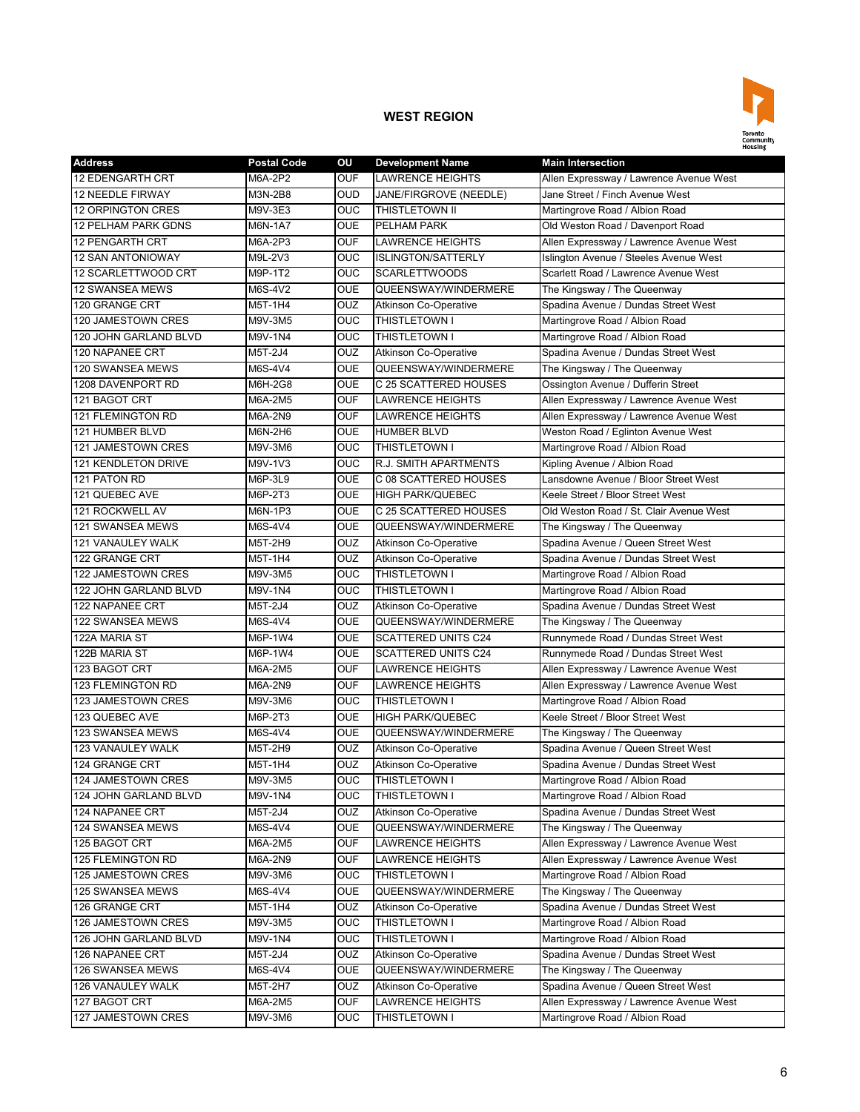

| <b>Address</b>             | <b>Postal Code</b> | OU         | <b>Development Name</b>      | <b>Main Intersection</b>                |
|----------------------------|--------------------|------------|------------------------------|-----------------------------------------|
| <b>12 EDENGARTH CRT</b>    | M6A-2P2            | <b>OUF</b> | <b>LAWRENCE HEIGHTS</b>      | Allen Expressway / Lawrence Avenue West |
| <b>12 NEEDLE FIRWAY</b>    | M3N-2B8            | <b>OUD</b> | JANE/FIRGROVE (NEEDLE)       | Jane Street / Finch Avenue West         |
| <b>12 ORPINGTON CRES</b>   | M9V-3E3            | <b>OUC</b> | <b>THISTLETOWN II</b>        | Martingrove Road / Albion Road          |
| <b>12 PELHAM PARK GDNS</b> | M6N-1A7            | <b>OUE</b> | PELHAM PARK                  | Old Weston Road / Davenport Road        |
| <b>12 PENGARTH CRT</b>     | M6A-2P3            | <b>OUF</b> | <b>LAWRENCE HEIGHTS</b>      | Allen Expressway / Lawrence Avenue West |
| <b>12 SAN ANTONIOWAY</b>   | M9L-2V3            | <b>OUC</b> | <b>ISLINGTON/SATTERLY</b>    | Islington Avenue / Steeles Avenue West  |
| 12 SCARLETTWOOD CRT        | M9P-1T2            | OUC        | <b>SCARLETTWOODS</b>         | Scarlett Road / Lawrence Avenue West    |
| <b>12 SWANSEA MEWS</b>     | M6S-4V2            | <b>OUE</b> | QUEENSWAY/WINDERMERE         | The Kingsway / The Queenway             |
| 120 GRANGE CRT             | M5T-1H4            | OUZ        | <b>Atkinson Co-Operative</b> | Spadina Avenue / Dundas Street West     |
| 120 JAMESTOWN CRES         | M9V-3M5            | OUC        | THISTLETOWN I                | Martingrove Road / Albion Road          |
| 120 JOHN GARLAND BLVD      | M9V-1N4            | <b>OUC</b> | <b>THISTLETOWN I</b>         | Martingrove Road / Albion Road          |
| <b>120 NAPANEE CRT</b>     | M5T-2J4            | OUZ        | Atkinson Co-Operative        | Spadina Avenue / Dundas Street West     |
| 120 SWANSEA MEWS           | M6S-4V4            | <b>OUE</b> | QUEENSWAY/WINDERMERE         | The Kingsway / The Queenway             |
| 1208 DAVENPORT RD          | M6H-2G8            | <b>OUE</b> | C 25 SCATTERED HOUSES        | Ossington Avenue / Dufferin Street      |
| 121 BAGOT CRT              | M6A-2M5            | <b>OUF</b> | <b>LAWRENCE HEIGHTS</b>      | Allen Expressway / Lawrence Avenue West |
| <b>121 FLEMINGTON RD</b>   | M6A-2N9            | <b>OUF</b> | <b>LAWRENCE HEIGHTS</b>      | Allen Expressway / Lawrence Avenue West |
| 121 HUMBER BLVD            | M6N-2H6            | <b>OUE</b> | <b>HUMBER BLVD</b>           | Weston Road / Eglinton Avenue West      |
| <b>121 JAMESTOWN CRES</b>  | M9V-3M6            | <b>OUC</b> | <b>THISTLETOWN I</b>         | Martingrove Road / Albion Road          |
| 121 KENDLETON DRIVE        | M9V-1V3            | <b>OUC</b> | <b>R.J. SMITH APARTMENTS</b> | Kipling Avenue / Albion Road            |
| 121 PATON RD               | M6P-3L9            | <b>OUE</b> | C 08 SCATTERED HOUSES        | Lansdowne Avenue / Bloor Street West    |
| 121 QUEBEC AVE             | M6P-2T3            | <b>OUE</b> | <b>HIGH PARK/QUEBEC</b>      | Keele Street / Bloor Street West        |
| 121 ROCKWELL AV            | M6N-1P3            | <b>OUE</b> | C 25 SCATTERED HOUSES        | Old Weston Road / St. Clair Avenue West |
| <b>121 SWANSEA MEWS</b>    | M6S-4V4            | <b>OUE</b> | QUEENSWAY/WINDERMERE         | The Kingsway / The Queenway             |
| <b>121 VANAULEY WALK</b>   | M5T-2H9            | <b>OUZ</b> | <b>Atkinson Co-Operative</b> | Spadina Avenue / Queen Street West      |
| 122 GRANGE CRT             | M5T-1H4            | <b>OUZ</b> | <b>Atkinson Co-Operative</b> | Spadina Avenue / Dundas Street West     |
| 122 JAMESTOWN CRES         | M9V-3M5            | <b>OUC</b> | THISTLETOWN I                | Martingrove Road / Albion Road          |
| 122 JOHN GARLAND BLVD      | M9V-1N4            | OUC        | <b>THISTLETOWN I</b>         | Martingrove Road / Albion Road          |
| 122 NAPANEE CRT            | M5T-2J4            | OUZ        | <b>Atkinson Co-Operative</b> | Spadina Avenue / Dundas Street West     |
| 122 SWANSEA MEWS           | M6S-4V4            | <b>OUE</b> | QUEENSWAY/WINDERMERE         | The Kingsway / The Queenway             |
| 122A MARIA ST              | M6P-1W4            | <b>OUE</b> | <b>SCATTERED UNITS C24</b>   | Runnymede Road / Dundas Street West     |
| 122B MARIA ST              | M6P-1W4            | <b>OUE</b> | <b>SCATTERED UNITS C24</b>   | Runnymede Road / Dundas Street West     |
| 123 BAGOT CRT              | M6A-2M5            | <b>OUF</b> | <b>LAWRENCE HEIGHTS</b>      | Allen Expressway / Lawrence Avenue West |
| <b>123 FLEMINGTON RD</b>   | M6A-2N9            | <b>OUF</b> | <b>LAWRENCE HEIGHTS</b>      | Allen Expressway / Lawrence Avenue West |
| 123 JAMESTOWN CRES         | M9V-3M6            | <b>OUC</b> | THISTLETOWN I                | Martingrove Road / Albion Road          |
| 123 QUEBEC AVE             | M6P-2T3            | <b>OUE</b> | <b>HIGH PARK/QUEBEC</b>      | Keele Street / Bloor Street West        |
| 123 SWANSEA MEWS           | M6S-4V4            | <b>OUE</b> | QUEENSWAY/WINDERMERE         | The Kingsway / The Queenway             |
| 123 VANAULEY WALK          | M5T-2H9            | <b>OUZ</b> | <b>Atkinson Co-Operative</b> | Spadina Avenue / Queen Street West      |
| 124 GRANGE CRT             | M5T-1H4            | <b>OUZ</b> | <b>Atkinson Co-Operative</b> | Spadina Avenue / Dundas Street West     |
| 124 JAMESTOWN CRES         | M9V-3M5            | OUC        | <b>THISTLETOWN I</b>         | Martingrove Road / Albion Road          |
| 124 JOHN GARLAND BLVD      | M9V-1N4            | <b>OUC</b> | THISTLETOWN I                | Martingrove Road / Albion Road          |
| 124 NAPANEE CRT            | M5T-2J4            | <b>OUZ</b> | <b>Atkinson Co-Operative</b> | Spadina Avenue / Dundas Street West     |
| 124 SWANSEA MEWS           | M6S-4V4            | <b>OUE</b> | QUEENSWAY/WINDERMERE         | The Kingsway / The Queenway             |
| 125 BAGOT CRT              | M6A-2M5            | <b>OUF</b> | LAWRENCE HEIGHTS             | Allen Expressway / Lawrence Avenue West |
| 125 FLEMINGTON RD          | M6A-2N9            | <b>OUF</b> | <b>LAWRENCE HEIGHTS</b>      | Allen Expressway / Lawrence Avenue West |
| 125 JAMESTOWN CRES         | M9V-3M6            | <b>OUC</b> | THISTLETOWN I                | Martingrove Road / Albion Road          |
| 125 SWANSEA MEWS           | M6S-4V4            | <b>OUE</b> | QUEENSWAY/WINDERMERE         | The Kingsway / The Queenway             |
| 126 GRANGE CRT             | M5T-1H4            | <b>OUZ</b> | <b>Atkinson Co-Operative</b> | Spadina Avenue / Dundas Street West     |
| 126 JAMESTOWN CRES         | M9V-3M5            | <b>OUC</b> | THISTLETOWN I                | Martingrove Road / Albion Road          |
| 126 JOHN GARLAND BLVD      | M9V-1N4            | <b>OUC</b> | THISTLETOWN I                | Martingrove Road / Albion Road          |
| 126 NAPANEE CRT            | M5T-2J4            | <b>OUZ</b> | <b>Atkinson Co-Operative</b> | Spadina Avenue / Dundas Street West     |
| 126 SWANSEA MEWS           | M6S-4V4            | <b>OUE</b> | QUEENSWAY/WINDERMERE         | The Kingsway / The Queenway             |
| 126 VANAULEY WALK          | M5T-2H7            | <b>OUZ</b> | Atkinson Co-Operative        | Spadina Avenue / Queen Street West      |
| 127 BAGOT CRT              | M6A-2M5            | <b>OUF</b> | LAWRENCE HEIGHTS             | Allen Expressway / Lawrence Avenue West |
| 127 JAMESTOWN CRES         | M9V-3M6            | <b>OUC</b> | THISTLETOWN I                | Martingrove Road / Albion Road          |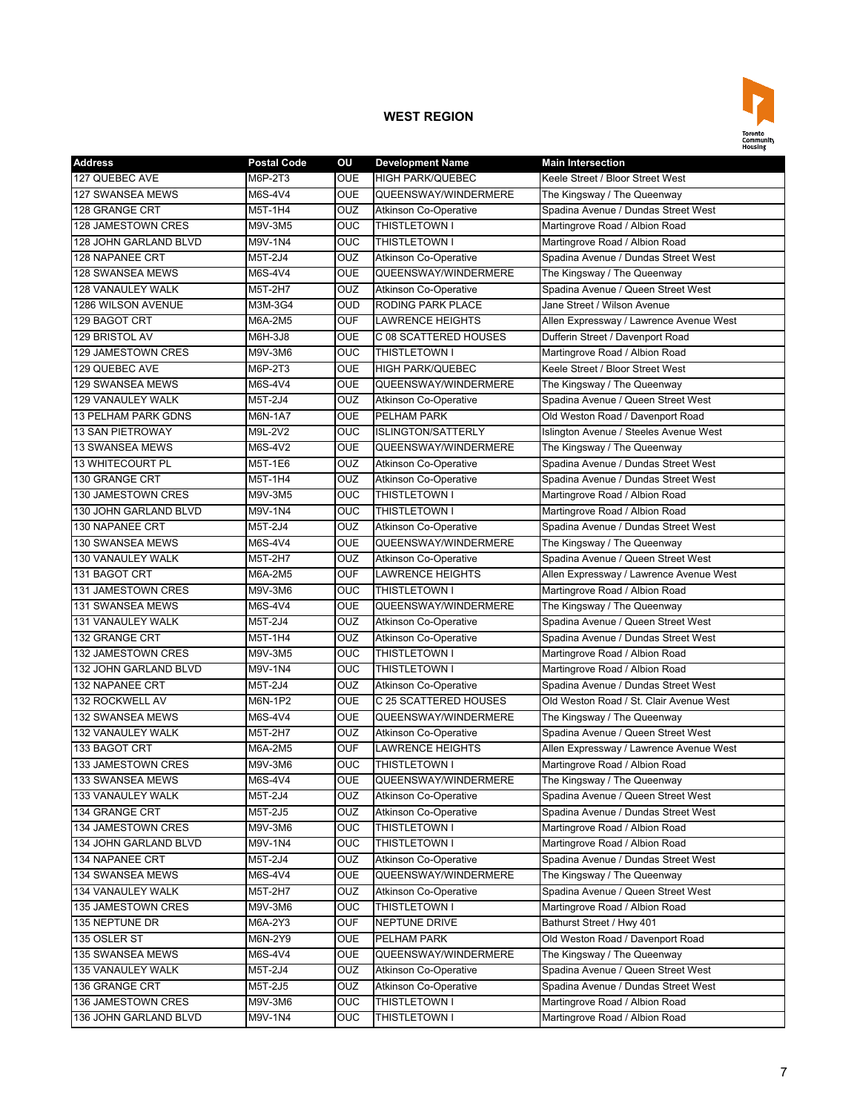

| <b>Address</b>             | <b>Postal Code</b> | OU                      | <b>Development Name</b>      | <b>Main Intersection</b>                |
|----------------------------|--------------------|-------------------------|------------------------------|-----------------------------------------|
| 127 QUEBEC AVE             | M6P-2T3            | OUE                     | <b>HIGH PARK/QUEBEC</b>      | Keele Street / Bloor Street West        |
| 127 SWANSEA MEWS           | M6S-4V4            | <b>OUE</b>              | QUEENSWAY/WINDERMERE         | The Kingsway / The Queenway             |
| 128 GRANGE CRT             | M5T-1H4            | <b>OUZ</b>              | <b>Atkinson Co-Operative</b> | Spadina Avenue / Dundas Street West     |
| 128 JAMESTOWN CRES         | M9V-3M5            | <b>OUC</b>              | <b>THISTLETOWN I</b>         | Martingrove Road / Albion Road          |
| 128 JOHN GARLAND BLVD      | M9V-1N4            | OUC                     | THISTLETOWN I                | Martingrove Road / Albion Road          |
| 128 NAPANEE CRT            | M5T-2J4            | OUZ                     | <b>Atkinson Co-Operative</b> | Spadina Avenue / Dundas Street West     |
| 128 SWANSEA MEWS           | M6S-4V4            | <b>OUE</b>              | QUEENSWAY/WINDERMERE         | The Kingsway / The Queenway             |
| 128 VANAULEY WALK          | M5T-2H7            | OUZ                     | <b>Atkinson Co-Operative</b> | Spadina Avenue / Queen Street West      |
| 1286 WILSON AVENUE         | M3M-3G4            | OUD                     | RODING PARK PLACE            | Jane Street / Wilson Avenue             |
| 129 BAGOT CRT              | M6A-2M5            | <b>OUF</b>              | <b>LAWRENCE HEIGHTS</b>      | Allen Expressway / Lawrence Avenue West |
| 129 BRISTOL AV             | M6H-3J8            | <b>OUE</b>              | C 08 SCATTERED HOUSES        | Dufferin Street / Davenport Road        |
| 129 JAMESTOWN CRES         | M9V-3M6            | <b>OUC</b>              | THISTLETOWN I                | Martingrove Road / Albion Road          |
| 129 QUEBEC AVE             | M6P-2T3            | <b>OUE</b>              | <b>HIGH PARK/QUEBEC</b>      | Keele Street / Bloor Street West        |
| 129 SWANSEA MEWS           | M6S-4V4            | <b>OUE</b>              | QUEENSWAY/WINDERMERE         | The Kingsway / The Queenway             |
| <b>129 VANAULEY WALK</b>   | M5T-2J4            | OUZ                     | <b>Atkinson Co-Operative</b> | Spadina Avenue / Queen Street West      |
| <b>13 PELHAM PARK GDNS</b> | M6N-1A7            | <b>OUE</b>              | PELHAM PARK                  | Old Weston Road / Davenport Road        |
| 13 SAN PIETROWAY           | M9L-2V2            | OUC                     | <b>ISLINGTON/SATTERLY</b>    | Islington Avenue / Steeles Avenue West  |
| <b>13 SWANSEA MEWS</b>     | M6S-4V2            | <b>OUE</b>              | QUEENSWAY/WINDERMERE         | The Kingsway / The Queenway             |
| <b>13 WHITECOURT PL</b>    | M5T-1E6            | OUZ                     | <b>Atkinson Co-Operative</b> | Spadina Avenue / Dundas Street West     |
| 130 GRANGE CRT             | M5T-1H4            | OUZ                     | <b>Atkinson Co-Operative</b> | Spadina Avenue / Dundas Street West     |
| 130 JAMESTOWN CRES         | M9V-3M5            | OUC                     | THISTLETOWN I                | Martingrove Road / Albion Road          |
| 130 JOHN GARLAND BLVD      | M9V-1N4            | OUC                     | <b>THISTLETOWN I</b>         | Martingrove Road / Albion Road          |
| 130 NAPANEE CRT            | M5T-2J4            | OUZ                     | <b>Atkinson Co-Operative</b> | Spadina Avenue / Dundas Street West     |
| 130 SWANSEA MEWS           | M6S-4V4            | <b>OUE</b>              | QUEENSWAY/WINDERMERE         | The Kingsway / The Queenway             |
| 130 VANAULEY WALK          | M5T-2H7            | OUZ                     | Atkinson Co-Operative        | Spadina Avenue / Queen Street West      |
| 131 BAGOT CRT              | M6A-2M5            | OUF                     | <b>LAWRENCE HEIGHTS</b>      | Allen Expressway / Lawrence Avenue West |
| 131 JAMESTOWN CRES         | M9V-3M6            | OUC                     | THISTLETOWN I                | Martingrove Road / Albion Road          |
| 131 SWANSEA MEWS           | M6S-4V4            | <b>OUE</b>              | QUEENSWAY/WINDERMERE         | The Kingsway / The Queenway             |
| <b>131 VANAULEY WALK</b>   | M5T-2J4            | OUZ                     | <b>Atkinson Co-Operative</b> | Spadina Avenue / Queen Street West      |
| 132 GRANGE CRT             | M5T-1H4            | OUZ                     | <b>Atkinson Co-Operative</b> | Spadina Avenue / Dundas Street West     |
| 132 JAMESTOWN CRES         | M9V-3M5            | OUC                     | THISTLETOWN I                | Martingrove Road / Albion Road          |
| 132 JOHN GARLAND BLVD      | M9V-1N4            | OUC                     | THISTLETOWN I                | Martingrove Road / Albion Road          |
| <b>132 NAPANEE CRT</b>     | M5T-2J4            | <b>OUZ</b>              | <b>Atkinson Co-Operative</b> | Spadina Avenue / Dundas Street West     |
| 132 ROCKWELL AV            | M6N-1P2            | <b>OUE</b>              | C 25 SCATTERED HOUSES        | Old Weston Road / St. Clair Avenue West |
| <b>132 SWANSEA MEWS</b>    | M6S-4V4            | <b>OUE</b>              | QUEENSWAY/WINDERMERE         | The Kingsway / The Queenway             |
| 132 VANAULEY WALK          | M5T-2H7            | OUZ                     | <b>Atkinson Co-Operative</b> | Spadina Avenue / Queen Street West      |
| 133 BAGOT CRT              | M6A-2M5            | <b>OUF</b>              | <b>LAWRENCE HEIGHTS</b>      | Allen Expressway / Lawrence Avenue West |
| 133 JAMESTOWN CRES         | M9V-3M6            | OUC                     | <b>THISTLETOWN I</b>         | Martingrove Road / Albion Road          |
| 133 SWANSEA MEWS           | M6S-4V4            | <b>OUE</b>              | QUEENSWAY/WINDERMERE         | The Kingsway / The Queenway             |
| 133 VANAULEY WALK          | M5T-2J4            | <b>OUZ</b>              | <b>Atkinson Co-Operative</b> | Spadina Avenue / Queen Street West      |
| 134 GRANGE CRT             | M5T-2J5            | OUZ                     | <b>Atkinson Co-Operative</b> | Spadina Avenue / Dundas Street West     |
| 134 JAMESTOWN CRES         | M9V-3M6            | $\overline{\text{OUC}}$ | THISTLETOWN I                | Martingrove Road / Albion Road          |
| 134 JOHN GARLAND BLVD      | M9V-1N4            | $\overline{\text{OUC}}$ | THISTLETOWN I                | Martingrove Road / Albion Road          |
| 134 NAPANEE CRT            | M5T-2J4            | <b>OUZ</b>              | <b>Atkinson Co-Operative</b> | Spadina Avenue / Dundas Street West     |
| 134 SWANSEA MEWS           | M6S-4V4            | <b>OUE</b>              | QUEENSWAY/WINDERMERE         | The Kingsway / The Queenway             |
| 134 VANAULEY WALK          | M5T-2H7            | OUZ                     | <b>Atkinson Co-Operative</b> | Spadina Avenue / Queen Street West      |
| 135 JAMESTOWN CRES         | M9V-3M6            | OUC                     | THISTLETOWN I                | Martingrove Road / Albion Road          |
| 135 NEPTUNE DR             | M6A-2Y3            | OUF                     | NEPTUNE DRIVE                | Bathurst Street / Hwy 401               |
| 135 OSLER ST               | M6N-2Y9            | OUE                     | PELHAM PARK                  | Old Weston Road / Davenport Road        |
| 135 SWANSEA MEWS           | M6S-4V4            | OUE                     | QUEENSWAY/WINDERMERE         | The Kingsway / The Queenway             |
| 135 VANAULEY WALK          | M5T-2J4            | OUZ                     | <b>Atkinson Co-Operative</b> | Spadina Avenue / Queen Street West      |
| 136 GRANGE CRT             | M5T-2J5            | OUZ                     | <b>Atkinson Co-Operative</b> | Spadina Avenue / Dundas Street West     |
| 136 JAMESTOWN CRES         | M9V-3M6            | OUC                     | THISTLETOWN I                | Martingrove Road / Albion Road          |
| 136 JOHN GARLAND BLVD      | M9V-1N4            | OUC                     | THISTLETOWN I                | Martingrove Road / Albion Road          |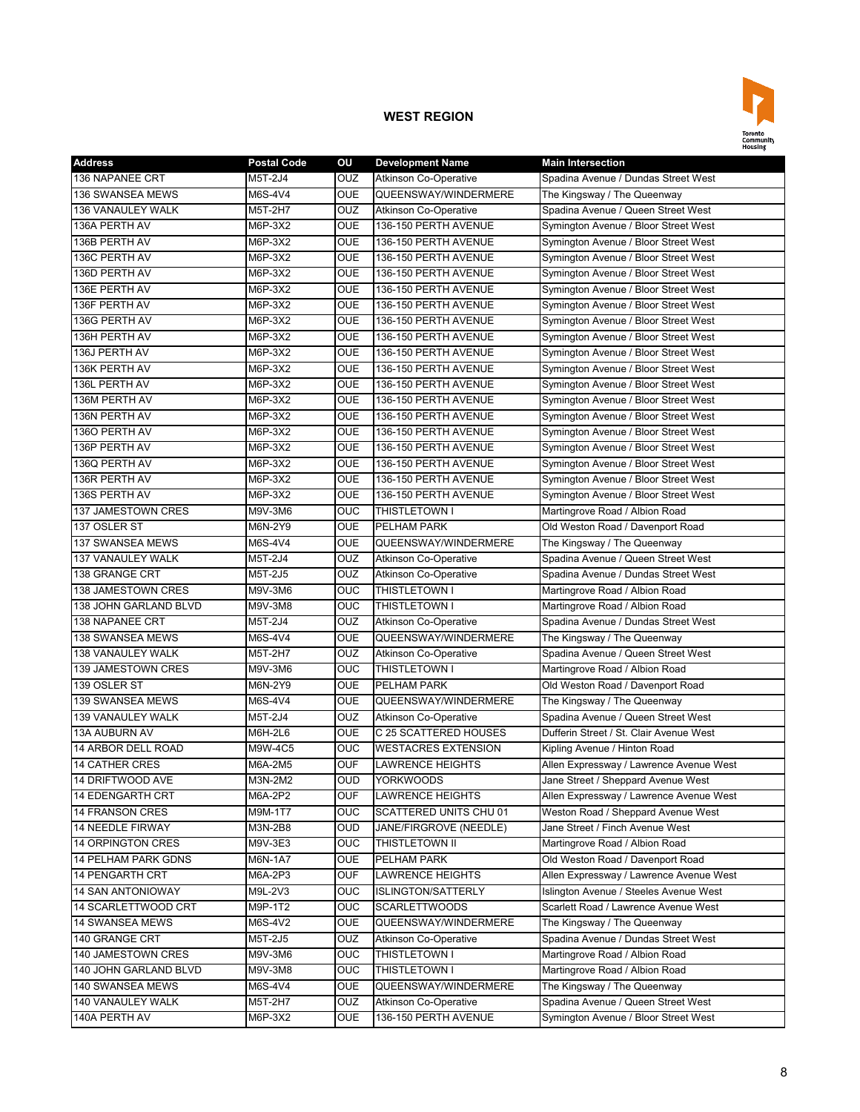

| <b>Address</b>            | <b>Postal Code</b> | ΟU                      | <b>Development Name</b>      | <b>Main Intersection</b>                |
|---------------------------|--------------------|-------------------------|------------------------------|-----------------------------------------|
| 136 NAPANEE CRT           | M5T-2J4            | OUZ                     | <b>Atkinson Co-Operative</b> | Spadina Avenue / Dundas Street West     |
| 136 SWANSEA MEWS          | M6S-4V4            | <b>OUE</b>              | QUEENSWAY/WINDERMERE         | The Kingsway / The Queenway             |
| 136 VANAULEY WALK         | M5T-2H7            | <b>OUZ</b>              | Atkinson Co-Operative        | Spadina Avenue / Queen Street West      |
| 136A PERTH AV             | M6P-3X2            | <b>OUE</b>              | 136-150 PERTH AVENUE         | Symington Avenue / Bloor Street West    |
| 136B PERTH AV             | M6P-3X2            | <b>OUE</b>              | 136-150 PERTH AVENUE         | Symington Avenue / Bloor Street West    |
| 136C PERTH AV             | M6P-3X2            | <b>OUE</b>              | 136-150 PERTH AVENUE         | Symington Avenue / Bloor Street West    |
| 136D PERTH AV             | M6P-3X2            | OUE                     | 136-150 PERTH AVENUE         | Symington Avenue / Bloor Street West    |
| 136E PERTH AV             | M6P-3X2            | <b>OUE</b>              | 136-150 PERTH AVENUE         | Symington Avenue / Bloor Street West    |
| 136F PERTH AV             | M6P-3X2            | <b>OUE</b>              | 136-150 PERTH AVENUE         | Symington Avenue / Bloor Street West    |
| 136G PERTH AV             | M6P-3X2            | <b>OUE</b>              | 136-150 PERTH AVENUE         | Symington Avenue / Bloor Street West    |
| 136H PERTH AV             | M6P-3X2            | <b>OUE</b>              | 136-150 PERTH AVENUE         | Symington Avenue / Bloor Street West    |
| 136J PERTH AV             | M6P-3X2            | <b>OUE</b>              | 136-150 PERTH AVENUE         | Symington Avenue / Bloor Street West    |
| 136K PERTH AV             | M6P-3X2            | <b>OUE</b>              | 136-150 PERTH AVENUE         | Symington Avenue / Bloor Street West    |
| 136L PERTH AV             | M6P-3X2            | <b>OUE</b>              | 136-150 PERTH AVENUE         | Symington Avenue / Bloor Street West    |
| 136M PERTH AV             | M6P-3X2            | <b>OUE</b>              | 136-150 PERTH AVENUE         | Symington Avenue / Bloor Street West    |
| 136N PERTH AV             | M6P-3X2            | OUE                     | 136-150 PERTH AVENUE         | Symington Avenue / Bloor Street West    |
| 1360 PERTH AV             | M6P-3X2            | <b>OUE</b>              | 136-150 PERTH AVENUE         | Symington Avenue / Bloor Street West    |
| 136P PERTH AV             | M6P-3X2            | <b>OUE</b>              | 136-150 PERTH AVENUE         | Symington Avenue / Bloor Street West    |
| 136Q PERTH AV             | M6P-3X2            | OUE                     | 136-150 PERTH AVENUE         | Symington Avenue / Bloor Street West    |
| 136R PERTH AV             | M6P-3X2            | <b>OUE</b>              | 136-150 PERTH AVENUE         | Symington Avenue / Bloor Street West    |
| 136S PERTH AV             | M6P-3X2            | <b>OUE</b>              | 136-150 PERTH AVENUE         | Symington Avenue / Bloor Street West    |
| 137 JAMESTOWN CRES        | M9V-3M6            | OUC                     | THISTLETOWN I                | Martingrove Road / Albion Road          |
| 137 OSLER ST              | M6N-2Y9            | <b>OUE</b>              | <b>PELHAM PARK</b>           | Old Weston Road / Davenport Road        |
| 137 SWANSEA MEWS          | M6S-4V4            | OUE                     | QUEENSWAY/WINDERMERE         | The Kingsway / The Queenway             |
| <b>137 VANAULEY WALK</b>  | M5T-2J4            | OUZ                     | <b>Atkinson Co-Operative</b> | Spadina Avenue / Queen Street West      |
| 138 GRANGE CRT            | M5T-2J5            | OUZ                     | <b>Atkinson Co-Operative</b> | Spadina Avenue / Dundas Street West     |
| 138 JAMESTOWN CRES        | M9V-3M6            | OUC                     | THISTLETOWN I                | Martingrove Road / Albion Road          |
| 138 JOHN GARLAND BLVD     | M9V-3M8            | <b>OUC</b>              | <b>THISTLETOWN I</b>         | Martingrove Road / Albion Road          |
| 138 NAPANEE CRT           | M5T-2J4            | <b>OUZ</b>              | <b>Atkinson Co-Operative</b> | Spadina Avenue / Dundas Street West     |
| 138 SWANSEA MEWS          | M6S-4V4            | <b>OUE</b>              | QUEENSWAY/WINDERMERE         | The Kingsway / The Queenway             |
| 138 VANAULEY WALK         | M5T-2H7            | OUZ                     | Atkinson Co-Operative        | Spadina Avenue / Queen Street West      |
| 139 JAMESTOWN CRES        | M9V-3M6            | <b>OUC</b>              | THISTLETOWN I                | Martingrove Road / Albion Road          |
| 139 OSLER ST              | M6N-2Y9            | OUE                     | PELHAM PARK                  | Old Weston Road / Davenport Road        |
| 139 SWANSEA MEWS          | M6S-4V4            | <b>OUE</b>              | QUEENSWAY/WINDERMERE         | The Kingsway / The Queenway             |
| 139 VANAULEY WALK         | M5T-2J4            | OUZ                     | <b>Atkinson Co-Operative</b> | Spadina Avenue / Queen Street West      |
| 13A AUBURN AV             | M6H-2L6            | OUE                     | C 25 SCATTERED HOUSES        | Dufferin Street / St. Clair Avenue West |
| <b>14 ARBOR DELL ROAD</b> | M9W-4C5            | <b>OUC</b>              | <b>WESTACRES EXTENSION</b>   | Kipling Avenue / Hinton Road            |
| <b>14 CATHER CRES</b>     | M6A-2M5            | <b>OUF</b>              | <b>LAWRENCE HEIGHTS</b>      | Allen Expressway / Lawrence Avenue West |
| 14 DRIFTWOOD AVE          | M3N-2M2            | <b>OUD</b>              | <b>YORKWOODS</b>             | Jane Street / Sheppard Avenue West      |
| <b>14 EDENGARTH CRT</b>   | M6A-2P2            | <b>OUF</b>              | <b>LAWRENCE HEIGHTS</b>      | Allen Expressway / Lawrence Avenue West |
| <b>14 FRANSON CRES</b>    | M9M-1T7            | OUC                     | SCATTERED UNITS CHU 01       | Weston Road / Sheppard Avenue West      |
| <b>14 NEEDLE FIRWAY</b>   | M3N-2B8            | OUD                     | JANE/FIRGROVE (NEEDLE)       | Jane Street / Finch Avenue West         |
| <b>14 ORPINGTON CRES</b>  | M9V-3E3            | $\overline{\text{OUC}}$ | THISTLETOWN II               | Martingrove Road / Albion Road          |
| 14 PELHAM PARK GDNS       | M6N-1A7            | OUE                     | PELHAM PARK                  | Old Weston Road / Davenport Road        |
| <b>14 PENGARTH CRT</b>    | M6A-2P3            | <b>OUF</b>              | <b>LAWRENCE HEIGHTS</b>      | Allen Expressway / Lawrence Avenue West |
| 14 SAN ANTONIOWAY         | M9L-2V3            | OUC                     | <b>ISLINGTON/SATTERLY</b>    | Islington Avenue / Steeles Avenue West  |
| 14 SCARLETTWOOD CRT       | M9P-1T2            | <b>OUC</b>              | <b>SCARLETTWOODS</b>         | Scarlett Road / Lawrence Avenue West    |
| 14 SWANSEA MEWS           | M6S-4V2            | OUE                     | QUEENSWAY/WINDERMERE         | The Kingsway / The Queenway             |
| 140 GRANGE CRT            | M5T-2J5            | OUZ                     | Atkinson Co-Operative        | Spadina Avenue / Dundas Street West     |
| 140 JAMESTOWN CRES        | M9V-3M6            | OUC                     | THISTLETOWN I                | Martingrove Road / Albion Road          |
| 140 JOHN GARLAND BLVD     | M9V-3M8            | OUC                     | THISTLETOWN I                | Martingrove Road / Albion Road          |
| 140 SWANSEA MEWS          | M6S-4V4            | OUE                     | QUEENSWAY/WINDERMERE         | The Kingsway / The Queenway             |
| 140 VANAULEY WALK         | M5T-2H7            | OUZ                     | <b>Atkinson Co-Operative</b> | Spadina Avenue / Queen Street West      |
| 140A PERTH AV             | M6P-3X2            | OUE                     | 136-150 PERTH AVENUE         | Symington Avenue / Bloor Street West    |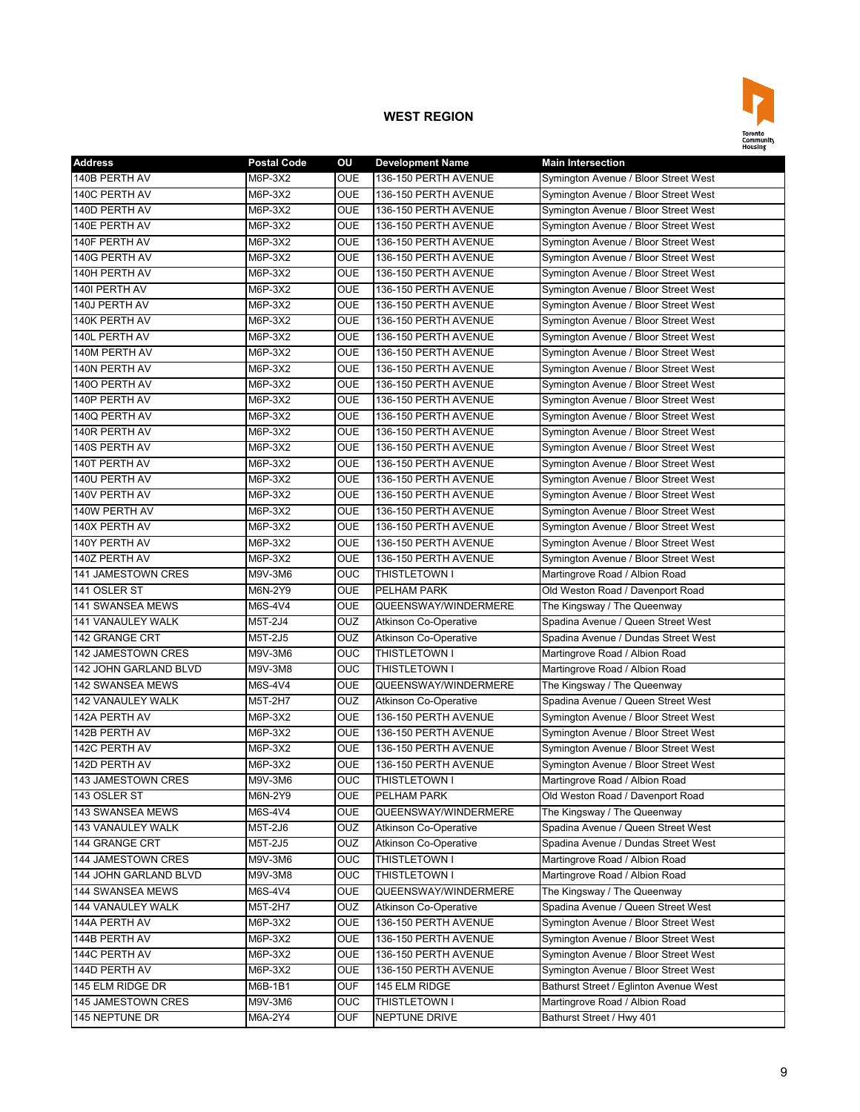

| <b>Address</b>           | <b>Postal Code</b> | ΟU                      | <b>Development Name</b>      | <b>Main Intersection</b>               |
|--------------------------|--------------------|-------------------------|------------------------------|----------------------------------------|
| 140B PERTH AV            | M6P-3X2            | <b>OUE</b>              | 136-150 PERTH AVENUE         | Symington Avenue / Bloor Street West   |
| 140C PERTH AV            | M6P-3X2            | <b>OUE</b>              | 136-150 PERTH AVENUE         | Symington Avenue / Bloor Street West   |
| 140D PERTH AV            | M6P-3X2            | <b>OUE</b>              | 136-150 PERTH AVENUE         | Symington Avenue / Bloor Street West   |
| 140E PERTH AV            | M6P-3X2            | <b>OUE</b>              | 136-150 PERTH AVENUE         | Symington Avenue / Bloor Street West   |
| 140F PERTH AV            | M6P-3X2            | <b>OUE</b>              | 136-150 PERTH AVENUE         | Symington Avenue / Bloor Street West   |
| 140G PERTH AV            | M6P-3X2            | <b>OUE</b>              | 136-150 PERTH AVENUE         | Symington Avenue / Bloor Street West   |
| 140H PERTH AV            | M6P-3X2            | OUE                     | 136-150 PERTH AVENUE         | Symington Avenue / Bloor Street West   |
| 140I PERTH AV            | M6P-3X2            | OUE                     | 136-150 PERTH AVENUE         | Symington Avenue / Bloor Street West   |
| 140J PERTH AV            | M6P-3X2            | <b>OUE</b>              | 136-150 PERTH AVENUE         | Symington Avenue / Bloor Street West   |
| 140K PERTH AV            | M6P-3X2            | OUE                     | 136-150 PERTH AVENUE         | Symington Avenue / Bloor Street West   |
| 140L PERTH AV            | M6P-3X2            | <b>OUE</b>              | 136-150 PERTH AVENUE         | Symington Avenue / Bloor Street West   |
| 140M PERTH AV            | M6P-3X2            | OUE                     | 136-150 PERTH AVENUE         | Symington Avenue / Bloor Street West   |
| 140N PERTH AV            | M6P-3X2            | <b>OUE</b>              | 136-150 PERTH AVENUE         | Symington Avenue / Bloor Street West   |
| 1400 PERTH AV            | M6P-3X2            | <b>OUE</b>              | 136-150 PERTH AVENUE         | Symington Avenue / Bloor Street West   |
| 140P PERTH AV            | M6P-3X2            | <b>OUE</b>              | 136-150 PERTH AVENUE         | Symington Avenue / Bloor Street West   |
| 140Q PERTH AV            | M6P-3X2            | OUE                     | 136-150 PERTH AVENUE         | Symington Avenue / Bloor Street West   |
| 140R PERTH AV            | M6P-3X2            | <b>OUE</b>              | 136-150 PERTH AVENUE         | Symington Avenue / Bloor Street West   |
| 140S PERTH AV            | M6P-3X2            | OUE                     | 136-150 PERTH AVENUE         | Symington Avenue / Bloor Street West   |
| 140T PERTH AV            | M6P-3X2            | OUE                     | 136-150 PERTH AVENUE         | Symington Avenue / Bloor Street West   |
| 140U PERTH AV            | M6P-3X2            | OUE                     | 136-150 PERTH AVENUE         | Symington Avenue / Bloor Street West   |
| 140V PERTH AV            | M6P-3X2            | <b>OUE</b>              | 136-150 PERTH AVENUE         | Symington Avenue / Bloor Street West   |
| 140W PERTH AV            | M6P-3X2            | <b>OUE</b>              | 136-150 PERTH AVENUE         | Symington Avenue / Bloor Street West   |
| 140X PERTH AV            | M6P-3X2            | <b>OUE</b>              | 136-150 PERTH AVENUE         | Symington Avenue / Bloor Street West   |
| 140Y PERTH AV            | M6P-3X2            | <b>OUE</b>              | 136-150 PERTH AVENUE         | Symington Avenue / Bloor Street West   |
| 140Z PERTH AV            | M6P-3X2            | OUE                     | 136-150 PERTH AVENUE         | Symington Avenue / Bloor Street West   |
| 141 JAMESTOWN CRES       | M9V-3M6            | <b>OUC</b>              | <b>THISTLETOWN I</b>         | Martingrove Road / Albion Road         |
| 141 OSLER ST             | M6N-2Y9            | <b>OUE</b>              | <b>PELHAM PARK</b>           | Old Weston Road / Davenport Road       |
| <b>141 SWANSEA MEWS</b>  | M6S-4V4            | <b>OUE</b>              | QUEENSWAY/WINDERMERE         | The Kingsway / The Queenway            |
| <b>141 VANAULEY WALK</b> | M5T-2J4            | <b>OUZ</b>              | <b>Atkinson Co-Operative</b> | Spadina Avenue / Queen Street West     |
| 142 GRANGE CRT           | M5T-2J5            | <b>OUZ</b>              | <b>Atkinson Co-Operative</b> | Spadina Avenue / Dundas Street West    |
| 142 JAMESTOWN CRES       | M9V-3M6            | OUC                     | THISTLETOWN I                | Martingrove Road / Albion Road         |
| 142 JOHN GARLAND BLVD    | M9V-3M8            | <b>OUC</b>              | <b>THISTLETOWN I</b>         | Martingrove Road / Albion Road         |
| 142 SWANSEA MEWS         | M6S-4V4            | OUE                     | QUEENSWAY/WINDERMERE         | The Kingsway / The Queenway            |
| 142 VANAULEY WALK        | M5T-2H7            | OUZ                     | Atkinson Co-Operative        | Spadina Avenue / Queen Street West     |
| 142A PERTH AV            | M6P-3X2            | OUE                     | 136-150 PERTH AVENUE         | Symington Avenue / Bloor Street West   |
| 142B PERTH AV            | M6P-3X2            | <b>OUE</b>              | 136-150 PERTH AVENUE         | Symington Avenue / Bloor Street West   |
| 142C PERTH AV            | M6P-3X2            | <b>OUE</b>              | 136-150 PERTH AVENUE         | Symington Avenue / Bloor Street West   |
| 142D PERTH AV            | M6P-3X2            | OUE                     | 136-150 PERTH AVENUE         | Symington Avenue / Bloor Street West   |
| 143 JAMESTOWN CRES       | M9V-3M6            | OUC                     | THISTLETOWN I                | Martingrove Road / Albion Road         |
| 143 OSLER ST             | M6N-2Y9            | <b>OUE</b>              | PELHAM PARK                  | Old Weston Road / Davenport Road       |
| 143 SWANSEA MEWS         | M6S-4V4            | OUE                     | QUEENSWAY/WINDERMERE         | The Kingsway / The Queenway            |
| 143 VANAULEY WALK        | M5T-2J6            | OUZ                     | Atkinson Co-Operative        | Spadina Avenue / Queen Street West     |
| 144 GRANGE CRT           | M5T-2J5            | OUZ                     | <b>Atkinson Co-Operative</b> | Spadina Avenue / Dundas Street West    |
| 144 JAMESTOWN CRES       | M9V-3M6            | $\overline{\text{OUC}}$ | THISTLETOWN I                | Martingrove Road / Albion Road         |
| 144 JOHN GARLAND BLVD    | M9V-3M8            | OUC                     | <b>THISTLETOWN I</b>         | Martingrove Road / Albion Road         |
| 144 SWANSEA MEWS         | M6S-4V4            | <b>OUE</b>              | QUEENSWAY/WINDERMERE         | The Kingsway / The Queenway            |
| 144 VANAULEY WALK        | M5T-2H7            | OUZ                     | <b>Atkinson Co-Operative</b> | Spadina Avenue / Queen Street West     |
| 144A PERTH AV            | M6P-3X2            | OUE                     | 136-150 PERTH AVENUE         | Symington Avenue / Bloor Street West   |
| 144B PERTH AV            | M6P-3X2            | OUE                     | 136-150 PERTH AVENUE         | Symington Avenue / Bloor Street West   |
| 144C PERTH AV            | M6P-3X2            | OUE                     | 136-150 PERTH AVENUE         | Symington Avenue / Bloor Street West   |
| 144D PERTH AV            | M6P-3X2            | OUE                     | 136-150 PERTH AVENUE         | Symington Avenue / Bloor Street West   |
| 145 ELM RIDGE DR         | M6B-1B1            | <b>OUF</b>              | 145 ELM RIDGE                | Bathurst Street / Eglinton Avenue West |
| 145 JAMESTOWN CRES       | M9V-3M6            | OUC                     | <b>THISTLETOWN I</b>         | Martingrove Road / Albion Road         |
| 145 NEPTUNE DR           | M6A-2Y4            | <b>OUF</b>              | NEPTUNE DRIVE                | Bathurst Street / Hwy 401              |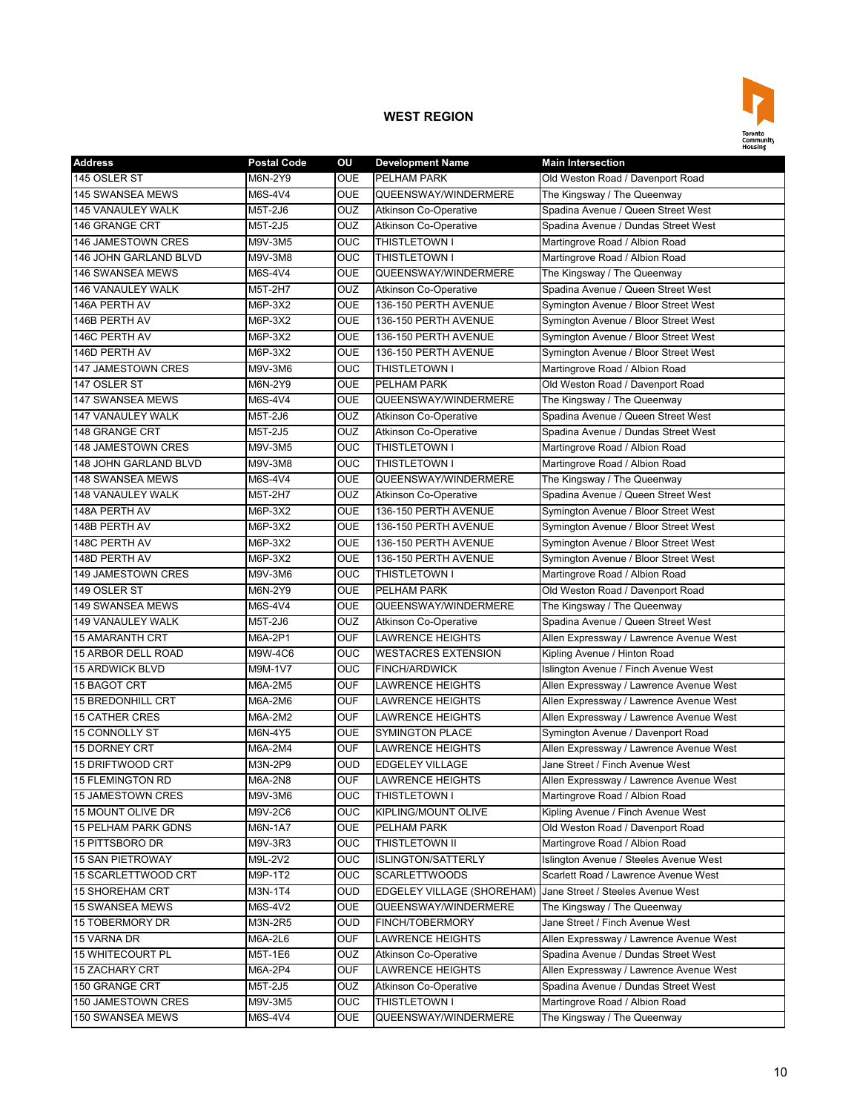

| <b>Address</b>               | <b>Postal Code</b> | OU             | <b>Development Name</b>      | <b>Main Intersection</b>                |
|------------------------------|--------------------|----------------|------------------------------|-----------------------------------------|
| 145 OSLER ST                 | M6N-2Y9            | <b>OUE</b>     | <b>PELHAM PARK</b>           | Old Weston Road / Davenport Road        |
| <b>145 SWANSEA MEWS</b>      | M6S-4V4            | <b>OUE</b>     | QUEENSWAY/WINDERMERE         | The Kingsway / The Queenway             |
| 145 VANAULEY WALK            | M5T-2J6            | <b>OUZ</b>     | <b>Atkinson Co-Operative</b> | Spadina Avenue / Queen Street West      |
| 146 GRANGE CRT               | M5T-2J5            | <b>OUZ</b>     | <b>Atkinson Co-Operative</b> | Spadina Avenue / Dundas Street West     |
| <b>146 JAMESTOWN CRES</b>    | M9V-3M5            | <b>OUC</b>     | THISTLETOWN I                | Martingrove Road / Albion Road          |
| <b>146 JOHN GARLAND BLVD</b> | M9V-3M8            | OUC            | THISTLETOWN I                | Martingrove Road / Albion Road          |
| 146 SWANSEA MEWS             | M6S-4V4            | <b>OUE</b>     | QUEENSWAY/WINDERMERE         | The Kingsway / The Queenway             |
| 146 VANAULEY WALK            | M5T-2H7            | OUZ            | Atkinson Co-Operative        | Spadina Avenue / Queen Street West      |
| 146A PERTH AV                | M6P-3X2            | <b>OUE</b>     | 136-150 PERTH AVENUE         | Symington Avenue / Bloor Street West    |
| 146B PERTH AV                | M6P-3X2            | <b>OUE</b>     | 136-150 PERTH AVENUE         | Symington Avenue / Bloor Street West    |
| 146C PERTH AV                | M6P-3X2            | <b>OUE</b>     | 136-150 PERTH AVENUE         | Symington Avenue / Bloor Street West    |
| 146D PERTH AV                | M6P-3X2            | <b>OUE</b>     | 136-150 PERTH AVENUE         | Symington Avenue / Bloor Street West    |
| 147 JAMESTOWN CRES           | M9V-3M6            | <b>OUC</b>     | THISTLETOWN I                | Martingrove Road / Albion Road          |
| 147 OSLER ST                 | M6N-2Y9            | <b>OUE</b>     | PELHAM PARK                  | Old Weston Road / Davenport Road        |
| 147 SWANSEA MEWS             | M6S-4V4            | <b>OUE</b>     | QUEENSWAY/WINDERMERE         | The Kingsway / The Queenway             |
| <b>147 VANAULEY WALK</b>     | M5T-2J6            | OUZ            | <b>Atkinson Co-Operative</b> | Spadina Avenue / Queen Street West      |
| 148 GRANGE CRT               | M5T-2J5            | OUZ            | <b>Atkinson Co-Operative</b> | Spadina Avenue / Dundas Street West     |
| 148 JAMESTOWN CRES           | M9V-3M5            | <b>OUC</b>     | <b>THISTLETOWN I</b>         | Martingrove Road / Albion Road          |
| <b>148 JOHN GARLAND BLVD</b> | M9V-3M8            | <b>OUC</b>     | THISTLETOWN I                | Martingrove Road / Albion Road          |
| <b>148 SWANSEA MEWS</b>      | M6S-4V4            | <b>OUE</b>     | QUEENSWAY/WINDERMERE         | The Kingsway / The Queenway             |
| 148 VANAULEY WALK            | M5T-2H7            | <b>OUZ</b>     | <b>Atkinson Co-Operative</b> | Spadina Avenue / Queen Street West      |
| 148A PERTH AV                | M6P-3X2            | <b>OUE</b>     | 136-150 PERTH AVENUE         | Symington Avenue / Bloor Street West    |
| 148B PERTH AV                | M6P-3X2            | <b>OUE</b>     | 136-150 PERTH AVENUE         | Symington Avenue / Bloor Street West    |
| 148C PERTH AV                | M6P-3X2            | <b>OUE</b>     | 136-150 PERTH AVENUE         | Symington Avenue / Bloor Street West    |
| 148D PERTH AV                | M6P-3X2            | <b>OUE</b>     | 136-150 PERTH AVENUE         | Symington Avenue / Bloor Street West    |
| 149 JAMESTOWN CRES           | M9V-3M6            | <b>OUC</b>     | THISTLETOWN I                | Martingrove Road / Albion Road          |
| 149 OSLER ST                 | M6N-2Y9            | <b>OUE</b>     | PELHAM PARK                  | Old Weston Road / Davenport Road        |
| 149 SWANSEA MEWS             | M6S-4V4            | <b>OUE</b>     | QUEENSWAY/WINDERMERE         | The Kingsway / The Queenway             |
| <b>149 VANAULEY WALK</b>     | M5T-2J6            | OUZ            | Atkinson Co-Operative        | Spadina Avenue / Queen Street West      |
| <b>15 AMARANTH CRT</b>       | M6A-2P1            | <b>OUF</b>     | <b>LAWRENCE HEIGHTS</b>      | Allen Expressway / Lawrence Avenue West |
| 15 ARBOR DELL ROAD           | M9W-4C6            | OUC            | <b>WESTACRES EXTENSION</b>   | Kipling Avenue / Hinton Road            |
| <b>15 ARDWICK BLVD</b>       | M9M-1V7            | OUC            | <b>FINCH/ARDWICK</b>         | Islington Avenue / Finch Avenue West    |
| 15 BAGOT CRT                 | M6A-2M5            | <b>OUF</b>     | LAWRENCE HEIGHTS             | Allen Expressway / Lawrence Avenue West |
| <b>15 BREDONHILL CRT</b>     | M6A-2M6            | <b>OUF</b>     | LAWRENCE HEIGHTS             | Allen Expressway / Lawrence Avenue West |
| <b>15 CATHER CRES</b>        | M6A-2M2            | <b>OUF</b>     | <b>LAWRENCE HEIGHTS</b>      | Allen Expressway / Lawrence Avenue West |
| <b>15 CONNOLLY ST</b>        | M6N-4Y5            | <b>OUE</b>     | <b>SYMINGTON PLACE</b>       | Symington Avenue / Davenport Road       |
| <b>15 DORNEY CRT</b>         | M6A-2M4            | <b>OUF</b>     | <b>LAWRENCE HEIGHTS</b>      | Allen Expressway / Lawrence Avenue West |
| 15 DRIFTWOOD CRT             | M3N-2P9            | <b>OUD</b>     | <b>EDGELEY VILLAGE</b>       | Jane Street / Finch Avenue West         |
| 15 FLEMINGTON RD             | M6A-2N8            | <b>OUF</b>     | <b>LAWRENCE HEIGHTS</b>      | Allen Expressway / Lawrence Avenue West |
| 15 JAMESTOWN CRES            | M9V-3M6            | <b>OUC</b>     | THISTLETOWN I                | Martingrove Road / Albion Road          |
| 15 MOUNT OLIVE DR            | M9V-2C6            | <b>OUC</b>     | KIPLING/MOUNT OLIVE          | Kipling Avenue / Finch Avenue West      |
| <b>15 PELHAM PARK GDNS</b>   | M6N-1A7            | <b>OUE</b>     | PELHAM PARK                  | Old Weston Road / Davenport Road        |
| 15 PITTSBORO DR              | M9V-3R3            | $\overline{C}$ | THISTLETOWN II               | Martingrove Road / Albion Road          |
| <b>15 SAN PIETROWAY</b>      | M9L-2V2            | <b>OUC</b>     | <b>ISLINGTON/SATTERLY</b>    | Islington Avenue / Steeles Avenue West  |
| 15 SCARLETTWOOD CRT          | M9P-1T2            | $\overline{C}$ | <b>SCARLETTWOODS</b>         | Scarlett Road / Lawrence Avenue West    |
| 15 SHOREHAM CRT              | M3N-1T4            | <b>OUD</b>     | EDGELEY VILLAGE (SHOREHAM)   | Jane Street / Steeles Avenue West       |
| 15 SWANSEA MEWS              | M6S-4V2            | <b>OUE</b>     | QUEENSWAY/WINDERMERE         | The Kingsway / The Queenway             |
| 15 TOBERMORY DR              | M3N-2R5            | <b>OUD</b>     | FINCH/TOBERMORY              | Jane Street / Finch Avenue West         |
| 15 VARNA DR                  | M6A-2L6            | <b>OUF</b>     | LAWRENCE HEIGHTS             | Allen Expressway / Lawrence Avenue West |
| <b>15 WHITECOURT PL</b>      | M5T-1E6            | <b>OUZ</b>     | <b>Atkinson Co-Operative</b> | Spadina Avenue / Dundas Street West     |
| <b>15 ZACHARY CRT</b>        | M6A-2P4            | <b>OUF</b>     | LAWRENCE HEIGHTS             | Allen Expressway / Lawrence Avenue West |
| 150 GRANGE CRT               | M5T-2J5            | <b>OUZ</b>     | Atkinson Co-Operative        | Spadina Avenue / Dundas Street West     |
| 150 JAMESTOWN CRES           | M9V-3M5            | <b>OUC</b>     | THISTLETOWN I                | Martingrove Road / Albion Road          |
| 150 SWANSEA MEWS             | M6S-4V4            | <b>OUE</b>     | QUEENSWAY/WINDERMERE         | The Kingsway / The Queenway             |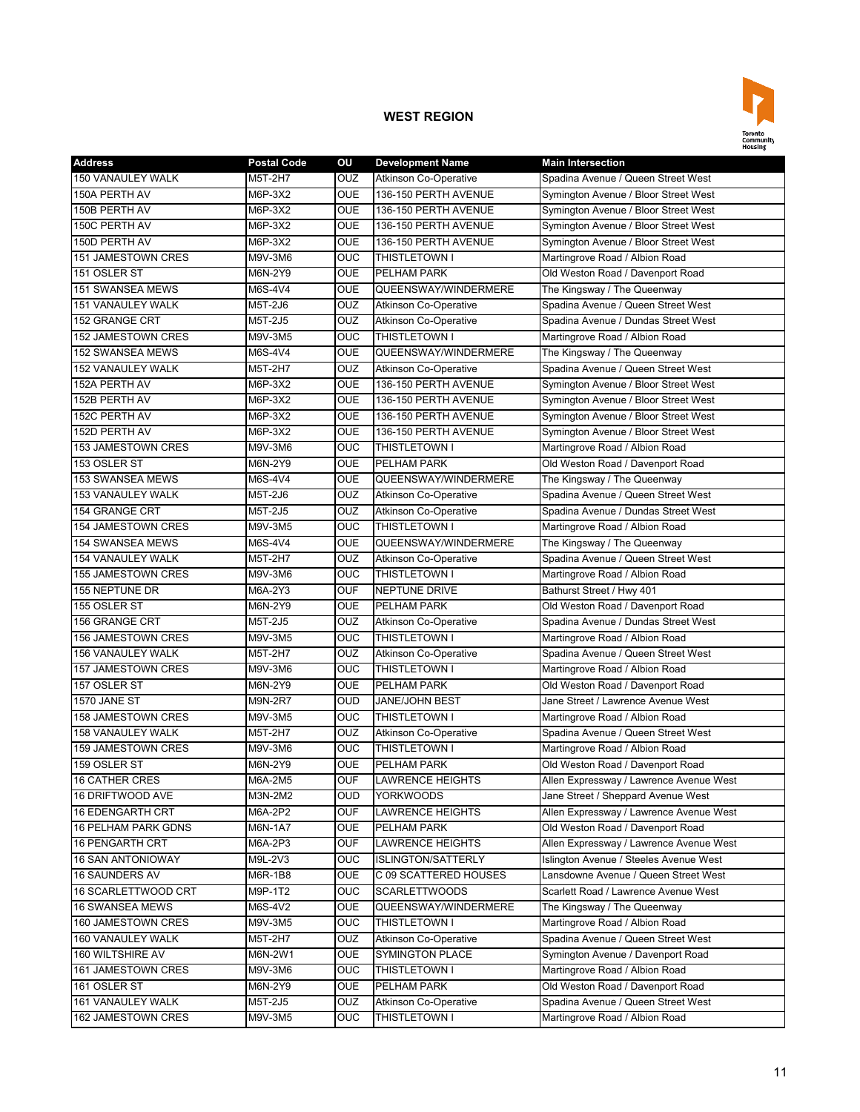

| <b>Address</b>            | <b>Postal Code</b> | ΟU         | <b>Development Name</b>      | <b>Main Intersection</b>                |
|---------------------------|--------------------|------------|------------------------------|-----------------------------------------|
| 150 VANAULEY WALK         | M5T-2H7            | <b>OUZ</b> | <b>Atkinson Co-Operative</b> | Spadina Avenue / Queen Street West      |
| 150A PERTH AV             | M6P-3X2            | OUE        | 136-150 PERTH AVENUE         | Symington Avenue / Bloor Street West    |
| 150B PERTH AV             | M6P-3X2            | <b>OUE</b> | 136-150 PERTH AVENUE         | Symington Avenue / Bloor Street West    |
| 150C PERTH AV             | M6P-3X2            | <b>OUE</b> | 136-150 PERTH AVENUE         | Symington Avenue / Bloor Street West    |
| 150D PERTH AV             | M6P-3X2            | <b>OUE</b> | 136-150 PERTH AVENUE         | Symington Avenue / Bloor Street West    |
| 151 JAMESTOWN CRES        | M9V-3M6            | OUC        | THISTLETOWN I                | Martingrove Road / Albion Road          |
| 151 OSLER ST              | M6N-2Y9            | <b>OUE</b> | PELHAM PARK                  | Old Weston Road / Davenport Road        |
| 151 SWANSEA MEWS          | M6S-4V4            | OUE        | QUEENSWAY/WINDERMERE         | The Kingsway / The Queenway             |
| 151 VANAULEY WALK         | M5T-2J6            | OUZ        | <b>Atkinson Co-Operative</b> | Spadina Avenue / Queen Street West      |
| 152 GRANGE CRT            | M5T-2J5            | OUZ        | <b>Atkinson Co-Operative</b> | Spadina Avenue / Dundas Street West     |
| 152 JAMESTOWN CRES        | M9V-3M5            | OUC        | THISTLETOWN I                | Martingrove Road / Albion Road          |
| 152 SWANSEA MEWS          | M6S-4V4            | <b>OUE</b> | QUEENSWAY/WINDERMERE         | The Kingsway / The Queenway             |
| 152 VANAULEY WALK         | M5T-2H7            | OUZ        | <b>Atkinson Co-Operative</b> | Spadina Avenue / Queen Street West      |
| 152A PERTH AV             | M6P-3X2            | <b>OUE</b> | 136-150 PERTH AVENUE         | Symington Avenue / Bloor Street West    |
| 152B PERTH AV             | M6P-3X2            | <b>OUE</b> | 136-150 PERTH AVENUE         | Symington Avenue / Bloor Street West    |
| 152C PERTH AV             | M6P-3X2            | OUE        | 136-150 PERTH AVENUE         | Symington Avenue / Bloor Street West    |
| 152D PERTH AV             | M6P-3X2            | <b>OUE</b> | 136-150 PERTH AVENUE         | Symington Avenue / Bloor Street West    |
| 153 JAMESTOWN CRES        | M9V-3M6            | OUC        | <b>THISTLETOWN I</b>         | Martingrove Road / Albion Road          |
| 153 OSLER ST              | M6N-2Y9            | <b>OUE</b> | PELHAM PARK                  | Old Weston Road / Davenport Road        |
| 153 SWANSEA MEWS          | M6S-4V4            | OUE        | QUEENSWAY/WINDERMERE         | The Kingsway / The Queenway             |
| <b>153 VANAULEY WALK</b>  | M5T-2J6            | <b>OUZ</b> | <b>Atkinson Co-Operative</b> | Spadina Avenue / Queen Street West      |
| <b>154 GRANGE CRT</b>     | M5T-2J5            | <b>OUZ</b> | <b>Atkinson Co-Operative</b> | Spadina Avenue / Dundas Street West     |
| 154 JAMESTOWN CRES        | M9V-3M5            | OUC        | <b>THISTLETOWN I</b>         | Martingrove Road / Albion Road          |
| <b>154 SWANSEA MEWS</b>   | M6S-4V4            | <b>OUE</b> | QUEENSWAY/WINDERMERE         | The Kingsway / The Queenway             |
| <b>154 VANAULEY WALK</b>  | M5T-2H7            | OUZ        | <b>Atkinson Co-Operative</b> | Spadina Avenue / Queen Street West      |
| <b>155 JAMESTOWN CRES</b> | M9V-3M6            | <b>OUC</b> | <b>THISTLETOWN I</b>         | Martingrove Road / Albion Road          |
| 155 NEPTUNE DR            | M6A-2Y3            | OUF        | <b>NEPTUNE DRIVE</b>         | Bathurst Street / Hwy 401               |
| 155 OSLER ST              | M6N-2Y9            | <b>OUE</b> | <b>PELHAM PARK</b>           | Old Weston Road / Davenport Road        |
| 156 GRANGE CRT            | M5T-2J5            | OUZ        | <b>Atkinson Co-Operative</b> | Spadina Avenue / Dundas Street West     |
| 156 JAMESTOWN CRES        | M9V-3M5            | OUC        | THISTLETOWN I                | Martingrove Road / Albion Road          |
| 156 VANAULEY WALK         | M5T-2H7            | OUZ        | Atkinson Co-Operative        | Spadina Avenue / Queen Street West      |
| <b>157 JAMESTOWN CRES</b> | M9V-3M6            | OUC        | <b>THISTLETOWN I</b>         | Martingrove Road / Albion Road          |
| 157 OSLER ST              | M6N-2Y9            | OUE        | PELHAM PARK                  | Old Weston Road / Davenport Road        |
| 1570 JANE ST              | M9N-2R7            | OUD        | <b>JANE/JOHN BEST</b>        | Jane Street / Lawrence Avenue West      |
| 158 JAMESTOWN CRES        | M9V-3M5            | OUC        | THISTLETOWN I                | Martingrove Road / Albion Road          |
| 158 VANAULEY WALK         | M5T-2H7            | OUZ        | <b>Atkinson Co-Operative</b> | Spadina Avenue / Queen Street West      |
| 159 JAMESTOWN CRES        | M9V-3M6            | OUC        | THISTLETOWN I                | Martingrove Road / Albion Road          |
| 159 OSLER ST              | M6N-2Y9            | <b>OUE</b> | PELHAM PARK                  | Old Weston Road / Davenport Road        |
| <b>16 CATHER CRES</b>     | M6A-2M5            | OUF        | <b>LAWRENCE HEIGHTS</b>      | Allen Expressway / Lawrence Avenue West |
| 16 DRIFTWOOD AVE          | M3N-2M2            | <b>OUD</b> | <b>YORKWOODS</b>             | Jane Street / Sheppard Avenue West      |
| 16 EDENGARTH CRT          | M6A-2P2            | OUF        | LAWRENCE HEIGHTS             | Allen Expressway / Lawrence Avenue West |
| 16 PELHAM PARK GDNS       | M6N-1A7            | OUE        | PELHAM PARK                  | Old Weston Road / Davenport Road        |
| 16 PENGARTH CRT           | M6A-2P3            | <b>OUF</b> | <b>LAWRENCE HEIGHTS</b>      | Allen Expressway / Lawrence Avenue West |
| <b>16 SAN ANTONIOWAY</b>  | M9L-2V3            | OUC        | <b>ISLINGTON/SATTERLY</b>    | Islington Avenue / Steeles Avenue West  |
| 16 SAUNDERS AV            | M6R-1B8            | OUE        | C 09 SCATTERED HOUSES        | Lansdowne Avenue / Queen Street West    |
| 16 SCARLETTWOOD CRT       | M9P-1T2            | <b>OUC</b> | <b>SCARLETTWOODS</b>         | Scarlett Road / Lawrence Avenue West    |
| 16 SWANSEA MEWS           | M6S-4V2            | <b>OUE</b> | QUEENSWAY/WINDERMERE         | The Kingsway / The Queenway             |
| 160 JAMESTOWN CRES        | M9V-3M5            | OUC        | THISTLETOWN I                | Martingrove Road / Albion Road          |
| 160 VANAULEY WALK         | M5T-2H7            | OUZ        | Atkinson Co-Operative        | Spadina Avenue / Queen Street West      |
| 160 WILTSHIRE AV          | M6N-2W1            | OUE        | <b>SYMINGTON PLACE</b>       | Symington Avenue / Davenport Road       |
| 161 JAMESTOWN CRES        | M9V-3M6            | OUC        | THISTLETOWN I                | Martingrove Road / Albion Road          |
| 161 OSLER ST              | M6N-2Y9            | OUE        | PELHAM PARK                  | Old Weston Road / Davenport Road        |
| 161 VANAULEY WALK         | M5T-2J5            | OUZ        | <b>Atkinson Co-Operative</b> | Spadina Avenue / Queen Street West      |
| 162 JAMESTOWN CRES        | M9V-3M5            | <b>OUC</b> | THISTLETOWN I                | Martingrove Road / Albion Road          |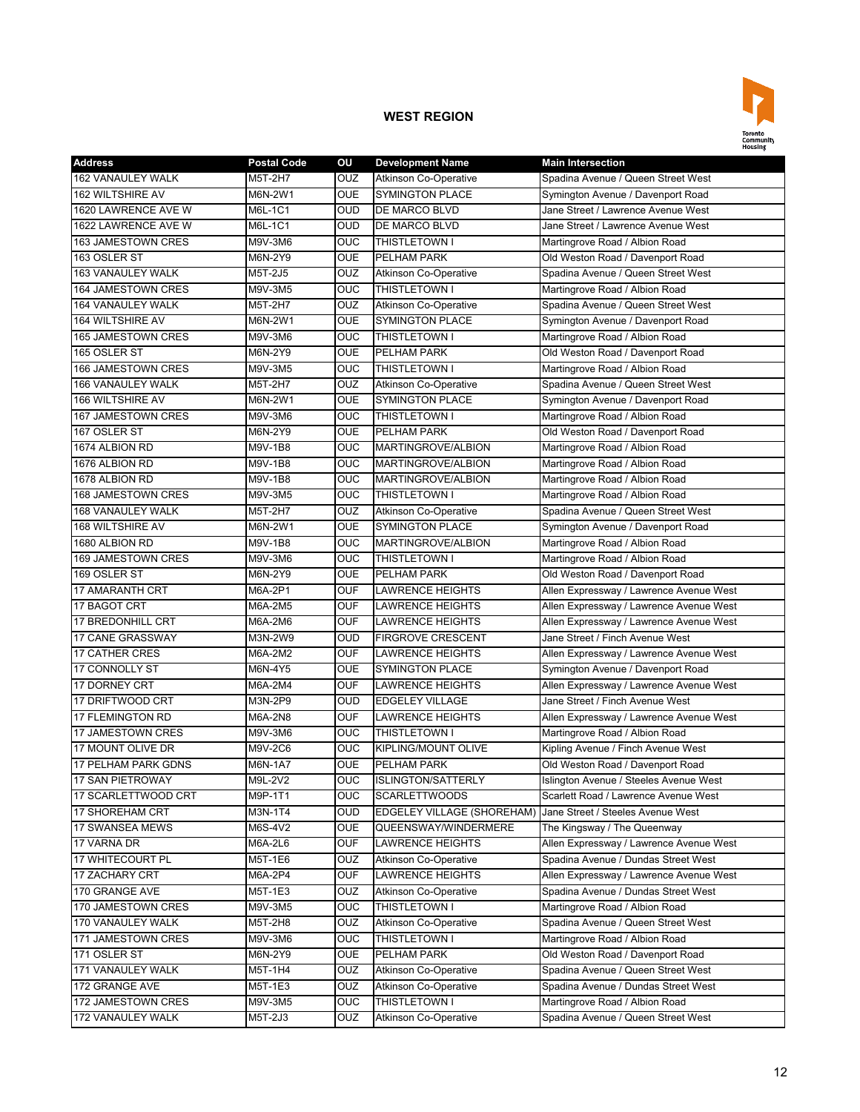

| <b>Address</b>           | <b>Postal Code</b> | OU         | <b>Development Name</b>      | <b>Main Intersection</b>                                         |
|--------------------------|--------------------|------------|------------------------------|------------------------------------------------------------------|
| <b>162 VANAULEY WALK</b> | M5T-2H7            | OUZ        | <b>Atkinson Co-Operative</b> | Spadina Avenue / Queen Street West                               |
| <b>162 WILTSHIRE AV</b>  | M6N-2W1            | <b>OUE</b> | <b>SYMINGTON PLACE</b>       | Symington Avenue / Davenport Road                                |
| 1620 LAWRENCE AVE W      | M6L-1C1            | <b>OUD</b> | DE MARCO BLVD                | Jane Street / Lawrence Avenue West                               |
| 1622 LAWRENCE AVE W      | M6L-1C1            | <b>OUD</b> | DE MARCO BLVD                | Jane Street / Lawrence Avenue West                               |
| 163 JAMESTOWN CRES       | M9V-3M6            | <b>OUC</b> | THISTLETOWN I                | Martingrove Road / Albion Road                                   |
| 163 OSLER ST             | M6N-2Y9            | <b>OUE</b> | PELHAM PARK                  | Old Weston Road / Davenport Road                                 |
| 163 VANAULEY WALK        | M5T-2J5            | <b>OUZ</b> | <b>Atkinson Co-Operative</b> | Spadina Avenue / Queen Street West                               |
| 164 JAMESTOWN CRES       | M9V-3M5            | <b>OUC</b> | THISTLETOWN I                | Martingrove Road / Albion Road                                   |
| 164 VANAULEY WALK        | M5T-2H7            | OUZ        | <b>Atkinson Co-Operative</b> | Spadina Avenue / Queen Street West                               |
| <b>164 WILTSHIRE AV</b>  | M6N-2W1            | <b>OUE</b> | <b>SYMINGTON PLACE</b>       | Symington Avenue / Davenport Road                                |
| 165 JAMESTOWN CRES       | M9V-3M6            | <b>OUC</b> | <b>THISTLETOWN I</b>         | Martingrove Road / Albion Road                                   |
| 165 OSLER ST             | M6N-2Y9            | <b>OUE</b> | <b>PELHAM PARK</b>           | Old Weston Road / Davenport Road                                 |
| 166 JAMESTOWN CRES       | M9V-3M5            | <b>OUC</b> | <b>THISTLETOWN I</b>         | Martingrove Road / Albion Road                                   |
| 166 VANAULEY WALK        | M5T-2H7            | OUZ        | <b>Atkinson Co-Operative</b> | Spadina Avenue / Queen Street West                               |
| 166 WILTSHIRE AV         | M6N-2W1            | <b>OUE</b> | <b>SYMINGTON PLACE</b>       | Symington Avenue / Davenport Road                                |
| 167 JAMESTOWN CRES       | M9V-3M6            | OUC        | THISTLETOWN I                | Martingrove Road / Albion Road                                   |
| 167 OSLER ST             | M6N-2Y9            | <b>OUE</b> | PELHAM PARK                  | Old Weston Road / Davenport Road                                 |
| 1674 ALBION RD           | M9V-1B8            | <b>OUC</b> | <b>MARTINGROVE/ALBION</b>    | Martingrove Road / Albion Road                                   |
| 1676 ALBION RD           | M9V-1B8            | <b>OUC</b> | <b>MARTINGROVE/ALBION</b>    | Martingrove Road / Albion Road                                   |
| 1678 ALBION RD           | M9V-1B8            | <b>OUC</b> | MARTINGROVE/ALBION           | Martingrove Road / Albion Road                                   |
| 168 JAMESTOWN CRES       | M9V-3M5            | <b>OUC</b> | THISTLETOWN I                | Martingrove Road / Albion Road                                   |
| <b>168 VANAULEY WALK</b> | M5T-2H7            | OUZ        | <b>Atkinson Co-Operative</b> | Spadina Avenue / Queen Street West                               |
| <b>168 WILTSHIRE AV</b>  | M6N-2W1            | <b>OUE</b> | <b>SYMINGTON PLACE</b>       | Symington Avenue / Davenport Road                                |
| 1680 ALBION RD           | M9V-1B8            | OUC        | MARTINGROVE/ALBION           | Martingrove Road / Albion Road                                   |
| 169 JAMESTOWN CRES       | M9V-3M6            | <b>OUC</b> | THISTLETOWN I                | Martingrove Road / Albion Road                                   |
| 169 OSLER ST             | M6N-2Y9            | <b>OUE</b> | PELHAM PARK                  | Old Weston Road / Davenport Road                                 |
| 17 AMARANTH CRT          | M6A-2P1            | <b>OUF</b> | <b>LAWRENCE HEIGHTS</b>      | Allen Expressway / Lawrence Avenue West                          |
| 17 BAGOT CRT             | M6A-2M5            | <b>OUF</b> | <b>LAWRENCE HEIGHTS</b>      | Allen Expressway / Lawrence Avenue West                          |
| <b>17 BREDONHILL CRT</b> | M6A-2M6            | <b>OUF</b> | <b>LAWRENCE HEIGHTS</b>      | Allen Expressway / Lawrence Avenue West                          |
| 17 CANE GRASSWAY         | M3N-2W9            | <b>OUD</b> | <b>FIRGROVE CRESCENT</b>     | Jane Street / Finch Avenue West                                  |
| 17 CATHER CRES           | M6A-2M2            | <b>OUF</b> | <b>LAWRENCE HEIGHTS</b>      | Allen Expressway / Lawrence Avenue West                          |
| 17 CONNOLLY ST           | M6N-4Y5            | <b>OUE</b> | <b>SYMINGTON PLACE</b>       | Symington Avenue / Davenport Road                                |
| 17 DORNEY CRT            | M6A-2M4            | <b>OUF</b> | <b>LAWRENCE HEIGHTS</b>      | Allen Expressway / Lawrence Avenue West                          |
| 17 DRIFTWOOD CRT         | M3N-2P9            | <b>OUD</b> | <b>EDGELEY VILLAGE</b>       | Jane Street / Finch Avenue West                                  |
| 17 FLEMINGTON RD         | M6A-2N8            | <b>OUF</b> | <b>LAWRENCE HEIGHTS</b>      | Allen Expressway / Lawrence Avenue West                          |
| 17 JAMESTOWN CRES        | M9V-3M6            | OUC        | <b>THISTLETOWN I</b>         | Martingrove Road / Albion Road                                   |
| 17 MOUNT OLIVE DR        | M9V-2C6            | <b>OUC</b> | KIPLING/MOUNT OLIVE          | Kipling Avenue / Finch Avenue West                               |
| 17 PELHAM PARK GDNS      | M6N-1A7            | <b>OUE</b> | PELHAM PARK                  | Old Weston Road / Davenport Road                                 |
| 17 SAN PIETROWAY         | M9L-2V2            | <b>OUC</b> | <b>ISLINGTON/SATTERLY</b>    | Islington Avenue / Steeles Avenue West                           |
| 17 SCARLETTWOOD CRT      |                    | <b>OUC</b> |                              | Scarlett Road / Lawrence Avenue West                             |
|                          | M9P-1T1            | <b>OUD</b> | <b>SCARLETTWOODS</b>         |                                                                  |
| 17 SHOREHAM CRT          | M3N-1T4            | <b>OUE</b> | EDGELEY VILLAGE (SHOREHAM)   | Jane Street / Steeles Avenue West<br>The Kingsway / The Queenway |
| 17 SWANSEA MEWS          | M6S-4V2            | <b>OUF</b> | QUEENSWAY/WINDERMERE         |                                                                  |
| 17 VARNA DR              | M6A-2L6            |            | <b>LAWRENCE HEIGHTS</b>      | Allen Expressway / Lawrence Avenue West                          |
| 17 WHITECOURT PL         | M5T-1E6            | <b>OUZ</b> | Atkinson Co-Operative        | Spadina Avenue / Dundas Street West                              |
| 17 ZACHARY CRT           | M6A-2P4            | <b>OUF</b> | <b>LAWRENCE HEIGHTS</b>      | Allen Expressway / Lawrence Avenue West                          |
| 170 GRANGE AVE           | M5T-1E3            | <b>OUZ</b> | <b>Atkinson Co-Operative</b> | Spadina Avenue / Dundas Street West                              |
| 170 JAMESTOWN CRES       | M9V-3M5            | <b>OUC</b> | THISTLETOWN I                | Martingrove Road / Albion Road                                   |
| 170 VANAULEY WALK        | M5T-2H8            | <b>OUZ</b> | Atkinson Co-Operative        | Spadina Avenue / Queen Street West                               |
| 171 JAMESTOWN CRES       | M9V-3M6            | <b>OUC</b> | THISTLETOWN I                | Martingrove Road / Albion Road                                   |
| 171 OSLER ST             | M6N-2Y9            | <b>OUE</b> | PELHAM PARK                  | Old Weston Road / Davenport Road                                 |
| 171 VANAULEY WALK        | M5T-1H4            | OUZ        | <b>Atkinson Co-Operative</b> | Spadina Avenue / Queen Street West                               |
| 172 GRANGE AVE           | M5T-1E3            | <b>OUZ</b> | <b>Atkinson Co-Operative</b> | Spadina Avenue / Dundas Street West                              |
| 172 JAMESTOWN CRES       | M9V-3M5            | <b>OUC</b> | THISTLETOWN I                | Martingrove Road / Albion Road                                   |
| 172 VANAULEY WALK        | M5T-2J3            | <b>OUZ</b> | Atkinson Co-Operative        | Spadina Avenue / Queen Street West                               |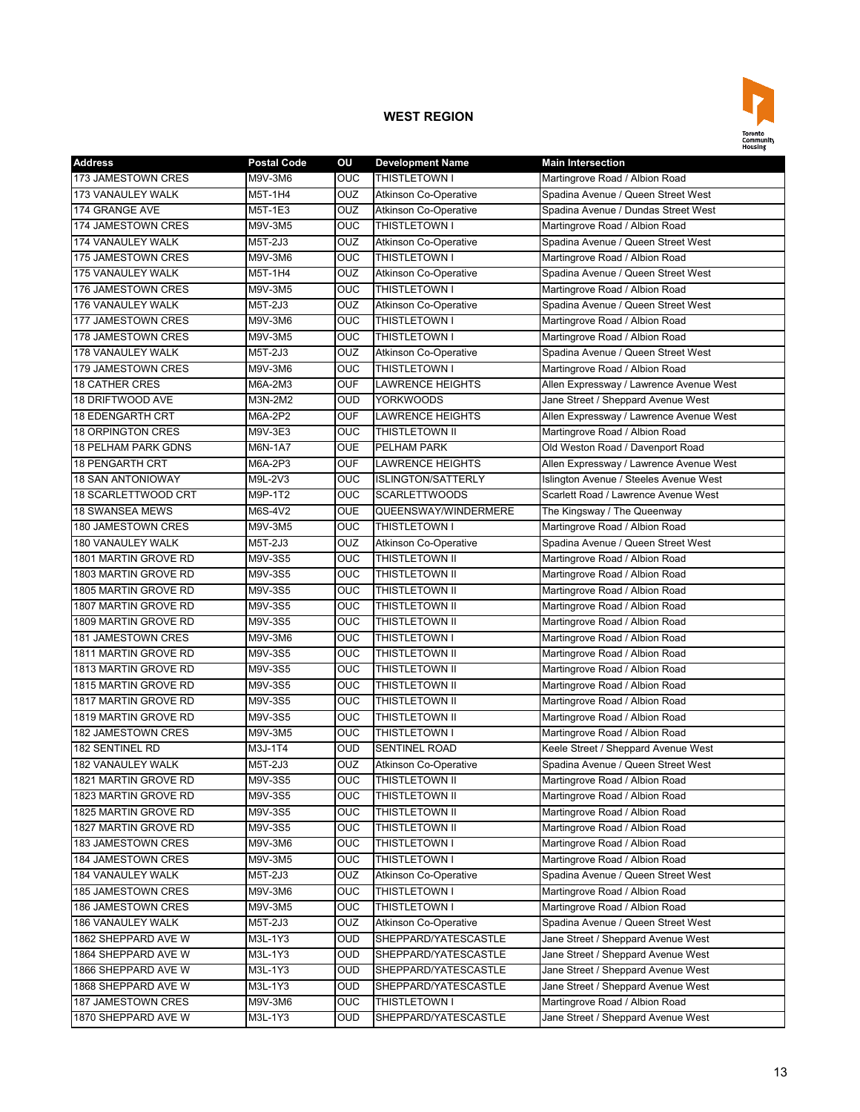

| <b>Address</b>             | <b>Postal Code</b> | OU         | <b>Development Name</b>      | <b>Main Intersection</b>                |
|----------------------------|--------------------|------------|------------------------------|-----------------------------------------|
| 173 JAMESTOWN CRES         | M9V-3M6            | <b>OUC</b> | THISTLETOWN I                | Martingrove Road / Albion Road          |
| 173 VANAULEY WALK          | M5T-1H4            | OUZ        | <b>Atkinson Co-Operative</b> | Spadina Avenue / Queen Street West      |
| 174 GRANGE AVE             | M5T-1E3            | OUZ        | <b>Atkinson Co-Operative</b> | Spadina Avenue / Dundas Street West     |
| 174 JAMESTOWN CRES         | M9V-3M5            | <b>OUC</b> | <b>THISTLETOWN I</b>         | Martingrove Road / Albion Road          |
| 174 VANAULEY WALK          | M5T-2J3            | OUZ        | <b>Atkinson Co-Operative</b> | Spadina Avenue / Queen Street West      |
| 175 JAMESTOWN CRES         | M9V-3M6            | OUC        | THISTLETOWN I                | Martingrove Road / Albion Road          |
| 175 VANAULEY WALK          | M5T-1H4            | <b>OUZ</b> | Atkinson Co-Operative        | Spadina Avenue / Queen Street West      |
| 176 JAMESTOWN CRES         | M9V-3M5            | <b>OUC</b> | THISTLETOWN I                | Martingrove Road / Albion Road          |
| 176 VANAULEY WALK          | M5T-2J3            | OUZ        | <b>Atkinson Co-Operative</b> | Spadina Avenue / Queen Street West      |
| <b>177 JAMESTOWN CRES</b>  | M9V-3M6            | OUC        | THISTLETOWN I                | Martingrove Road / Albion Road          |
| 178 JAMESTOWN CRES         | M9V-3M5            | OUC        | THISTLETOWN I                | Martingrove Road / Albion Road          |
| 178 VANAULEY WALK          | M5T-2J3            | OUZ        | <b>Atkinson Co-Operative</b> | Spadina Avenue / Queen Street West      |
| 179 JAMESTOWN CRES         | M9V-3M6            | OUC        | <b>THISTLETOWN I</b>         | Martingrove Road / Albion Road          |
| <b>18 CATHER CRES</b>      | M6A-2M3            | <b>OUF</b> | <b>LAWRENCE HEIGHTS</b>      | Allen Expressway / Lawrence Avenue West |
| 18 DRIFTWOOD AVE           | M3N-2M2            | <b>OUD</b> | <b>YORKWOODS</b>             | Jane Street / Sheppard Avenue West      |
| <b>18 EDENGARTH CRT</b>    | M6A-2P2            | <b>OUF</b> | <b>LAWRENCE HEIGHTS</b>      | Allen Expressway / Lawrence Avenue West |
| <b>18 ORPINGTON CRES</b>   | M9V-3E3            | <b>OUC</b> | THISTLETOWN II               | Martingrove Road / Albion Road          |
| <b>18 PELHAM PARK GDNS</b> | M6N-1A7            | <b>OUE</b> | <b>PELHAM PARK</b>           | Old Weston Road / Davenport Road        |
| <b>18 PENGARTH CRT</b>     | M6A-2P3            | <b>OUF</b> | <b>LAWRENCE HEIGHTS</b>      | Allen Expressway / Lawrence Avenue West |
| <b>18 SAN ANTONIOWAY</b>   | M9L-2V3            | <b>OUC</b> | <b>ISLINGTON/SATTERLY</b>    | Islington Avenue / Steeles Avenue West  |
| 18 SCARLETTWOOD CRT        | M9P-1T2            | <b>OUC</b> | <b>SCARLETTWOODS</b>         | Scarlett Road / Lawrence Avenue West    |
| <b>18 SWANSEA MEWS</b>     | M6S-4V2            | <b>OUE</b> | QUEENSWAY/WINDERMERE         | The Kingsway / The Queenway             |
| <b>180 JAMESTOWN CRES</b>  | M9V-3M5            | <b>OUC</b> | THISTLETOWN I                | Martingrove Road / Albion Road          |
| 180 VANAULEY WALK          | M5T-2J3            | <b>OUZ</b> | Atkinson Co-Operative        | Spadina Avenue / Queen Street West      |
| 1801 MARTIN GROVE RD       | M9V-3S5            | <b>OUC</b> | <b>THISTLETOWN II</b>        | Martingrove Road / Albion Road          |
| 1803 MARTIN GROVE RD       | M9V-3S5            | OUC        | THISTLETOWN II               | Martingrove Road / Albion Road          |
| 1805 MARTIN GROVE RD       | M9V-3S5            | OUC        | THISTLETOWN II               | Martingrove Road / Albion Road          |
| 1807 MARTIN GROVE RD       | M9V-3S5            | <b>OUC</b> | <b>THISTLETOWN II</b>        | Martingrove Road / Albion Road          |
| 1809 MARTIN GROVE RD       | M9V-3S5            | <b>OUC</b> | <b>THISTLETOWN II</b>        | Martingrove Road / Albion Road          |
| 181 JAMESTOWN CRES         | M9V-3M6            | <b>OUC</b> | <b>THISTLETOWN I</b>         | Martingrove Road / Albion Road          |
| 1811 MARTIN GROVE RD       | M9V-3S5            | OUC        | <b>THISTLETOWN II</b>        | Martingrove Road / Albion Road          |
| 1813 MARTIN GROVE RD       | M9V-3S5            | OUC        | THISTLETOWN II               | Martingrove Road / Albion Road          |
| 1815 MARTIN GROVE RD       | M9V-3S5            | OUC        | <b>THISTLETOWN II</b>        | Martingrove Road / Albion Road          |
| 1817 MARTIN GROVE RD       | M9V-3S5            | <b>OUC</b> | THISTLETOWN II               | Martingrove Road / Albion Road          |
| 1819 MARTIN GROVE RD       | M9V-3S5            | OUC        | THISTLETOWN II               | Martingrove Road / Albion Road          |
| 182 JAMESTOWN CRES         | M9V-3M5            | <b>OUC</b> | <b>THISTLETOWN I</b>         | Martingrove Road / Albion Road          |
| <b>182 SENTINEL RD</b>     | M3J-1T4            | <b>OUD</b> | <b>SENTINEL ROAD</b>         | Keele Street / Sheppard Avenue West     |
| 182 VANAULEY WALK          | M5T-2J3            | OUZ        | <b>Atkinson Co-Operative</b> | Spadina Avenue / Queen Street West      |
| 1821 MARTIN GROVE RD       | M9V-3S5            | OUC        | <b>THISTLETOWN II</b>        | Martingrove Road / Albion Road          |
| 1823 MARTIN GROVE RD       | M9V-3S5            | OUC        | THISTLETOWN II               | Martingrove Road / Albion Road          |
| 1825 MARTIN GROVE RD       | M9V-3S5            | <b>OUC</b> | THISTLETOWN II               | Martingrove Road / Albion Road          |
| 1827 MARTIN GROVE RD       | M9V-3S5            | <b>OUC</b> | THISTLETOWN II               | Martingrove Road / Albion Road          |
| 183 JAMESTOWN CRES         | M9V-3M6            | <b>OUC</b> | THISTLETOWN I                | Martingrove Road / Albion Road          |
| 184 JAMESTOWN CRES         | M9V-3M5            | <b>OUC</b> | THISTLETOWN I                | Martingrove Road / Albion Road          |
| 184 VANAULEY WALK          | M5T-2J3            | <b>OUZ</b> | <b>Atkinson Co-Operative</b> | Spadina Avenue / Queen Street West      |
| 185 JAMESTOWN CRES         | M9V-3M6            | <b>OUC</b> | THISTLETOWN I                | Martingrove Road / Albion Road          |
| 186 JAMESTOWN CRES         | M9V-3M5            | <b>OUC</b> | THISTLETOWN I                | Martingrove Road / Albion Road          |
| 186 VANAULEY WALK          | M5T-2J3            | <b>OUZ</b> | Atkinson Co-Operative        | Spadina Avenue / Queen Street West      |
| 1862 SHEPPARD AVE W        | M3L-1Y3            | OUD        | SHEPPARD/YATESCASTLE         | Jane Street / Sheppard Avenue West      |
| 1864 SHEPPARD AVE W        | M3L-1Y3            | <b>OUD</b> | SHEPPARD/YATESCASTLE         | Jane Street / Sheppard Avenue West      |
| 1866 SHEPPARD AVE W        | M3L-1Y3            | <b>OUD</b> | SHEPPARD/YATESCASTLE         | Jane Street / Sheppard Avenue West      |
| 1868 SHEPPARD AVE W        | M3L-1Y3            | <b>OUD</b> | SHEPPARD/YATESCASTLE         | Jane Street / Sheppard Avenue West      |
| 187 JAMESTOWN CRES         | M9V-3M6            | <b>OUC</b> | THISTLETOWN I                | Martingrove Road / Albion Road          |
| 1870 SHEPPARD AVE W        | M3L-1Y3            | <b>OUD</b> | SHEPPARD/YATESCASTLE         | Jane Street / Sheppard Avenue West      |
|                            |                    |            |                              |                                         |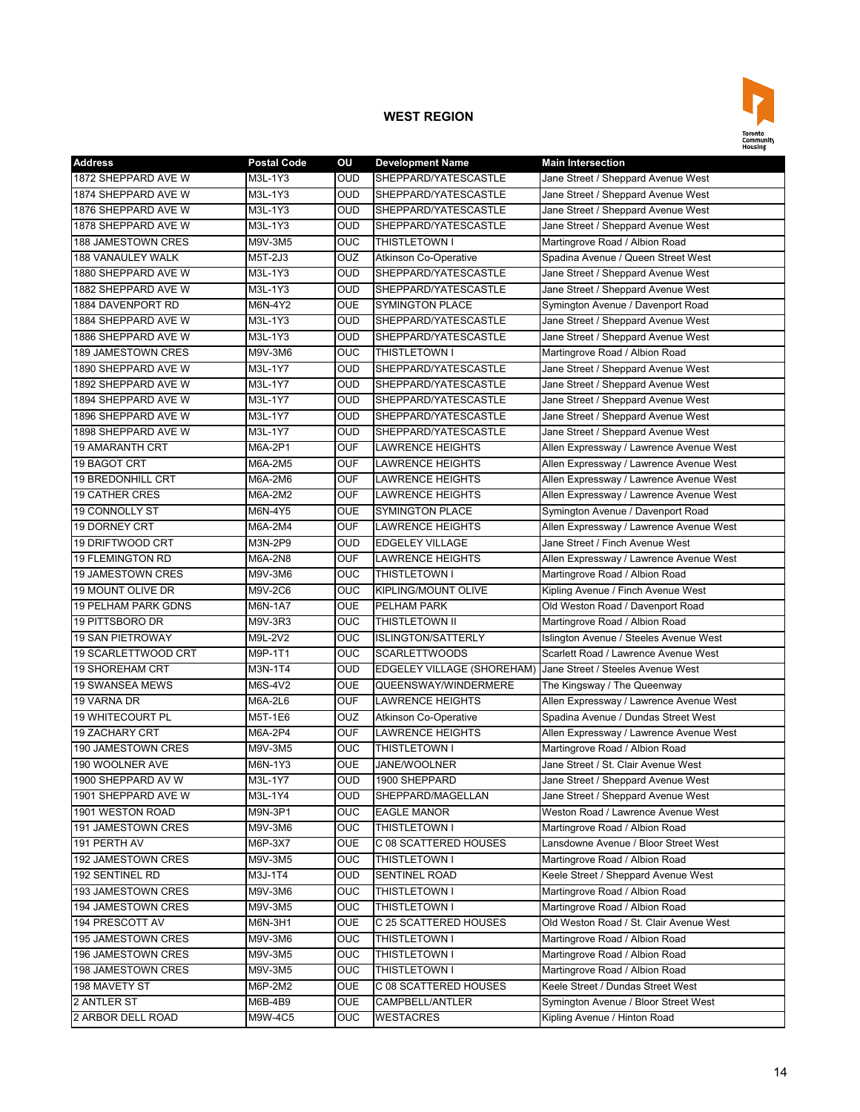

| <b>Address</b>             | <b>Postal Code</b> | ΟU         | <b>Development Name</b>      | <b>Main Intersection</b>                |
|----------------------------|--------------------|------------|------------------------------|-----------------------------------------|
| 1872 SHEPPARD AVE W        | M3L-1Y3            | <b>OUD</b> | SHEPPARD/YATESCASTLE         | Jane Street / Sheppard Avenue West      |
| 1874 SHEPPARD AVE W        | M3L-1Y3            | <b>OUD</b> | SHEPPARD/YATESCASTLE         | Jane Street / Sheppard Avenue West      |
| 1876 SHEPPARD AVE W        | M3L-1Y3            | <b>OUD</b> | SHEPPARD/YATESCASTLE         | Jane Street / Sheppard Avenue West      |
| 1878 SHEPPARD AVE W        | M3L-1Y3            | <b>OUD</b> | SHEPPARD/YATESCASTLE         | Jane Street / Sheppard Avenue West      |
| 188 JAMESTOWN CRES         | M9V-3M5            | <b>OUC</b> | THISTLETOWN I                | Martingrove Road / Albion Road          |
| 188 VANAULEY WALK          | M5T-2J3            | OUZ        | <b>Atkinson Co-Operative</b> | Spadina Avenue / Queen Street West      |
| 1880 SHEPPARD AVE W        | M3L-1Y3            | <b>OUD</b> | SHEPPARD/YATESCASTLE         | Jane Street / Sheppard Avenue West      |
| 1882 SHEPPARD AVE W        | M3L-1Y3            | <b>OUD</b> | SHEPPARD/YATESCASTLE         | Jane Street / Sheppard Avenue West      |
| 1884 DAVENPORT RD          | M6N-4Y2            | <b>OUE</b> | <b>SYMINGTON PLACE</b>       | Symington Avenue / Davenport Road       |
| 1884 SHEPPARD AVE W        | M3L-1Y3            | <b>OUD</b> | SHEPPARD/YATESCASTLE         | Jane Street / Sheppard Avenue West      |
| 1886 SHEPPARD AVE W        | M3L-1Y3            | <b>OUD</b> | SHEPPARD/YATESCASTLE         | Jane Street / Sheppard Avenue West      |
| 189 JAMESTOWN CRES         | M9V-3M6            | OUC        | <b>THISTLETOWN I</b>         | Martingrove Road / Albion Road          |
| 1890 SHEPPARD AVE W        | M3L-1Y7            | <b>OUD</b> | SHEPPARD/YATESCASTLE         | Jane Street / Sheppard Avenue West      |
| 1892 SHEPPARD AVE W        | M3L-1Y7            | <b>OUD</b> | SHEPPARD/YATESCASTLE         | Jane Street / Sheppard Avenue West      |
| 1894 SHEPPARD AVE W        | M3L-1Y7            | <b>OUD</b> | SHEPPARD/YATESCASTLE         | Jane Street / Sheppard Avenue West      |
| 1896 SHEPPARD AVE W        | M3L-1Y7            | <b>OUD</b> | SHEPPARD/YATESCASTLE         | Jane Street / Sheppard Avenue West      |
| 1898 SHEPPARD AVE W        | M3L-1Y7            | <b>OUD</b> | SHEPPARD/YATESCASTLE         | Jane Street / Sheppard Avenue West      |
| <b>19 AMARANTH CRT</b>     | M6A-2P1            | <b>OUF</b> | <b>LAWRENCE HEIGHTS</b>      | Allen Expressway / Lawrence Avenue West |
| <b>19 BAGOT CRT</b>        | M6A-2M5            | <b>OUF</b> | <b>LAWRENCE HEIGHTS</b>      | Allen Expressway / Lawrence Avenue West |
| <b>19 BREDONHILL CRT</b>   | M6A-2M6            | <b>OUF</b> | <b>LAWRENCE HEIGHTS</b>      | Allen Expressway / Lawrence Avenue West |
| <b>19 CATHER CRES</b>      | M6A-2M2            | <b>OUF</b> | <b>LAWRENCE HEIGHTS</b>      | Allen Expressway / Lawrence Avenue West |
| <b>19 CONNOLLY ST</b>      | M6N-4Y5            | <b>OUE</b> | <b>SYMINGTON PLACE</b>       | Symington Avenue / Davenport Road       |
| <b>19 DORNEY CRT</b>       | M6A-2M4            | <b>OUF</b> | <b>LAWRENCE HEIGHTS</b>      | Allen Expressway / Lawrence Avenue West |
| <b>19 DRIFTWOOD CRT</b>    | M3N-2P9            | <b>OUD</b> | <b>EDGELEY VILLAGE</b>       | Jane Street / Finch Avenue West         |
| <b>19 FLEMINGTON RD</b>    | M6A-2N8            | <b>OUF</b> | <b>LAWRENCE HEIGHTS</b>      | Allen Expressway / Lawrence Avenue West |
| <b>19 JAMESTOWN CRES</b>   | M9V-3M6            | <b>OUC</b> | THISTLETOWN I                | Martingrove Road / Albion Road          |
| 19 MOUNT OLIVE DR          | M9V-2C6            | <b>OUC</b> | KIPLING/MOUNT OLIVE          | Kipling Avenue / Finch Avenue West      |
| <b>19 PELHAM PARK GDNS</b> | M6N-1A7            | <b>OUE</b> | PELHAM PARK                  | Old Weston Road / Davenport Road        |
| 19 PITTSBORO DR            | M9V-3R3            | <b>OUC</b> | <b>THISTLETOWN II</b>        | Martingrove Road / Albion Road          |
| <b>19 SAN PIETROWAY</b>    | M9L-2V2            | <b>OUC</b> | <b>ISLINGTON/SATTERLY</b>    | Islington Avenue / Steeles Avenue West  |
| 19 SCARLETTWOOD CRT        | M9P-1T1            | <b>OUC</b> | <b>SCARLETTWOODS</b>         | Scarlett Road / Lawrence Avenue West    |
| <b>19 SHOREHAM CRT</b>     | M3N-1T4            | <b>OUD</b> | EDGELEY VILLAGE (SHOREHAM)   | Jane Street / Steeles Avenue West       |
| <b>19 SWANSEA MEWS</b>     | M6S-4V2            | <b>OUE</b> | QUEENSWAY/WINDERMERE         | The Kingsway / The Queenway             |
| 19 VARNA DR                | M6A-2L6            | <b>OUF</b> | <b>LAWRENCE HEIGHTS</b>      | Allen Expressway / Lawrence Avenue West |
| <b>19 WHITECOURT PL</b>    | M5T-1E6            | OUZ        | <b>Atkinson Co-Operative</b> | Spadina Avenue / Dundas Street West     |
| <b>19 ZACHARY CRT</b>      | M6A-2P4            | <b>OUF</b> | <b>LAWRENCE HEIGHTS</b>      | Allen Expressway / Lawrence Avenue West |
| 190 JAMESTOWN CRES         | M9V-3M5            | OUC        | <b>THISTLETOWN I</b>         | Martingrove Road / Albion Road          |
| 190 WOOLNER AVE            | M6N-1Y3            | <b>OUE</b> | JANE/WOOLNER                 | Jane Street / St. Clair Avenue West     |
| 1900 SHEPPARD AV W         | M3L-1Y7            | <b>OUD</b> | 1900 SHEPPARD                | Jane Street / Sheppard Avenue West      |
| 1901 SHEPPARD AVE W        | M3L-1Y4            | <b>OUD</b> | SHEPPARD/MAGELLAN            | Jane Street / Sheppard Avenue West      |
| 1901 WESTON ROAD           | M9N-3P1            | <b>OUC</b> | <b>EAGLE MANOR</b>           | Weston Road / Lawrence Avenue West      |
| 191 JAMESTOWN CRES         | M9V-3M6            | OUC.       | <b>THISTLETOWN I</b>         | Martingrove Road / Albion Road          |
| 191 PERTH AV               | M6P-3X7            | <b>OUE</b> | C 08 SCATTERED HOUSES        | Lansdowne Avenue / Bloor Street West    |
| 192 JAMESTOWN CRES         | M9V-3M5            | <b>OUC</b> | <b>THISTLETOWN I</b>         | Martingrove Road / Albion Road          |
| 192 SENTINEL RD            | M3J-1T4            | OUD        | <b>SENTINEL ROAD</b>         | Keele Street / Sheppard Avenue West     |
| 193 JAMESTOWN CRES         | M9V-3M6            | <b>OUC</b> | THISTLETOWN I                | Martingrove Road / Albion Road          |
| <b>194 JAMESTOWN CRES</b>  | M9V-3M5            | <b>OUC</b> | THISTLETOWN I                | Martingrove Road / Albion Road          |
| 194 PRESCOTT AV            | M6N-3H1            | <b>OUE</b> | C 25 SCATTERED HOUSES        | Old Weston Road / St. Clair Avenue West |
| 195 JAMESTOWN CRES         | M9V-3M6            | <b>OUC</b> | <b>THISTLETOWN I</b>         | Martingrove Road / Albion Road          |
| 196 JAMESTOWN CRES         | M9V-3M5            | OUC.       | THISTLETOWN I                | Martingrove Road / Albion Road          |
| 198 JAMESTOWN CRES         | M9V-3M5            | <b>OUC</b> | THISTLETOWN I                | Martingrove Road / Albion Road          |
| 198 MAVETY ST              | M6P-2M2            | <b>OUE</b> | C 08 SCATTERED HOUSES        | Keele Street / Dundas Street West       |
| 2 ANTLER ST                | M6B-4B9            | <b>OUE</b> | CAMPBELL/ANTLER              | Symington Avenue / Bloor Street West    |
| 2 ARBOR DELL ROAD          | M9W-4C5            | <b>OUC</b> | <b>WESTACRES</b>             | Kipling Avenue / Hinton Road            |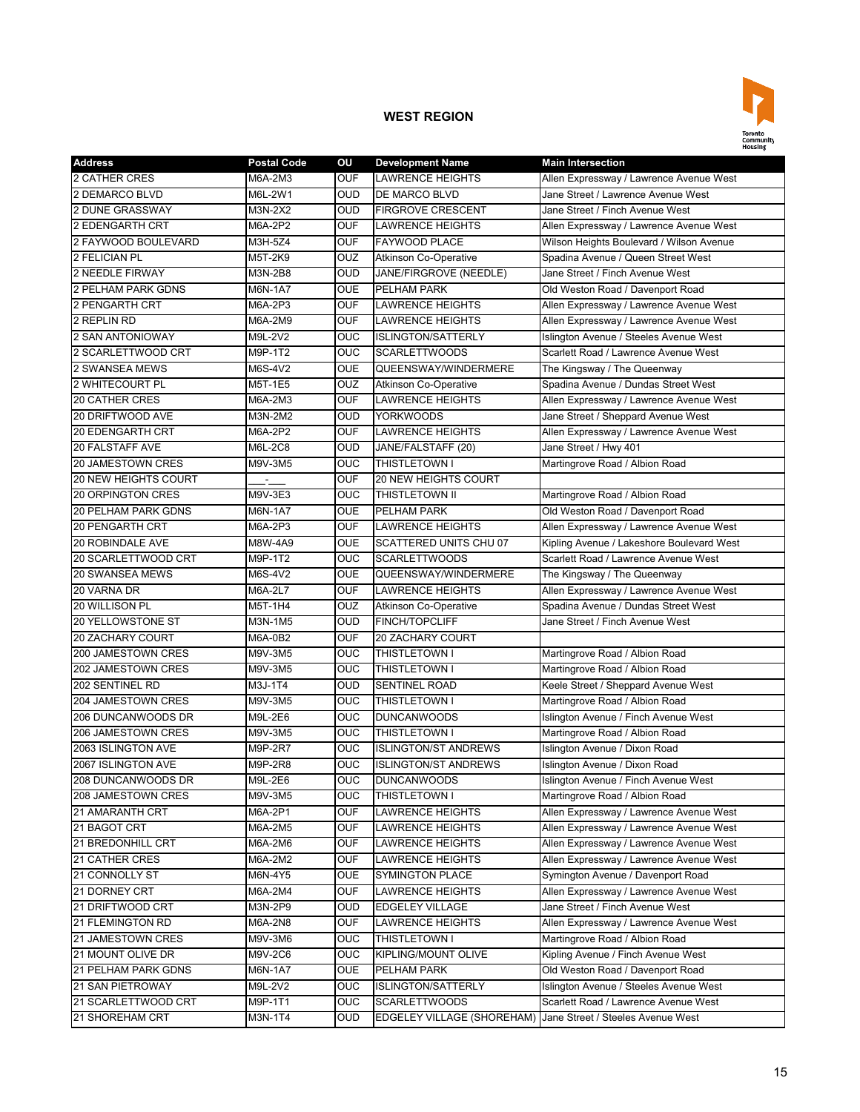

| <b>Address</b>              | <b>Postal Code</b> | OU         | <b>Development Name</b>           | <b>Main Intersection</b>                  |
|-----------------------------|--------------------|------------|-----------------------------------|-------------------------------------------|
| 2 CATHER CRES               | M6A-2M3            | <b>OUF</b> | <b>LAWRENCE HEIGHTS</b>           | Allen Expressway / Lawrence Avenue West   |
| 2 DEMARCO BLVD              | M6L-2W1            | <b>OUD</b> | <b>DE MARCO BLVD</b>              | Jane Street / Lawrence Avenue West        |
| <b>2 DUNE GRASSWAY</b>      | M3N-2X2            | <b>OUD</b> | <b>FIRGROVE CRESCENT</b>          | Jane Street / Finch Avenue West           |
| 2 EDENGARTH CRT             | M6A-2P2            | <b>OUF</b> | <b>LAWRENCE HEIGHTS</b>           | Allen Expressway / Lawrence Avenue West   |
| 2 FAYWOOD BOULEVARD         | M3H-5Z4            | <b>OUF</b> | <b>FAYWOOD PLACE</b>              | Wilson Heights Boulevard / Wilson Avenue  |
| 2 FELICIAN PL               | M5T-2K9            | OUZ        | <b>Atkinson Co-Operative</b>      | Spadina Avenue / Queen Street West        |
| 2 NEEDLE FIRWAY             | M3N-2B8            | <b>OUD</b> | JANE/FIRGROVE (NEEDLE)            | Jane Street / Finch Avenue West           |
| 2 PELHAM PARK GDNS          | M6N-1A7            | <b>OUE</b> | PELHAM PARK                       | Old Weston Road / Davenport Road          |
| 2 PENGARTH CRT              | M6A-2P3            | <b>OUF</b> | LAWRENCE HEIGHTS                  | Allen Expressway / Lawrence Avenue West   |
| 2 REPLIN RD                 | M6A-2M9            | <b>OUF</b> | <b>LAWRENCE HEIGHTS</b>           | Allen Expressway / Lawrence Avenue West   |
| <b>2 SAN ANTONIOWAY</b>     | M9L-2V2            | <b>OUC</b> | <b>ISLINGTON/SATTERLY</b>         | Islington Avenue / Steeles Avenue West    |
| 2 SCARLETTWOOD CRT          | M9P-1T2            | <b>OUC</b> | <b>SCARLETTWOODS</b>              | Scarlett Road / Lawrence Avenue West      |
| <b>2 SWANSEA MEWS</b>       | M6S-4V2            | <b>OUE</b> | QUEENSWAY/WINDERMERE              | The Kingsway / The Queenway               |
| 2 WHITECOURT PL             | M5T-1E5            | OUZ        | <b>Atkinson Co-Operative</b>      | Spadina Avenue / Dundas Street West       |
| <b>20 CATHER CRES</b>       | M6A-2M3            | <b>OUF</b> | <b>LAWRENCE HEIGHTS</b>           | Allen Expressway / Lawrence Avenue West   |
| 20 DRIFTWOOD AVE            | M3N-2M2            | <b>OUD</b> | <b>YORKWOODS</b>                  | Jane Street / Sheppard Avenue West        |
| <b>20 EDENGARTH CRT</b>     | M6A-2P2            | <b>OUF</b> | <b>LAWRENCE HEIGHTS</b>           | Allen Expressway / Lawrence Avenue West   |
| <b>20 FALSTAFF AVE</b>      | M6L-2C8            | <b>OUD</b> | JANE/FALSTAFF (20)                | Jane Street / Hwy 401                     |
| <b>20 JAMESTOWN CRES</b>    | M9V-3M5            | OUC        | <b>THISTLETOWN I</b>              | Martingrove Road / Albion Road            |
| <b>20 NEW HEIGHTS COURT</b> |                    | <b>OUF</b> | 20 NEW HEIGHTS COURT              |                                           |
| 20 ORPINGTON CRES           | M9V-3E3            | <b>OUC</b> | THISTLETOWN II                    | Martingrove Road / Albion Road            |
| <b>20 PELHAM PARK GDNS</b>  | <b>M6N-1A7</b>     | <b>OUE</b> | PELHAM PARK                       | Old Weston Road / Davenport Road          |
| <b>20 PENGARTH CRT</b>      | M6A-2P3            | <b>OUF</b> | <b>LAWRENCE HEIGHTS</b>           | Allen Expressway / Lawrence Avenue West   |
| 20 ROBINDALE AVE            | M8W-4A9            | <b>OUE</b> | <b>SCATTERED UNITS CHU 07</b>     | Kipling Avenue / Lakeshore Boulevard West |
| 20 SCARLETTWOOD CRT         | M9P-1T2            | OUC        | <b>SCARLETTWOODS</b>              | Scarlett Road / Lawrence Avenue West      |
| <b>20 SWANSEA MEWS</b>      | M6S-4V2            | <b>OUE</b> | QUEENSWAY/WINDERMERE              | The Kingsway / The Queenway               |
| 20 VARNA DR                 | M6A-2L7            | <b>OUF</b> | <b>LAWRENCE HEIGHTS</b>           | Allen Expressway / Lawrence Avenue West   |
| 20 WILLISON PL              | M5T-1H4            | OUZ        | <b>Atkinson Co-Operative</b>      | Spadina Avenue / Dundas Street West       |
| 20 YELLOWSTONE ST           | M3N-1M5            | <b>OUD</b> | <b>FINCH/TOPCLIFF</b>             | Jane Street / Finch Avenue West           |
| 20 ZACHARY COURT            | M6A-0B2            | <b>OUF</b> | <b>20 ZACHARY COURT</b>           |                                           |
| 200 JAMESTOWN CRES          | M9V-3M5            | OUC        | <b>THISTLETOWN I</b>              | Martingrove Road / Albion Road            |
| 202 JAMESTOWN CRES          | M9V-3M5            | OUC        | THISTLETOWN I                     | Martingrove Road / Albion Road            |
| 202 SENTINEL RD             | M3J-1T4            | <b>OUD</b> | SENTINEL ROAD                     | Keele Street / Sheppard Avenue West       |
| 204 JAMESTOWN CRES          | M9V-3M5            | <b>OUC</b> | THISTLETOWN I                     | Martingrove Road / Albion Road            |
| 206 DUNCANWOODS DR          | M9L-2E6            | <b>OUC</b> | <b>DUNCANWOODS</b>                | Islington Avenue / Finch Avenue West      |
| <b>206 JAMESTOWN CRES</b>   | M9V-3M5            | <b>OUC</b> | <b>THISTLETOWN I</b>              | Martingrove Road / Albion Road            |
| 2063 ISLINGTON AVE          | M9P-2R7            | <b>OUC</b> | <b>ISLINGTON/ST ANDREWS</b>       | Islington Avenue / Dixon Road             |
| 2067 ISLINGTON AVE          | M9P-2R8            | <b>OUC</b> | <b>ISLINGTON/ST ANDREWS</b>       | Islington Avenue / Dixon Road             |
| 208 DUNCANWOODS DR          | M9L-2E6            | <b>OUC</b> | <b>DUNCANWOODS</b>                | Islington Avenue / Finch Avenue West      |
| 208 JAMESTOWN CRES          | M9V-3M5            | OUC        | THISTLETOWN I                     | Martingrove Road / Albion Road            |
| 21 AMARANTH CRT             | M6A-2P1            | <b>OUF</b> | LAWRENCE HEIGHTS                  | Allen Expressway / Lawrence Avenue West   |
| 21 BAGOT CRT                | M6A-2M5            | <b>OUF</b> | LAWRENCE HEIGHTS                  | Allen Expressway / Lawrence Avenue West   |
| 21 BREDONHILL CRT           | M6A-2M6            | <b>OUF</b> | <b>LAWRENCE HEIGHTS</b>           | Allen Expressway / Lawrence Avenue West   |
| 21 CATHER CRES              | M6A-2M2            | <b>OUF</b> | LAWRENCE HEIGHTS                  | Allen Expressway / Lawrence Avenue West   |
| 21 CONNOLLY ST              | M6N-4Y5            | <b>OUE</b> | <b>SYMINGTON PLACE</b>            | Symington Avenue / Davenport Road         |
| 21 DORNEY CRT               | M6A-2M4            | <b>OUF</b> | <b>LAWRENCE HEIGHTS</b>           | Allen Expressway / Lawrence Avenue West   |
| 21 DRIFTWOOD CRT            | M3N-2P9            | <b>OUD</b> | <b>EDGELEY VILLAGE</b>            | Jane Street / Finch Avenue West           |
| 21 FLEMINGTON RD            | M6A-2N8            | <b>OUF</b> | LAWRENCE HEIGHTS                  | Allen Expressway / Lawrence Avenue West   |
| 21 JAMESTOWN CRES           | M9V-3M6            | <b>OUC</b> | THISTLETOWN I                     | Martingrove Road / Albion Road            |
| 21 MOUNT OLIVE DR           | M9V-2C6            | <b>OUC</b> | KIPLING/MOUNT OLIVE               | Kipling Avenue / Finch Avenue West        |
| 21 PELHAM PARK GDNS         | M6N-1A7            | <b>OUE</b> | PELHAM PARK                       | Old Weston Road / Davenport Road          |
| <b>21 SAN PIETROWAY</b>     | M9L-2V2            | <b>OUC</b> | <b>ISLINGTON/SATTERLY</b>         | Islington Avenue / Steeles Avenue West    |
| 21 SCARLETTWOOD CRT         | M9P-1T1            | <b>OUC</b> | <b>SCARLETTWOODS</b>              | Scarlett Road / Lawrence Avenue West      |
|                             |                    | <b>OUD</b> |                                   |                                           |
| 21 SHOREHAM CRT             | M3N-1T4            |            | <b>EDGELEY VILLAGE (SHOREHAM)</b> | Jane Street / Steeles Avenue West         |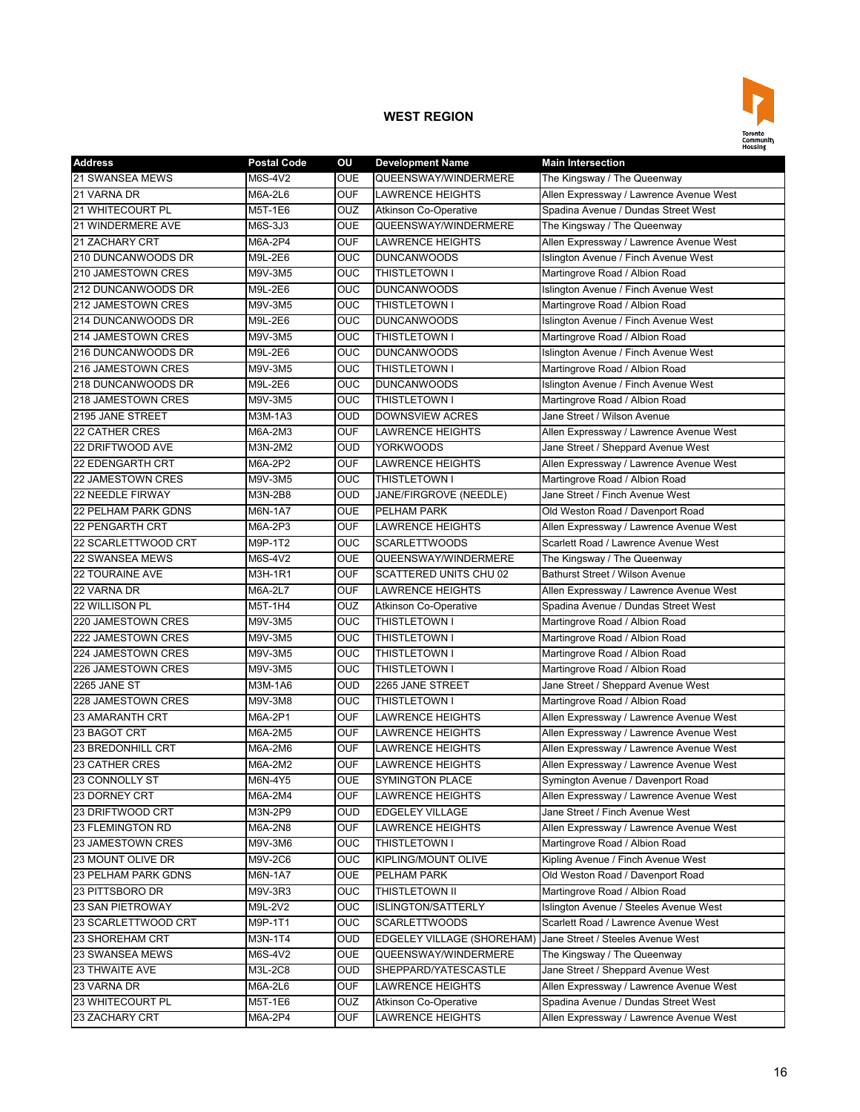

| <b>Address</b>             | <b>Postal Code</b> | OU         | <b>Development Name</b>           | <b>Main Intersection</b>                |
|----------------------------|--------------------|------------|-----------------------------------|-----------------------------------------|
| 21 SWANSEA MEWS            | M6S-4V2            | <b>OUE</b> | QUEENSWAY/WINDERMERE              | The Kingsway / The Queenway             |
| 21 VARNA DR                | M6A-2L6            | <b>OUF</b> | <b>LAWRENCE HEIGHTS</b>           | Allen Expressway / Lawrence Avenue West |
| 21 WHITECOURT PL           | M5T-1E6            | <b>OUZ</b> | <b>Atkinson Co-Operative</b>      | Spadina Avenue / Dundas Street West     |
| 21 WINDERMERE AVE          | M6S-3J3            | <b>OUE</b> | QUEENSWAY/WINDERMERE              | The Kingsway / The Queenway             |
| 21 ZACHARY CRT             | M6A-2P4            | <b>OUF</b> | <b>LAWRENCE HEIGHTS</b>           | Allen Expressway / Lawrence Avenue West |
| 210 DUNCANWOODS DR         | M9L-2E6            | <b>OUC</b> | <b>DUNCANWOODS</b>                | Islington Avenue / Finch Avenue West    |
| 210 JAMESTOWN CRES         | M9V-3M5            | OUC        | THISTLETOWN I                     | Martingrove Road / Albion Road          |
| 212 DUNCANWOODS DR         | M9L-2E6            | <b>OUC</b> | <b>DUNCANWOODS</b>                | Islington Avenue / Finch Avenue West    |
| <b>212 JAMESTOWN CRES</b>  | M9V-3M5            | <b>OUC</b> | THISTLETOWN I                     | Martingrove Road / Albion Road          |
| 214 DUNCANWOODS DR         | M9L-2E6            | OUC        | <b>DUNCANWOODS</b>                | Islington Avenue / Finch Avenue West    |
| <b>214 JAMESTOWN CRES</b>  | M9V-3M5            | <b>OUC</b> | THISTLETOWN I                     | Martingrove Road / Albion Road          |
| 216 DUNCANWOODS DR         | M9L-2E6            | <b>OUC</b> | <b>DUNCANWOODS</b>                | Islington Avenue / Finch Avenue West    |
| 216 JAMESTOWN CRES         | M9V-3M5            | <b>OUC</b> | <b>THISTLETOWN I</b>              | Martingrove Road / Albion Road          |
| 218 DUNCANWOODS DR         | M9L-2E6            | OUC        | <b>DUNCANWOODS</b>                | Islington Avenue / Finch Avenue West    |
| 218 JAMESTOWN CRES         | M9V-3M5            | OUC        | THISTLETOWN I                     | Martingrove Road / Albion Road          |
| 2195 JANE STREET           | M3M-1A3            | <b>OUD</b> | <b>DOWNSVIEW ACRES</b>            | Jane Street / Wilson Avenue             |
| <b>22 CATHER CRES</b>      | M6A-2M3            | <b>OUF</b> | <b>LAWRENCE HEIGHTS</b>           | Allen Expressway / Lawrence Avenue West |
| 22 DRIFTWOOD AVE           | M3N-2M2            | <b>OUD</b> | <b>YORKWOODS</b>                  | Jane Street / Sheppard Avenue West      |
| <b>22 EDENGARTH CRT</b>    | M6A-2P2            | <b>OUF</b> | <b>LAWRENCE HEIGHTS</b>           | Allen Expressway / Lawrence Avenue West |
| 22 JAMESTOWN CRES          | M9V-3M5            | <b>OUC</b> | <b>THISTLETOWN I</b>              | Martingrove Road / Albion Road          |
| 22 NEEDLE FIRWAY           | M3N-2B8            | <b>OUD</b> | JANE/FIRGROVE (NEEDLE)            | Jane Street / Finch Avenue West         |
| <b>22 PELHAM PARK GDNS</b> | M6N-1A7            | <b>OUE</b> | PELHAM PARK                       | Old Weston Road / Davenport Road        |
| <b>22 PENGARTH CRT</b>     | M6A-2P3            | <b>OUF</b> | <b>LAWRENCE HEIGHTS</b>           | Allen Expressway / Lawrence Avenue West |
| 22 SCARLETTWOOD CRT        | M9P-1T2            | OUC        | <b>SCARLETTWOODS</b>              | Scarlett Road / Lawrence Avenue West    |
| <b>22 SWANSEA MEWS</b>     | M6S-4V2            | <b>OUE</b> | QUEENSWAY/WINDERMERE              | The Kingsway / The Queenway             |
| <b>22 TOURAINE AVE</b>     | M3H-1R1            | <b>OUF</b> | SCATTERED UNITS CHU 02            | <b>Bathurst Street / Wilson Avenue</b>  |
| 22 VARNA DR                | M6A-2L7            | <b>OUF</b> | <b>LAWRENCE HEIGHTS</b>           | Allen Expressway / Lawrence Avenue West |
| 22 WILLISON PL             | M5T-1H4            | OUZ        | <b>Atkinson Co-Operative</b>      | Spadina Avenue / Dundas Street West     |
| 220 JAMESTOWN CRES         | M9V-3M5            | <b>OUC</b> | THISTLETOWN I                     | Martingrove Road / Albion Road          |
| 222 JAMESTOWN CRES         | M9V-3M5            | <b>OUC</b> | <b>THISTLETOWN I</b>              | Martingrove Road / Albion Road          |
| 224 JAMESTOWN CRES         | M9V-3M5            | OUC        | THISTLETOWN I                     | Martingrove Road / Albion Road          |
| 226 JAMESTOWN CRES         | M9V-3M5            | OUC        | THISTLETOWN I                     | Martingrove Road / Albion Road          |
| 2265 JANE ST               | M3M-1A6            | <b>OUD</b> | 2265 JANE STREET                  | Jane Street / Sheppard Avenue West      |
| 228 JAMESTOWN CRES         | M9V-3M8            | <b>OUC</b> | THISTLETOWN I                     | Martingrove Road / Albion Road          |
| <b>23 AMARANTH CRT</b>     | M6A-2P1            | <b>OUF</b> | <b>LAWRENCE HEIGHTS</b>           | Allen Expressway / Lawrence Avenue West |
| 23 BAGOT CRT               | M6A-2M5            | <b>OUF</b> | <b>LAWRENCE HEIGHTS</b>           | Allen Expressway / Lawrence Avenue West |
| <b>23 BREDONHILL CRT</b>   | M6A-2M6            | <b>OUF</b> | <b>LAWRENCE HEIGHTS</b>           | Allen Expressway / Lawrence Avenue West |
| <b>23 CATHER CRES</b>      | M6A-2M2            | <b>OUF</b> | <b>LAWRENCE HEIGHTS</b>           | Allen Expressway / Lawrence Avenue West |
| 23 CONNOLLY ST             | M6N-4Y5            | <b>OUE</b> | <b>SYMINGTON PLACE</b>            | Symington Avenue / Davenport Road       |
| 23 DORNEY CRT              | M6A-2M4            | <b>OUF</b> | LAWRENCE HEIGHTS                  | Allen Expressway / Lawrence Avenue West |
| 23 DRIFTWOOD CRT           | M3N-2P9            | <b>OUD</b> | <b>EDGELEY VILLAGE</b>            | Jane Street / Finch Avenue West         |
| 23 FLEMINGTON RD           | M6A-2N8            | <b>OUF</b> | <b>LAWRENCE HEIGHTS</b>           | Allen Expressway / Lawrence Avenue West |
| 23 JAMESTOWN CRES          | M9V-3M6            | <b>OUC</b> | THISTLETOWN I                     | Martingrove Road / Albion Road          |
| 23 MOUNT OLIVE DR          | M9V-2C6            | <b>OUC</b> | KIPLING/MOUNT OLIVE               | Kipling Avenue / Finch Avenue West      |
| 23 PELHAM PARK GDNS        | M6N-1A7            | <b>OUE</b> | PELHAM PARK                       | Old Weston Road / Davenport Road        |
| 23 PITTSBORO DR            | M9V-3R3            | <b>OUC</b> | THISTLETOWN II                    | Martingrove Road / Albion Road          |
| <b>23 SAN PIETROWAY</b>    | M9L-2V2            | <b>OUC</b> | <b>ISLINGTON/SATTERLY</b>         | Islington Avenue / Steeles Avenue West  |
| 23 SCARLETTWOOD CRT        | M9P-1T1            | <b>OUC</b> | <b>SCARLETTWOODS</b>              | Scarlett Road / Lawrence Avenue West    |
| 23 SHOREHAM CRT            | M3N-1T4            | OUD        | <b>EDGELEY VILLAGE (SHOREHAM)</b> | Jane Street / Steeles Avenue West       |
| 23 SWANSEA MEWS            | M6S-4V2            | <b>OUE</b> | QUEENSWAY/WINDERMERE              | The Kingsway / The Queenway             |
| 23 THWAITE AVE             | M3L-2C8            | <b>OUD</b> | SHEPPARD/YATESCASTLE              | Jane Street / Sheppard Avenue West      |
| 23 VARNA DR                | M6A-2L6            | <b>OUF</b> | <b>LAWRENCE HEIGHTS</b>           | Allen Expressway / Lawrence Avenue West |
| 23 WHITECOURT PL           | M5T-1E6            | <b>OUZ</b> | Atkinson Co-Operative             | Spadina Avenue / Dundas Street West     |
| 23 ZACHARY CRT             | M6A-2P4            | <b>OUF</b> | <b>LAWRENCE HEIGHTS</b>           | Allen Expressway / Lawrence Avenue West |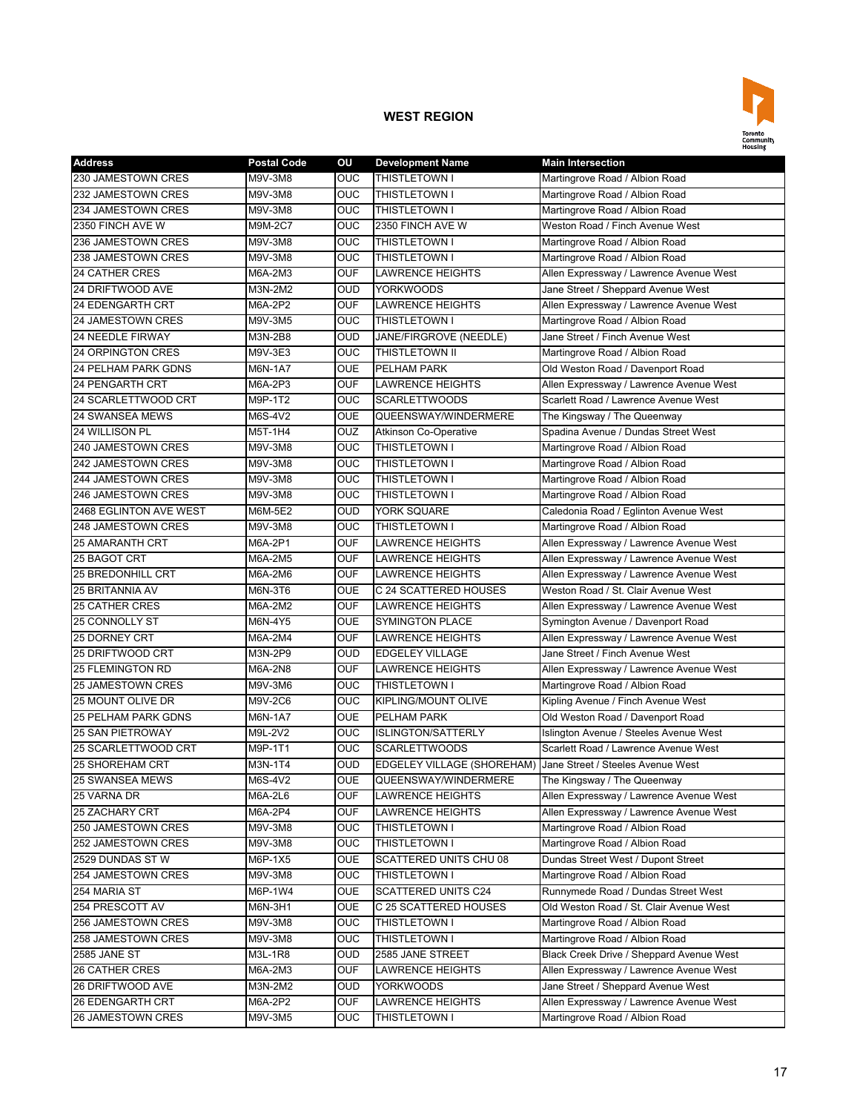

| <b>Address</b>             | <b>Postal Code</b> | OU         | <b>Development Name</b>      | <b>Main Intersection</b>                 |
|----------------------------|--------------------|------------|------------------------------|------------------------------------------|
| 230 JAMESTOWN CRES         | M9V-3M8            | OUC        | THISTLETOWN I                | Martingrove Road / Albion Road           |
| 232 JAMESTOWN CRES         | M9V-3M8            | OUC        | THISTLETOWN I                | Martingrove Road / Albion Road           |
| 234 JAMESTOWN CRES         | M9V-3M8            | <b>OUC</b> | THISTLETOWN I                | Martingrove Road / Albion Road           |
| 2350 FINCH AVE W           | M9M-2C7            | <b>OUC</b> | 2350 FINCH AVE W             | Weston Road / Finch Avenue West          |
| 236 JAMESTOWN CRES         | M9V-3M8            | OUC        | THISTLETOWN I                | Martingrove Road / Albion Road           |
| 238 JAMESTOWN CRES         | M9V-3M8            | <b>OUC</b> | THISTLETOWN I                | Martingrove Road / Albion Road           |
| <b>24 CATHER CRES</b>      | M6A-2M3            | OUF        | <b>LAWRENCE HEIGHTS</b>      | Allen Expressway / Lawrence Avenue West  |
| 24 DRIFTWOOD AVE           | M3N-2M2            | OUD        | <b>YORKWOODS</b>             | Jane Street / Sheppard Avenue West       |
| <b>24 EDENGARTH CRT</b>    | M6A-2P2            | <b>OUF</b> | <b>LAWRENCE HEIGHTS</b>      | Allen Expressway / Lawrence Avenue West  |
| 24 JAMESTOWN CRES          | M9V-3M5            | OUC        | THISTLETOWN I                | Martingrove Road / Albion Road           |
| <b>24 NEEDLE FIRWAY</b>    | M3N-2B8            | OUD        | JANE/FIRGROVE (NEEDLE)       | Jane Street / Finch Avenue West          |
| <b>24 ORPINGTON CRES</b>   | M9V-3E3            | <b>OUC</b> | THISTLETOWN II               | Martingrove Road / Albion Road           |
| <b>24 PELHAM PARK GDNS</b> | M6N-1A7            | <b>OUE</b> | PELHAM PARK                  | Old Weston Road / Davenport Road         |
| <b>24 PENGARTH CRT</b>     | M6A-2P3            | <b>OUF</b> | <b>LAWRENCE HEIGHTS</b>      | Allen Expressway / Lawrence Avenue West  |
| 24 SCARLETTWOOD CRT        | M9P-1T2            | OUC        | <b>SCARLETTWOODS</b>         | Scarlett Road / Lawrence Avenue West     |
| 24 SWANSEA MEWS            | M6S-4V2            | OUE        | QUEENSWAY/WINDERMERE         | The Kingsway / The Queenway              |
| <b>24 WILLISON PL</b>      | M5T-1H4            | OUZ        | <b>Atkinson Co-Operative</b> | Spadina Avenue / Dundas Street West      |
| 240 JAMESTOWN CRES         | M9V-3M8            | OUC        | THISTLETOWN I                | Martingrove Road / Albion Road           |
| <b>242 JAMESTOWN CRES</b>  | M9V-3M8            | OUC        | THISTLETOWN I                | Martingrove Road / Albion Road           |
| 244 JAMESTOWN CRES         | M9V-3M8            | OUC        | THISTLETOWN I                | Martingrove Road / Albion Road           |
| 246 JAMESTOWN CRES         | M9V-3M8            | OUC        | THISTLETOWN I                | Martingrove Road / Albion Road           |
| 2468 EGLINTON AVE WEST     | M6M-5E2            | <b>OUD</b> | YORK SQUARE                  | Caledonia Road / Eglinton Avenue West    |
| 248 JAMESTOWN CRES         | M9V-3M8            | OUC        | THISTLETOWN I                | Martingrove Road / Albion Road           |
| <b>25 AMARANTH CRT</b>     | M6A-2P1            | OUF        | <b>LAWRENCE HEIGHTS</b>      | Allen Expressway / Lawrence Avenue West  |
| 25 BAGOT CRT               | M6A-2M5            | <b>OUF</b> | LAWRENCE HEIGHTS             | Allen Expressway / Lawrence Avenue West  |
| <b>25 BREDONHILL CRT</b>   | M6A-2M6            | <b>OUF</b> | <b>LAWRENCE HEIGHTS</b>      | Allen Expressway / Lawrence Avenue West  |
| 25 BRITANNIA AV            | M6N-3T6            | OUE        | C 24 SCATTERED HOUSES        | Weston Road / St. Clair Avenue West      |
| <b>25 CATHER CRES</b>      | M6A-2M2            | <b>OUF</b> | <b>LAWRENCE HEIGHTS</b>      | Allen Expressway / Lawrence Avenue West  |
| 25 CONNOLLY ST             | M6N-4Y5            | <b>OUE</b> | <b>SYMINGTON PLACE</b>       | Symington Avenue / Davenport Road        |
| <b>25 DORNEY CRT</b>       | M6A-2M4            | <b>OUF</b> | <b>LAWRENCE HEIGHTS</b>      | Allen Expressway / Lawrence Avenue West  |
| 25 DRIFTWOOD CRT           | M3N-2P9            | <b>OUD</b> | <b>EDGELEY VILLAGE</b>       | Jane Street / Finch Avenue West          |
| <b>25 FLEMINGTON RD</b>    | M6A-2N8            | OUF        | LAWRENCE HEIGHTS             | Allen Expressway / Lawrence Avenue West  |
| <b>25 JAMESTOWN CRES</b>   | M9V-3M6            | <b>OUC</b> | THISTLETOWN I                | Martingrove Road / Albion Road           |
| 25 MOUNT OLIVE DR          | M9V-2C6            | OUC        | KIPLING/MOUNT OLIVE          | Kipling Avenue / Finch Avenue West       |
| <b>25 PELHAM PARK GDNS</b> | M6N-1A7            | OUE        | PELHAM PARK                  | Old Weston Road / Davenport Road         |
| <b>25 SAN PIETROWAY</b>    | M9L-2V2            | OUC        | <b>ISLINGTON/SATTERLY</b>    | Islington Avenue / Steeles Avenue West   |
| 25 SCARLETTWOOD CRT        | M9P-1T1            | OUC        | <b>SCARLETTWOODS</b>         | Scarlett Road / Lawrence Avenue West     |
| <b>25 SHOREHAM CRT</b>     | M3N-1T4            | <b>OUD</b> | EDGELEY VILLAGE (SHOREHAM)   | Jane Street / Steeles Avenue West        |
| <b>25 SWANSEA MEWS</b>     | M6S-4V2            | <b>OUE</b> | QUEENSWAY/WINDERMERE         | The Kingsway / The Queenway              |
| 25 VARNA DR                | M6A-2L6            | OUF        | <b>LAWRENCE HEIGHTS</b>      | Allen Expressway / Lawrence Avenue West  |
| <b>25 ZACHARY CRT</b>      | M6A-2P4            | OUF        | LAWRENCE HEIGHTS             | Allen Expressway / Lawrence Avenue West  |
| 250 JAMESTOWN CRES         | M9V-3M8            | OUC        | THISTLETOWN I                | Martingrove Road / Albion Road           |
| 252 JAMESTOWN CRES         | M9V-3M8            | OUC        | THISTLETOWN I                | Martingrove Road / Albion Road           |
| 2529 DUNDAS ST W           | M6P-1X5            | OUE        | SCATTERED UNITS CHU 08       | Dundas Street West / Dupont Street       |
| 254 JAMESTOWN CRES         | M9V-3M8            | OUC.       | THISTLETOWN I                | Martingrove Road / Albion Road           |
| 254 MARIA ST               | M6P-1W4            | <b>OUE</b> | <b>SCATTERED UNITS C24</b>   | Runnymede Road / Dundas Street West      |
| 254 PRESCOTT AV            | M6N-3H1            | <b>OUE</b> | C 25 SCATTERED HOUSES        | Old Weston Road / St. Clair Avenue West  |
| 256 JAMESTOWN CRES         | M9V-3M8            | OUC        | THISTLETOWN I                | Martingrove Road / Albion Road           |
| 258 JAMESTOWN CRES         | M9V-3M8            | OUC        | THISTLETOWN I                | Martingrove Road / Albion Road           |
| 2585 JANE ST               | M3L-1R8            | OUD        | 2585 JANE STREET             | Black Creek Drive / Sheppard Avenue West |
| 26 CATHER CRES             | M6A-2M3            | <b>OUF</b> | LAWRENCE HEIGHTS             | Allen Expressway / Lawrence Avenue West  |
| 26 DRIFTWOOD AVE           | M3N-2M2            | OUD        | YORKWOODS                    | Jane Street / Sheppard Avenue West       |
| <b>26 EDENGARTH CRT</b>    | M6A-2P2            | OUF        | LAWRENCE HEIGHTS             | Allen Expressway / Lawrence Avenue West  |
| 26 JAMESTOWN CRES          | M9V-3M5            | <b>OUC</b> | THISTLETOWN I                | Martingrove Road / Albion Road           |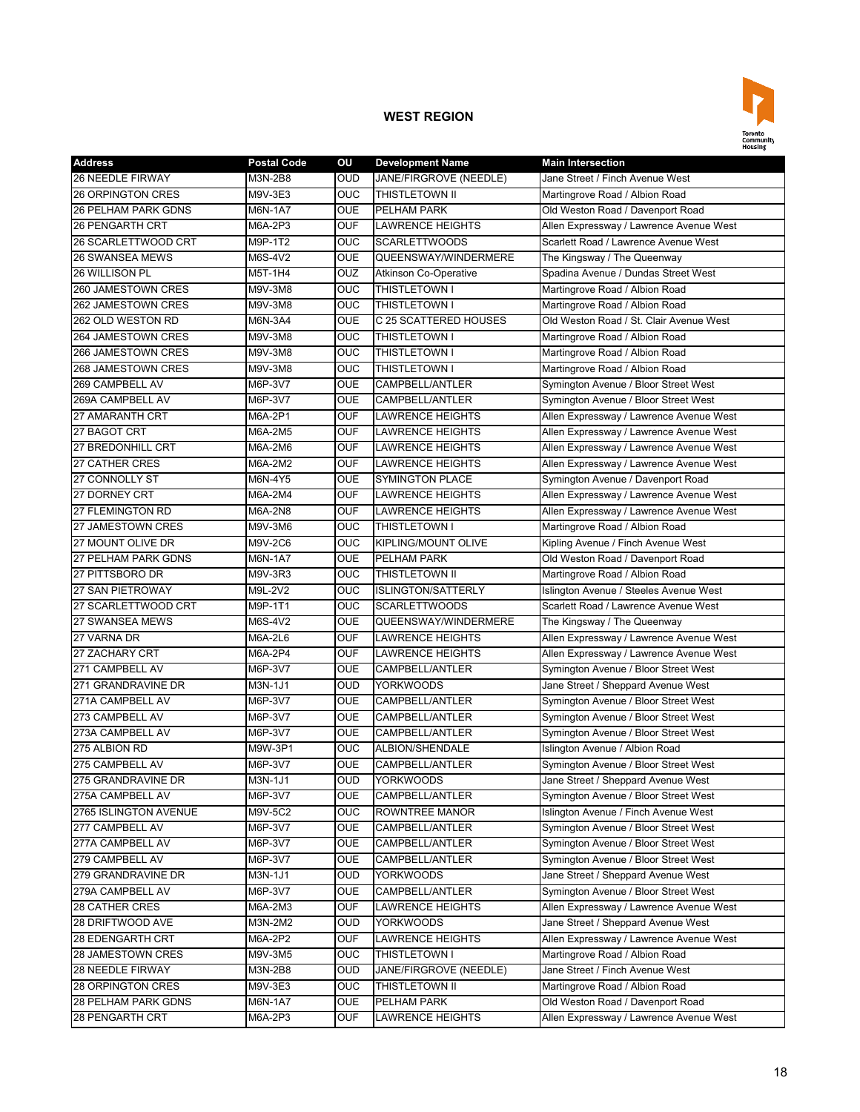

| <b>Address</b>             | <b>Postal Code</b> | OU         | <b>Development Name</b>      | <b>Main Intersection</b>                |
|----------------------------|--------------------|------------|------------------------------|-----------------------------------------|
| 26 NEEDLE FIRWAY           | M3N-2B8            | <b>OUD</b> | JANE/FIRGROVE (NEEDLE)       | Jane Street / Finch Avenue West         |
| <b>26 ORPINGTON CRES</b>   | M9V-3E3            | <b>OUC</b> | <b>THISTLETOWN II</b>        | Martingrove Road / Albion Road          |
| <b>26 PELHAM PARK GDNS</b> | M6N-1A7            | <b>OUE</b> | PELHAM PARK                  | Old Weston Road / Davenport Road        |
| 26 PENGARTH CRT            | M6A-2P3            | <b>OUF</b> | <b>LAWRENCE HEIGHTS</b>      | Allen Expressway / Lawrence Avenue West |
| 26 SCARLETTWOOD CRT        | M9P-1T2            | <b>OUC</b> | <b>SCARLETTWOODS</b>         | Scarlett Road / Lawrence Avenue West    |
| <b>26 SWANSEA MEWS</b>     | M6S-4V2            | <b>OUE</b> | QUEENSWAY/WINDERMERE         | The Kingsway / The Queenway             |
| 26 WILLISON PL             | M5T-1H4            | OUZ        | <b>Atkinson Co-Operative</b> | Spadina Avenue / Dundas Street West     |
| 260 JAMESTOWN CRES         | M9V-3M8            | OUC        | THISTLETOWN I                | Martingrove Road / Albion Road          |
| 262 JAMESTOWN CRES         | M9V-3M8            | <b>OUC</b> | THISTLETOWN I                | Martingrove Road / Albion Road          |
| 262 OLD WESTON RD          | M6N-3A4            | <b>OUE</b> | C 25 SCATTERED HOUSES        | Old Weston Road / St. Clair Avenue West |
| 264 JAMESTOWN CRES         | M9V-3M8            | <b>OUC</b> | <b>THISTLETOWN I</b>         | Martingrove Road / Albion Road          |
| 266 JAMESTOWN CRES         | M9V-3M8            | <b>OUC</b> | THISTLETOWN I                | Martingrove Road / Albion Road          |
| 268 JAMESTOWN CRES         | M9V-3M8            | <b>OUC</b> | <b>THISTLETOWN I</b>         | Martingrove Road / Albion Road          |
| 269 CAMPBELL AV            | M6P-3V7            | <b>OUE</b> | CAMPBELL/ANTLER              | Symington Avenue / Bloor Street West    |
| 269A CAMPBELL AV           | M6P-3V7            | <b>OUE</b> | CAMPBELL/ANTLER              | Symington Avenue / Bloor Street West    |
| 27 AMARANTH CRT            | M6A-2P1            | <b>OUF</b> | LAWRENCE HEIGHTS             | Allen Expressway / Lawrence Avenue West |
| 27 BAGOT CRT               | M6A-2M5            | <b>OUF</b> | <b>LAWRENCE HEIGHTS</b>      | Allen Expressway / Lawrence Avenue West |
| 27 BREDONHILL CRT          | M6A-2M6            | <b>OUF</b> | <b>LAWRENCE HEIGHTS</b>      | Allen Expressway / Lawrence Avenue West |
| <b>27 CATHER CRES</b>      | M6A-2M2            | <b>OUF</b> | <b>LAWRENCE HEIGHTS</b>      | Allen Expressway / Lawrence Avenue West |
| 27 CONNOLLY ST             | M6N-4Y5            | <b>OUE</b> | <b>SYMINGTON PLACE</b>       | Symington Avenue / Davenport Road       |
| 27 DORNEY CRT              | M6A-2M4            | <b>OUF</b> | <b>LAWRENCE HEIGHTS</b>      | Allen Expressway / Lawrence Avenue West |
| 27 FLEMINGTON RD           | M6A-2N8            | <b>OUF</b> | <b>LAWRENCE HEIGHTS</b>      | Allen Expressway / Lawrence Avenue West |
| 27 JAMESTOWN CRES          | M9V-3M6            | OUC        | THISTLETOWN I                | Martingrove Road / Albion Road          |
| 27 MOUNT OLIVE DR          | M9V-2C6            | OUC        | KIPLING/MOUNT OLIVE          | Kipling Avenue / Finch Avenue West      |
| <b>27 PELHAM PARK GDNS</b> | M6N-1A7            | <b>OUE</b> | PELHAM PARK                  | Old Weston Road / Davenport Road        |
| 27 PITTSBORO DR            | M9V-3R3            | <b>OUC</b> | THISTLETOWN II               | Martingrove Road / Albion Road          |
| 27 SAN PIETROWAY           | M9L-2V2            | OUC        | <b>ISLINGTON/SATTERLY</b>    | Islington Avenue / Steeles Avenue West  |
| 27 SCARLETTWOOD CRT        | M9P-1T1            | OUC        | <b>SCARLETTWOODS</b>         | Scarlett Road / Lawrence Avenue West    |
| 27 SWANSEA MEWS            | M6S-4V2            | <b>OUE</b> | QUEENSWAY/WINDERMERE         | The Kingsway / The Queenway             |
| 27 VARNA DR                | M6A-2L6            | <b>OUF</b> | <b>LAWRENCE HEIGHTS</b>      | Allen Expressway / Lawrence Avenue West |
| 27 ZACHARY CRT             | M6A-2P4            | <b>OUF</b> | <b>LAWRENCE HEIGHTS</b>      | Allen Expressway / Lawrence Avenue West |
| 271 CAMPBELL AV            | M6P-3V7            | <b>OUE</b> | CAMPBELL/ANTLER              | Symington Avenue / Bloor Street West    |
| 271 GRANDRAVINE DR         | M3N-1J1            | <b>OUD</b> | <b>YORKWOODS</b>             | Jane Street / Sheppard Avenue West      |
| 271A CAMPBELL AV           | M6P-3V7            | <b>OUE</b> | CAMPBELL/ANTLER              | Symington Avenue / Bloor Street West    |
| 273 CAMPBELL AV            | M6P-3V7            | <b>OUE</b> | CAMPBELL/ANTLER              | Symington Avenue / Bloor Street West    |
| 273A CAMPBELL AV           | M6P-3V7            | <b>OUE</b> | CAMPBELL/ANTLER              | Symington Avenue / Bloor Street West    |
| 275 ALBION RD              | M9W-3P1            | <b>OUC</b> | ALBION/SHENDALE              | Islington Avenue / Albion Road          |
| 275 CAMPBELL AV            | M6P-3V7            | <b>OUE</b> | CAMPBELL/ANTLER              | Symington Avenue / Bloor Street West    |
| 275 GRANDRAVINE DR         | M3N-1J1            | <b>OUD</b> | <b>YORKWOODS</b>             | Jane Street / Sheppard Avenue West      |
| 275A CAMPBELL AV           | M6P-3V7            | <b>OUE</b> | CAMPBELL/ANTLER              | Symington Avenue / Bloor Street West    |
| 2765 ISLINGTON AVENUE      | M9V-5C2            | OUC.       | ROWNTREE MANOR               | Islington Avenue / Finch Avenue West    |
| 277 CAMPBELL AV            | M6P-3V7            | <b>OUE</b> | CAMPBELL/ANTLER              | Symington Avenue / Bloor Street West    |
| 277A CAMPBELL AV           | M6P-3V7            | <b>OUE</b> | CAMPBELL/ANTLER              | Symington Avenue / Bloor Street West    |
| 279 CAMPBELL AV            | M6P-3V7            | <b>OUE</b> | CAMPBELL/ANTLER              | Symington Avenue / Bloor Street West    |
| 279 GRANDRAVINE DR         | M3N-1J1            | OUD        | <b>YORKWOODS</b>             | Jane Street / Sheppard Avenue West      |
| 279A CAMPBELL AV           | M6P-3V7            | <b>OUE</b> | CAMPBELL/ANTLER              | Symington Avenue / Bloor Street West    |
| 28 CATHER CRES             | M6A-2M3            | <b>OUF</b> | <b>LAWRENCE HEIGHTS</b>      | Allen Expressway / Lawrence Avenue West |
| 28 DRIFTWOOD AVE           | M3N-2M2            | <b>OUD</b> | <b>YORKWOODS</b>             | Jane Street / Sheppard Avenue West      |
| 28 EDENGARTH CRT           | M6A-2P2            | <b>OUF</b> | LAWRENCE HEIGHTS             | Allen Expressway / Lawrence Avenue West |
| 28 JAMESTOWN CRES          | M9V-3M5            | <b>OUC</b> | THISTLETOWN I                | Martingrove Road / Albion Road          |
| 28 NEEDLE FIRWAY           | M3N-2B8            | <b>OUD</b> | JANE/FIRGROVE (NEEDLE)       | Jane Street / Finch Avenue West         |
| 28 ORPINGTON CRES          | M9V-3E3            | <b>OUC</b> | THISTLETOWN II               | Martingrove Road / Albion Road          |
| 28 PELHAM PARK GDNS        | M6N-1A7            | <b>OUE</b> | PELHAM PARK                  | Old Weston Road / Davenport Road        |
| 28 PENGARTH CRT            | M6A-2P3            | <b>OUF</b> | LAWRENCE HEIGHTS             | Allen Expressway / Lawrence Avenue West |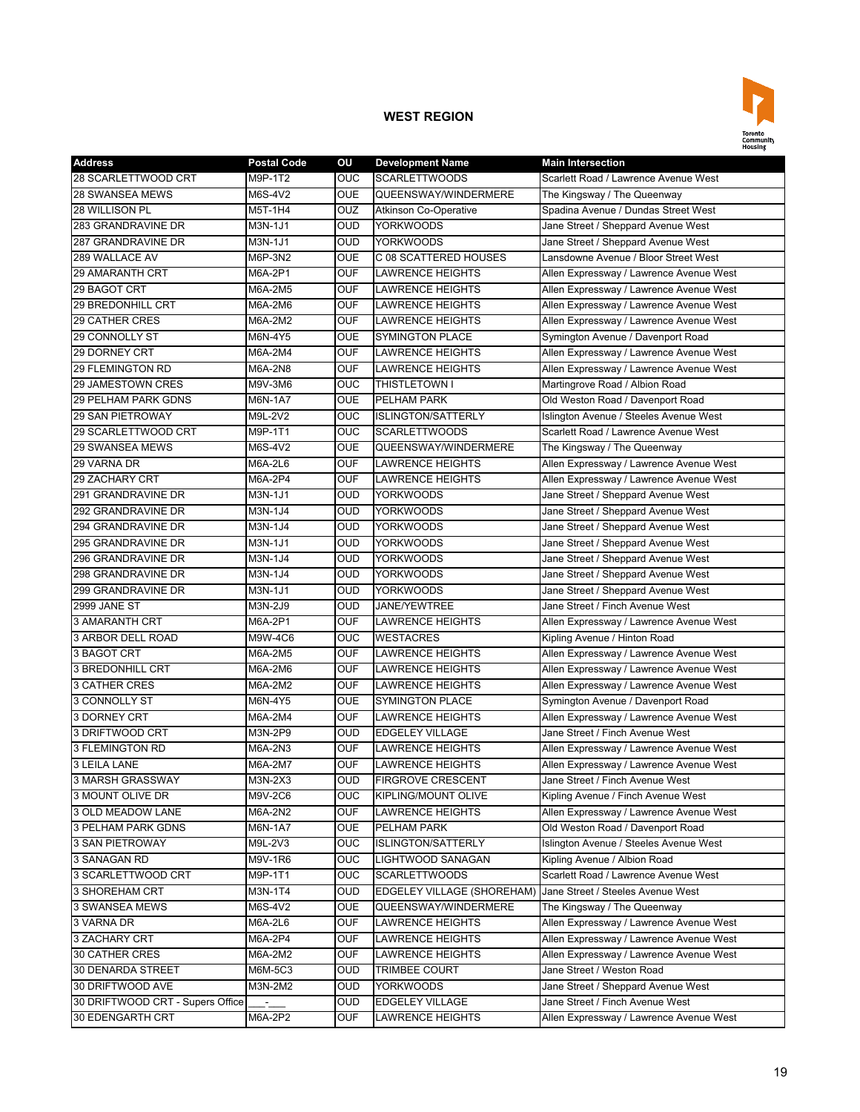

| <b>Address</b>                   | <b>Postal Code</b> | OU               | <b>Development Name</b>      | <b>Main Intersection</b>                |
|----------------------------------|--------------------|------------------|------------------------------|-----------------------------------------|
| 28 SCARLETTWOOD CRT              | M9P-1T2            | OUC              | <b>SCARLETTWOODS</b>         | Scarlett Road / Lawrence Avenue West    |
| 28 SWANSEA MEWS                  | M6S-4V2            | <b>OUE</b>       | QUEENSWAY/WINDERMERE         | The Kingsway / The Queenway             |
| 28 WILLISON PL                   | M5T-1H4            | OUZ              | <b>Atkinson Co-Operative</b> | Spadina Avenue / Dundas Street West     |
| 283 GRANDRAVINE DR               | M3N-1J1            | <b>OUD</b>       | <b>YORKWOODS</b>             | Jane Street / Sheppard Avenue West      |
| 287 GRANDRAVINE DR               | M3N-1J1            | <b>OUD</b>       | <b>YORKWOODS</b>             | Jane Street / Sheppard Avenue West      |
| 289 WALLACE AV                   | M6P-3N2            | <b>OUE</b>       | C 08 SCATTERED HOUSES        | Lansdowne Avenue / Bloor Street West    |
| <b>29 AMARANTH CRT</b>           | M6A-2P1            | <b>OUF</b>       | <b>LAWRENCE HEIGHTS</b>      | Allen Expressway / Lawrence Avenue West |
| 29 BAGOT CRT                     | M6A-2M5            | <b>OUF</b>       | <b>LAWRENCE HEIGHTS</b>      | Allen Expressway / Lawrence Avenue West |
| 29 BREDONHILL CRT                | M6A-2M6            | OUF              | <b>LAWRENCE HEIGHTS</b>      | Allen Expressway / Lawrence Avenue West |
| <b>29 CATHER CRES</b>            | M6A-2M2            | <b>OUF</b>       | <b>LAWRENCE HEIGHTS</b>      | Allen Expressway / Lawrence Avenue West |
| 29 CONNOLLY ST                   | M6N-4Y5            | OUE              | <b>SYMINGTON PLACE</b>       | Symington Avenue / Davenport Road       |
| 29 DORNEY CRT                    | M6A-2M4            | <b>OUF</b>       | <b>LAWRENCE HEIGHTS</b>      | Allen Expressway / Lawrence Avenue West |
| 29 FLEMINGTON RD                 | M6A-2N8            | <b>OUF</b>       | <b>LAWRENCE HEIGHTS</b>      | Allen Expressway / Lawrence Avenue West |
| 29 JAMESTOWN CRES                | M9V-3M6            | <b>OUC</b>       | THISTLETOWN I                | Martingrove Road / Albion Road          |
| 29 PELHAM PARK GDNS              | M6N-1A7            | <b>OUE</b>       | PELHAM PARK                  | Old Weston Road / Davenport Road        |
| 29 SAN PIETROWAY                 | M9L-2V2            | OUC              | <b>ISLINGTON/SATTERLY</b>    | Islington Avenue / Steeles Avenue West  |
| 29 SCARLETTWOOD CRT              | M9P-1T1            | OUC              | <b>SCARLETTWOODS</b>         | Scarlett Road / Lawrence Avenue West    |
| <b>29 SWANSEA MEWS</b>           | M6S-4V2            | <b>OUE</b>       | QUEENSWAY/WINDERMERE         | The Kingsway / The Queenway             |
| 29 VARNA DR                      | M6A-2L6            | <b>OUF</b>       | <b>LAWRENCE HEIGHTS</b>      | Allen Expressway / Lawrence Avenue West |
| 29 ZACHARY CRT                   | M6A-2P4            | <b>OUF</b>       | <b>LAWRENCE HEIGHTS</b>      | Allen Expressway / Lawrence Avenue West |
| 291 GRANDRAVINE DR               | M3N-1J1            | <b>OUD</b>       | <b>YORKWOODS</b>             | Jane Street / Sheppard Avenue West      |
| 292 GRANDRAVINE DR               | M3N-1J4            | <b>OUD</b>       | <b>YORKWOODS</b>             | Jane Street / Sheppard Avenue West      |
| 294 GRANDRAVINE DR               | M3N-1J4            | <b>OUD</b>       | <b>YORKWOODS</b>             | Jane Street / Sheppard Avenue West      |
| 295 GRANDRAVINE DR               | M3N-1J1            | OUD              | <b>YORKWOODS</b>             | Jane Street / Sheppard Avenue West      |
| 296 GRANDRAVINE DR               | M3N-1J4            | OUD              | YORKWOODS                    | Jane Street / Sheppard Avenue West      |
| 298 GRANDRAVINE DR               | M3N-1J4            | <b>OUD</b>       | <b>YORKWOODS</b>             | Jane Street / Sheppard Avenue West      |
| 299 GRANDRAVINE DR               | M3N-1J1            | OUD              | <b>YORKWOODS</b>             | Jane Street / Sheppard Avenue West      |
| 2999 JANE ST                     | M3N-2J9            | <b>OUD</b>       | JANE/YEWTREE                 | Jane Street / Finch Avenue West         |
| 3 AMARANTH CRT                   | M6A-2P1            | <b>OUF</b>       | <b>LAWRENCE HEIGHTS</b>      | Allen Expressway / Lawrence Avenue West |
| 3 ARBOR DELL ROAD                | M9W-4C6            | <b>OUC</b>       | <b>WESTACRES</b>             | Kipling Avenue / Hinton Road            |
| 3 BAGOT CRT                      | M6A-2M5            | <b>OUF</b>       | <b>LAWRENCE HEIGHTS</b>      | Allen Expressway / Lawrence Avenue West |
| <b>3 BREDONHILL CRT</b>          | M6A-2M6            | <b>OUF</b>       | <b>LAWRENCE HEIGHTS</b>      | Allen Expressway / Lawrence Avenue West |
| <b>3 CATHER CRES</b>             | M6A-2M2            | OUF              | LAWRENCE HEIGHTS             | Allen Expressway / Lawrence Avenue West |
| <b>3 CONNOLLY ST</b>             | M6N-4Y5            | <b>OUE</b>       | <b>SYMINGTON PLACE</b>       | Symington Avenue / Davenport Road       |
| 3 DORNEY CRT                     | M6A-2M4            | OUF              | <b>LAWRENCE HEIGHTS</b>      | Allen Expressway / Lawrence Avenue West |
| 3 DRIFTWOOD CRT                  | M3N-2P9            | OUD              | <b>EDGELEY VILLAGE</b>       | Jane Street / Finch Avenue West         |
| 3 FLEMINGTON RD                  | M6A-2N3            | <b>OUF</b>       | <b>LAWRENCE HEIGHTS</b>      | Allen Expressway / Lawrence Avenue West |
| <b>3 LEILA LANE</b>              | M6A-2M7            | <b>OUF</b>       | <b>LAWRENCE HEIGHTS</b>      | Allen Expressway / Lawrence Avenue West |
| 3 MARSH GRASSWAY                 | M3N-2X3            | <b>OUD</b>       | <b>FIRGROVE CRESCENT</b>     | Jane Street / Finch Avenue West         |
| 3 MOUNT OLIVE DR                 | M9V-2C6            | <b>OUC</b>       | <b>KIPLING/MOUNT OLIVE</b>   | Kipling Avenue / Finch Avenue West      |
| 3 OLD MEADOW LANE                | M6A-2N2            | OUF              | <b>LAWRENCE HEIGHTS</b>      | Allen Expressway / Lawrence Avenue West |
| 3 PELHAM PARK GDNS               | M6N-1A7            | OUE              | PELHAM PARK                  | Old Weston Road / Davenport Road        |
| 3 SAN PIETROWAY                  | M9L-2V3            | <b>OUC</b>       | <b>ISLINGTON/SATTERLY</b>    | Islington Avenue / Steeles Avenue West  |
| 3 SANAGAN RD                     | M9V-1R6            | OUC              | LIGHTWOOD SANAGAN            | Kipling Avenue / Albion Road            |
| 3 SCARLETTWOOD CRT               | M9P-1T1            | OUC              | <b>SCARLETTWOODS</b>         | Scarlett Road / Lawrence Avenue West    |
| 3 SHOREHAM CRT                   | M3N-1T4            | OUD              | EDGELEY VILLAGE (SHOREHAM)   | Jane Street / Steeles Avenue West       |
| 3 SWANSEA MEWS                   | M6S-4V2            | <b>OUE</b>       | QUEENSWAY/WINDERMERE         | The Kingsway / The Queenway             |
| 3 VARNA DR                       | M6A-2L6            | OUF              | <b>LAWRENCE HEIGHTS</b>      | Allen Expressway / Lawrence Avenue West |
| 3 ZACHARY CRT                    | M6A-2P4            | OUF              | <b>LAWRENCE HEIGHTS</b>      | Allen Expressway / Lawrence Avenue West |
| 30 CATHER CRES                   | M6A-2M2            | OUF              | LAWRENCE HEIGHTS             | Allen Expressway / Lawrence Avenue West |
| 30 DENARDA STREET                | M6M-5C3            | OUD              | <b>TRIMBEE COURT</b>         | Jane Street / Weston Road               |
| 30 DRIFTWOOD AVE                 | M3N-2M2            | $\overline{OUD}$ | <b>YORKWOODS</b>             | Jane Street / Sheppard Avenue West      |
| 30 DRIFTWOOD CRT - Supers Office | $\sim$             | OUD              | <b>EDGELEY VILLAGE</b>       | Jane Street / Finch Avenue West         |
| 30 EDENGARTH CRT                 | M6A-2P2            | OUF              | <b>LAWRENCE HEIGHTS</b>      | Allen Expressway / Lawrence Avenue West |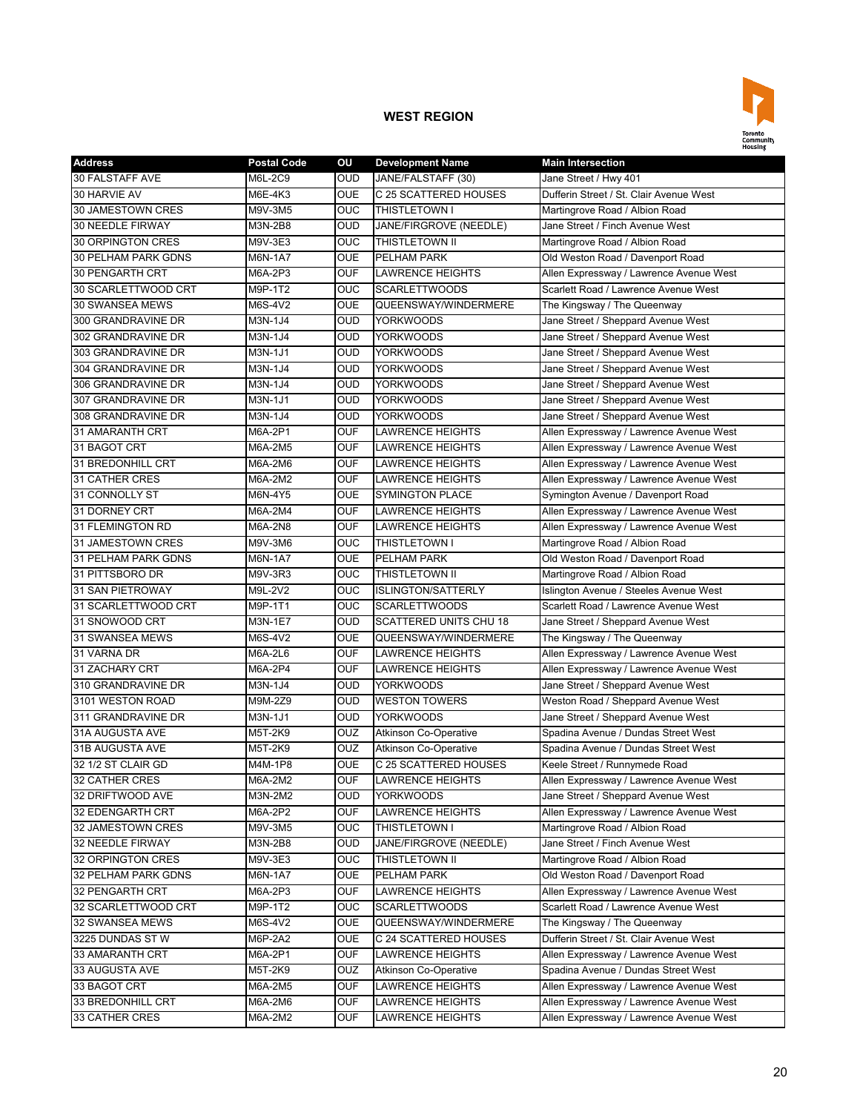

| <b>Address</b>      | <b>Postal Code</b> | ΟU             | <b>Development Name</b>       | <b>Main Intersection</b>                |
|---------------------|--------------------|----------------|-------------------------------|-----------------------------------------|
| 30 FALSTAFF AVE     | M6L-2C9            | <b>OUD</b>     | JANE/FALSTAFF (30)            | Jane Street / Hwy 401                   |
| 30 HARVIE AV        | M6E-4K3            | <b>OUE</b>     | C 25 SCATTERED HOUSES         | Dufferin Street / St. Clair Avenue West |
| 30 JAMESTOWN CRES   | M9V-3M5            | <b>OUC</b>     | THISTLETOWN I                 | Martingrove Road / Albion Road          |
| 30 NEEDLE FIRWAY    | M3N-2B8            | <b>OUD</b>     | JANE/FIRGROVE (NEEDLE)        | Jane Street / Finch Avenue West         |
| 30 ORPINGTON CRES   | M9V-3E3            | <b>OUC</b>     | THISTLETOWN II                | Martingrove Road / Albion Road          |
| 30 PELHAM PARK GDNS | M6N-1A7            | <b>OUE</b>     | PELHAM PARK                   | Old Weston Road / Davenport Road        |
| 30 PENGARTH CRT     | M6A-2P3            | <b>OUF</b>     | <b>LAWRENCE HEIGHTS</b>       | Allen Expressway / Lawrence Avenue West |
| 30 SCARLETTWOOD CRT | M9P-1T2            | OUC            | <b>SCARLETTWOODS</b>          | Scarlett Road / Lawrence Avenue West    |
| 30 SWANSEA MEWS     | M6S-4V2            | <b>OUE</b>     | QUEENSWAY/WINDERMERE          | The Kingsway / The Queenway             |
| 300 GRANDRAVINE DR  | M3N-1J4            | OUD            | <b>YORKWOODS</b>              | Jane Street / Sheppard Avenue West      |
| 302 GRANDRAVINE DR  | M3N-1J4            | OUD            | <b>YORKWOODS</b>              | Jane Street / Sheppard Avenue West      |
| 303 GRANDRAVINE DR  | M3N-1J1            | <b>OUD</b>     | <b>YORKWOODS</b>              | Jane Street / Sheppard Avenue West      |
| 304 GRANDRAVINE DR  | M3N-1J4            | <b>OUD</b>     | <b>YORKWOODS</b>              | Jane Street / Sheppard Avenue West      |
| 306 GRANDRAVINE DR  | M3N-1J4            | <b>OUD</b>     | <b>YORKWOODS</b>              | Jane Street / Sheppard Avenue West      |
| 307 GRANDRAVINE DR  | M3N-1J1            | <b>OUD</b>     | <b>YORKWOODS</b>              | Jane Street / Sheppard Avenue West      |
| 308 GRANDRAVINE DR  | M3N-1J4            | OUD            | <b>YORKWOODS</b>              | Jane Street / Sheppard Avenue West      |
| 31 AMARANTH CRT     | M6A-2P1            | OUF            | LAWRENCE HEIGHTS              | Allen Expressway / Lawrence Avenue West |
| 31 BAGOT CRT        | M6A-2M5            | <b>OUF</b>     | LAWRENCE HEIGHTS              | Allen Expressway / Lawrence Avenue West |
| 31 BREDONHILL CRT   | M6A-2M6            | OUF            | <b>LAWRENCE HEIGHTS</b>       | Allen Expressway / Lawrence Avenue West |
| 31 CATHER CRES      | M6A-2M2            | <b>OUF</b>     | <b>LAWRENCE HEIGHTS</b>       | Allen Expressway / Lawrence Avenue West |
| 31 CONNOLLY ST      | M6N-4Y5            | <b>OUE</b>     | <b>SYMINGTON PLACE</b>        | Symington Avenue / Davenport Road       |
| 31 DORNEY CRT       | M6A-2M4            | <b>OUF</b>     | <b>LAWRENCE HEIGHTS</b>       | Allen Expressway / Lawrence Avenue West |
| 31 FLEMINGTON RD    | M6A-2N8            | <b>OUF</b>     | <b>LAWRENCE HEIGHTS</b>       | Allen Expressway / Lawrence Avenue West |
| 31 JAMESTOWN CRES   | M9V-3M6            | OUC            | THISTLETOWN I                 | Martingrove Road / Albion Road          |
| 31 PELHAM PARK GDNS | M6N-1A7            | OUE            | PELHAM PARK                   | Old Weston Road / Davenport Road        |
| 31 PITTSBORO DR     | M9V-3R3            | <b>OUC</b>     | THISTLETOWN II                | Martingrove Road / Albion Road          |
| 31 SAN PIETROWAY    | M9L-2V2            | <b>OUC</b>     | <b>ISLINGTON/SATTERLY</b>     | Islington Avenue / Steeles Avenue West  |
| 31 SCARLETTWOOD CRT | M9P-1T1            | <b>OUC</b>     | <b>SCARLETTWOODS</b>          | Scarlett Road / Lawrence Avenue West    |
| 31 SNOWOOD CRT      | M3N-1E7            | <b>OUD</b>     | <b>SCATTERED UNITS CHU 18</b> | Jane Street / Sheppard Avenue West      |
| 31 SWANSEA MEWS     | M6S-4V2            | <b>OUE</b>     | QUEENSWAY/WINDERMERE          | The Kingsway / The Queenway             |
| 31 VARNA DR         | M6A-2L6            | <b>OUF</b>     | <b>LAWRENCE HEIGHTS</b>       | Allen Expressway / Lawrence Avenue West |
| 31 ZACHARY CRT      | M6A-2P4            | <b>OUF</b>     | <b>LAWRENCE HEIGHTS</b>       | Allen Expressway / Lawrence Avenue West |
| 310 GRANDRAVINE DR  | M3N-1J4            | OUD            | <b>YORKWOODS</b>              | Jane Street / Sheppard Avenue West      |
| 3101 WESTON ROAD    | M9M-2Z9            | OUD            | <b>WESTON TOWERS</b>          | Weston Road / Sheppard Avenue West      |
| 311 GRANDRAVINE DR  | M3N-1J1            | OUD            | <b>YORKWOODS</b>              | Jane Street / Sheppard Avenue West      |
| 31A AUGUSTA AVE     | M5T-2K9            | OUZ            | <b>Atkinson Co-Operative</b>  | Spadina Avenue / Dundas Street West     |
| 31B AUGUSTA AVE     | M5T-2K9            | OUZ            | <b>Atkinson Co-Operative</b>  | Spadina Avenue / Dundas Street West     |
| 32 1/2 ST CLAIR GD  | M4M-1P8            | <b>OUE</b>     | C 25 SCATTERED HOUSES         | Keele Street / Runnymede Road           |
| 32 CATHER CRES      | M6A-2M2            | <b>OUF</b>     | <b>LAWRENCE HEIGHTS</b>       | Allen Expressway / Lawrence Avenue West |
| 32 DRIFTWOOD AVE    | M3N-2M2            | <b>OUD</b>     | <b>YORKWOODS</b>              | Jane Street / Sheppard Avenue West      |
| 32 EDENGARTH CRT    | M6A-2P2            | OUF            | LAWRENCE HEIGHTS              | Allen Expressway / Lawrence Avenue West |
| 32 JAMESTOWN CRES   | M9V-3M5            | <b>OUC</b>     | THISTLETOWN I                 | Martingrove Road / Albion Road          |
| 32 NEEDLE FIRWAY    | M3N-2B8            | OUD.           | JANE/FIRGROVE (NEEDLE)        | Jane Street / Finch Avenue West         |
| 32 ORPINGTON CRES   | M9V-3E3            | $\overline{C}$ | THISTLETOWN II                | Martingrove Road / Albion Road          |
| 32 PELHAM PARK GDNS | M6N-1A7            | OUE            | PELHAM PARK                   | Old Weston Road / Davenport Road        |
| 32 PENGARTH CRT     | M6A-2P3            | <b>OUF</b>     | <b>LAWRENCE HEIGHTS</b>       | Allen Expressway / Lawrence Avenue West |
| 32 SCARLETTWOOD CRT | M9P-1T2            | <b>OUC</b>     | <b>SCARLETTWOODS</b>          | Scarlett Road / Lawrence Avenue West    |
| 32 SWANSEA MEWS     | M6S-4V2            | <b>OUE</b>     | QUEENSWAY/WINDERMERE          | The Kingsway / The Queenway             |
| 3225 DUNDAS STW     | M6P-2A2            | OUE            | C 24 SCATTERED HOUSES         | Dufferin Street / St. Clair Avenue West |
| 33 AMARANTH CRT     | M6A-2P1            | OUF            | LAWRENCE HEIGHTS              | Allen Expressway / Lawrence Avenue West |
| 33 AUGUSTA AVE      | M5T-2K9            | OUZ            | <b>Atkinson Co-Operative</b>  | Spadina Avenue / Dundas Street West     |
| 33 BAGOT CRT        | M6A-2M5            | <b>OUF</b>     | <b>LAWRENCE HEIGHTS</b>       | Allen Expressway / Lawrence Avenue West |
| 33 BREDONHILL CRT   | M6A-2M6            | OUF            | LAWRENCE HEIGHTS              | Allen Expressway / Lawrence Avenue West |
| 33 CATHER CRES      | M6A-2M2            | OUF            | LAWRENCE HEIGHTS              | Allen Expressway / Lawrence Avenue West |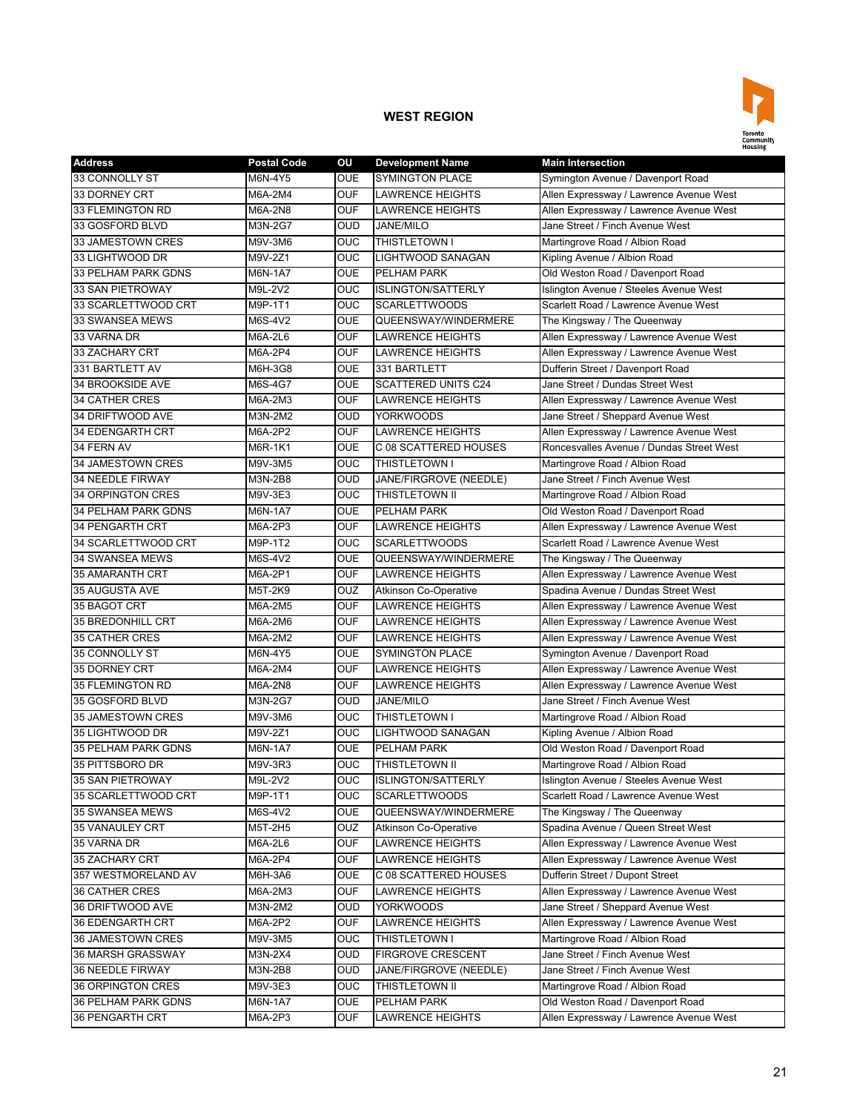

| <b>Address</b>        | <b>Postal Code</b> | OU         | <b>Development Name</b>      | <b>Main Intersection</b>                 |
|-----------------------|--------------------|------------|------------------------------|------------------------------------------|
| 33 CONNOLLY ST        | M6N-4Y5            | <b>OUE</b> | <b>SYMINGTON PLACE</b>       | Symington Avenue / Davenport Road        |
| 33 DORNEY CRT         | M6A-2M4            | <b>OUF</b> | <b>LAWRENCE HEIGHTS</b>      | Allen Expressway / Lawrence Avenue West  |
| 33 FLEMINGTON RD      | M6A-2N8            | <b>OUF</b> | <b>LAWRENCE HEIGHTS</b>      | Allen Expressway / Lawrence Avenue West  |
| 33 GOSFORD BLVD       | M3N-2G7            | <b>OUD</b> | <b>JANE/MILO</b>             | Jane Street / Finch Avenue West          |
| 33 JAMESTOWN CRES     | M9V-3M6            | <b>OUC</b> | THISTLETOWN I                | Martingrove Road / Albion Road           |
| 33 LIGHTWOOD DR       | M9V-2Z1            | OUC        | <b>LIGHTWOOD SANAGAN</b>     | Kipling Avenue / Albion Road             |
| 33 PELHAM PARK GDNS   | M6N-1A7            | <b>OUE</b> | PELHAM PARK                  | Old Weston Road / Davenport Road         |
| 33 SAN PIETROWAY      | M9L-2V2            | <b>OUC</b> | <b>ISLINGTON/SATTERLY</b>    | Islington Avenue / Steeles Avenue West   |
| 33 SCARLETTWOOD CRT   | M9P-1T1            | <b>OUC</b> | <b>SCARLETTWOODS</b>         | Scarlett Road / Lawrence Avenue West     |
| 33 SWANSEA MEWS       | M6S-4V2            | <b>OUE</b> | QUEENSWAY/WINDERMERE         | The Kingsway / The Queenway              |
| 33 VARNA DR           | M6A-2L6            | <b>OUF</b> | <b>LAWRENCE HEIGHTS</b>      | Allen Expressway / Lawrence Avenue West  |
| 33 ZACHARY CRT        | M6A-2P4            | <b>OUF</b> | <b>LAWRENCE HEIGHTS</b>      | Allen Expressway / Lawrence Avenue West  |
| 331 BARTLETT AV       | M6H-3G8            | <b>OUE</b> | 331 BARTLETT                 | Dufferin Street / Davenport Road         |
| 34 BROOKSIDE AVE      | M6S-4G7            | <b>OUE</b> | <b>SCATTERED UNITS C24</b>   | Jane Street / Dundas Street West         |
| <b>34 CATHER CRES</b> | M6A-2M3            | <b>OUF</b> | <b>LAWRENCE HEIGHTS</b>      | Allen Expressway / Lawrence Avenue West  |
| 34 DRIFTWOOD AVE      | M3N-2M2            | <b>OUD</b> | <b>YORKWOODS</b>             | Jane Street / Sheppard Avenue West       |
| 34 EDENGARTH CRT      | M6A-2P2            | <b>OUF</b> | <b>LAWRENCE HEIGHTS</b>      | Allen Expressway / Lawrence Avenue West  |
| 34 FERN AV            | M6R-1K1            | <b>OUE</b> | C 08 SCATTERED HOUSES        | Roncesvalles Avenue / Dundas Street West |
| 34 JAMESTOWN CRES     | M9V-3M5            | <b>OUC</b> | THISTLETOWN I                | Martingrove Road / Albion Road           |
| 34 NEEDLE FIRWAY      | M3N-2B8            | <b>OUD</b> | JANE/FIRGROVE (NEEDLE)       | Jane Street / Finch Avenue West          |
| 34 ORPINGTON CRES     | M9V-3E3            | <b>OUC</b> | THISTLETOWN II               | Martingrove Road / Albion Road           |
| 34 PELHAM PARK GDNS   | M6N-1A7            | <b>OUE</b> | PELHAM PARK                  | Old Weston Road / Davenport Road         |
| 34 PENGARTH CRT       | M6A-2P3            | <b>OUF</b> | <b>LAWRENCE HEIGHTS</b>      | Allen Expressway / Lawrence Avenue West  |
| 34 SCARLETTWOOD CRT   | M9P-1T2            | <b>OUC</b> | <b>SCARLETTWOODS</b>         | Scarlett Road / Lawrence Avenue West     |
| 34 SWANSEA MEWS       | M6S-4V2            | <b>OUE</b> | QUEENSWAY/WINDERMERE         | The Kingsway / The Queenway              |
| 35 AMARANTH CRT       | M6A-2P1            | <b>OUF</b> | <b>LAWRENCE HEIGHTS</b>      | Allen Expressway / Lawrence Avenue West  |
| 35 AUGUSTA AVE        | M5T-2K9            | OUZ        | <b>Atkinson Co-Operative</b> | Spadina Avenue / Dundas Street West      |
| 35 BAGOT CRT          | M6A-2M5            | <b>OUF</b> | <b>LAWRENCE HEIGHTS</b>      | Allen Expressway / Lawrence Avenue West  |
| 35 BREDONHILL CRT     | M6A-2M6            | <b>OUF</b> | <b>LAWRENCE HEIGHTS</b>      | Allen Expressway / Lawrence Avenue West  |
| <b>35 CATHER CRES</b> | M6A-2M2            | <b>OUF</b> | <b>LAWRENCE HEIGHTS</b>      | Allen Expressway / Lawrence Avenue West  |
| 35 CONNOLLY ST        | M6N-4Y5            | <b>OUE</b> | <b>SYMINGTON PLACE</b>       | Symington Avenue / Davenport Road        |
| 35 DORNEY CRT         | M6A-2M4            | <b>OUF</b> | LAWRENCE HEIGHTS             | Allen Expressway / Lawrence Avenue West  |
| 35 FLEMINGTON RD      | M6A-2N8            | <b>OUF</b> | <b>LAWRENCE HEIGHTS</b>      | Allen Expressway / Lawrence Avenue West  |
| 35 GOSFORD BLVD       | M3N-2G7            | <b>OUD</b> | <b>JANE/MILO</b>             | Jane Street / Finch Avenue West          |
| 35 JAMESTOWN CRES     | M9V-3M6            | <b>OUC</b> | THISTLETOWN I                | Martingrove Road / Albion Road           |
| 35 LIGHTWOOD DR       | M9V-2Z1            | <b>OUC</b> | LIGHTWOOD SANAGAN            | Kipling Avenue / Albion Road             |
| 35 PELHAM PARK GDNS   | M6N-1A7            | <b>OUE</b> | PELHAM PARK                  | Old Weston Road / Davenport Road         |
| 35 PITTSBORO DR       | M9V-3R3            | <b>OUC</b> | THISTLETOWN II               | Martingrove Road / Albion Road           |
| 35 SAN PIETROWAY      | M9L-2V2            | <b>OUC</b> | <b>ISLINGTON/SATTERLY</b>    | Islington Avenue / Steeles Avenue West   |
| 35 SCARLETTWOOD CRT   | M9P-1T1            | <b>OUC</b> | <b>SCARLETTWOODS</b>         | Scarlett Road / Lawrence Avenue West     |
| 35 SWANSEA MEWS       | M6S-4V2            | <b>OUE</b> | QUEENSWAY/WINDERMERE         | The Kingsway / The Queenway              |
| 35 VANAULEY CRT       | M5T-2H5            | <b>OUZ</b> | <b>Atkinson Co-Operative</b> | Spadina Avenue / Queen Street West       |
| 35 VARNA DR           | M6A-2L6            | <b>OUF</b> | <b>LAWRENCE HEIGHTS</b>      | Allen Expressway / Lawrence Avenue West  |
| 35 ZACHARY CRT        | M6A-2P4            | <b>OUF</b> | <b>LAWRENCE HEIGHTS</b>      | Allen Expressway / Lawrence Avenue West  |
| 357 WESTMORELAND AV   | M6H-3A6            | <b>OUE</b> | C 08 SCATTERED HOUSES        | Dufferin Street / Dupont Street          |
| 36 CATHER CRES        | M6A-2M3            | <b>OUF</b> | <b>LAWRENCE HEIGHTS</b>      | Allen Expressway / Lawrence Avenue West  |
| 36 DRIFTWOOD AVE      | M3N-2M2            | <b>OUD</b> | <b>YORKWOODS</b>             | Jane Street / Sheppard Avenue West       |
| 36 EDENGARTH CRT      | M6A-2P2            | <b>OUF</b> | LAWRENCE HEIGHTS             | Allen Expressway / Lawrence Avenue West  |
| 36 JAMESTOWN CRES     | M9V-3M5            | <b>OUC</b> | THISTLETOWN I                | Martingrove Road / Albion Road           |
| 36 MARSH GRASSWAY     | M3N-2X4            | <b>OUD</b> | <b>FIRGROVE CRESCENT</b>     | Jane Street / Finch Avenue West          |
| 36 NEEDLE FIRWAY      | M3N-2B8            | <b>OUD</b> | JANE/FIRGROVE (NEEDLE)       | Jane Street / Finch Avenue West          |
| 36 ORPINGTON CRES     | M9V-3E3            | <b>OUC</b> | THISTLETOWN II               | Martingrove Road / Albion Road           |
| 36 PELHAM PARK GDNS   | M6N-1A7            | <b>OUE</b> | PELHAM PARK                  | Old Weston Road / Davenport Road         |
| 36 PENGARTH CRT       | M6A-2P3            | <b>OUF</b> | LAWRENCE HEIGHTS             | Allen Expressway / Lawrence Avenue West  |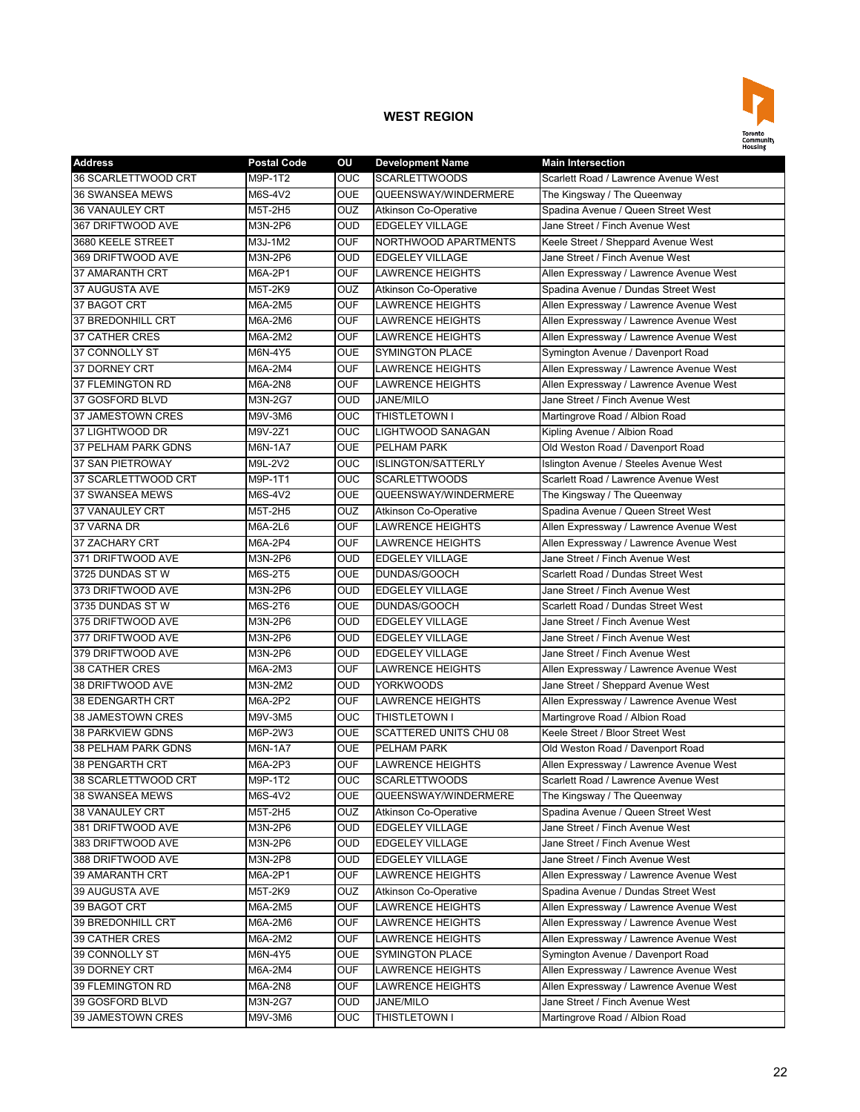

| <b>Address</b>         | <b>Postal Code</b> | ΟU             | <b>Development Name</b>       | <b>Main Intersection</b>                |
|------------------------|--------------------|----------------|-------------------------------|-----------------------------------------|
| 36 SCARLETTWOOD CRT    | M9P-1T2            | <b>OUC</b>     | <b>SCARLETTWOODS</b>          | Scarlett Road / Lawrence Avenue West    |
| 36 SWANSEA MEWS        | M6S-4V2            | <b>OUE</b>     | QUEENSWAY/WINDERMERE          | The Kingsway / The Queenway             |
| <b>36 VANAULEY CRT</b> | M5T-2H5            | OUZ            | Atkinson Co-Operative         | Spadina Avenue / Queen Street West      |
| 367 DRIFTWOOD AVE      | M3N-2P6            | <b>OUD</b>     | <b>EDGELEY VILLAGE</b>        | Jane Street / Finch Avenue West         |
| 3680 KEELE STREET      | M3J-1M2            | <b>OUF</b>     | NORTHWOOD APARTMENTS          | Keele Street / Sheppard Avenue West     |
| 369 DRIFTWOOD AVE      | M3N-2P6            | <b>OUD</b>     | <b>EDGELEY VILLAGE</b>        | Jane Street / Finch Avenue West         |
| 37 AMARANTH CRT        | M6A-2P1            | <b>OUF</b>     | <b>LAWRENCE HEIGHTS</b>       | Allen Expressway / Lawrence Avenue West |
| 37 AUGUSTA AVE         | M5T-2K9            | OUZ            | Atkinson Co-Operative         | Spadina Avenue / Dundas Street West     |
| 37 BAGOT CRT           | M6A-2M5            | <b>OUF</b>     | <b>LAWRENCE HEIGHTS</b>       | Allen Expressway / Lawrence Avenue West |
| 37 BREDONHILL CRT      | M6A-2M6            | <b>OUF</b>     | <b>LAWRENCE HEIGHTS</b>       | Allen Expressway / Lawrence Avenue West |
| <b>37 CATHER CRES</b>  | M6A-2M2            | <b>OUF</b>     | <b>LAWRENCE HEIGHTS</b>       | Allen Expressway / Lawrence Avenue West |
| 37 CONNOLLY ST         | M6N-4Y5            | <b>OUE</b>     | <b>SYMINGTON PLACE</b>        | Symington Avenue / Davenport Road       |
| 37 DORNEY CRT          | M6A-2M4            | <b>OUF</b>     | <b>LAWRENCE HEIGHTS</b>       | Allen Expressway / Lawrence Avenue West |
| 37 FLEMINGTON RD       | M6A-2N8            | <b>OUF</b>     | <b>LAWRENCE HEIGHTS</b>       | Allen Expressway / Lawrence Avenue West |
| 37 GOSFORD BLVD        | M3N-2G7            | <b>OUD</b>     | <b>JANE/MILO</b>              | Jane Street / Finch Avenue West         |
| 37 JAMESTOWN CRES      | M9V-3M6            | OUC            | THISTLETOWN I                 | Martingrove Road / Albion Road          |
| 37 LIGHTWOOD DR        | M9V-2Z1            | <b>OUC</b>     | <b>LIGHTWOOD SANAGAN</b>      | Kipling Avenue / Albion Road            |
| 37 PELHAM PARK GDNS    | M6N-1A7            | <b>OUE</b>     | PELHAM PARK                   | Old Weston Road / Davenport Road        |
| 37 SAN PIETROWAY       | M9L-2V2            | <b>OUC</b>     | <b>ISLINGTON/SATTERLY</b>     | Islington Avenue / Steeles Avenue West  |
| 37 SCARLETTWOOD CRT    | M9P-1T1            | <b>OUC</b>     | <b>SCARLETTWOODS</b>          | Scarlett Road / Lawrence Avenue West    |
| 37 SWANSEA MEWS        | M6S-4V2            | <b>OUE</b>     | QUEENSWAY/WINDERMERE          | The Kingsway / The Queenway             |
| <b>37 VANAULEY CRT</b> | M5T-2H5            | <b>OUZ</b>     | <b>Atkinson Co-Operative</b>  | Spadina Avenue / Queen Street West      |
| 37 VARNA DR            | M6A-2L6            | <b>OUF</b>     | <b>LAWRENCE HEIGHTS</b>       | Allen Expressway / Lawrence Avenue West |
| 37 ZACHARY CRT         | M6A-2P4            | <b>OUF</b>     | <b>LAWRENCE HEIGHTS</b>       | Allen Expressway / Lawrence Avenue West |
| 371 DRIFTWOOD AVE      | M3N-2P6            | <b>OUD</b>     | <b>EDGELEY VILLAGE</b>        | Jane Street / Finch Avenue West         |
| 3725 DUNDAS ST W       | M6S-2T5            | <b>OUE</b>     | DUNDAS/GOOCH                  | Scarlett Road / Dundas Street West      |
| 373 DRIFTWOOD AVE      | M3N-2P6            | <b>OUD</b>     | <b>EDGELEY VILLAGE</b>        | Jane Street / Finch Avenue West         |
| 3735 DUNDAS ST W       | M6S-2T6            | <b>OUE</b>     | DUNDAS/GOOCH                  | Scarlett Road / Dundas Street West      |
| 375 DRIFTWOOD AVE      | M3N-2P6            | <b>OUD</b>     | <b>EDGELEY VILLAGE</b>        | Jane Street / Finch Avenue West         |
| 377 DRIFTWOOD AVE      | M3N-2P6            | <b>OUD</b>     | <b>EDGELEY VILLAGE</b>        | Jane Street / Finch Avenue West         |
| 379 DRIFTWOOD AVE      | M3N-2P6            | <b>OUD</b>     | <b>EDGELEY VILLAGE</b>        | Jane Street / Finch Avenue West         |
| 38 CATHER CRES         | M6A-2M3            | <b>OUF</b>     | <b>LAWRENCE HEIGHTS</b>       | Allen Expressway / Lawrence Avenue West |
| 38 DRIFTWOOD AVE       | M3N-2M2            | <b>OUD</b>     | <b>YORKWOODS</b>              | Jane Street / Sheppard Avenue West      |
| 38 EDENGARTH CRT       | M6A-2P2            | <b>OUF</b>     | <b>LAWRENCE HEIGHTS</b>       | Allen Expressway / Lawrence Avenue West |
| 38 JAMESTOWN CRES      | M9V-3M5            | <b>OUC</b>     | THISTLETOWN I                 | Martingrove Road / Albion Road          |
| 38 PARKVIEW GDNS       | M6P-2W3            | <b>OUE</b>     | <b>SCATTERED UNITS CHU 08</b> | Keele Street / Bloor Street West        |
| 38 PELHAM PARK GDNS    | M6N-1A7            | <b>OUE</b>     | PELHAM PARK                   | Old Weston Road / Davenport Road        |
| 38 PENGARTH CRT        | M6A-2P3            | <b>OUF</b>     | <b>LAWRENCE HEIGHTS</b>       | Allen Expressway / Lawrence Avenue West |
| 38 SCARLETTWOOD CRT    | M9P-1T2            | O <sub>0</sub> | <b>SCARLETTWOODS</b>          | Scarlett Road / Lawrence Avenue West    |
| 38 SWANSEA MEWS        | M6S-4V2            | <b>OUE</b>     | QUEENSWAY/WINDERMERE          | The Kingsway / The Queenway             |
| 38 VANAULEY CRT        | M5T-2H5            | <b>OUZ</b>     | Atkinson Co-Operative         | Spadina Avenue / Queen Street West      |
| 381 DRIFTWOOD AVE      | M3N-2P6            | <b>OUD</b>     | <b>EDGELEY VILLAGE</b>        | Jane Street / Finch Avenue West         |
| 383 DRIFTWOOD AVE      | M3N-2P6            | <b>OUD</b>     | <b>EDGELEY VILLAGE</b>        | Jane Street / Finch Avenue West         |
| 388 DRIFTWOOD AVE      | M3N-2P8            | <b>OUD</b>     | <b>EDGELEY VILLAGE</b>        | Jane Street / Finch Avenue West         |
| 39 AMARANTH CRT        | M6A-2P1            | <b>OUF</b>     | <b>LAWRENCE HEIGHTS</b>       | Allen Expressway / Lawrence Avenue West |
| 39 AUGUSTA AVE         | M5T-2K9            | <b>OUZ</b>     | <b>Atkinson Co-Operative</b>  | Spadina Avenue / Dundas Street West     |
| 39 BAGOT CRT           | M6A-2M5            | <b>OUF</b>     | <b>LAWRENCE HEIGHTS</b>       | Allen Expressway / Lawrence Avenue West |
| 39 BREDONHILL CRT      | M6A-2M6            | <b>OUF</b>     | <b>LAWRENCE HEIGHTS</b>       | Allen Expressway / Lawrence Avenue West |
| 39 CATHER CRES         | M6A-2M2            | <b>OUF</b>     | LAWRENCE HEIGHTS              | Allen Expressway / Lawrence Avenue West |
| 39 CONNOLLY ST         | M6N-4Y5            | <b>OUE</b>     | SYMINGTON PLACE               | Symington Avenue / Davenport Road       |
| 39 DORNEY CRT          | M6A-2M4            | <b>OUF</b>     | LAWRENCE HEIGHTS              | Allen Expressway / Lawrence Avenue West |
| 39 FLEMINGTON RD       | M6A-2N8            | <b>OUF</b>     | <b>LAWRENCE HEIGHTS</b>       | Allen Expressway / Lawrence Avenue West |
| 39 GOSFORD BLVD        | M3N-2G7            | <b>OUD</b>     | <b>JANE/MILO</b>              | Jane Street / Finch Avenue West         |
| 39 JAMESTOWN CRES      | M9V-3M6            | <b>OUC</b>     | THISTLETOWN I                 | Martingrove Road / Albion Road          |
|                        |                    |                |                               |                                         |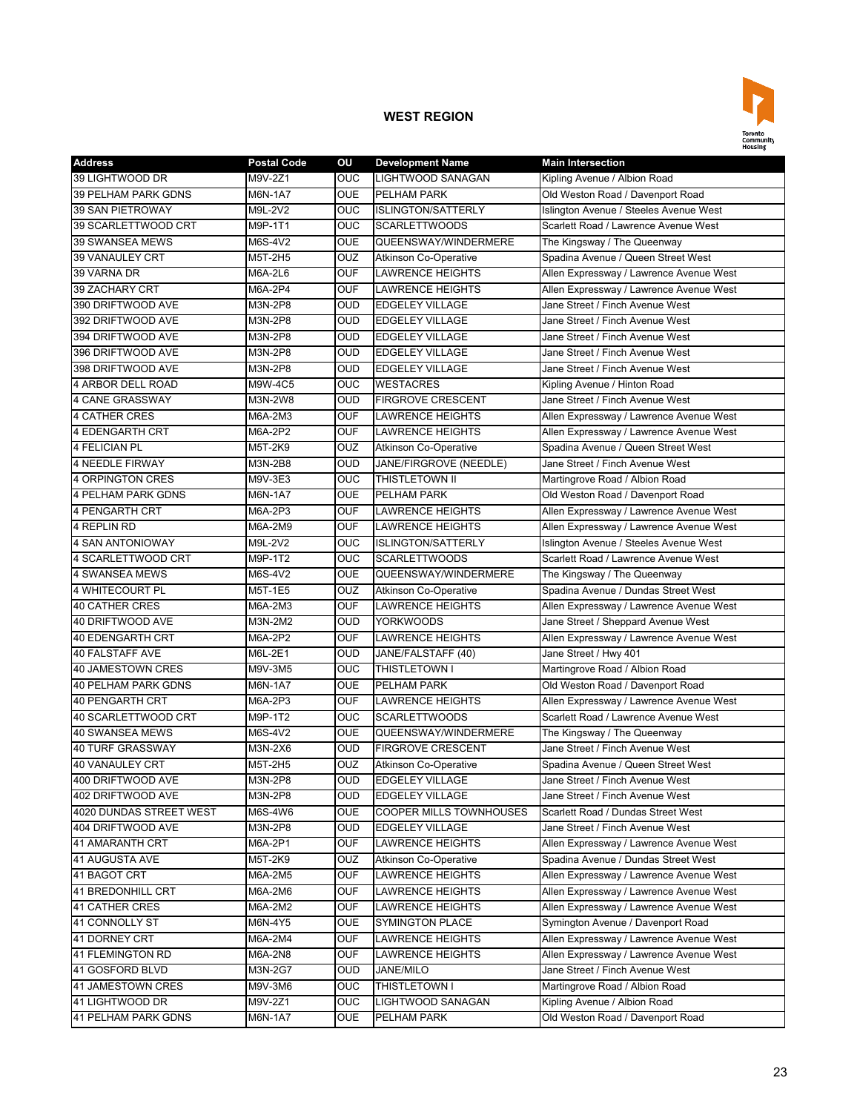

| <b>Address</b>             | <b>Postal Code</b> | ΟU         | <b>Development Name</b>      | <b>Main Intersection</b>                |
|----------------------------|--------------------|------------|------------------------------|-----------------------------------------|
| 39 LIGHTWOOD DR            | M9V-2Z1            | <b>OUC</b> | <b>LIGHTWOOD SANAGAN</b>     | Kipling Avenue / Albion Road            |
| <b>39 PELHAM PARK GDNS</b> | M6N-1A7            | <b>OUE</b> | <b>PELHAM PARK</b>           | Old Weston Road / Davenport Road        |
| 39 SAN PIETROWAY           | M9L-2V2            | <b>OUC</b> | <b>ISLINGTON/SATTERLY</b>    | Islington Avenue / Steeles Avenue West  |
| 39 SCARLETTWOOD CRT        | M9P-1T1            | <b>OUC</b> | <b>SCARLETTWOODS</b>         | Scarlett Road / Lawrence Avenue West    |
| 39 SWANSEA MEWS            | M6S-4V2            | <b>OUE</b> | QUEENSWAY/WINDERMERE         | The Kingsway / The Queenway             |
| <b>39 VANAULEY CRT</b>     | M5T-2H5            | OUZ        | <b>Atkinson Co-Operative</b> | Spadina Avenue / Queen Street West      |
| 39 VARNA DR                | M6A-2L6            | <b>OUF</b> | <b>LAWRENCE HEIGHTS</b>      | Allen Expressway / Lawrence Avenue West |
| 39 ZACHARY CRT             | M6A-2P4            | <b>OUF</b> | <b>LAWRENCE HEIGHTS</b>      | Allen Expressway / Lawrence Avenue West |
| 390 DRIFTWOOD AVE          | M3N-2P8            | <b>OUD</b> | <b>EDGELEY VILLAGE</b>       | Jane Street / Finch Avenue West         |
| 392 DRIFTWOOD AVE          | M3N-2P8            | <b>OUD</b> | <b>EDGELEY VILLAGE</b>       | Jane Street / Finch Avenue West         |
| 394 DRIFTWOOD AVE          | M3N-2P8            | <b>OUD</b> | <b>EDGELEY VILLAGE</b>       | Jane Street / Finch Avenue West         |
| 396 DRIFTWOOD AVE          | M3N-2P8            | <b>OUD</b> | <b>EDGELEY VILLAGE</b>       | Jane Street / Finch Avenue West         |
| 398 DRIFTWOOD AVE          | M3N-2P8            | <b>OUD</b> | <b>EDGELEY VILLAGE</b>       | Jane Street / Finch Avenue West         |
| 4 ARBOR DELL ROAD          | M9W-4C5            | <b>OUC</b> | <b>WESTACRES</b>             | Kipling Avenue / Hinton Road            |
| <b>4 CANE GRASSWAY</b>     | M3N-2W8            | <b>OUD</b> | <b>FIRGROVE CRESCENT</b>     | Jane Street / Finch Avenue West         |
| <b>4 CATHER CRES</b>       | M6A-2M3            | <b>OUF</b> | <b>LAWRENCE HEIGHTS</b>      | Allen Expressway / Lawrence Avenue West |
| <b>4 EDENGARTH CRT</b>     | M6A-2P2            | <b>OUF</b> | <b>LAWRENCE HEIGHTS</b>      | Allen Expressway / Lawrence Avenue West |
| <b>4 FELICIAN PL</b>       | M5T-2K9            | OUZ        | <b>Atkinson Co-Operative</b> | Spadina Avenue / Queen Street West      |
| <b>4 NEEDLE FIRWAY</b>     | M3N-2B8            | <b>OUD</b> | JANE/FIRGROVE (NEEDLE)       | Jane Street / Finch Avenue West         |
| 4 ORPINGTON CRES           | M9V-3E3            | OUC        | THISTLETOWN II               | Martingrove Road / Albion Road          |
| <b>4 PELHAM PARK GDNS</b>  | <b>M6N-1A7</b>     | <b>OUE</b> | <b>PELHAM PARK</b>           | Old Weston Road / Davenport Road        |
| 4 PENGARTH CRT             | M6A-2P3            | <b>OUF</b> | <b>LAWRENCE HEIGHTS</b>      | Allen Expressway / Lawrence Avenue West |
| 4 REPLIN RD                | M6A-2M9            | <b>OUF</b> | <b>LAWRENCE HEIGHTS</b>      | Allen Expressway / Lawrence Avenue West |
| 4 SAN ANTONIOWAY           | M9L-2V2            | OUC        | <b>ISLINGTON/SATTERLY</b>    | Islington Avenue / Steeles Avenue West  |
| 4 SCARLETTWOOD CRT         | M9P-1T2            | <b>OUC</b> | <b>SCARLETTWOODS</b>         | Scarlett Road / Lawrence Avenue West    |
| 4 SWANSEA MEWS             | M6S-4V2            | <b>OUE</b> | QUEENSWAY/WINDERMERE         | The Kingsway / The Queenway             |
| 4 WHITECOURT PL            | M5T-1E5            | OUZ        | <b>Atkinson Co-Operative</b> | Spadina Avenue / Dundas Street West     |
| <b>40 CATHER CRES</b>      | M6A-2M3            | <b>OUF</b> | <b>LAWRENCE HEIGHTS</b>      | Allen Expressway / Lawrence Avenue West |
| 40 DRIFTWOOD AVE           | M3N-2M2            | <b>OUD</b> | <b>YORKWOODS</b>             | Jane Street / Sheppard Avenue West      |
| 40 EDENGARTH CRT           | M6A-2P2            | <b>OUF</b> | <b>LAWRENCE HEIGHTS</b>      | Allen Expressway / Lawrence Avenue West |
| <b>40 FALSTAFF AVE</b>     | M6L-2E1            | <b>OUD</b> | JANE/FALSTAFF (40)           | Jane Street / Hwy 401                   |
| <b>40 JAMESTOWN CRES</b>   | M9V-3M5            | <b>OUC</b> | THISTLETOWN I                | Martingrove Road / Albion Road          |
| 40 PELHAM PARK GDNS        | M6N-1A7            | <b>OUE</b> | PELHAM PARK                  | Old Weston Road / Davenport Road        |
| <b>40 PENGARTH CRT</b>     | M6A-2P3            | <b>OUF</b> | <b>LAWRENCE HEIGHTS</b>      | Allen Expressway / Lawrence Avenue West |
| 40 SCARLETTWOOD CRT        | M9P-1T2            | <b>OUC</b> | <b>SCARLETTWOODS</b>         | Scarlett Road / Lawrence Avenue West    |
| <b>40 SWANSEA MEWS</b>     | M6S-4V2            | <b>OUE</b> | QUEENSWAY/WINDERMERE         | The Kingsway / The Queenway             |
| <b>40 TURF GRASSWAY</b>    | M3N-2X6            | <b>OUD</b> | <b>FIRGROVE CRESCENT</b>     | Jane Street / Finch Avenue West         |
| <b>40 VANAULEY CRT</b>     | M5T-2H5            | OUZ        | <b>Atkinson Co-Operative</b> | Spadina Avenue / Queen Street West      |
| 400 DRIFTWOOD AVE          | M3N-2P8            | <b>OUD</b> | <b>EDGELEY VILLAGE</b>       | Jane Street / Finch Avenue West         |
| 402 DRIFTWOOD AVE          | M3N-2P8            | <b>OUD</b> | <b>EDGELEY VILLAGE</b>       | Jane Street / Finch Avenue West         |
| 4020 DUNDAS STREET WEST    | M6S-4W6            | <b>OUE</b> | COOPER MILLS TOWNHOUSES      | Scarlett Road / Dundas Street West      |
| 404 DRIFTWOOD AVE          | M3N-2P8            | <b>OUD</b> | <b>EDGELEY VILLAGE</b>       | Jane Street / Finch Avenue West         |
| 41 AMARANTH CRT            | M6A-2P1            | <b>OUF</b> | <b>LAWRENCE HEIGHTS</b>      | Allen Expressway / Lawrence Avenue West |
| 41 AUGUSTA AVE             | M5T-2K9            | <b>OUZ</b> | Atkinson Co-Operative        | Spadina Avenue / Dundas Street West     |
| 41 BAGOT CRT               | M6A-2M5            | <b>OUF</b> | <b>LAWRENCE HEIGHTS</b>      | Allen Expressway / Lawrence Avenue West |
| <b>41 BREDONHILL CRT</b>   | M6A-2M6            | <b>OUF</b> | <b>LAWRENCE HEIGHTS</b>      | Allen Expressway / Lawrence Avenue West |
| <b>41 CATHER CRES</b>      | M6A-2M2            | <b>OUF</b> | <b>LAWRENCE HEIGHTS</b>      | Allen Expressway / Lawrence Avenue West |
| 41 CONNOLLY ST             | M6N-4Y5            | OUE        | <b>SYMINGTON PLACE</b>       | Symington Avenue / Davenport Road       |
| 41 DORNEY CRT              | M6A-2M4            | OUF        | LAWRENCE HEIGHTS             | Allen Expressway / Lawrence Avenue West |
| 41 FLEMINGTON RD           | M6A-2N8            | <b>OUF</b> | <b>LAWRENCE HEIGHTS</b>      | Allen Expressway / Lawrence Avenue West |
| 41 GOSFORD BLVD            | M3N-2G7            | OUD        | JANE/MILO                    | Jane Street / Finch Avenue West         |
| 41 JAMESTOWN CRES          | M9V-3M6            | OUC        | THISTLETOWN I                | Martingrove Road / Albion Road          |
| 41 LIGHTWOOD DR            | M9V-2Z1            | OUC        | LIGHTWOOD SANAGAN            | Kipling Avenue / Albion Road            |
| 41 PELHAM PARK GDNS        | M6N-1A7            | <b>OUE</b> | PELHAM PARK                  | Old Weston Road / Davenport Road        |
|                            |                    |            |                              |                                         |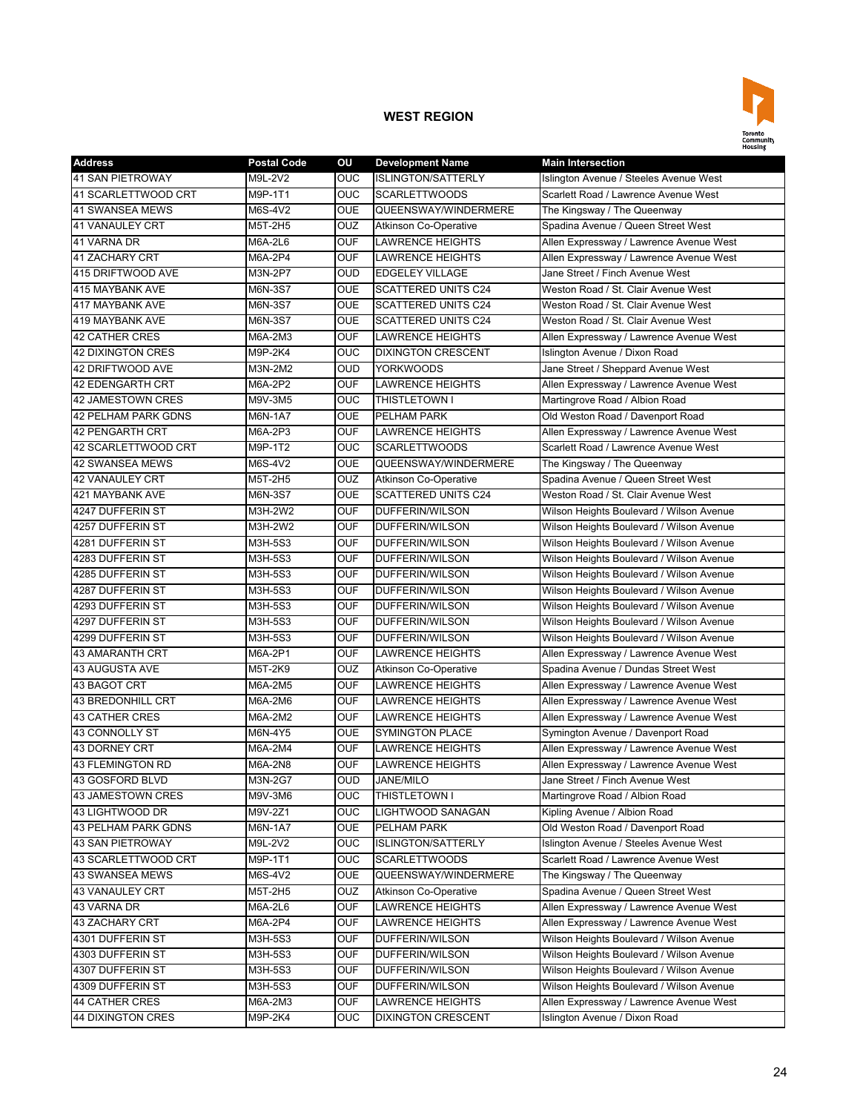

| <b>Address</b>             | <b>Postal Code</b> | OU         | <b>Development Name</b>      | <b>Main Intersection</b>                 |
|----------------------------|--------------------|------------|------------------------------|------------------------------------------|
| <b>41 SAN PIETROWAY</b>    | M9L-2V2            | <b>OUC</b> | <b>ISLINGTON/SATTERLY</b>    | Islington Avenue / Steeles Avenue West   |
| 41 SCARLETTWOOD CRT        | M9P-1T1            | <b>OUC</b> | <b>SCARLETTWOODS</b>         | Scarlett Road / Lawrence Avenue West     |
| 41 SWANSEA MEWS            | M6S-4V2            | <b>OUE</b> | QUEENSWAY/WINDERMERE         | The Kingsway / The Queenway              |
| <b>41 VANAULEY CRT</b>     | M5T-2H5            | <b>OUZ</b> | <b>Atkinson Co-Operative</b> | Spadina Avenue / Queen Street West       |
| 41 VARNA DR                | M6A-2L6            | <b>OUF</b> | <b>LAWRENCE HEIGHTS</b>      | Allen Expressway / Lawrence Avenue West  |
| 41 ZACHARY CRT             | M6A-2P4            | <b>OUF</b> | <b>LAWRENCE HEIGHTS</b>      | Allen Expressway / Lawrence Avenue West  |
| 415 DRIFTWOOD AVE          | M3N-2P7            | <b>OUD</b> | <b>EDGELEY VILLAGE</b>       | Jane Street / Finch Avenue West          |
| 415 MAYBANK AVE            | M6N-3S7            | <b>OUE</b> | <b>SCATTERED UNITS C24</b>   | Weston Road / St. Clair Avenue West      |
| 417 MAYBANK AVE            | M6N-3S7            | <b>OUE</b> | <b>SCATTERED UNITS C24</b>   | Weston Road / St. Clair Avenue West      |
| <b>419 MAYBANK AVE</b>     | M6N-3S7            | <b>OUE</b> | <b>SCATTERED UNITS C24</b>   | Weston Road / St. Clair Avenue West      |
| <b>42 CATHER CRES</b>      | M6A-2M3            | <b>OUF</b> | <b>LAWRENCE HEIGHTS</b>      | Allen Expressway / Lawrence Avenue West  |
| <b>42 DIXINGTON CRES</b>   | M9P-2K4            | OUC        | <b>DIXINGTON CRESCENT</b>    | Islington Avenue / Dixon Road            |
| 42 DRIFTWOOD AVE           | M3N-2M2            | <b>OUD</b> | <b>YORKWOODS</b>             | Jane Street / Sheppard Avenue West       |
| <b>42 EDENGARTH CRT</b>    | M6A-2P2            | <b>OUF</b> | <b>LAWRENCE HEIGHTS</b>      | Allen Expressway / Lawrence Avenue West  |
| 42 JAMESTOWN CRES          | M9V-3M5            | <b>OUC</b> | THISTLETOWN I                | Martingrove Road / Albion Road           |
| 42 PELHAM PARK GDNS        | M6N-1A7            | <b>OUE</b> | PELHAM PARK                  | Old Weston Road / Davenport Road         |
| <b>42 PENGARTH CRT</b>     | M6A-2P3            | <b>OUF</b> | <b>LAWRENCE HEIGHTS</b>      | Allen Expressway / Lawrence Avenue West  |
| 42 SCARLETTWOOD CRT        | M9P-1T2            | <b>OUC</b> | <b>SCARLETTWOODS</b>         | Scarlett Road / Lawrence Avenue West     |
| <b>42 SWANSEA MEWS</b>     | M6S-4V2            | <b>OUE</b> | QUEENSWAY/WINDERMERE         | The Kingsway / The Queenway              |
| <b>42 VANAULEY CRT</b>     | M5T-2H5            | <b>OUZ</b> | <b>Atkinson Co-Operative</b> | Spadina Avenue / Queen Street West       |
| 421 MAYBANK AVE            | M6N-3S7            | <b>OUE</b> | <b>SCATTERED UNITS C24</b>   | Weston Road / St. Clair Avenue West      |
| 4247 DUFFERIN ST           | M3H-2W2            | <b>OUF</b> | DUFFERIN/WILSON              | Wilson Heights Boulevard / Wilson Avenue |
| 4257 DUFFERIN ST           | M3H-2W2            | <b>OUF</b> | DUFFERIN/WILSON              | Wilson Heights Boulevard / Wilson Avenue |
| 4281 DUFFERIN ST           | M3H-5S3            | <b>OUF</b> | DUFFERIN/WILSON              | Wilson Heights Boulevard / Wilson Avenue |
| 4283 DUFFERIN ST           | M3H-5S3            | <b>OUF</b> | DUFFERIN/WILSON              | Wilson Heights Boulevard / Wilson Avenue |
| 4285 DUFFERIN ST           | M3H-5S3            | <b>OUF</b> | DUFFERIN/WILSON              | Wilson Heights Boulevard / Wilson Avenue |
| 4287 DUFFERIN ST           | M3H-5S3            | <b>OUF</b> | DUFFERIN/WILSON              | Wilson Heights Boulevard / Wilson Avenue |
| 4293 DUFFERIN ST           | M3H-5S3            | <b>OUF</b> | DUFFERIN/WILSON              | Wilson Heights Boulevard / Wilson Avenue |
| 4297 DUFFERIN ST           | M3H-5S3            | <b>OUF</b> | DUFFERIN/WILSON              | Wilson Heights Boulevard / Wilson Avenue |
| 4299 DUFFERIN ST           | M3H-5S3            | <b>OUF</b> | <b>DUFFERIN/WILSON</b>       | Wilson Heights Boulevard / Wilson Avenue |
| <b>43 AMARANTH CRT</b>     | M6A-2P1            | <b>OUF</b> | <b>LAWRENCE HEIGHTS</b>      | Allen Expressway / Lawrence Avenue West  |
| <b>43 AUGUSTA AVE</b>      | M5T-2K9            | <b>OUZ</b> | Atkinson Co-Operative        | Spadina Avenue / Dundas Street West      |
| 43 BAGOT CRT               | M6A-2M5            | <b>OUF</b> | LAWRENCE HEIGHTS             | Allen Expressway / Lawrence Avenue West  |
| 43 BREDONHILL CRT          | M6A-2M6            | <b>OUF</b> | LAWRENCE HEIGHTS             | Allen Expressway / Lawrence Avenue West  |
| <b>43 CATHER CRES</b>      | M6A-2M2            | <b>OUF</b> | <b>LAWRENCE HEIGHTS</b>      | Allen Expressway / Lawrence Avenue West  |
| 43 CONNOLLY ST             | M6N-4Y5            | <b>OUE</b> | <b>SYMINGTON PLACE</b>       | Symington Avenue / Davenport Road        |
| 43 DORNEY CRT              | M6A-2M4            | <b>OUF</b> | <b>LAWRENCE HEIGHTS</b>      | Allen Expressway / Lawrence Avenue West  |
| 43 FLEMINGTON RD           | M6A-2N8            | <b>OUF</b> | <b>LAWRENCE HEIGHTS</b>      | Allen Expressway / Lawrence Avenue West  |
| 43 GOSFORD BLVD            | M3N-2G7            | <b>OUD</b> | <b>JANE/MILO</b>             | Jane Street / Finch Avenue West          |
| <b>43 JAMESTOWN CRES</b>   | M9V-3M6            | OUC        | THISTLETOWN I                | Martingrove Road / Albion Road           |
| 43 LIGHTWOOD DR            | M9V-2Z1            | <b>OUC</b> | LIGHTWOOD SANAGAN            | Kipling Avenue / Albion Road             |
| <b>43 PELHAM PARK GDNS</b> | M6N-1A7            | <b>OUE</b> | PELHAM PARK                  | Old Weston Road / Davenport Road         |
| <b>43 SAN PIETROWAY</b>    | M9L-2V2            | <b>OUC</b> | <b>ISLINGTON/SATTERLY</b>    | Islington Avenue / Steeles Avenue West   |
| 43 SCARLETTWOOD CRT        | M9P-1T1            | <b>OUC</b> | <b>SCARLETTWOODS</b>         | Scarlett Road / Lawrence Avenue West     |
| 43 SWANSEA MEWS            | M6S-4V2            | <b>OUE</b> | QUEENSWAY/WINDERMERE         | The Kingsway / The Queenway              |
| 43 VANAULEY CRT            | M5T-2H5            | <b>OUZ</b> | <b>Atkinson Co-Operative</b> | Spadina Avenue / Queen Street West       |
| 43 VARNA DR                | M6A-2L6            | <b>OUF</b> | <b>LAWRENCE HEIGHTS</b>      | Allen Expressway / Lawrence Avenue West  |
| 43 ZACHARY CRT             | M6A-2P4            | <b>OUF</b> | <b>LAWRENCE HEIGHTS</b>      | Allen Expressway / Lawrence Avenue West  |
| 4301 DUFFERIN ST           | M3H-5S3            | <b>OUF</b> | DUFFERIN/WILSON              | Wilson Heights Boulevard / Wilson Avenue |
| 4303 DUFFERIN ST           | M3H-5S3            | <b>OUF</b> | DUFFERIN/WILSON              | Wilson Heights Boulevard / Wilson Avenue |
| 4307 DUFFERIN ST           | M3H-5S3            | <b>OUF</b> | DUFFERIN/WILSON              | Wilson Heights Boulevard / Wilson Avenue |
| 4309 DUFFERIN ST           | M3H-5S3            | <b>OUF</b> | DUFFERIN/WILSON              | Wilson Heights Boulevard / Wilson Avenue |
| <b>44 CATHER CRES</b>      | M6A-2M3            | <b>OUF</b> | LAWRENCE HEIGHTS             | Allen Expressway / Lawrence Avenue West  |
| <b>44 DIXINGTON CRES</b>   | <b>M9P-2K4</b>     | <b>OUC</b> | <b>DIXINGTON CRESCENT</b>    | Islington Avenue / Dixon Road            |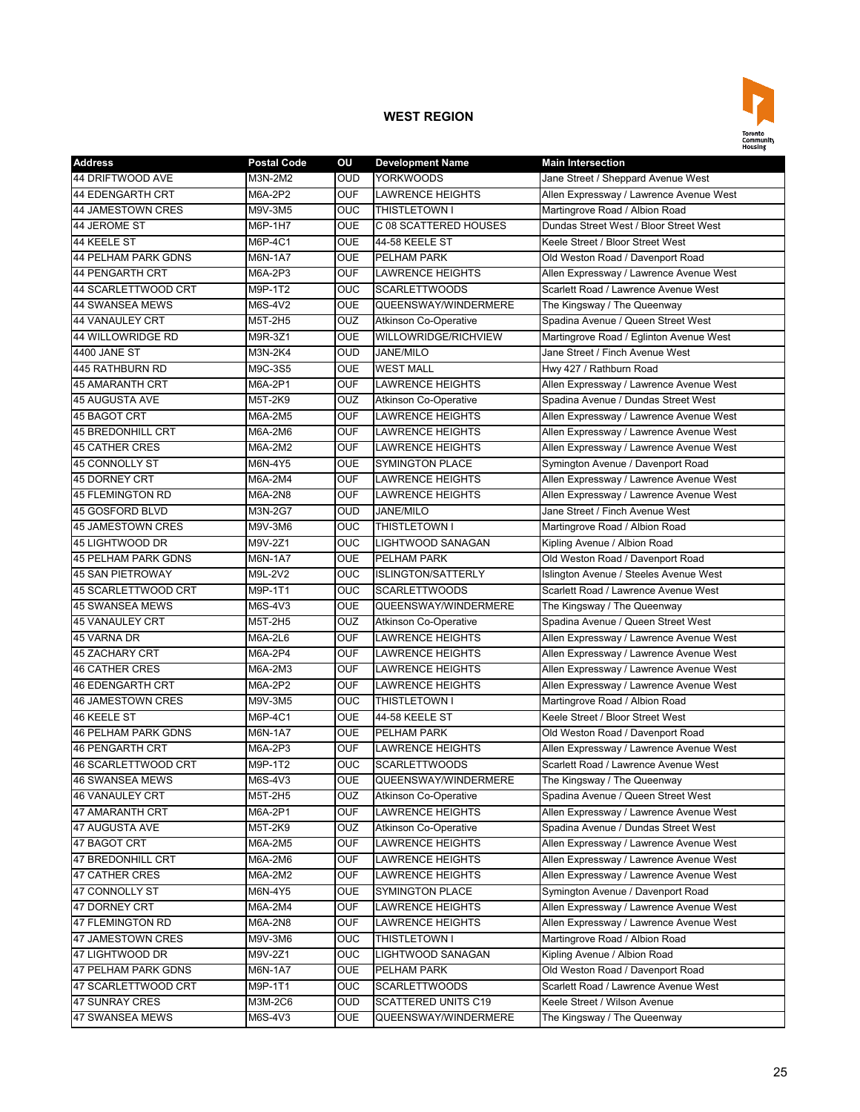

| <b>Address</b>             | <b>Postal Code</b> | OU         | <b>Development Name</b>      | <b>Main Intersection</b>                |
|----------------------------|--------------------|------------|------------------------------|-----------------------------------------|
| <b>44 DRIFTWOOD AVE</b>    | M3N-2M2            | <b>OUD</b> | <b>YORKWOODS</b>             | Jane Street / Sheppard Avenue West      |
| <b>44 EDENGARTH CRT</b>    | M6A-2P2            | <b>OUF</b> | <b>LAWRENCE HEIGHTS</b>      | Allen Expressway / Lawrence Avenue West |
| 44 JAMESTOWN CRES          | M9V-3M5            | <b>OUC</b> | <b>THISTLETOWN I</b>         | Martingrove Road / Albion Road          |
| 44 JEROME ST               | M6P-1H7            | <b>OUE</b> | C 08 SCATTERED HOUSES        | Dundas Street West / Bloor Street West  |
| 44 KEELE ST                | M6P-4C1            | <b>OUE</b> | 44-58 KEELE ST               | Keele Street / Bloor Street West        |
| <b>44 PELHAM PARK GDNS</b> | M6N-1A7            | <b>OUE</b> | PELHAM PARK                  | Old Weston Road / Davenport Road        |
| 44 PENGARTH CRT            | M6A-2P3            | <b>OUF</b> | <b>LAWRENCE HEIGHTS</b>      | Allen Expressway / Lawrence Avenue West |
| 44 SCARLETTWOOD CRT        | M9P-1T2            | OUC        | <b>SCARLETTWOODS</b>         | Scarlett Road / Lawrence Avenue West    |
| <b>44 SWANSEA MEWS</b>     | M6S-4V2            | <b>OUE</b> | QUEENSWAY/WINDERMERE         | The Kingsway / The Queenway             |
| <b>44 VANAULEY CRT</b>     | M5T-2H5            | <b>OUZ</b> | <b>Atkinson Co-Operative</b> | Spadina Avenue / Queen Street West      |
| 44 WILLOWRIDGE RD          | M9R-3Z1            | <b>OUE</b> | WILLOWRIDGE/RICHVIEW         | Martingrove Road / Eglinton Avenue West |
| 4400 JANE ST               | M3N-2K4            | <b>OUD</b> | JANE/MILO                    | Jane Street / Finch Avenue West         |
| 445 RATHBURN RD            | M9C-3S5            | <b>OUE</b> | <b>WEST MALL</b>             | Hwy 427 / Rathburn Road                 |
| <b>45 AMARANTH CRT</b>     | M6A-2P1            | <b>OUF</b> | <b>LAWRENCE HEIGHTS</b>      | Allen Expressway / Lawrence Avenue West |
| <b>45 AUGUSTA AVE</b>      | M5T-2K9            | OUZ        | <b>Atkinson Co-Operative</b> | Spadina Avenue / Dundas Street West     |
| 45 BAGOT CRT               | M6A-2M5            | <b>OUF</b> | <b>LAWRENCE HEIGHTS</b>      | Allen Expressway / Lawrence Avenue West |
| <b>45 BREDONHILL CRT</b>   | M6A-2M6            | <b>OUF</b> | <b>LAWRENCE HEIGHTS</b>      | Allen Expressway / Lawrence Avenue West |
| 45 CATHER CRES             | M6A-2M2            | <b>OUF</b> | <b>LAWRENCE HEIGHTS</b>      | Allen Expressway / Lawrence Avenue West |
| 45 CONNOLLY ST             | M6N-4Y5            | <b>OUE</b> | <b>SYMINGTON PLACE</b>       | Symington Avenue / Davenport Road       |
| <b>45 DORNEY CRT</b>       | M6A-2M4            | <b>OUF</b> | <b>LAWRENCE HEIGHTS</b>      | Allen Expressway / Lawrence Avenue West |
| <b>45 FLEMINGTON RD</b>    | M6A-2N8            | <b>OUF</b> | <b>LAWRENCE HEIGHTS</b>      | Allen Expressway / Lawrence Avenue West |
| 45 GOSFORD BLVD            | M3N-2G7            | <b>OUD</b> | <b>JANE/MILO</b>             | Jane Street / Finch Avenue West         |
| <b>45 JAMESTOWN CRES</b>   | M9V-3M6            | OUC        | THISTLETOWN I                | Martingrove Road / Albion Road          |
| 45 LIGHTWOOD DR            | M9V-2Z1            | OUC        | LIGHTWOOD SANAGAN            | Kipling Avenue / Albion Road            |
| <b>45 PELHAM PARK GDNS</b> | M6N-1A7            | <b>OUE</b> | <b>PELHAM PARK</b>           | Old Weston Road / Davenport Road        |
| <b>45 SAN PIETROWAY</b>    | M9L-2V2            | OUC        | <b>ISLINGTON/SATTERLY</b>    | Islington Avenue / Steeles Avenue West  |
| 45 SCARLETTWOOD CRT        | M9P-1T1            | OUC        | <b>SCARLETTWOODS</b>         | Scarlett Road / Lawrence Avenue West    |
| <b>45 SWANSEA MEWS</b>     | M6S-4V3            | <b>OUE</b> | QUEENSWAY/WINDERMERE         | The Kingsway / The Queenway             |
| 45 VANAULEY CRT            | M5T-2H5            | <b>OUZ</b> | <b>Atkinson Co-Operative</b> | Spadina Avenue / Queen Street West      |
| 45 VARNA DR                | M6A-2L6            | <b>OUF</b> | <b>LAWRENCE HEIGHTS</b>      | Allen Expressway / Lawrence Avenue West |
| <b>45 ZACHARY CRT</b>      | M6A-2P4            | <b>OUF</b> | <b>LAWRENCE HEIGHTS</b>      | Allen Expressway / Lawrence Avenue West |
| <b>46 CATHER CRES</b>      | M6A-2M3            | <b>OUF</b> | LAWRENCE HEIGHTS             | Allen Expressway / Lawrence Avenue West |
| <b>46 EDENGARTH CRT</b>    | M6A-2P2            | <b>OUF</b> | <b>LAWRENCE HEIGHTS</b>      | Allen Expressway / Lawrence Avenue West |
| 46 JAMESTOWN CRES          | M9V-3M5            | OUC        | THISTLETOWN I                | Martingrove Road / Albion Road          |
| 46 KEELE ST                | M6P-4C1            | <b>OUE</b> | 44-58 KEELE ST               | Keele Street / Bloor Street West        |
| <b>46 PELHAM PARK GDNS</b> | M6N-1A7            | <b>OUE</b> | <b>PELHAM PARK</b>           | Old Weston Road / Davenport Road        |
| <b>46 PENGARTH CRT</b>     | M6A-2P3            | <b>OUF</b> | <b>LAWRENCE HEIGHTS</b>      | Allen Expressway / Lawrence Avenue West |
| 46 SCARLETTWOOD CRT        | M9P-1T2            | <b>OUC</b> | <b>SCARLETTWOODS</b>         | Scarlett Road / Lawrence Avenue West    |
| 46 SWANSEA MEWS            | M6S-4V3            | <b>OUE</b> | QUEENSWAY/WINDERMERE         | The Kingsway / The Queenway             |
| 46 VANAULEY CRT            | M5T-2H5            | <b>OUZ</b> | <b>Atkinson Co-Operative</b> | Spadina Avenue / Queen Street West      |
| 47 AMARANTH CRT            | M6A-2P1            | <b>OUF</b> | LAWRENCE HEIGHTS             | Allen Expressway / Lawrence Avenue West |
| 47 AUGUSTA AVE             | M5T-2K9            | <b>OUZ</b> | <b>Atkinson Co-Operative</b> | Spadina Avenue / Dundas Street West     |
| 47 BAGOT CRT               | M6A-2M5            | <b>OUF</b> | LAWRENCE HEIGHTS             | Allen Expressway / Lawrence Avenue West |
| 47 BREDONHILL CRT          | M6A-2M6            | <b>OUF</b> | LAWRENCE HEIGHTS             | Allen Expressway / Lawrence Avenue West |
| 47 CATHER CRES             | M6A-2M2            | <b>OUF</b> | <b>LAWRENCE HEIGHTS</b>      | Allen Expressway / Lawrence Avenue West |
| 47 CONNOLLY ST             | M6N-4Y5            | <b>OUE</b> | <b>SYMINGTON PLACE</b>       | Symington Avenue / Davenport Road       |
| 47 DORNEY CRT              | M6A-2M4            | <b>OUF</b> | LAWRENCE HEIGHTS             | Allen Expressway / Lawrence Avenue West |
| 47 FLEMINGTON RD           | M6A-2N8            | <b>OUF</b> | <b>LAWRENCE HEIGHTS</b>      | Allen Expressway / Lawrence Avenue West |
| 47 JAMESTOWN CRES          | M9V-3M6            | OUC        | THISTLETOWN I                | Martingrove Road / Albion Road          |
| 47 LIGHTWOOD DR            | M9V-2Z1            | <b>OUC</b> | LIGHTWOOD SANAGAN            | Kipling Avenue / Albion Road            |
| 47 PELHAM PARK GDNS        | M6N-1A7            | <b>OUE</b> | PELHAM PARK                  | Old Weston Road / Davenport Road        |
| 47 SCARLETTWOOD CRT        | M9P-1T1            | <b>OUC</b> | <b>SCARLETTWOODS</b>         | Scarlett Road / Lawrence Avenue West    |
| 47 SUNRAY CRES             | M3M-2C6            | OUD        | <b>SCATTERED UNITS C19</b>   | Keele Street / Wilson Avenue            |
| 47 SWANSEA MEWS            | M6S-4V3            | <b>OUE</b> | QUEENSWAY/WINDERMERE         | The Kingsway / The Queenway             |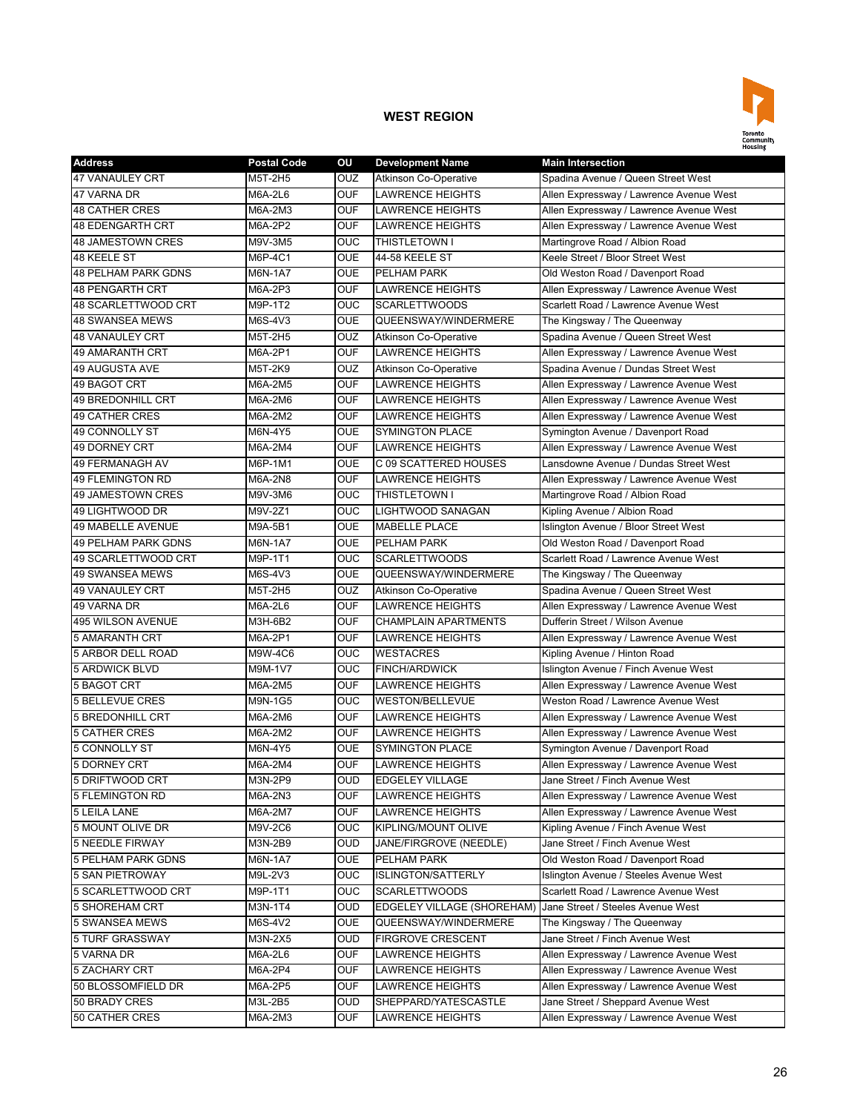

| <b>Address</b>             | <b>Postal Code</b> | OU         | <b>Development Name</b>      | <b>Main Intersection</b>                |
|----------------------------|--------------------|------------|------------------------------|-----------------------------------------|
| <b>47 VANAULEY CRT</b>     | M5T-2H5            | OUZ        | <b>Atkinson Co-Operative</b> | Spadina Avenue / Queen Street West      |
| 47 VARNA DR                | M6A-2L6            | <b>OUF</b> | <b>LAWRENCE HEIGHTS</b>      | Allen Expressway / Lawrence Avenue West |
| <b>48 CATHER CRES</b>      | M6A-2M3            | <b>OUF</b> | <b>LAWRENCE HEIGHTS</b>      | Allen Expressway / Lawrence Avenue West |
| <b>48 EDENGARTH CRT</b>    | M6A-2P2            | <b>OUF</b> | <b>LAWRENCE HEIGHTS</b>      | Allen Expressway / Lawrence Avenue West |
| <b>48 JAMESTOWN CRES</b>   | M9V-3M5            | <b>OUC</b> | THISTLETOWN I                | Martingrove Road / Albion Road          |
| 48 KEELE ST                | M6P-4C1            | <b>OUE</b> | 44-58 KEELE ST               | Keele Street / Bloor Street West        |
| <b>48 PELHAM PARK GDNS</b> | M6N-1A7            | <b>OUE</b> | PELHAM PARK                  | Old Weston Road / Davenport Road        |
| <b>48 PENGARTH CRT</b>     | M6A-2P3            | <b>OUF</b> | <b>LAWRENCE HEIGHTS</b>      | Allen Expressway / Lawrence Avenue West |
| 48 SCARLETTWOOD CRT        | M9P-1T2            | <b>OUC</b> | <b>SCARLETTWOODS</b>         | Scarlett Road / Lawrence Avenue West    |
| <b>48 SWANSEA MEWS</b>     | M6S-4V3            | <b>OUE</b> | QUEENSWAY/WINDERMERE         | The Kingsway / The Queenway             |
| <b>48 VANAULEY CRT</b>     | M5T-2H5            | OUZ        | <b>Atkinson Co-Operative</b> | Spadina Avenue / Queen Street West      |
| <b>49 AMARANTH CRT</b>     | M6A-2P1            | <b>OUF</b> | <b>LAWRENCE HEIGHTS</b>      | Allen Expressway / Lawrence Avenue West |
| 49 AUGUSTA AVE             | M5T-2K9            | OUZ        | <b>Atkinson Co-Operative</b> | Spadina Avenue / Dundas Street West     |
| 49 BAGOT CRT               | M6A-2M5            | <b>OUF</b> | <b>LAWRENCE HEIGHTS</b>      | Allen Expressway / Lawrence Avenue West |
| 49 BREDONHILL CRT          | M6A-2M6            | <b>OUF</b> | LAWRENCE HEIGHTS             | Allen Expressway / Lawrence Avenue West |
| 49 CATHER CRES             | M6A-2M2            | <b>OUF</b> | <b>LAWRENCE HEIGHTS</b>      | Allen Expressway / Lawrence Avenue West |
| <b>49 CONNOLLY ST</b>      | M6N-4Y5            | <b>OUE</b> | <b>SYMINGTON PLACE</b>       | Symington Avenue / Davenport Road       |
| <b>49 DORNEY CRT</b>       | M6A-2M4            | <b>OUF</b> | <b>LAWRENCE HEIGHTS</b>      | Allen Expressway / Lawrence Avenue West |
| <b>49 FERMANAGH AV</b>     | M6P-1M1            | <b>OUE</b> | C 09 SCATTERED HOUSES        | Lansdowne Avenue / Dundas Street West   |
| <b>49 FLEMINGTON RD</b>    | M6A-2N8            | <b>OUF</b> | <b>LAWRENCE HEIGHTS</b>      | Allen Expressway / Lawrence Avenue West |
| 49 JAMESTOWN CRES          | M9V-3M6            | <b>OUC</b> | THISTLETOWN I                | Martingrove Road / Albion Road          |
| 49 LIGHTWOOD DR            | M9V-2Z1            | OUC        | LIGHTWOOD SANAGAN            | Kipling Avenue / Albion Road            |
| 49 MABELLE AVENUE          | M9A-5B1            | <b>OUE</b> | <b>MABELLE PLACE</b>         | Islington Avenue / Bloor Street West    |
| <b>49 PELHAM PARK GDNS</b> | M6N-1A7            | <b>OUE</b> | PELHAM PARK                  | Old Weston Road / Davenport Road        |
| 49 SCARLETTWOOD CRT        | M9P-1T1            | <b>OUC</b> | <b>SCARLETTWOODS</b>         | Scarlett Road / Lawrence Avenue West    |
| 49 SWANSEA MEWS            | M6S-4V3            | <b>OUE</b> | QUEENSWAY/WINDERMERE         | The Kingsway / The Queenway             |
| <b>49 VANAULEY CRT</b>     | M5T-2H5            | OUZ        | <b>Atkinson Co-Operative</b> | Spadina Avenue / Queen Street West      |
| 49 VARNA DR                | M6A-2L6            | <b>OUF</b> | <b>LAWRENCE HEIGHTS</b>      | Allen Expressway / Lawrence Avenue West |
| <b>495 WILSON AVENUE</b>   | M3H-6B2            | <b>OUF</b> | <b>CHAMPLAIN APARTMENTS</b>  | Dufferin Street / Wilson Avenue         |
| <b>5 AMARANTH CRT</b>      | M6A-2P1            | <b>OUF</b> | <b>LAWRENCE HEIGHTS</b>      | Allen Expressway / Lawrence Avenue West |
| 5 ARBOR DELL ROAD          | M9W-4C6            | <b>OUC</b> | <b>WESTACRES</b>             | Kipling Avenue / Hinton Road            |
| 5 ARDWICK BLVD             | M9M-1V7            | <b>OUC</b> | <b>FINCH/ARDWICK</b>         | Islington Avenue / Finch Avenue West    |
| 5 BAGOT CRT                | M6A-2M5            | <b>OUF</b> | <b>LAWRENCE HEIGHTS</b>      | Allen Expressway / Lawrence Avenue West |
| <b>5 BELLEVUE CRES</b>     | M9N-1G5            | OUC        | <b>WESTON/BELLEVUE</b>       | Weston Road / Lawrence Avenue West      |
| <b>5 BREDONHILL CRT</b>    | M6A-2M6            | <b>OUF</b> | <b>LAWRENCE HEIGHTS</b>      | Allen Expressway / Lawrence Avenue West |
| <b>5 CATHER CRES</b>       | M6A-2M2            | <b>OUF</b> | <b>LAWRENCE HEIGHTS</b>      | Allen Expressway / Lawrence Avenue West |
| 5 CONNOLLY ST              | M6N-4Y5            | <b>OUE</b> | <b>SYMINGTON PLACE</b>       | Symington Avenue / Davenport Road       |
| 5 DORNEY CRT               | M6A-2M4            | <b>OUF</b> | <b>LAWRENCE HEIGHTS</b>      | Allen Expressway / Lawrence Avenue West |
| 5 DRIFTWOOD CRT            | M3N-2P9            | <b>OUD</b> | <b>EDGELEY VILLAGE</b>       | Jane Street / Finch Avenue West         |
| <b>5 FLEMINGTON RD</b>     | M6A-2N3            | <b>OUF</b> | LAWRENCE HEIGHTS             | Allen Expressway / Lawrence Avenue West |
| <b>5 LEILA LANE</b>        | M6A-2M7            | <b>OUF</b> | LAWRENCE HEIGHTS             | Allen Expressway / Lawrence Avenue West |
| 5 MOUNT OLIVE DR           | M9V-2C6            | OUC.       | KIPLING/MOUNT OLIVE          | Kipling Avenue / Finch Avenue West      |
| <b>5 NEEDLE FIRWAY</b>     | M3N-2B9            | <b>OUD</b> | JANE/FIRGROVE (NEEDLE)       | Jane Street / Finch Avenue West         |
| 5 PELHAM PARK GDNS         | M6N-1A7            | <b>OUE</b> | PELHAM PARK                  | Old Weston Road / Davenport Road        |
| <b>5 SAN PIETROWAY</b>     | M9L-2V3            | <b>OUC</b> | <b>ISLINGTON/SATTERLY</b>    | Islington Avenue / Steeles Avenue West  |
| 5 SCARLETTWOOD CRT         | M9P-1T1            | <b>OUC</b> | <b>SCARLETTWOODS</b>         | Scarlett Road / Lawrence Avenue West    |
| <b>5 SHOREHAM CRT</b>      | M3N-1T4            | <b>OUD</b> | EDGELEY VILLAGE (SHOREHAM)   | Jane Street / Steeles Avenue West       |
| 5 SWANSEA MEWS             | M6S-4V2            | <b>OUE</b> | QUEENSWAY/WINDERMERE         | The Kingsway / The Queenway             |
| 5 TURF GRASSWAY            | M3N-2X5            | <b>OUD</b> | <b>FIRGROVE CRESCENT</b>     | Jane Street / Finch Avenue West         |
| 5 VARNA DR                 | M6A-2L6            | <b>OUF</b> | LAWRENCE HEIGHTS             | Allen Expressway / Lawrence Avenue West |
| 5 ZACHARY CRT              | M6A-2P4            | <b>OUF</b> | LAWRENCE HEIGHTS             | Allen Expressway / Lawrence Avenue West |
| 50 BLOSSOMFIELD DR         | M6A-2P5            | <b>OUF</b> | LAWRENCE HEIGHTS             | Allen Expressway / Lawrence Avenue West |
| 50 BRADY CRES              | M3L-2B5            | OUD        | SHEPPARD/YATESCASTLE         | Jane Street / Sheppard Avenue West      |
| 50 CATHER CRES             | M6A-2M3            | <b>OUF</b> | LAWRENCE HEIGHTS             | Allen Expressway / Lawrence Avenue West |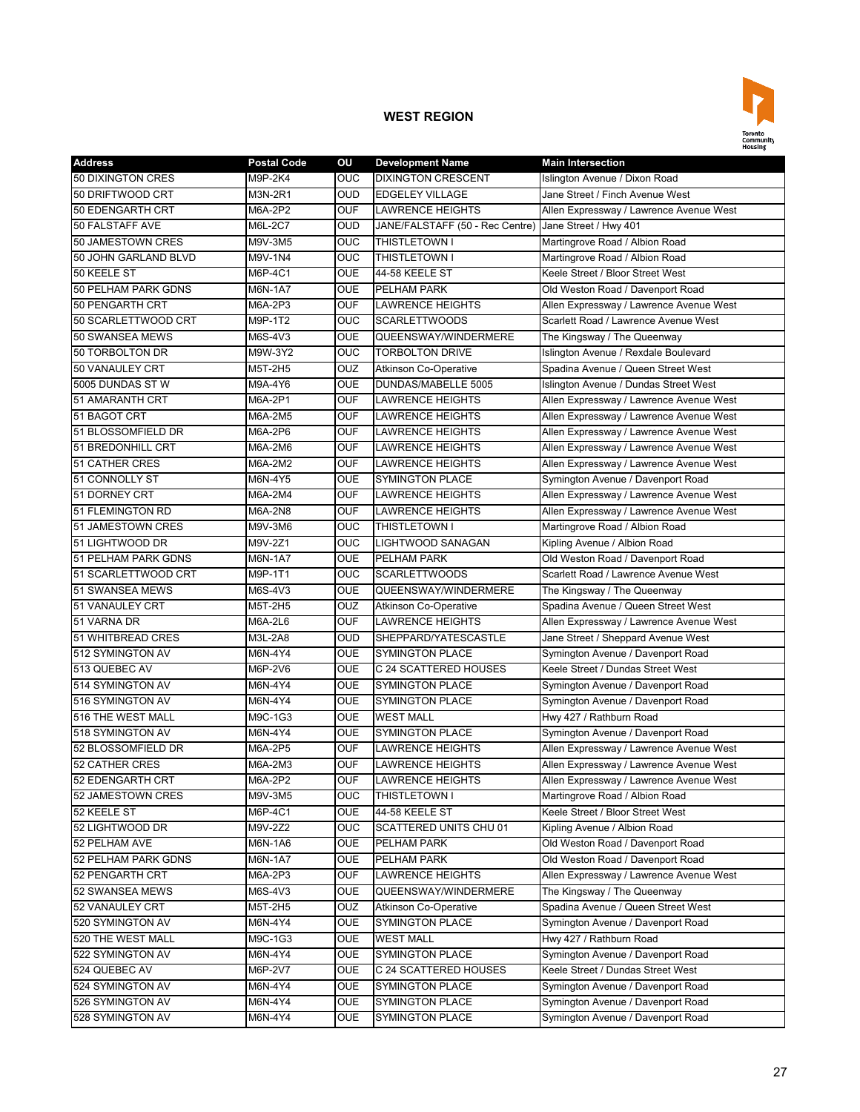

| <b>Address</b>             | <b>Postal Code</b> | OU         | <b>Development Name</b>                               | <b>Main Intersection</b>                |
|----------------------------|--------------------|------------|-------------------------------------------------------|-----------------------------------------|
| 50 DIXINGTON CRES          | M9P-2K4            | OUC        | <b>DIXINGTON CRESCENT</b>                             | Islington Avenue / Dixon Road           |
| 50 DRIFTWOOD CRT           | M3N-2R1            | <b>OUD</b> | <b>EDGELEY VILLAGE</b>                                | Jane Street / Finch Avenue West         |
| 50 EDENGARTH CRT           | M6A-2P2            | <b>OUF</b> | <b>LAWRENCE HEIGHTS</b>                               | Allen Expressway / Lawrence Avenue West |
| 50 FALSTAFF AVE            | M6L-2C7            | <b>OUD</b> | JANE/FALSTAFF (50 - Rec Centre) Jane Street / Hwy 401 |                                         |
| 50 JAMESTOWN CRES          | M9V-3M5            | OUC        | THISTLETOWN I                                         | Martingrove Road / Albion Road          |
| 50 JOHN GARLAND BLVD       | M9V-1N4            | <b>OUC</b> | THISTLETOWN I                                         | Martingrove Road / Albion Road          |
| 50 KEELE ST                | M6P-4C1            | OUE        | 44-58 KEELE ST                                        | Keele Street / Bloor Street West        |
| 50 PELHAM PARK GDNS        | M6N-1A7            | <b>OUE</b> | PELHAM PARK                                           | Old Weston Road / Davenport Road        |
| 50 PENGARTH CRT            | M6A-2P3            | <b>OUF</b> | <b>LAWRENCE HEIGHTS</b>                               | Allen Expressway / Lawrence Avenue West |
| 50 SCARLETTWOOD CRT        | M9P-1T2            | OUC        | <b>SCARLETTWOODS</b>                                  | Scarlett Road / Lawrence Avenue West    |
| 50 SWANSEA MEWS            | M6S-4V3            | <b>OUE</b> | QUEENSWAY/WINDERMERE                                  | The Kingsway / The Queenway             |
| 50 TORBOLTON DR            | M9W-3Y2            | <b>OUC</b> | <b>TORBOLTON DRIVE</b>                                | Islington Avenue / Rexdale Boulevard    |
| 50 VANAULEY CRT            | M5T-2H5            | <b>OUZ</b> | <b>Atkinson Co-Operative</b>                          | Spadina Avenue / Queen Street West      |
| 5005 DUNDAS STW            | M9A-4Y6            | <b>OUE</b> | DUNDAS/MABELLE 5005                                   | Islington Avenue / Dundas Street West   |
| 51 AMARANTH CRT            | M6A-2P1            | <b>OUF</b> | <b>LAWRENCE HEIGHTS</b>                               | Allen Expressway / Lawrence Avenue West |
| 51 BAGOT CRT               | M6A-2M5            | <b>OUF</b> | LAWRENCE HEIGHTS                                      | Allen Expressway / Lawrence Avenue West |
| 51 BLOSSOMFIELD DR         | M6A-2P6            | <b>OUF</b> | <b>LAWRENCE HEIGHTS</b>                               | Allen Expressway / Lawrence Avenue West |
| 51 BREDONHILL CRT          | M6A-2M6            | OUF        | <b>LAWRENCE HEIGHTS</b>                               | Allen Expressway / Lawrence Avenue West |
| <b>51 CATHER CRES</b>      | M6A-2M2            | <b>OUF</b> | <b>LAWRENCE HEIGHTS</b>                               | Allen Expressway / Lawrence Avenue West |
| 51 CONNOLLY ST             | M6N-4Y5            | <b>OUE</b> | <b>SYMINGTON PLACE</b>                                | Symington Avenue / Davenport Road       |
| 51 DORNEY CRT              | M6A-2M4            | <b>OUF</b> | <b>LAWRENCE HEIGHTS</b>                               | Allen Expressway / Lawrence Avenue West |
| 51 FLEMINGTON RD           | M6A-2N8            | <b>OUF</b> | <b>LAWRENCE HEIGHTS</b>                               | Allen Expressway / Lawrence Avenue West |
| 51 JAMESTOWN CRES          | M9V-3M6            | OUC        | THISTLETOWN I                                         | Martingrove Road / Albion Road          |
| 51 LIGHTWOOD DR            | M9V-2Z1            | OUC        | LIGHTWOOD SANAGAN                                     | Kipling Avenue / Albion Road            |
| <b>51 PELHAM PARK GDNS</b> | M6N-1A7            | <b>OUE</b> | PELHAM PARK                                           | Old Weston Road / Davenport Road        |
| 51 SCARLETTWOOD CRT        | M9P-1T1            | OUC        | <b>SCARLETTWOODS</b>                                  | Scarlett Road / Lawrence Avenue West    |
| 51 SWANSEA MEWS            | M6S-4V3            | <b>OUE</b> | QUEENSWAY/WINDERMERE                                  | The Kingsway / The Queenway             |
| 51 VANAULEY CRT            | M5T-2H5            | <b>OUZ</b> | <b>Atkinson Co-Operative</b>                          | Spadina Avenue / Queen Street West      |
| 51 VARNA DR                | M6A-2L6            | <b>OUF</b> | <b>LAWRENCE HEIGHTS</b>                               | Allen Expressway / Lawrence Avenue West |
| 51 WHITBREAD CRES          | M3L-2A8            | <b>OUD</b> | SHEPPARD/YATESCASTLE                                  | Jane Street / Sheppard Avenue West      |
| 512 SYMINGTON AV           | M6N-4Y4            | <b>OUE</b> | <b>SYMINGTON PLACE</b>                                | Symington Avenue / Davenport Road       |
| 513 QUEBEC AV              | M6P-2V6            | <b>OUE</b> | C 24 SCATTERED HOUSES                                 | Keele Street / Dundas Street West       |
| 514 SYMINGTON AV           | M6N-4Y4            | <b>OUE</b> | <b>SYMINGTON PLACE</b>                                | Symington Avenue / Davenport Road       |
| 516 SYMINGTON AV           | M6N-4Y4            | <b>OUE</b> | <b>SYMINGTON PLACE</b>                                | Symington Avenue / Davenport Road       |
| 516 THE WEST MALL          | M9C-1G3            | OUE        | <b>WEST MALL</b>                                      | Hwy 427 / Rathburn Road                 |
| 518 SYMINGTON AV           | M6N-4Y4            | OUE        | <b>SYMINGTON PLACE</b>                                | Symington Avenue / Davenport Road       |
| 52 BLOSSOMFIELD DR         | M6A-2P5            | <b>OUF</b> | <b>LAWRENCE HEIGHTS</b>                               | Allen Expressway / Lawrence Avenue West |
| <b>52 CATHER CRES</b>      | M6A-2M3            | <b>OUF</b> | <b>LAWRENCE HEIGHTS</b>                               | Allen Expressway / Lawrence Avenue West |
| 52 EDENGARTH CRT           | M6A-2P2            | <b>OUF</b> | <b>LAWRENCE HEIGHTS</b>                               | Allen Expressway / Lawrence Avenue West |
| 52 JAMESTOWN CRES          | M9V-3M5            | OUC        | THISTLETOWN I                                         | Martingrove Road / Albion Road          |
| 52 KEELE ST                | M6P-4C1            | OUE        | 44-58 KEELE ST                                        | Keele Street / Bloor Street West        |
| 52 LIGHTWOOD DR            | M9V-2Z2            | <b>OUC</b> | SCATTERED UNITS CHU 01                                | Kipling Avenue / Albion Road            |
| 52 PELHAM AVE              | M6N-1A6            | OUE        | PELHAM PARK                                           | Old Weston Road / Davenport Road        |
| 52 PELHAM PARK GDNS        | M6N-1A7            | OUE        | PELHAM PARK                                           | Old Weston Road / Davenport Road        |
| 52 PENGARTH CRT            | M6A-2P3            | OUF        | <b>LAWRENCE HEIGHTS</b>                               | Allen Expressway / Lawrence Avenue West |
| 52 SWANSEA MEWS            | M6S-4V3            | <b>OUE</b> | QUEENSWAY/WINDERMERE                                  | The Kingsway / The Queenway             |
| 52 VANAULEY CRT            | M5T-2H5            | OUZ        | <b>Atkinson Co-Operative</b>                          | Spadina Avenue / Queen Street West      |
| 520 SYMINGTON AV           | M6N-4Y4            | OUE        | <b>SYMINGTON PLACE</b>                                | Symington Avenue / Davenport Road       |
| 520 THE WEST MALL          | M9C-1G3            | OUE        | <b>WEST MALL</b>                                      | Hwy 427 / Rathburn Road                 |
| 522 SYMINGTON AV           | M6N-4Y4            | OUE        | <b>SYMINGTON PLACE</b>                                | Symington Avenue / Davenport Road       |
| 524 QUEBEC AV              | M6P-2V7            | <b>OUE</b> | C 24 SCATTERED HOUSES                                 | Keele Street / Dundas Street West       |
| 524 SYMINGTON AV           | M6N-4Y4            | <b>OUE</b> | <b>SYMINGTON PLACE</b>                                | Symington Avenue / Davenport Road       |
| 526 SYMINGTON AV           | M6N-4Y4            | <b>OUE</b> | <b>SYMINGTON PLACE</b>                                | Symington Avenue / Davenport Road       |
| 528 SYMINGTON AV           | M6N-4Y4            | <b>OUE</b> | <b>SYMINGTON PLACE</b>                                | Symington Avenue / Davenport Road       |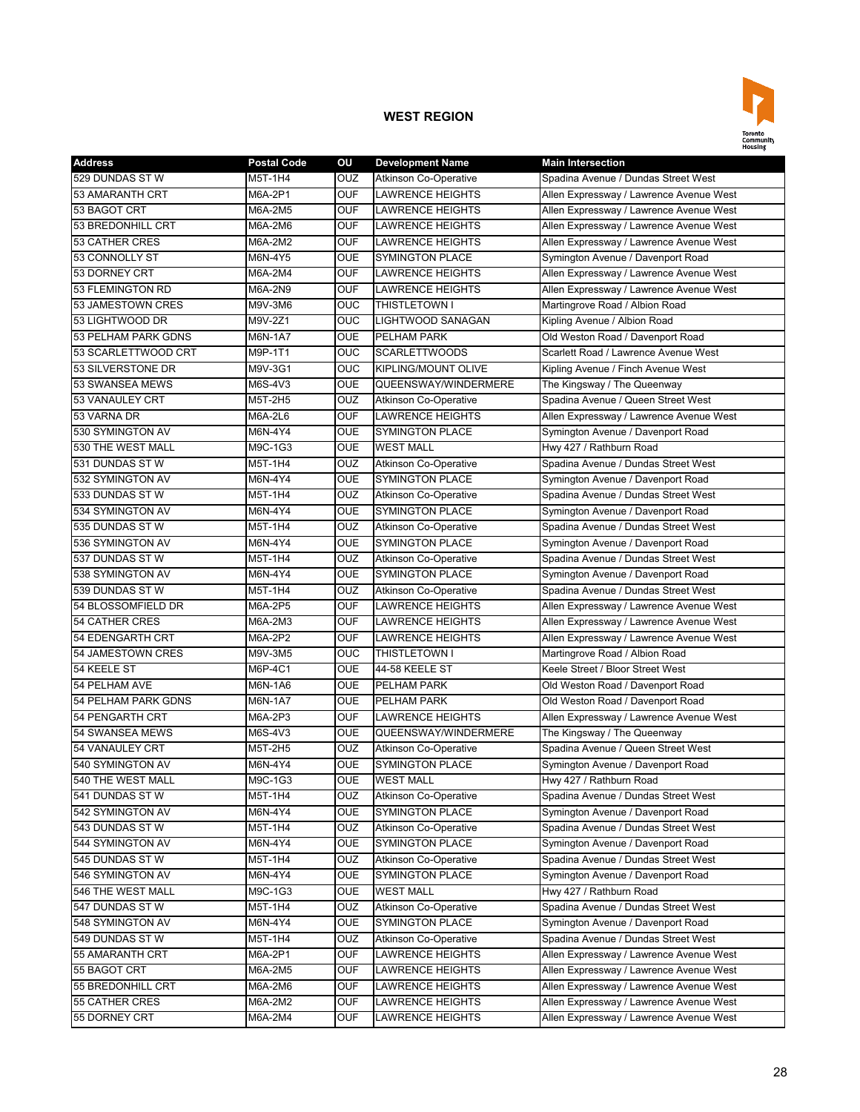

| <b>Address</b>             | <b>Postal Code</b> | OU         | <b>Development Name</b>      | <b>Main Intersection</b>                |
|----------------------------|--------------------|------------|------------------------------|-----------------------------------------|
| 529 DUNDAS STW             | M5T-1H4            | OUZ        | <b>Atkinson Co-Operative</b> | Spadina Avenue / Dundas Street West     |
| 53 AMARANTH CRT            | M6A-2P1            | <b>OUF</b> | <b>LAWRENCE HEIGHTS</b>      | Allen Expressway / Lawrence Avenue West |
| 53 BAGOT CRT               | M6A-2M5            | <b>OUF</b> | <b>LAWRENCE HEIGHTS</b>      | Allen Expressway / Lawrence Avenue West |
| 53 BREDONHILL CRT          | M6A-2M6            | <b>OUF</b> | <b>LAWRENCE HEIGHTS</b>      | Allen Expressway / Lawrence Avenue West |
| <b>53 CATHER CRES</b>      | M6A-2M2            | <b>OUF</b> | <b>LAWRENCE HEIGHTS</b>      | Allen Expressway / Lawrence Avenue West |
| 53 CONNOLLY ST             | M6N-4Y5            | <b>OUE</b> | <b>SYMINGTON PLACE</b>       | Symington Avenue / Davenport Road       |
| 53 DORNEY CRT              | M6A-2M4            | <b>OUF</b> | LAWRENCE HEIGHTS             | Allen Expressway / Lawrence Avenue West |
| 53 FLEMINGTON RD           | M6A-2N9            | <b>OUF</b> | <b>LAWRENCE HEIGHTS</b>      | Allen Expressway / Lawrence Avenue West |
| 53 JAMESTOWN CRES          | M9V-3M6            | <b>OUC</b> | THISTLETOWN I                | Martingrove Road / Albion Road          |
| 53 LIGHTWOOD DR            | M9V-2Z1            | OUC        | LIGHTWOOD SANAGAN            | Kipling Avenue / Albion Road            |
| 53 PELHAM PARK GDNS        | M6N-1A7            | <b>OUE</b> | PELHAM PARK                  | Old Weston Road / Davenport Road        |
| 53 SCARLETTWOOD CRT        | M9P-1T1            | <b>OUC</b> | <b>SCARLETTWOODS</b>         | Scarlett Road / Lawrence Avenue West    |
| 53 SILVERSTONE DR          | M9V-3G1            | <b>OUC</b> | <b>KIPLING/MOUNT OLIVE</b>   | Kipling Avenue / Finch Avenue West      |
| 53 SWANSEA MEWS            | M6S-4V3            | <b>OUE</b> | QUEENSWAY/WINDERMERE         | The Kingsway / The Queenway             |
| 53 VANAULEY CRT            | M5T-2H5            | <b>OUZ</b> | <b>Atkinson Co-Operative</b> | Spadina Avenue / Queen Street West      |
| 53 VARNA DR                | M6A-2L6            | <b>OUF</b> | <b>LAWRENCE HEIGHTS</b>      | Allen Expressway / Lawrence Avenue West |
| 530 SYMINGTON AV           | M6N-4Y4            | <b>OUE</b> | <b>SYMINGTON PLACE</b>       | Symington Avenue / Davenport Road       |
| 530 THE WEST MALL          | M9C-1G3            | <b>OUE</b> | <b>WEST MALL</b>             | Hwy 427 / Rathburn Road                 |
| 531 DUNDAS ST W            | M5T-1H4            | OUZ        | Atkinson Co-Operative        | Spadina Avenue / Dundas Street West     |
| 532 SYMINGTON AV           | M6N-4Y4            | <b>OUE</b> | <b>SYMINGTON PLACE</b>       | Symington Avenue / Davenport Road       |
| 533 DUNDAS ST W            | M5T-1H4            | OUZ        | <b>Atkinson Co-Operative</b> | Spadina Avenue / Dundas Street West     |
| 534 SYMINGTON AV           | M6N-4Y4            | <b>OUE</b> | <b>SYMINGTON PLACE</b>       | Symington Avenue / Davenport Road       |
| 535 DUNDAS ST W            | M5T-1H4            | OUZ        | <b>Atkinson Co-Operative</b> | Spadina Avenue / Dundas Street West     |
| 536 SYMINGTON AV           | M6N-4Y4            | <b>OUE</b> | <b>SYMINGTON PLACE</b>       | Symington Avenue / Davenport Road       |
| 537 DUNDAS ST W            | M5T-1H4            | OUZ        | <b>Atkinson Co-Operative</b> | Spadina Avenue / Dundas Street West     |
| 538 SYMINGTON AV           | M6N-4Y4            | <b>OUE</b> | <b>SYMINGTON PLACE</b>       | Symington Avenue / Davenport Road       |
| 539 DUNDAS STW             | M5T-1H4            | OUZ        | <b>Atkinson Co-Operative</b> | Spadina Avenue / Dundas Street West     |
| 54 BLOSSOMFIELD DR         | M6A-2P5            | <b>OUF</b> | <b>LAWRENCE HEIGHTS</b>      | Allen Expressway / Lawrence Avenue West |
| <b>54 CATHER CRES</b>      | M6A-2M3            | <b>OUF</b> | <b>LAWRENCE HEIGHTS</b>      | Allen Expressway / Lawrence Avenue West |
| 54 EDENGARTH CRT           | M6A-2P2            | <b>OUF</b> | <b>LAWRENCE HEIGHTS</b>      | Allen Expressway / Lawrence Avenue West |
| 54 JAMESTOWN CRES          | M9V-3M5            | OUC        | <b>THISTLETOWN I</b>         | Martingrove Road / Albion Road          |
| 54 KEELE ST                | M6P-4C1            | <b>OUE</b> | 44-58 KEELE ST               | Keele Street / Bloor Street West        |
| 54 PELHAM AVE              | M6N-1A6            | <b>OUE</b> | PELHAM PARK                  | Old Weston Road / Davenport Road        |
| <b>54 PELHAM PARK GDNS</b> | M6N-1A7            | <b>OUE</b> | PELHAM PARK                  | Old Weston Road / Davenport Road        |
| 54 PENGARTH CRT            | M6A-2P3            | <b>OUF</b> | <b>LAWRENCE HEIGHTS</b>      | Allen Expressway / Lawrence Avenue West |
| 54 SWANSEA MEWS            | M6S-4V3            | <b>OUE</b> | QUEENSWAY/WINDERMERE         | The Kingsway / The Queenway             |
| 54 VANAULEY CRT            | M5T-2H5            | <b>OUZ</b> | <b>Atkinson Co-Operative</b> | Spadina Avenue / Queen Street West      |
| 540 SYMINGTON AV           | M6N-4Y4            | <b>OUE</b> | <b>SYMINGTON PLACE</b>       | Symington Avenue / Davenport Road       |
| 540 THE WEST MALI          | M9C-1G3            | <b>OUE</b> | <b>WEST MALL</b>             | Hwy 427 / Rathburn Road                 |
| 541 DUNDAS ST W            | M5T-1H4            | OUZ        | <b>Atkinson Co-Operative</b> | Spadina Avenue / Dundas Street West     |
| 542 SYMINGTON AV           | M6N-4Y4            | <b>OUE</b> | <b>SYMINGTON PLACE</b>       | Symington Avenue / Davenport Road       |
| 543 DUNDAS STW             | M5T-1H4            | <b>OUZ</b> | <b>Atkinson Co-Operative</b> | Spadina Avenue / Dundas Street West     |
| 544 SYMINGTON AV           | M6N-4Y4            | <b>OUE</b> | <b>SYMINGTON PLACE</b>       | Symington Avenue / Davenport Road       |
| 545 DUNDAS ST W            | M5T-1H4            | <b>OUZ</b> | <b>Atkinson Co-Operative</b> | Spadina Avenue / Dundas Street West     |
| 546 SYMINGTON AV           | M6N-4Y4            | <b>OUE</b> | <b>SYMINGTON PLACE</b>       | Symington Avenue / Davenport Road       |
| 546 THE WEST MALL          | M9C-1G3            | OUE        | <b>WEST MALL</b>             | Hwy 427 / Rathburn Road                 |
| 547 DUNDAS ST W            | M5T-1H4            | OUZ        | <b>Atkinson Co-Operative</b> | Spadina Avenue / Dundas Street West     |
| 548 SYMINGTON AV           | M6N-4Y4            | <b>OUE</b> | <b>SYMINGTON PLACE</b>       | Symington Avenue / Davenport Road       |
| 549 DUNDAS ST W            | M5T-1H4            | OUZ        | <b>Atkinson Co-Operative</b> | Spadina Avenue / Dundas Street West     |
| 55 AMARANTH CRT            | M6A-2P1            | <b>OUF</b> | LAWRENCE HEIGHTS             | Allen Expressway / Lawrence Avenue West |
| 55 BAGOT CRT               | M6A-2M5            | <b>OUF</b> | LAWRENCE HEIGHTS             | Allen Expressway / Lawrence Avenue West |
| 55 BREDONHILL CRT          | M6A-2M6            | <b>OUF</b> | LAWRENCE HEIGHTS             | Allen Expressway / Lawrence Avenue West |
| 55 CATHER CRES             | M6A-2M2            | <b>OUF</b> | LAWRENCE HEIGHTS             | Allen Expressway / Lawrence Avenue West |
| 55 DORNEY CRT              | M6A-2M4            | <b>OUF</b> | LAWRENCE HEIGHTS             | Allen Expressway / Lawrence Avenue West |
|                            |                    |            |                              |                                         |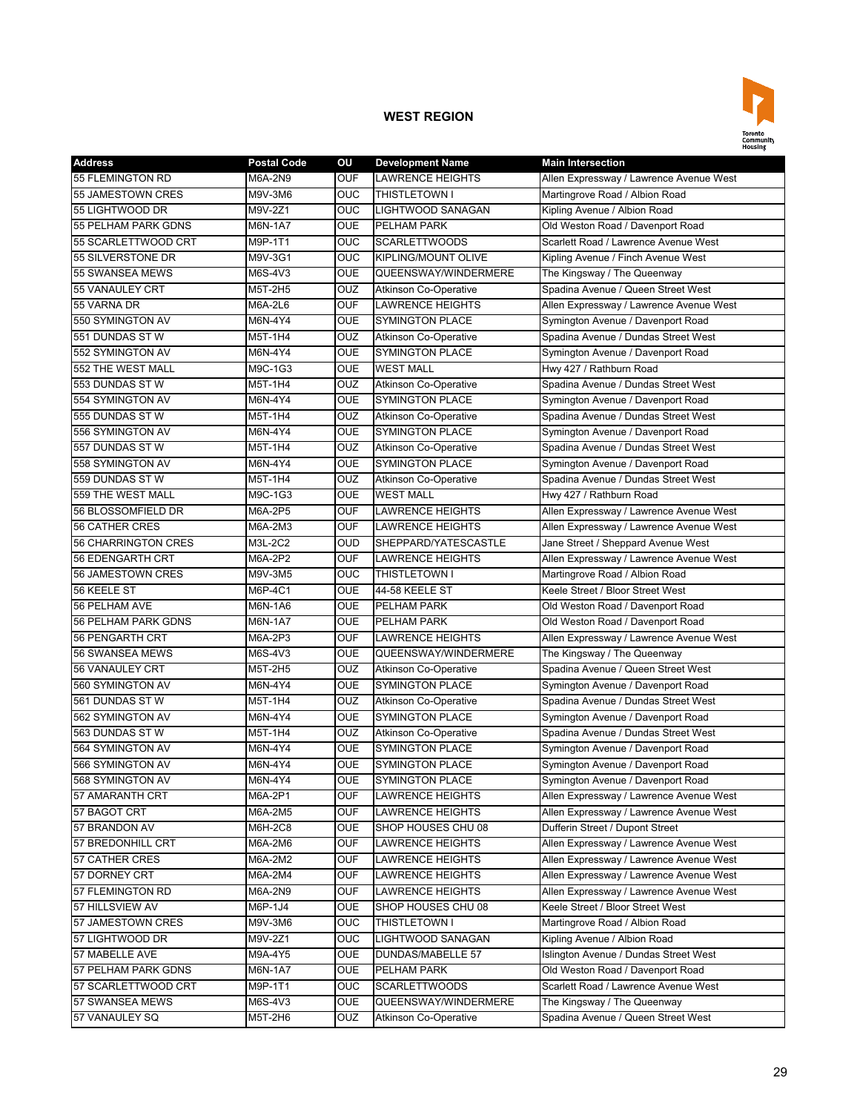

| <b>Address</b>                        | <b>Postal Code</b> | OU                       | <b>Development Name</b>          | <b>Main Intersection</b>                                                  |
|---------------------------------------|--------------------|--------------------------|----------------------------------|---------------------------------------------------------------------------|
| 55 FLEMINGTON RD                      | M6A-2N9            | <b>OUF</b>               | LAWRENCE HEIGHTS                 | Allen Expressway / Lawrence Avenue West                                   |
| 55 JAMESTOWN CRES                     | M9V-3M6            | OUC                      | <b>THISTLETOWN I</b>             | Martingrove Road / Albion Road                                            |
| 55 LIGHTWOOD DR                       | M9V-2Z1            | OUC                      | LIGHTWOOD SANAGAN                | Kipling Avenue / Albion Road                                              |
| <b>55 PELHAM PARK GDNS</b>            | M6N-1A7            | <b>OUE</b>               | PELHAM PARK                      | Old Weston Road / Davenport Road                                          |
| 55 SCARLETTWOOD CRT                   | M9P-1T1            | <b>OUC</b>               | <b>SCARLETTWOODS</b>             | Scarlett Road / Lawrence Avenue West                                      |
| 55 SILVERSTONE DR                     | M9V-3G1            | OUC                      | <b>KIPLING/MOUNT OLIVE</b>       | Kipling Avenue / Finch Avenue West                                        |
| 55 SWANSEA MEWS                       | M6S-4V3            | <b>OUE</b>               | QUEENSWAY/WINDERMERE             | The Kingsway / The Queenway                                               |
| 55 VANAULEY CRT                       | M5T-2H5            | OUZ                      | Atkinson Co-Operative            | Spadina Avenue / Queen Street West                                        |
| 55 VARNA DR                           | M6A-2L6            | <b>OUF</b>               | <b>LAWRENCE HEIGHTS</b>          | Allen Expressway / Lawrence Avenue West                                   |
| 550 SYMINGTON AV                      | M6N-4Y4            | <b>OUE</b>               | <b>SYMINGTON PLACE</b>           | Symington Avenue / Davenport Road                                         |
| 551 DUNDAS STW                        | M5T-1H4            | OUZ                      | <b>Atkinson Co-Operative</b>     | Spadina Avenue / Dundas Street West                                       |
| 552 SYMINGTON AV                      | M6N-4Y4            | <b>OUE</b>               | <b>SYMINGTON PLACE</b>           | Symington Avenue / Davenport Road                                         |
| 552 THE WEST MALL                     | M9C-1G3            | <b>OUE</b>               | <b>WEST MALL</b>                 | Hwy 427 / Rathburn Road                                                   |
| 553 DUNDAS STW                        | M5T-1H4            | OUZ                      | <b>Atkinson Co-Operative</b>     | Spadina Avenue / Dundas Street West                                       |
| 554 SYMINGTON AV                      | M6N-4Y4            | <b>OUE</b>               | <b>SYMINGTON PLACE</b>           | Symington Avenue / Davenport Road                                         |
| 555 DUNDAS STW                        | M5T-1H4            | OUZ                      | <b>Atkinson Co-Operative</b>     | Spadina Avenue / Dundas Street West                                       |
| 556 SYMINGTON AV                      | M6N-4Y4            | <b>OUE</b>               | <b>SYMINGTON PLACE</b>           | Symington Avenue / Davenport Road                                         |
| 557 DUNDAS STW                        | M5T-1H4            | <b>OUZ</b>               | <b>Atkinson Co-Operative</b>     | Spadina Avenue / Dundas Street West                                       |
| 558 SYMINGTON AV                      | M6N-4Y4            | <b>OUE</b>               | <b>SYMINGTON PLACE</b>           | Symington Avenue / Davenport Road                                         |
| 559 DUNDAS STW                        | M5T-1H4            | OUZ                      | <b>Atkinson Co-Operative</b>     | Spadina Avenue / Dundas Street West                                       |
| 559 THE WEST MALL                     | M9C-1G3            | <b>OUE</b>               | <b>WEST MALL</b>                 | Hwy 427 / Rathburn Road                                                   |
| 56 BLOSSOMFIELD DR                    | M6A-2P5            | <b>OUF</b>               | <b>LAWRENCE HEIGHTS</b>          | Allen Expressway / Lawrence Avenue West                                   |
| <b>56 CATHER CRES</b>                 | M6A-2M3            | <b>OUF</b>               | <b>LAWRENCE HEIGHTS</b>          | Allen Expressway / Lawrence Avenue West                                   |
| 56 CHARRINGTON CRES                   | M3L-2C2            | <b>OUD</b>               | SHEPPARD/YATESCASTLE             | Jane Street / Sheppard Avenue West                                        |
| 56 EDENGARTH CRT                      | M6A-2P2            | <b>OUF</b>               | <b>LAWRENCE HEIGHTS</b>          | Allen Expressway / Lawrence Avenue West                                   |
| 56 JAMESTOWN CRES                     | M9V-3M5            | <b>OUC</b>               | THISTLETOWN I                    | Martingrove Road / Albion Road                                            |
| 56 KEELE ST                           | M6P-4C1            | <b>OUE</b>               | 44-58 KEELE ST                   | Keele Street / Bloor Street West                                          |
| 56 PELHAM AVE                         | M6N-1A6            | <b>OUE</b>               | <b>PELHAM PARK</b>               | Old Weston Road / Davenport Road                                          |
| 56 PELHAM PARK GDNS                   | M6N-1A7            | <b>OUE</b>               | PELHAM PARK                      | Old Weston Road / Davenport Road                                          |
| 56 PENGARTH CRT                       | M6A-2P3            | <b>OUF</b>               | <b>LAWRENCE HEIGHTS</b>          | Allen Expressway / Lawrence Avenue West                                   |
| 56 SWANSEA MEWS                       | M6S-4V3            | <b>OUE</b>               | QUEENSWAY/WINDERMERE             | The Kingsway / The Queenway                                               |
| 56 VANAULEY CRT                       | M5T-2H5            | <b>OUZ</b>               | <b>Atkinson Co-Operative</b>     | Spadina Avenue / Queen Street West                                        |
| 560 SYMINGTON AV                      | M6N-4Y4            | <b>OUE</b>               | <b>SYMINGTON PLACE</b>           | Symington Avenue / Davenport Road                                         |
| 561 DUNDAS STW                        | M5T-1H4            | OUZ                      | <b>Atkinson Co-Operative</b>     | Spadina Avenue / Dundas Street West                                       |
| 562 SYMINGTON AV                      | M6N-4Y4            | <b>OUE</b>               | <b>SYMINGTON PLACE</b>           | Symington Avenue / Davenport Road                                         |
| 563 DUNDAS STW                        | M5T-1H4            | OUZ                      | <b>Atkinson Co-Operative</b>     | Spadina Avenue / Dundas Street West                                       |
| 564 SYMINGTON AV                      | M6N-4Y4            | <b>OUE</b>               | <b>SYMINGTON PLACE</b>           | Symington Avenue / Davenport Road                                         |
| 566 SYMINGTON AV                      | M6N-4Y4            | <b>OUE</b>               | <b>SYMINGTON PLACE</b>           | Symington Avenue / Davenport Road                                         |
| 568 SYMINGTON AV                      | M6N-4Y4            | <b>OUE</b>               | <b>SYMINGTON PLACE</b>           | Symington Avenue / Davenport Road                                         |
| 57 AMARANTH CRT                       | M6A-2P1            | <b>OUF</b>               | LAWRENCE HEIGHTS                 | Allen Expressway / Lawrence Avenue West                                   |
| 57 BAGOT CRT                          | M6A-2M5            | <b>OUF</b>               | <b>LAWRENCE HEIGHTS</b>          | Allen Expressway / Lawrence Avenue West                                   |
| 57 BRANDON AV                         | M6H-2C8            | <b>OUE</b>               | SHOP HOUSES CHU 08               | Dufferin Street / Dupont Street                                           |
| 57 BREDONHILL CRT                     | M6A-2M6            | <b>OUF</b>               | LAWRENCE HEIGHTS                 | Allen Expressway / Lawrence Avenue West                                   |
| 57 CATHER CRES                        | M6A-2M2            | <b>OUF</b>               | LAWRENCE HEIGHTS                 | Allen Expressway / Lawrence Avenue West                                   |
| 57 DORNEY CRT                         | M6A-2M4            | <b>OUF</b>               | LAWRENCE HEIGHTS                 | Allen Expressway / Lawrence Avenue West                                   |
| 57 FLEMINGTON RD                      | M6A-2N9            | <b>OUF</b>               | <b>LAWRENCE HEIGHTS</b>          | Allen Expressway / Lawrence Avenue West                                   |
| 57 HILLSVIEW AV                       | M6P-1J4            | <b>OUE</b>               | SHOP HOUSES CHU 08               | Keele Street / Bloor Street West                                          |
| 57 JAMESTOWN CRES                     | M9V-3M6            | <b>OUC</b>               | THISTLETOWN I                    | Martingrove Road / Albion Road                                            |
| 57 LIGHTWOOD DR                       |                    | <b>OUC</b>               | LIGHTWOOD SANAGAN                | Kipling Avenue / Albion Road                                              |
|                                       | M9V-2Z1            |                          |                                  |                                                                           |
| 57 MABELLE AVE<br>57 PELHAM PARK GDNS | M9A-4Y5            | <b>OUE</b><br><b>OUE</b> | DUNDAS/MABELLE 57<br>PELHAM PARK | Islington Avenue / Dundas Street West<br>Old Weston Road / Davenport Road |
|                                       | M6N-1A7            |                          |                                  |                                                                           |
| 57 SCARLETTWOOD CRT                   | M9P-1T1            | <b>OUC</b>               | <b>SCARLETTWOODS</b>             | Scarlett Road / Lawrence Avenue West                                      |
| 57 SWANSEA MEWS                       | M6S-4V3            | <b>OUE</b>               | QUEENSWAY/WINDERMERE             | The Kingsway / The Queenway                                               |
| 57 VANAULEY SQ                        | M5T-2H6            | <b>OUZ</b>               | Atkinson Co-Operative            | Spadina Avenue / Queen Street West                                        |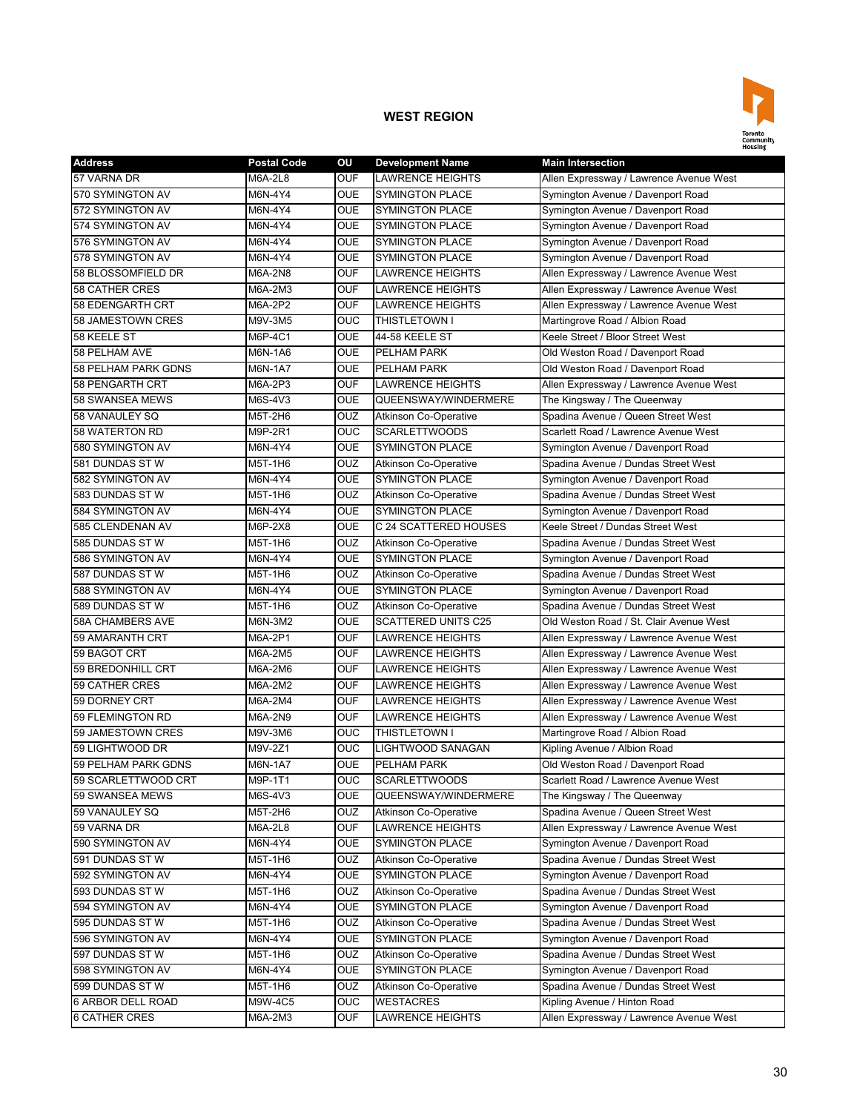

| <b>Address</b>          | <b>Postal Code</b> | OU             | <b>Development Name</b>      | <b>Main Intersection</b>                |
|-------------------------|--------------------|----------------|------------------------------|-----------------------------------------|
| 57 VARNA DR             | M6A-2L8            | <b>OUF</b>     | LAWRENCE HEIGHTS             | Allen Expressway / Lawrence Avenue West |
| 570 SYMINGTON AV        | M6N-4Y4            | <b>OUE</b>     | <b>SYMINGTON PLACE</b>       | Symington Avenue / Davenport Road       |
| 572 SYMINGTON AV        | M6N-4Y4            | <b>OUE</b>     | <b>SYMINGTON PLACE</b>       | Symington Avenue / Davenport Road       |
| 574 SYMINGTON AV        | M6N-4Y4            | <b>OUE</b>     | <b>SYMINGTON PLACE</b>       | Symington Avenue / Davenport Road       |
| 576 SYMINGTON AV        | M6N-4Y4            | <b>OUE</b>     | <b>SYMINGTON PLACE</b>       | Symington Avenue / Davenport Road       |
| 578 SYMINGTON AV        | M6N-4Y4            | <b>OUE</b>     | <b>SYMINGTON PLACE</b>       | Symington Avenue / Davenport Road       |
| 58 BLOSSOMFIELD DR      | M6A-2N8            | <b>OUF</b>     | <b>LAWRENCE HEIGHTS</b>      | Allen Expressway / Lawrence Avenue West |
| <b>58 CATHER CRES</b>   | M6A-2M3            | <b>OUF</b>     | <b>LAWRENCE HEIGHTS</b>      | Allen Expressway / Lawrence Avenue West |
| 58 EDENGARTH CRT        | M6A-2P2            | <b>OUF</b>     | <b>LAWRENCE HEIGHTS</b>      | Allen Expressway / Lawrence Avenue West |
| 58 JAMESTOWN CRES       | M9V-3M5            | OUC            | THISTLETOWN I                | Martingrove Road / Albion Road          |
| 58 KEELE ST             | M6P-4C1            | <b>OUE</b>     | 44-58 KEELE ST               | Keele Street / Bloor Street West        |
| 58 PELHAM AVE           | M6N-1A6            | <b>OUE</b>     | PELHAM PARK                  | Old Weston Road / Davenport Road        |
| 58 PELHAM PARK GDNS     | M6N-1A7            | <b>OUE</b>     | PELHAM PARK                  | Old Weston Road / Davenport Road        |
| 58 PENGARTH CRT         | M6A-2P3            | <b>OUF</b>     | <b>LAWRENCE HEIGHTS</b>      | Allen Expressway / Lawrence Avenue West |
| 58 SWANSEA MEWS         | M6S-4V3            | <b>OUE</b>     | QUEENSWAY/WINDERMERE         | The Kingsway / The Queenway             |
| 58 VANAULEY SQ          | M5T-2H6            | <b>OUZ</b>     | <b>Atkinson Co-Operative</b> | Spadina Avenue / Queen Street West      |
| 58 WATERTON RD          | M9P-2R1            | <b>OUC</b>     | <b>SCARLETTWOODS</b>         | Scarlett Road / Lawrence Avenue West    |
| 580 SYMINGTON AV        | M6N-4Y4            | <b>OUE</b>     | <b>SYMINGTON PLACE</b>       | Symington Avenue / Davenport Road       |
| 581 DUNDAS STW          | M5T-1H6            | OUZ            | <b>Atkinson Co-Operative</b> | Spadina Avenue / Dundas Street West     |
| 582 SYMINGTON AV        | M6N-4Y4            | <b>OUE</b>     | <b>SYMINGTON PLACE</b>       | Symington Avenue / Davenport Road       |
| 583 DUNDAS STW          | M5T-1H6            | OUZ            | <b>Atkinson Co-Operative</b> | Spadina Avenue / Dundas Street West     |
| 584 SYMINGTON AV        | M6N-4Y4            | <b>OUE</b>     | <b>SYMINGTON PLACE</b>       | Symington Avenue / Davenport Road       |
| 585 CLENDENAN AV        | M6P-2X8            | <b>OUE</b>     | C 24 SCATTERED HOUSES        | Keele Street / Dundas Street West       |
| 585 DUNDAS ST W         | M5T-1H6            | OUZ            | <b>Atkinson Co-Operative</b> | Spadina Avenue / Dundas Street West     |
| 586 SYMINGTON AV        | M6N-4Y4            | <b>OUE</b>     | <b>SYMINGTON PLACE</b>       | Symington Avenue / Davenport Road       |
| 587 DUNDAS STW          | M5T-1H6            | OUZ            | <b>Atkinson Co-Operative</b> | Spadina Avenue / Dundas Street West     |
| 588 SYMINGTON AV        | M6N-4Y4            | <b>OUE</b>     | <b>SYMINGTON PLACE</b>       | Symington Avenue / Davenport Road       |
| 589 DUNDAS STW          | M5T-1H6            | OUZ            | <b>Atkinson Co-Operative</b> | Spadina Avenue / Dundas Street West     |
| <b>58A CHAMBERS AVE</b> | M6N-3M2            | <b>OUE</b>     | <b>SCATTERED UNITS C25</b>   | Old Weston Road / St. Clair Avenue West |
| 59 AMARANTH CRT         | M6A-2P1            | <b>OUF</b>     | <b>LAWRENCE HEIGHTS</b>      | Allen Expressway / Lawrence Avenue West |
| 59 BAGOT CRT            | M6A-2M5            | <b>OUF</b>     | LAWRENCE HEIGHTS             | Allen Expressway / Lawrence Avenue West |
| 59 BREDONHILL CRT       | M6A-2M6            | <b>OUF</b>     | LAWRENCE HEIGHTS             | Allen Expressway / Lawrence Avenue West |
| 59 CATHER CRES          | M6A-2M2            | <b>OUF</b>     | LAWRENCE HEIGHTS             | Allen Expressway / Lawrence Avenue West |
| 59 DORNEY CRT           | M6A-2M4            | <b>OUF</b>     | LAWRENCE HEIGHTS             | Allen Expressway / Lawrence Avenue West |
| 59 FLEMINGTON RD        | M6A-2N9            | <b>OUF</b>     | <b>LAWRENCE HEIGHTS</b>      | Allen Expressway / Lawrence Avenue West |
| 59 JAMESTOWN CRES       | M9V-3M6            | <b>OUC</b>     | <b>THISTLETOWN I</b>         | Martingrove Road / Albion Road          |
| 59 LIGHTWOOD DR         | M9V-2Z1            | <b>OUC</b>     | LIGHTWOOD SANAGAN            | Kipling Avenue / Albion Road            |
| 59 PELHAM PARK GDNS     | M6N-1A7            | <b>OUE</b>     | <b>PELHAM PARK</b>           | Old Weston Road / Davenport Road        |
| 59 SCARLETTWOOD CRT     | M9P-1T1            | <b>OUC</b>     | <b>SCARLETTWOODS</b>         | Scarlett Road / Lawrence Avenue West    |
| 59 SWANSEA MEWS         | M6S-4V3            | <b>OUE</b>     | QUEENSWAY/WINDERMERE         | The Kingsway / The Queenway             |
| 59 VANAULEY SQ          | M5T-2H6            | <b>OUZ</b>     | <b>Atkinson Co-Operative</b> | Spadina Avenue / Queen Street West      |
| 59 VARNA DR             | <b>M6A-2L8</b>     | <b>OUF</b>     | <b>LAWRENCE HEIGHTS</b>      | Allen Expressway / Lawrence Avenue West |
| 590 SYMINGTON AV        | M6N-4Y4            | <b>OUE</b>     | <b>SYMINGTON PLACE</b>       | Symington Avenue / Davenport Road       |
| 591 DUNDAS ST W         | M5T-1H6            | <b>OUZ</b>     | <b>Atkinson Co-Operative</b> | Spadina Avenue / Dundas Street West     |
| 592 SYMINGTON AV        | M6N-4Y4            | <b>OUE</b>     | <b>SYMINGTON PLACE</b>       | Symington Avenue / Davenport Road       |
| 593 DUNDAS ST W         | M5T-1H6            | OUZ            | <b>Atkinson Co-Operative</b> | Spadina Avenue / Dundas Street West     |
| 594 SYMINGTON AV        | M6N-4Y4            | <b>OUE</b>     | <b>SYMINGTON PLACE</b>       | Symington Avenue / Davenport Road       |
| 595 DUNDAS STW          | M5T-1H6            | OUZ            | Atkinson Co-Operative        | Spadina Avenue / Dundas Street West     |
| 596 SYMINGTON AV        | M6N-4Y4            | <b>OUE</b>     | <b>SYMINGTON PLACE</b>       | Symington Avenue / Davenport Road       |
| 597 DUNDAS ST W         | M5T-1H6            | <b>OUZ</b>     | <b>Atkinson Co-Operative</b> | Spadina Avenue / Dundas Street West     |
| 598 SYMINGTON AV        | M6N-4Y4            | <b>OUE</b>     | <b>SYMINGTON PLACE</b>       | Symington Avenue / Davenport Road       |
| 599 DUNDAS ST W         | M5T-1H6            | <b>OUZ</b>     | <b>Atkinson Co-Operative</b> | Spadina Avenue / Dundas Street West     |
| 6 ARBOR DELL ROAD       | M9W-4C5            | $\overline{C}$ | WESTACRES                    | Kipling Avenue / Hinton Road            |
| <b>6 CATHER CRES</b>    | M6A-2M3            | <b>OUF</b>     | LAWRENCE HEIGHTS             | Allen Expressway / Lawrence Avenue West |
|                         |                    |                |                              |                                         |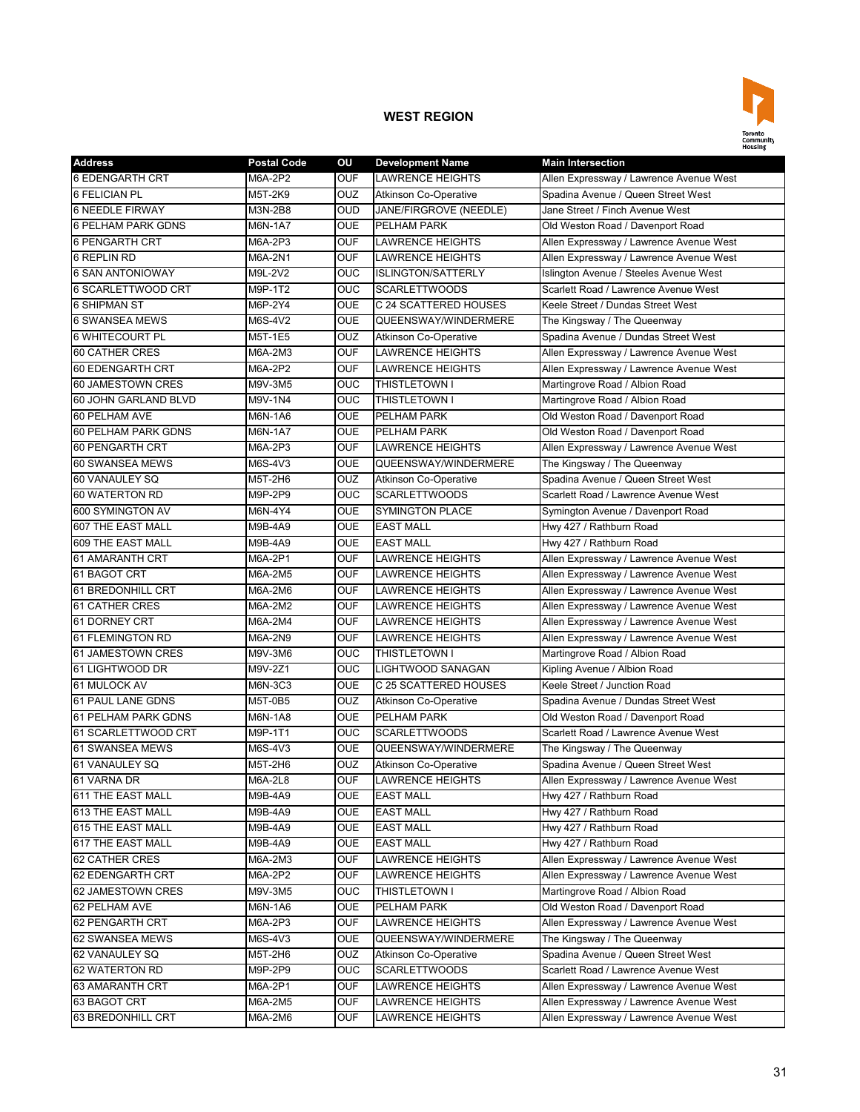

| <b>Address</b>            | <b>Postal Code</b> | OU         | <b>Development Name</b>      | <b>Main Intersection</b>                |
|---------------------------|--------------------|------------|------------------------------|-----------------------------------------|
| <b>6 EDENGARTH CRT</b>    | M6A-2P2            | <b>OUF</b> | <b>LAWRENCE HEIGHTS</b>      | Allen Expressway / Lawrence Avenue West |
| 6 FELICIAN PL             | M5T-2K9            | <b>OUZ</b> | <b>Atkinson Co-Operative</b> | Spadina Avenue / Queen Street West      |
| <b>6 NEEDLE FIRWAY</b>    | M3N-2B8            | <b>OUD</b> | JANE/FIRGROVE (NEEDLE)       | Jane Street / Finch Avenue West         |
| <b>6 PELHAM PARK GDNS</b> | M6N-1A7            | <b>OUE</b> | <b>PELHAM PARK</b>           | Old Weston Road / Davenport Road        |
| 6 PENGARTH CRT            | M6A-2P3            | <b>OUF</b> | <b>LAWRENCE HEIGHTS</b>      | Allen Expressway / Lawrence Avenue West |
| <b>6 REPLIN RD</b>        | M6A-2N1            | <b>OUF</b> | <b>LAWRENCE HEIGHTS</b>      | Allen Expressway / Lawrence Avenue West |
| <b>6 SAN ANTONIOWAY</b>   | M9L-2V2            | <b>OUC</b> | <b>ISLINGTON/SATTERLY</b>    | Islington Avenue / Steeles Avenue West  |
| <b>6 SCARLETTWOOD CRT</b> | M9P-1T2            | <b>OUC</b> | <b>SCARLETTWOODS</b>         | Scarlett Road / Lawrence Avenue West    |
| <b>6 SHIPMAN ST</b>       | M6P-2Y4            | <b>OUE</b> | C 24 SCATTERED HOUSES        | Keele Street / Dundas Street West       |
| <b>6 SWANSEA MEWS</b>     | M6S-4V2            | <b>OUE</b> | QUEENSWAY/WINDERMERE         | The Kingsway / The Queenway             |
| 6 WHITECOURT PL           | M5T-1E5            | OUZ        | <b>Atkinson Co-Operative</b> | Spadina Avenue / Dundas Street West     |
| <b>60 CATHER CRES</b>     | M6A-2M3            | <b>OUF</b> | <b>LAWRENCE HEIGHTS</b>      | Allen Expressway / Lawrence Avenue West |
| 60 EDENGARTH CRT          | M6A-2P2            | <b>OUF</b> | <b>LAWRENCE HEIGHTS</b>      | Allen Expressway / Lawrence Avenue West |
| 60 JAMESTOWN CRES         | M9V-3M5            | OUC        | <b>THISTLETOWN I</b>         | Martingrove Road / Albion Road          |
| 60 JOHN GARLAND BLVD      | M9V-1N4            | <b>OUC</b> | <b>THISTLETOWN I</b>         | Martingrove Road / Albion Road          |
| 60 PELHAM AVE             | M6N-1A6            | <b>OUE</b> | PELHAM PARK                  | Old Weston Road / Davenport Road        |
| 60 PELHAM PARK GDNS       | M6N-1A7            | <b>OUE</b> | <b>PELHAM PARK</b>           | Old Weston Road / Davenport Road        |
| <b>60 PENGARTH CRT</b>    | M6A-2P3            | <b>OUF</b> | <b>LAWRENCE HEIGHTS</b>      | Allen Expressway / Lawrence Avenue West |
| 60 SWANSEA MEWS           | M6S-4V3            | <b>OUE</b> | QUEENSWAY/WINDERMERE         | The Kingsway / The Queenway             |
| 60 VANAULEY SQ            | M5T-2H6            | OUZ        | <b>Atkinson Co-Operative</b> | Spadina Avenue / Queen Street West      |
| 60 WATERTON RD            | M9P-2P9            | <b>OUC</b> | <b>SCARLETTWOODS</b>         | Scarlett Road / Lawrence Avenue West    |
| 600 SYMINGTON AV          | M6N-4Y4            | <b>OUE</b> | <b>SYMINGTON PLACE</b>       | Symington Avenue / Davenport Road       |
| 607 THE EAST MALL         | M9B-4A9            | <b>OUE</b> | <b>EAST MALL</b>             | Hwy 427 / Rathburn Road                 |
| 609 THE EAST MALL         | M9B-4A9            | <b>OUE</b> | <b>EAST MALL</b>             | Hwy 427 / Rathburn Road                 |
| 61 AMARANTH CRT           | M6A-2P1            | <b>OUF</b> | <b>LAWRENCE HEIGHTS</b>      | Allen Expressway / Lawrence Avenue West |
| 61 BAGOT CRT              | M6A-2M5            | <b>OUF</b> | <b>LAWRENCE HEIGHTS</b>      | Allen Expressway / Lawrence Avenue West |
| 61 BREDONHILL CRT         | M6A-2M6            | <b>OUF</b> | <b>LAWRENCE HEIGHTS</b>      | Allen Expressway / Lawrence Avenue West |
| 61 CATHER CRES            | M6A-2M2            | <b>OUF</b> | <b>LAWRENCE HEIGHTS</b>      | Allen Expressway / Lawrence Avenue West |
| 61 DORNEY CRT             | M6A-2M4            | <b>OUF</b> | <b>LAWRENCE HEIGHTS</b>      | Allen Expressway / Lawrence Avenue West |
| 61 FLEMINGTON RD          | M6A-2N9            | <b>OUF</b> | <b>LAWRENCE HEIGHTS</b>      | Allen Expressway / Lawrence Avenue West |
| 61 JAMESTOWN CRES         | M9V-3M6            | OUC        | <b>THISTLETOWN I</b>         | Martingrove Road / Albion Road          |
| 61 LIGHTWOOD DR           | M9V-2Z1            | OUC        | LIGHTWOOD SANAGAN            | Kipling Avenue / Albion Road            |
| 61 MULOCK AV              | M6N-3C3            | <b>OUE</b> | C 25 SCATTERED HOUSES        | Keele Street / Junction Road            |
| <b>61 PAUL LANE GDNS</b>  | M5T-0B5            | <b>OUZ</b> | <b>Atkinson Co-Operative</b> | Spadina Avenue / Dundas Street West     |
| 61 PELHAM PARK GDNS       | M6N-1A8            | <b>OUE</b> | PELHAM PARK                  | Old Weston Road / Davenport Road        |
| 61 SCARLETTWOOD CRT       | M9P-1T1            | <b>OUC</b> | <b>SCARLETTWOODS</b>         | Scarlett Road / Lawrence Avenue West    |
| 61 SWANSEA MEWS           | M6S-4V3            | <b>OUE</b> | QUEENSWAY/WINDERMERE         | The Kingsway / The Queenway             |
| 61 VANAULEY SQ            | M5T-2H6            | OUZ        | <b>Atkinson Co-Operative</b> | Spadina Avenue / Queen Street West      |
| 61 VARNA DR               | M6A-2L8            | <b>OUF</b> | <b>LAWRENCE HEIGHTS</b>      | Allen Expressway / Lawrence Avenue West |
| 611 THE EAST MALL         | M9B-4A9            | <b>OUE</b> | <b>EAST MALL</b>             | Hwy 427 / Rathburn Road                 |
| 613 THE EAST MALL         | M9B-4A9            | <b>OUE</b> | <b>EAST MALL</b>             | Hwy 427 / Rathburn Road                 |
| 615 THE EAST MALL         | M9B-4A9            | <b>OUE</b> | <b>EAST MALL</b>             | Hwy 427 / Rathburn Road                 |
| 617 THE EAST MALL         | M9B-4A9            | <b>OUE</b> | <b>EAST MALL</b>             | Hwy 427 / Rathburn Road                 |
| 62 CATHER CRES            | M6A-2M3            | <b>OUF</b> | LAWRENCE HEIGHTS             | Allen Expressway / Lawrence Avenue West |
| 62 EDENGARTH CRT          | M6A-2P2            | <b>OUF</b> | <b>LAWRENCE HEIGHTS</b>      | Allen Expressway / Lawrence Avenue West |
| 62 JAMESTOWN CRES         | M9V-3M5            | <b>OUC</b> | THISTLETOWN I                | Martingrove Road / Albion Road          |
| 62 PELHAM AVE             | M6N-1A6            | <b>OUE</b> | PELHAM PARK                  | Old Weston Road / Davenport Road        |
| 62 PENGARTH CRT           | M6A-2P3            | <b>OUF</b> | <b>LAWRENCE HEIGHTS</b>      | Allen Expressway / Lawrence Avenue West |
| 62 SWANSEA MEWS           | M6S-4V3            | <b>OUE</b> | QUEENSWAY/WINDERMERE         | The Kingsway / The Queenway             |
| 62 VANAULEY SQ            | M5T-2H6            | <b>OUZ</b> | Atkinson Co-Operative        | Spadina Avenue / Queen Street West      |
| 62 WATERTON RD            | M9P-2P9            | <b>OUC</b> | <b>SCARLETTWOODS</b>         | Scarlett Road / Lawrence Avenue West    |
| 63 AMARANTH CRT           | M6A-2P1            | <b>OUF</b> | LAWRENCE HEIGHTS             | Allen Expressway / Lawrence Avenue West |
| 63 BAGOT CRT              | M6A-2M5            | <b>OUF</b> | LAWRENCE HEIGHTS             | Allen Expressway / Lawrence Avenue West |
| 63 BREDONHILL CRT         | M6A-2M6            | <b>OUF</b> | LAWRENCE HEIGHTS             | Allen Expressway / Lawrence Avenue West |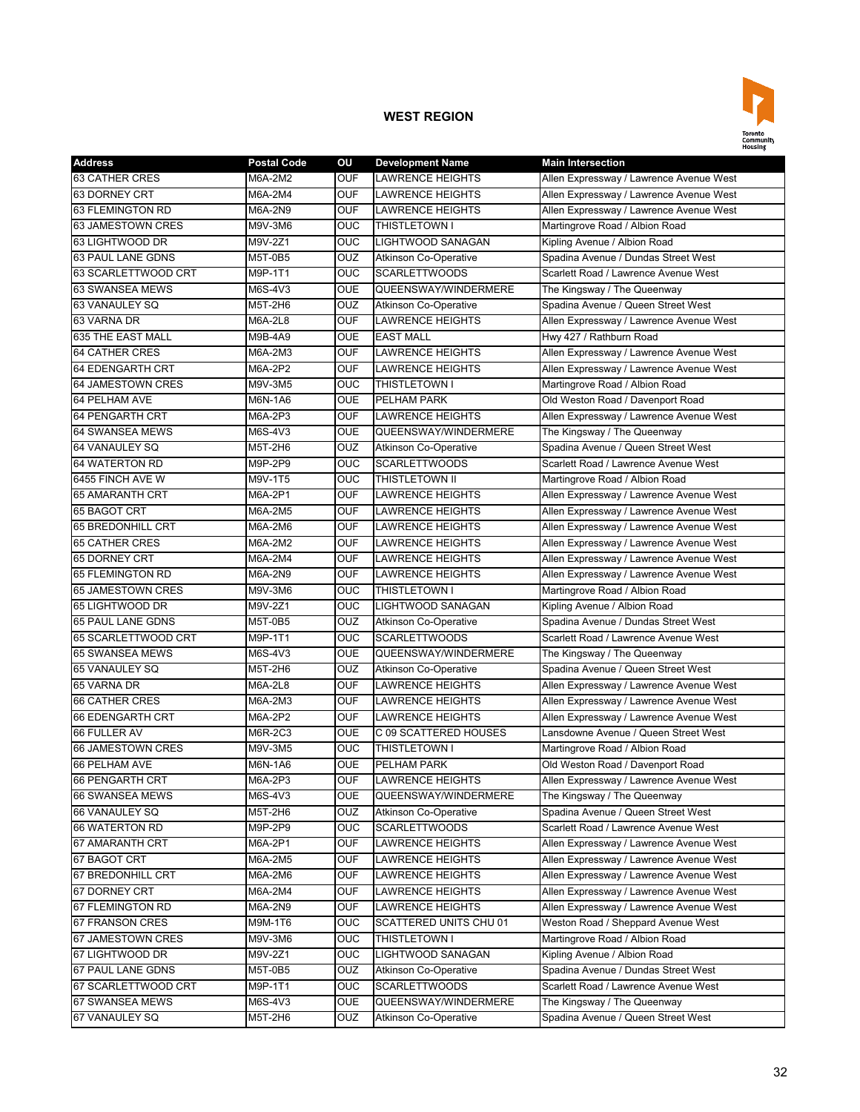

| <b>Address</b>           | <b>Postal Code</b> | ΟU             | <b>Development Name</b>      | <b>Main Intersection</b>                |
|--------------------------|--------------------|----------------|------------------------------|-----------------------------------------|
| 63 CATHER CRES           | M6A-2M2            | <b>OUF</b>     | <b>LAWRENCE HEIGHTS</b>      | Allen Expressway / Lawrence Avenue West |
| 63 DORNEY CRT            | M6A-2M4            | <b>OUF</b>     | <b>LAWRENCE HEIGHTS</b>      | Allen Expressway / Lawrence Avenue West |
| <b>63 FLEMINGTON RD</b>  | M6A-2N9            | <b>OUF</b>     | <b>LAWRENCE HEIGHTS</b>      | Allen Expressway / Lawrence Avenue West |
| 63 JAMESTOWN CRES        | M9V-3M6            | <b>OUC</b>     | THISTLETOWN I                | Martingrove Road / Albion Road          |
| 63 LIGHTWOOD DR          | M9V-2Z1            | <b>OUC</b>     | <b>LIGHTWOOD SANAGAN</b>     | Kipling Avenue / Albion Road            |
| <b>63 PAUL LANE GDNS</b> | <b>M5T-0B5</b>     | OUZ            | <b>Atkinson Co-Operative</b> | Spadina Avenue / Dundas Street West     |
| 63 SCARLETTWOOD CRT      | M9P-1T1            | <b>OUC</b>     | <b>SCARLETTWOODS</b>         | Scarlett Road / Lawrence Avenue West    |
| 63 SWANSEA MEWS          | M6S-4V3            | <b>OUE</b>     | QUEENSWAY/WINDERMERE         | The Kingsway / The Queenway             |
| 63 VANAULEY SQ           | M5T-2H6            | OUZ            | <b>Atkinson Co-Operative</b> | Spadina Avenue / Queen Street West      |
| 63 VARNA DR              | M6A-2L8            | OUF            | <b>LAWRENCE HEIGHTS</b>      | Allen Expressway / Lawrence Avenue West |
| 635 THE EAST MALL        | M9B-4A9            | <b>OUE</b>     | <b>EAST MALL</b>             | Hwy 427 / Rathburn Road                 |
| <b>64 CATHER CRES</b>    | M6A-2M3            | <b>OUF</b>     | <b>LAWRENCE HEIGHTS</b>      | Allen Expressway / Lawrence Avenue West |
| <b>64 EDENGARTH CRT</b>  | M6A-2P2            | <b>OUF</b>     | <b>LAWRENCE HEIGHTS</b>      | Allen Expressway / Lawrence Avenue West |
| 64 JAMESTOWN CRES        | M9V-3M5            | OUC            | THISTLETOWN I                | Martingrove Road / Albion Road          |
| 64 PELHAM AVE            | M6N-1A6            | <b>OUE</b>     | PELHAM PARK                  | Old Weston Road / Davenport Road        |
| 64 PENGARTH CRT          | M6A-2P3            | <b>OUF</b>     | <b>LAWRENCE HEIGHTS</b>      | Allen Expressway / Lawrence Avenue West |
| <b>64 SWANSEA MEWS</b>   | M6S-4V3            | <b>OUE</b>     | QUEENSWAY/WINDERMERE         | The Kingsway / The Queenway             |
| 64 VANAULEY SQ           | M5T-2H6            | OUZ            | <b>Atkinson Co-Operative</b> | Spadina Avenue / Queen Street West      |
| <b>64 WATERTON RD</b>    | M9P-2P9            | <b>OUC</b>     | <b>SCARLETTWOODS</b>         | Scarlett Road / Lawrence Avenue West    |
| 6455 FINCH AVE W         | M9V-1T5            | <b>OUC</b>     | <b>THISTLETOWN II</b>        | Martingrove Road / Albion Road          |
| 65 AMARANTH CRT          | M6A-2P1            | <b>OUF</b>     | <b>LAWRENCE HEIGHTS</b>      | Allen Expressway / Lawrence Avenue West |
| 65 BAGOT CRT             | M6A-2M5            | <b>OUF</b>     | <b>LAWRENCE HEIGHTS</b>      | Allen Expressway / Lawrence Avenue West |
| 65 BREDONHILL CRT        | M6A-2M6            | <b>OUF</b>     | <b>LAWRENCE HEIGHTS</b>      | Allen Expressway / Lawrence Avenue West |
| <b>65 CATHER CRES</b>    | M6A-2M2            | <b>OUF</b>     | <b>LAWRENCE HEIGHTS</b>      | Allen Expressway / Lawrence Avenue West |
| 65 DORNEY CRT            | M6A-2M4            | <b>OUF</b>     | <b>LAWRENCE HEIGHTS</b>      | Allen Expressway / Lawrence Avenue West |
| 65 FLEMINGTON RD         | M6A-2N9            | <b>OUF</b>     | <b>LAWRENCE HEIGHTS</b>      | Allen Expressway / Lawrence Avenue West |
| 65 JAMESTOWN CRES        | M9V-3M6            | OUC            | THISTLETOWN I                | Martingrove Road / Albion Road          |
| 65 LIGHTWOOD DR          | M9V-2Z1            | OUC            | LIGHTWOOD SANAGAN            | Kipling Avenue / Albion Road            |
| <b>65 PAUL LANE GDNS</b> | M5T-0B5            | OUZ            | <b>Atkinson Co-Operative</b> | Spadina Avenue / Dundas Street West     |
| 65 SCARLETTWOOD CRT      | M9P-1T1            | OUC            | <b>SCARLETTWOODS</b>         | Scarlett Road / Lawrence Avenue West    |
| 65 SWANSEA MEWS          | M6S-4V3            | <b>OUE</b>     | QUEENSWAY/WINDERMERE         | The Kingsway / The Queenway             |
| 65 VANAULEY SQ           | M5T-2H6            | <b>OUZ</b>     | <b>Atkinson Co-Operative</b> | Spadina Avenue / Queen Street West      |
| 65 VARNA DR              | M6A-2L8            | <b>OUF</b>     | <b>LAWRENCE HEIGHTS</b>      | Allen Expressway / Lawrence Avenue West |
| <b>66 CATHER CRES</b>    | M6A-2M3            | <b>OUF</b>     | <b>LAWRENCE HEIGHTS</b>      | Allen Expressway / Lawrence Avenue West |
| 66 EDENGARTH CRT         | M6A-2P2            | <b>OUF</b>     | <b>LAWRENCE HEIGHTS</b>      | Allen Expressway / Lawrence Avenue West |
| 66 FULLER AV             | M6R-2C3            | <b>OUE</b>     | C 09 SCATTERED HOUSES        | Lansdowne Avenue / Queen Street West    |
| 66 JAMESTOWN CRES        | M9V-3M5            | <b>OUC</b>     | <b>THISTLETOWN I</b>         | Martingrove Road / Albion Road          |
| 66 PELHAM AVE            | M6N-1A6            | <b>OUE</b>     | <b>PELHAM PARK</b>           | Old Weston Road / Davenport Road        |
| 66 PENGARTH CRT          | $M6A-2P3$          | OUF            | <b>LAWRENCE HEIGHTS</b>      | Allen Expressway / Lawrence Avenue West |
| 66 SWANSEA MEWS          | M6S-4V3            | <b>OUE</b>     | QUEENSWAY/WINDERMERE         | The Kingsway / The Queenway             |
| 66 VANAULEY SQ           | M5T-2H6            | OUZ            | Atkinson Co-Operative        | Spadina Avenue / Queen Street West      |
| 66 WATERTON RD           | M9P-2P9            | OUC            | <b>SCARLETTWOODS</b>         | Scarlett Road / Lawrence Avenue West    |
| 67 AMARANTH CRT          | M6A-2P1            | <b>OUF</b>     | <b>LAWRENCE HEIGHTS</b>      | Allen Expressway / Lawrence Avenue West |
| 67 BAGOT CRT             | M6A-2M5            | <b>OUF</b>     | <b>LAWRENCE HEIGHTS</b>      | Allen Expressway / Lawrence Avenue West |
| 67 BREDONHILL CRT        | M6A-2M6            | OUF            | <b>LAWRENCE HEIGHTS</b>      | Allen Expressway / Lawrence Avenue West |
| 67 DORNEY CRT            | M6A-2M4            | <b>OUF</b>     | <b>LAWRENCE HEIGHTS</b>      | Allen Expressway / Lawrence Avenue West |
| 67 FLEMINGTON RD         | M6A-2N9            | <b>OUF</b>     | <b>LAWRENCE HEIGHTS</b>      | Allen Expressway / Lawrence Avenue West |
| 67 FRANSON CRES          | M9M-1T6            | <b>OUC</b>     | SCATTERED UNITS CHU 01       | Weston Road / Sheppard Avenue West      |
| 67 JAMESTOWN CRES        | M9V-3M6            | OUC            | THISTLETOWN I                | Martingrove Road / Albion Road          |
| 67 LIGHTWOOD DR          | M9V-2Z1            | OUC            | LIGHTWOOD SANAGAN            | Kipling Avenue / Albion Road            |
| 67 PAUL LANE GDNS        | M5T-0B5            | <b>OUZ</b>     | <b>Atkinson Co-Operative</b> | Spadina Avenue / Dundas Street West     |
| 67 SCARLETTWOOD CRT      | M9P-1T1            | $\overline{C}$ | <b>SCARLETTWOODS</b>         | Scarlett Road / Lawrence Avenue West    |
| 67 SWANSEA MEWS          | M6S-4V3            | <b>OUE</b>     | QUEENSWAY/WINDERMERE         | The Kingsway / The Queenway             |
| 67 VANAULEY SQ           | M5T-2H6            | OUZ            | <b>Atkinson Co-Operative</b> | Spadina Avenue / Queen Street West      |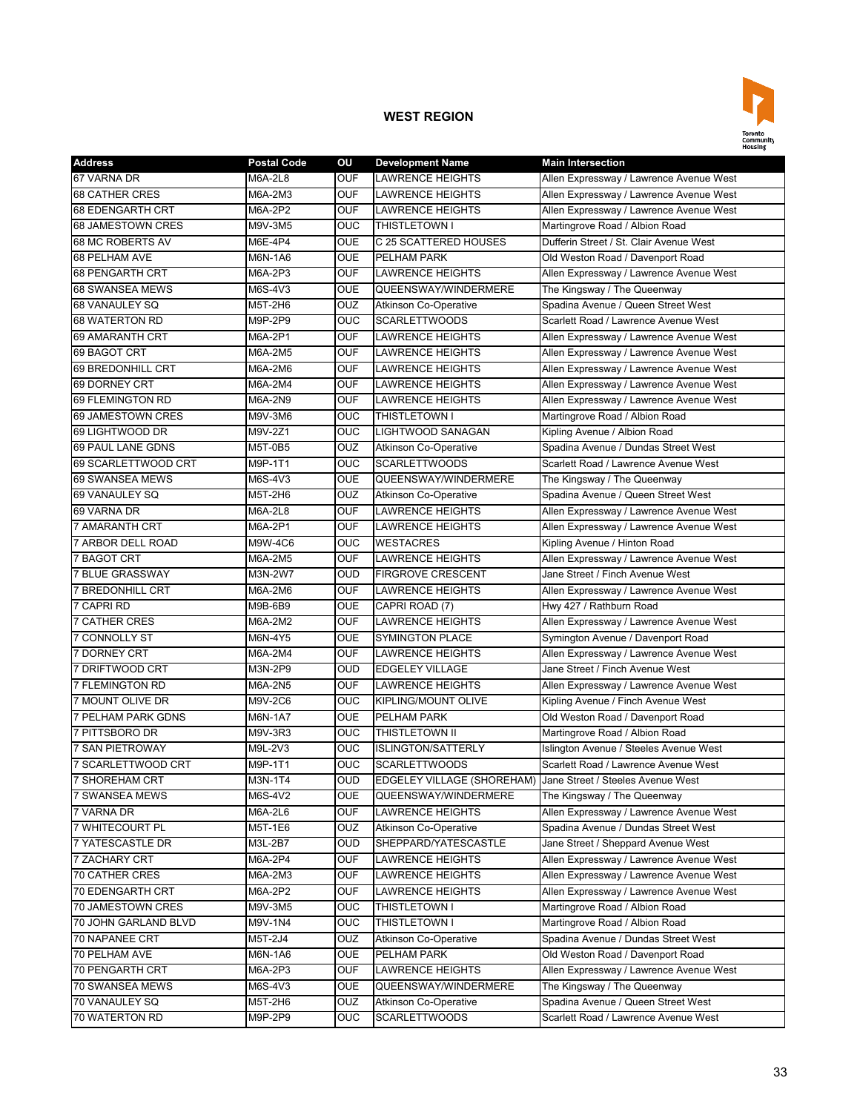

| <b>Address</b>            | <b>Postal Code</b> | OU         | <b>Development Name</b>                                      | <b>Main Intersection</b>                |
|---------------------------|--------------------|------------|--------------------------------------------------------------|-----------------------------------------|
| 67 VARNA DR               | M6A-2L8            | <b>OUF</b> | <b>LAWRENCE HEIGHTS</b>                                      | Allen Expressway / Lawrence Avenue West |
| <b>68 CATHER CRES</b>     | M6A-2M3            | <b>OUF</b> | <b>LAWRENCE HEIGHTS</b>                                      | Allen Expressway / Lawrence Avenue West |
| <b>68 EDENGARTH CRT</b>   | M6A-2P2            | <b>OUF</b> | <b>LAWRENCE HEIGHTS</b>                                      | Allen Expressway / Lawrence Avenue West |
| 68 JAMESTOWN CRES         | M9V-3M5            | <b>OUC</b> | THISTLETOWN I                                                | Martingrove Road / Albion Road          |
| 68 MC ROBERTS AV          | M6E-4P4            | <b>OUE</b> | C 25 SCATTERED HOUSES                                        | Dufferin Street / St. Clair Avenue West |
| 68 PELHAM AVE             | M6N-1A6            | <b>OUE</b> | <b>PELHAM PARK</b>                                           | Old Weston Road / Davenport Road        |
| 68 PENGARTH CRT           | M6A-2P3            | <b>OUF</b> | <b>LAWRENCE HEIGHTS</b>                                      | Allen Expressway / Lawrence Avenue West |
| 68 SWANSEA MEWS           | M6S-4V3            | <b>OUE</b> | QUEENSWAY/WINDERMERE                                         | The Kingsway / The Queenway             |
| 68 VANAULEY SQ            | M5T-2H6            | OUZ        | <b>Atkinson Co-Operative</b>                                 | Spadina Avenue / Queen Street West      |
| 68 WATERTON RD            | M9P-2P9            | <b>OUC</b> | <b>SCARLETTWOODS</b>                                         | Scarlett Road / Lawrence Avenue West    |
| 69 AMARANTH CRT           | M6A-2P1            | <b>OUF</b> | LAWRENCE HEIGHTS                                             | Allen Expressway / Lawrence Avenue West |
| 69 BAGOT CRT              | M6A-2M5            | <b>OUF</b> | <b>LAWRENCE HEIGHTS</b>                                      | Allen Expressway / Lawrence Avenue West |
| 69 BREDONHILL CRT         | M6A-2M6            | <b>OUF</b> | <b>LAWRENCE HEIGHTS</b>                                      | Allen Expressway / Lawrence Avenue West |
| 69 DORNEY CRT             | M6A-2M4            | <b>OUF</b> | <b>LAWRENCE HEIGHTS</b>                                      | Allen Expressway / Lawrence Avenue West |
| 69 FLEMINGTON RD          | M6A-2N9            | <b>OUF</b> | <b>LAWRENCE HEIGHTS</b>                                      | Allen Expressway / Lawrence Avenue West |
| 69 JAMESTOWN CRES         | M9V-3M6            | OUC        | THISTLETOWN I                                                | Martingrove Road / Albion Road          |
| 69 LIGHTWOOD DR           | M9V-2Z1            | <b>OUC</b> | <b>LIGHTWOOD SANAGAN</b>                                     | Kipling Avenue / Albion Road            |
| 69 PAUL LANE GDNS         | M5T-0B5            | <b>OUZ</b> | <b>Atkinson Co-Operative</b>                                 | Spadina Avenue / Dundas Street West     |
| 69 SCARLETTWOOD CRT       | M9P-1T1            | <b>OUC</b> | <b>SCARLETTWOODS</b>                                         | Scarlett Road / Lawrence Avenue West    |
| 69 SWANSEA MEWS           | M6S-4V3            | <b>OUE</b> | QUEENSWAY/WINDERMERE                                         | The Kingsway / The Queenway             |
| 69 VANAULEY SQ            | M5T-2H6            | OUZ        | <b>Atkinson Co-Operative</b>                                 | Spadina Avenue / Queen Street West      |
| 69 VARNA DR               | M6A-2L8            | <b>OUF</b> | <b>LAWRENCE HEIGHTS</b>                                      | Allen Expressway / Lawrence Avenue West |
| <b>7 AMARANTH CRT</b>     | M6A-2P1            | <b>OUF</b> | <b>LAWRENCE HEIGHTS</b>                                      | Allen Expressway / Lawrence Avenue West |
| 7 ARBOR DELL ROAD         | M9W-4C6            | <b>OUC</b> | <b>WESTACRES</b>                                             | Kipling Avenue / Hinton Road            |
| 7 BAGOT CRT               | M6A-2M5            | <b>OUF</b> | <b>LAWRENCE HEIGHTS</b>                                      | Allen Expressway / Lawrence Avenue West |
| <b>7 BLUE GRASSWAY</b>    | M3N-2W7            | <b>OUD</b> | <b>FIRGROVE CRESCENT</b>                                     | Jane Street / Finch Avenue West         |
| 7 BREDONHILL CRT          | M6A-2M6            | OUF        | <b>LAWRENCE HEIGHTS</b>                                      | Allen Expressway / Lawrence Avenue West |
| 7 CAPRI RD                | M9B-6B9            | <b>OUE</b> | CAPRI ROAD (7)                                               | Hwy 427 / Rathburn Road                 |
| <b>7 CATHER CRES</b>      | M6A-2M2            | <b>OUF</b> | <b>LAWRENCE HEIGHTS</b>                                      | Allen Expressway / Lawrence Avenue West |
| 7 CONNOLLY ST             | M6N-4Y5            | <b>OUE</b> | <b>SYMINGTON PLACE</b>                                       | Symington Avenue / Davenport Road       |
| 7 DORNEY CRT              | M6A-2M4            | <b>OUF</b> | <b>LAWRENCE HEIGHTS</b>                                      | Allen Expressway / Lawrence Avenue West |
| 7 DRIFTWOOD CRT           | M3N-2P9            | <b>OUD</b> | <b>EDGELEY VILLAGE</b>                                       | Jane Street / Finch Avenue West         |
| <b>7 FLEMINGTON RD</b>    | M6A-2N5            | <b>OUF</b> | <b>LAWRENCE HEIGHTS</b>                                      | Allen Expressway / Lawrence Avenue West |
| 7 MOUNT OLIVE DR          | M9V-2C6            | <b>OUC</b> | KIPLING/MOUNT OLIVE                                          | Kipling Avenue / Finch Avenue West      |
| <b>7 PELHAM PARK GDNS</b> | M6N-1A7            | <b>OUE</b> | <b>PELHAM PARK</b>                                           | Old Weston Road / Davenport Road        |
| 7 PITTSBORO DR            | M9V-3R3            | <b>OUC</b> | <b>THISTLETOWN II</b>                                        | Martingrove Road / Albion Road          |
| <b>7 SAN PIETROWAY</b>    | M9L-2V3            | <b>OUC</b> | <b>ISLINGTON/SATTERLY</b>                                    | Islington Avenue / Steeles Avenue West  |
| 7 SCARLETTWOOD CRT        | M9P-1T1            | <b>OUC</b> | <b>SCARLETTWOODS</b>                                         | Scarlett Road / Lawrence Avenue West    |
| 7 SHOREHAM CRT            | M3N-1T4            | <b>OUD</b> | EDGELEY VILLAGE (SHOREHAM) Jane Street / Steeles Avenue West |                                         |
| 7 SWANSEA MEWS            | M6S-4V2            | <b>OUE</b> | QUEENSWAY/WINDERMERE                                         | The Kingsway / The Queenway             |
| 7 VARNA DR                | M6A-2L6            | <b>OUF</b> | LAWRENCE HEIGHTS                                             | Allen Expressway / Lawrence Avenue West |
| 7 WHITECOURT PL           | M5T-1E6            | <b>OUZ</b> | Atkinson Co-Operative                                        | Spadina Avenue / Dundas Street West     |
| 7 YATESCASTLE DR          | M3L-2B7            | <b>OUD</b> | SHEPPARD/YATESCASTLE                                         | Jane Street / Sheppard Avenue West      |
| 7 ZACHARY CRT             | M6A-2P4            | <b>OUF</b> | <b>LAWRENCE HEIGHTS</b>                                      | Allen Expressway / Lawrence Avenue West |
| 70 CATHER CRES            | M6A-2M3            | <b>OUF</b> | <b>LAWRENCE HEIGHTS</b>                                      | Allen Expressway / Lawrence Avenue West |
| 70 EDENGARTH CRT          | M6A-2P2            | <b>OUF</b> | LAWRENCE HEIGHTS                                             | Allen Expressway / Lawrence Avenue West |
| 70 JAMESTOWN CRES         | M9V-3M5            | <b>OUC</b> | THISTLETOWN I                                                | Martingrove Road / Albion Road          |
| 70 JOHN GARLAND BLVD      | M9V-1N4            | <b>OUC</b> | THISTLETOWN I                                                | Martingrove Road / Albion Road          |
| 70 NAPANEE CRT            | M5T-2J4            | OUZ        | <b>Atkinson Co-Operative</b>                                 | Spadina Avenue / Dundas Street West     |
| 70 PELHAM AVE             | M6N-1A6            | <b>OUE</b> | PELHAM PARK                                                  | Old Weston Road / Davenport Road        |
| 70 PENGARTH CRT           | M6A-2P3            | <b>OUF</b> | <b>LAWRENCE HEIGHTS</b>                                      | Allen Expressway / Lawrence Avenue West |
| 70 SWANSEA MEWS           | M6S-4V3            | <b>OUE</b> | QUEENSWAY/WINDERMERE                                         | The Kingsway / The Queenway             |
| 70 VANAULEY SQ            | M5T-2H6            | OUZ        | <b>Atkinson Co-Operative</b>                                 | Spadina Avenue / Queen Street West      |
| 70 WATERTON RD            | M9P-2P9            | <b>OUC</b> | <b>SCARLETTWOODS</b>                                         | Scarlett Road / Lawrence Avenue West    |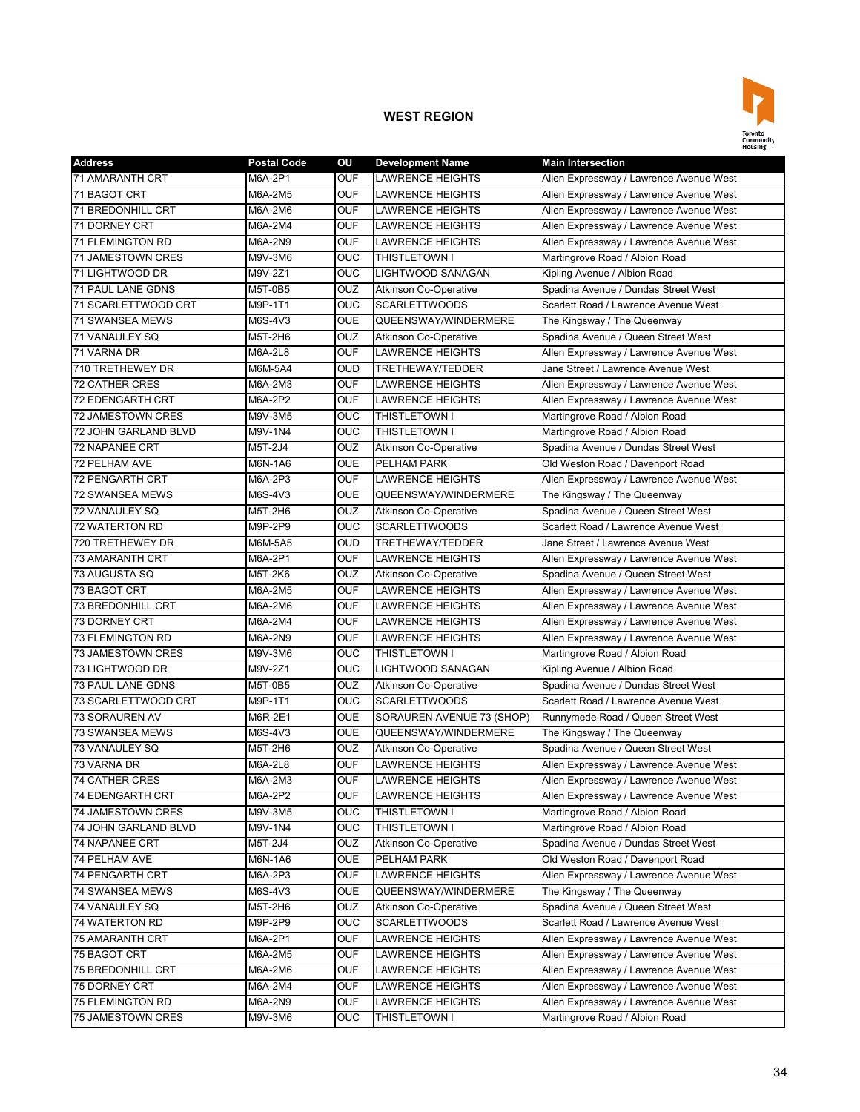

| <b>Address</b>              | <b>Postal Code</b> | ΟU         | <b>Development Name</b>      | <b>Main Intersection</b>                |
|-----------------------------|--------------------|------------|------------------------------|-----------------------------------------|
| 71 AMARANTH CRT             | M6A-2P1            | <b>OUF</b> | <b>LAWRENCE HEIGHTS</b>      | Allen Expressway / Lawrence Avenue West |
| 71 BAGOT CRT                | M6A-2M5            | <b>OUF</b> | <b>LAWRENCE HEIGHTS</b>      | Allen Expressway / Lawrence Avenue West |
| <b>71 BREDONHILL CRT</b>    | M6A-2M6            | <b>OUF</b> | <b>LAWRENCE HEIGHTS</b>      | Allen Expressway / Lawrence Avenue West |
| 71 DORNEY CRT               | M6A-2M4            | <b>OUF</b> | <b>LAWRENCE HEIGHTS</b>      | Allen Expressway / Lawrence Avenue West |
| <b>71 FLEMINGTON RD</b>     | M6A-2N9            | <b>OUF</b> | <b>LAWRENCE HEIGHTS</b>      | Allen Expressway / Lawrence Avenue West |
| <b>71 JAMESTOWN CRES</b>    | M9V-3M6            | <b>OUC</b> | THISTLETOWN I                | Martingrove Road / Albion Road          |
| 71 LIGHTWOOD DR             | M9V-2Z1            | <b>OUC</b> | LIGHTWOOD SANAGAN            | Kipling Avenue / Albion Road            |
| <b>71 PAUL LANE GDNS</b>    | M5T-0B5            | OUZ        | <b>Atkinson Co-Operative</b> | Spadina Avenue / Dundas Street West     |
| 71 SCARLETTWOOD CRT         | M9P-1T1            | <b>OUC</b> | <b>SCARLETTWOODS</b>         | Scarlett Road / Lawrence Avenue West    |
| <b>71 SWANSEA MEWS</b>      | M6S-4V3            | <b>OUE</b> | QUEENSWAY/WINDERMERE         | The Kingsway / The Queenway             |
| 71 VANAULEY SQ              | M5T-2H6            | <b>OUZ</b> | <b>Atkinson Co-Operative</b> | Spadina Avenue / Queen Street West      |
| 71 VARNA DR                 | M6A-2L8            | <b>OUF</b> | <b>LAWRENCE HEIGHTS</b>      | Allen Expressway / Lawrence Avenue West |
| 710 TRETHEWEY DR            | M6M-5A4            | <b>OUD</b> | TRETHEWAY/TEDDER             | Jane Street / Lawrence Avenue West      |
| <b>72 CATHER CRES</b>       | M6A-2M3            | <b>OUF</b> | <b>LAWRENCE HEIGHTS</b>      | Allen Expressway / Lawrence Avenue West |
| 72 EDENGARTH CRT            | M6A-2P2            | <b>OUF</b> | <b>LAWRENCE HEIGHTS</b>      | Allen Expressway / Lawrence Avenue West |
| <b>72 JAMESTOWN CRES</b>    | M9V-3M5            | OUC        | THISTLETOWN I                | Martingrove Road / Albion Road          |
| 72 JOHN GARLAND BLVD        | M9V-1N4            | <b>OUC</b> | THISTLETOWN I                | Martingrove Road / Albion Road          |
| <b>72 NAPANEE CRT</b>       | M5T-2J4            | <b>OUZ</b> | <b>Atkinson Co-Operative</b> | Spadina Avenue / Dundas Street West     |
| <b>72 PELHAM AVE</b>        | M6N-1A6            | <b>OUE</b> | PELHAM PARK                  | Old Weston Road / Davenport Road        |
| <b>72 PENGARTH CRT</b>      | M6A-2P3            | <b>OUF</b> | <b>LAWRENCE HEIGHTS</b>      | Allen Expressway / Lawrence Avenue West |
| <b>72 SWANSEA MEWS</b>      | M6S-4V3            | <b>OUE</b> | QUEENSWAY/WINDERMERE         | The Kingsway / The Queenway             |
| 72 VANAULEY SQ              | M5T-2H6            | <b>OUZ</b> | <b>Atkinson Co-Operative</b> | Spadina Avenue / Queen Street West      |
| <b>72 WATERTON RD</b>       | M9P-2P9            | <b>OUC</b> | <b>SCARLETTWOODS</b>         | Scarlett Road / Lawrence Avenue West    |
| 720 TRETHEWEY DR            | M6M-5A5            | OUD        | TRETHEWAY/TEDDER             | Jane Street / Lawrence Avenue West      |
| <b>73 AMARANTH CRT</b>      | M6A-2P1            | <b>OUF</b> | <b>LAWRENCE HEIGHTS</b>      | Allen Expressway / Lawrence Avenue West |
| 73 AUGUSTA SQ               | M5T-2K6            | OUZ        | <b>Atkinson Co-Operative</b> | Spadina Avenue / Queen Street West      |
| 73 BAGOT CRT                | M6A-2M5            | <b>OUF</b> | <b>LAWRENCE HEIGHTS</b>      | Allen Expressway / Lawrence Avenue West |
| 73 BREDONHILL CRT           | M6A-2M6            | <b>OUF</b> | <b>LAWRENCE HEIGHTS</b>      | Allen Expressway / Lawrence Avenue West |
| 73 DORNEY CRT               | M6A-2M4            | <b>OUF</b> | <b>LAWRENCE HEIGHTS</b>      | Allen Expressway / Lawrence Avenue West |
| 73 FLEMINGTON RD            | M6A-2N9            | <b>OUF</b> | <b>LAWRENCE HEIGHTS</b>      | Allen Expressway / Lawrence Avenue West |
| 73 JAMESTOWN CRES           | M9V-3M6            | <b>OUC</b> | THISTLETOWN I                | Martingrove Road / Albion Road          |
| 73 LIGHTWOOD DR             | M9V-2Z1            | OUC        | LIGHTWOOD SANAGAN            | Kipling Avenue / Albion Road            |
| <b>73 PAUL LANE GDNS</b>    | M5T-0B5            | <b>OUZ</b> | <b>Atkinson Co-Operative</b> | Spadina Avenue / Dundas Street West     |
| 73 SCARLETTWOOD CRT         | M9P-1T1            | <b>OUC</b> | <b>SCARLETTWOODS</b>         | Scarlett Road / Lawrence Avenue West    |
| <b>73 SORAUREN AV</b>       | M6R-2E1            | <b>OUE</b> | SORAUREN AVENUE 73 (SHOP)    | Runnymede Road / Queen Street West      |
| 73 SWANSEA MEWS             | M6S-4V3            | <b>OUE</b> | QUEENSWAY/WINDERMERE         | The Kingsway / The Queenway             |
| 73 VANAULEY SQ              | M5T-2H6            | OUZ        | <b>Atkinson Co-Operative</b> | Spadina Avenue / Queen Street West      |
| 73 VARNA DR                 | M6A-2L8            | <b>OUF</b> | <b>LAWRENCE HEIGHTS</b>      | Allen Expressway / Lawrence Avenue West |
| <b>74 CATHER CRES</b>       | M6A-2M3            | <b>OUF</b> | <b>LAWRENCE HEIGHTS</b>      | Allen Expressway / Lawrence Avenue West |
| 74 EDENGARTH CRT            | M6A-2P2            | <b>OUF</b> | <b>LAWRENCE HEIGHTS</b>      | Allen Expressway / Lawrence Avenue West |
| 74 JAMESTOWN CRES           | M9V-3M5            | OUC        | THISTLETOWN I                | Martingrove Road / Albion Road          |
| <b>74 JOHN GARLAND BLVD</b> | M9V-1N4            | <b>OUC</b> | THISTLETOWN I                | Martingrove Road / Albion Road          |
| 74 NAPANEE CRT              | M5T-2J4            | <b>OUZ</b> | <b>Atkinson Co-Operative</b> | Spadina Avenue / Dundas Street West     |
| 74 PELHAM AVE               | M6N-1A6            | <b>OUE</b> | PELHAM PARK                  | Old Weston Road / Davenport Road        |
| 74 PENGARTH CRT             | M6A-2P3            | <b>OUF</b> | <b>LAWRENCE HEIGHTS</b>      | Allen Expressway / Lawrence Avenue West |
| 74 SWANSEA MEWS             | M6S-4V3            | <b>OUE</b> | QUEENSWAY/WINDERMERE         | The Kingsway / The Queenway             |
| 74 VANAULEY SQ              | M5T-2H6            | OUZ        | <b>Atkinson Co-Operative</b> | Spadina Avenue / Queen Street West      |
| 74 WATERTON RD              | M9P-2P9            | OUC        | <b>SCARLETTWOODS</b>         | Scarlett Road / Lawrence Avenue West    |
| 75 AMARANTH CRT             | M6A-2P1            | OUF        | <b>LAWRENCE HEIGHTS</b>      | Allen Expressway / Lawrence Avenue West |
| 75 BAGOT CRT                | M6A-2M5            | <b>OUF</b> | LAWRENCE HEIGHTS             | Allen Expressway / Lawrence Avenue West |
| 75 BREDONHILL CRT           | M6A-2M6            | OUF        | <b>LAWRENCE HEIGHTS</b>      | Allen Expressway / Lawrence Avenue West |
| 75 DORNEY CRT               | M6A-2M4            | OUF        | <b>LAWRENCE HEIGHTS</b>      | Allen Expressway / Lawrence Avenue West |
| 75 FLEMINGTON RD            | M6A-2N9            | <b>OUF</b> | <b>LAWRENCE HEIGHTS</b>      | Allen Expressway / Lawrence Avenue West |
| 75 JAMESTOWN CRES           | M9V-3M6            | <b>OUC</b> | THISTLETOWN I                | Martingrove Road / Albion Road          |
|                             |                    |            |                              |                                         |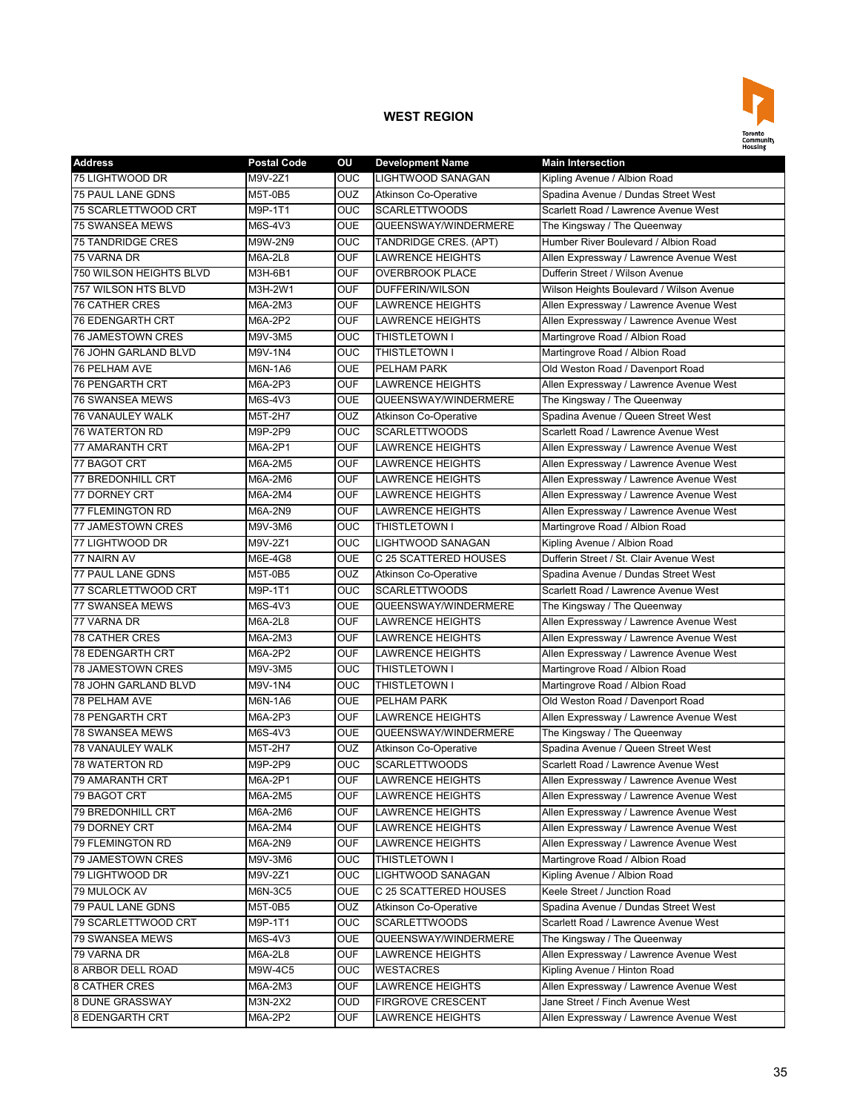

| <b>Address</b>           | <b>Postal Code</b> | OU         | <b>Development Name</b>      | <b>Main Intersection</b>                 |
|--------------------------|--------------------|------------|------------------------------|------------------------------------------|
| 75 LIGHTWOOD DR          | M9V-2Z1            | <b>OUC</b> | <b>LIGHTWOOD SANAGAN</b>     | Kipling Avenue / Albion Road             |
| <b>75 PAUL LANE GDNS</b> | M5T-0B5            | <b>OUZ</b> | Atkinson Co-Operative        | Spadina Avenue / Dundas Street West      |
| 75 SCARLETTWOOD CRT      | M9P-1T1            | <b>OUC</b> | <b>SCARLETTWOODS</b>         | Scarlett Road / Lawrence Avenue West     |
| <b>75 SWANSEA MEWS</b>   | M6S-4V3            | <b>OUE</b> | QUEENSWAY/WINDERMERE         | The Kingsway / The Queenway              |
| <b>75 TANDRIDGE CRES</b> | M9W-2N9            | <b>OUC</b> | TANDRIDGE CRES. (APT)        | Humber River Boulevard / Albion Road     |
| 75 VARNA DR              | <b>M6A-2L8</b>     | <b>OUF</b> | <b>LAWRENCE HEIGHTS</b>      | Allen Expressway / Lawrence Avenue West  |
| 750 WILSON HEIGHTS BLVD  | M3H-6B1            | <b>OUF</b> | <b>OVERBROOK PLACE</b>       | Dufferin Street / Wilson Avenue          |
| 757 WILSON HTS BLVD      | M3H-2W1            | <b>OUF</b> | DUFFERIN/WILSON              | Wilson Heights Boulevard / Wilson Avenue |
| 76 CATHER CRES           | M6A-2M3            | <b>OUF</b> | <b>LAWRENCE HEIGHTS</b>      | Allen Expressway / Lawrence Avenue West  |
| <b>76 EDENGARTH CRT</b>  | M6A-2P2            | <b>OUF</b> | <b>LAWRENCE HEIGHTS</b>      | Allen Expressway / Lawrence Avenue West  |
| <b>76 JAMESTOWN CRES</b> | M9V-3M5            | <b>OUC</b> | THISTLETOWN I                | Martingrove Road / Albion Road           |
| 76 JOHN GARLAND BLVD     | M9V-1N4            | <b>OUC</b> | THISTLETOWN I                | Martingrove Road / Albion Road           |
| <b>76 PELHAM AVE</b>     | M6N-1A6            | <b>OUE</b> | <b>PELHAM PARK</b>           | Old Weston Road / Davenport Road         |
| <b>76 PENGARTH CRT</b>   | M6A-2P3            | <b>OUF</b> | <b>LAWRENCE HEIGHTS</b>      | Allen Expressway / Lawrence Avenue West  |
| <b>76 SWANSEA MEWS</b>   | M6S-4V3            | <b>OUE</b> | QUEENSWAY/WINDERMERE         | The Kingsway / The Queenway              |
| 76 VANAULEY WALK         | M5T-2H7            | OUZ        | <b>Atkinson Co-Operative</b> | Spadina Avenue / Queen Street West       |
| <b>76 WATERTON RD</b>    | M9P-2P9            | <b>OUC</b> | <b>SCARLETTWOODS</b>         | Scarlett Road / Lawrence Avenue West     |
| 77 AMARANTH CRT          | M6A-2P1            | OUF        | <b>LAWRENCE HEIGHTS</b>      | Allen Expressway / Lawrence Avenue West  |
| 77 BAGOT CRT             | M6A-2M5            | <b>OUF</b> | <b>LAWRENCE HEIGHTS</b>      | Allen Expressway / Lawrence Avenue West  |
| 77 BREDONHILL CRT        | M6A-2M6            | <b>OUF</b> | <b>LAWRENCE HEIGHTS</b>      | Allen Expressway / Lawrence Avenue West  |
| 77 DORNEY CRT            | M6A-2M4            | <b>OUF</b> | <b>LAWRENCE HEIGHTS</b>      | Allen Expressway / Lawrence Avenue West  |
| <b>77 FLEMINGTON RD</b>  | M6A-2N9            | <b>OUF</b> | <b>LAWRENCE HEIGHTS</b>      | Allen Expressway / Lawrence Avenue West  |
| <b>77 JAMESTOWN CRES</b> | M9V-3M6            | <b>OUC</b> | THISTLETOWN I                | Martingrove Road / Albion Road           |
| 77 LIGHTWOOD DR          | M9V-2Z1            | <b>OUC</b> | LIGHTWOOD SANAGAN            | Kipling Avenue / Albion Road             |
| 77 NAIRN AV              | M6E-4G8            | <b>OUE</b> | C 25 SCATTERED HOUSES        | Dufferin Street / St. Clair Avenue West  |
| 77 PAUL LANE GDNS        | M5T-0B5            | <b>OUZ</b> | <b>Atkinson Co-Operative</b> | Spadina Avenue / Dundas Street West      |
| 77 SCARLETTWOOD CRT      | M9P-1T1            | <b>OUC</b> | <b>SCARLETTWOODS</b>         | Scarlett Road / Lawrence Avenue West     |
| 77 SWANSEA MEWS          | M6S-4V3            | <b>OUE</b> | QUEENSWAY/WINDERMERE         | The Kingsway / The Queenway              |
| 77 VARNA DR              | M6A-2L8            | <b>OUF</b> | <b>LAWRENCE HEIGHTS</b>      | Allen Expressway / Lawrence Avenue West  |
| <b>78 CATHER CRES</b>    | M6A-2M3            | <b>OUF</b> | <b>LAWRENCE HEIGHTS</b>      | Allen Expressway / Lawrence Avenue West  |
| 78 EDENGARTH CRT         | M6A-2P2            | <b>OUF</b> | <b>LAWRENCE HEIGHTS</b>      | Allen Expressway / Lawrence Avenue West  |
| <b>78 JAMESTOWN CRES</b> | M9V-3M5            | OUC        | THISTLETOWN I                | Martingrove Road / Albion Road           |
| 78 JOHN GARLAND BLVD     | M9V-1N4            | OUC        | THISTLETOWN I                | Martingrove Road / Albion Road           |
| <b>78 PELHAM AVE</b>     | M6N-1A6            | <b>OUE</b> | PELHAM PARK                  | Old Weston Road / Davenport Road         |
| <b>78 PENGARTH CRT</b>   | M6A-2P3            | <b>OUF</b> | <b>LAWRENCE HEIGHTS</b>      | Allen Expressway / Lawrence Avenue West  |
| <b>78 SWANSEA MEWS</b>   | M6S-4V3            | <b>OUE</b> | QUEENSWAY/WINDERMERE         | The Kingsway / The Queenway              |
| <b>78 VANAULEY WALK</b>  | M5T-2H7            | <b>OUZ</b> | <b>Atkinson Co-Operative</b> | Spadina Avenue / Queen Street West       |
| 78 WATERTON RD           | M9P-2P9            | <b>OUC</b> | <b>SCARLETTWOODS</b>         | Scarlett Road / Lawrence Avenue West     |
| 79 AMARANTH CRT          | M6A-2P1            | <b>OUF</b> | <b>LAWRENCE HEIGHTS</b>      | Allen Expressway / Lawrence Avenue West  |
| 79 BAGOT CRT             | M6A-2M5            | <b>OUF</b> | LAWRENCE HEIGHTS             | Allen Expressway / Lawrence Avenue West  |
| 79 BREDONHILL CRT        | M6A-2M6            | <b>OUF</b> | LAWRENCE HEIGHTS             | Allen Expressway / Lawrence Avenue West  |
| 79 DORNEY CRT            | M6A-2M4            | <b>OUF</b> | LAWRENCE HEIGHTS             | Allen Expressway / Lawrence Avenue West  |
| 79 FLEMINGTON RD         | M6A-2N9            | <b>OUF</b> | <b>LAWRENCE HEIGHTS</b>      | Allen Expressway / Lawrence Avenue West  |
| 79 JAMESTOWN CRES        | M9V-3M6            | <b>OUC</b> | THISTLETOWN I                | Martingrove Road / Albion Road           |
| 79 LIGHTWOOD DR          | M9V-2Z1            | <b>OUC</b> | LIGHTWOOD SANAGAN            | Kipling Avenue / Albion Road             |
| 79 MULOCK AV             | M6N-3C5            | <b>OUE</b> | C 25 SCATTERED HOUSES        | Keele Street / Junction Road             |
| 79 PAUL LANE GDNS        | M5T-0B5            | <b>OUZ</b> | <b>Atkinson Co-Operative</b> | Spadina Avenue / Dundas Street West      |
| 79 SCARLETTWOOD CRT      | M9P-1T1            | <b>OUC</b> | <b>SCARLETTWOODS</b>         | Scarlett Road / Lawrence Avenue West     |
| 79 SWANSEA MEWS          | M6S-4V3            | <b>OUE</b> | QUEENSWAY/WINDERMERE         | The Kingsway / The Queenway              |
| 79 VARNA DR              | M6A-2L8            | <b>OUF</b> | LAWRENCE HEIGHTS             | Allen Expressway / Lawrence Avenue West  |
| 8 ARBOR DELL ROAD        | M9W-4C5            | <b>OUC</b> | <b>WESTACRES</b>             | Kipling Avenue / Hinton Road             |
| 8 CATHER CRES            | M6A-2M3            | <b>OUF</b> | LAWRENCE HEIGHTS             | Allen Expressway / Lawrence Avenue West  |
| 8 DUNE GRASSWAY          | M3N-2X2            | OUD        | <b>FIRGROVE CRESCENT</b>     | Jane Street / Finch Avenue West          |
| <b>8 EDENGARTH CRT</b>   | M6A-2P2            | <b>OUF</b> | LAWRENCE HEIGHTS             | Allen Expressway / Lawrence Avenue West  |
|                          |                    |            |                              |                                          |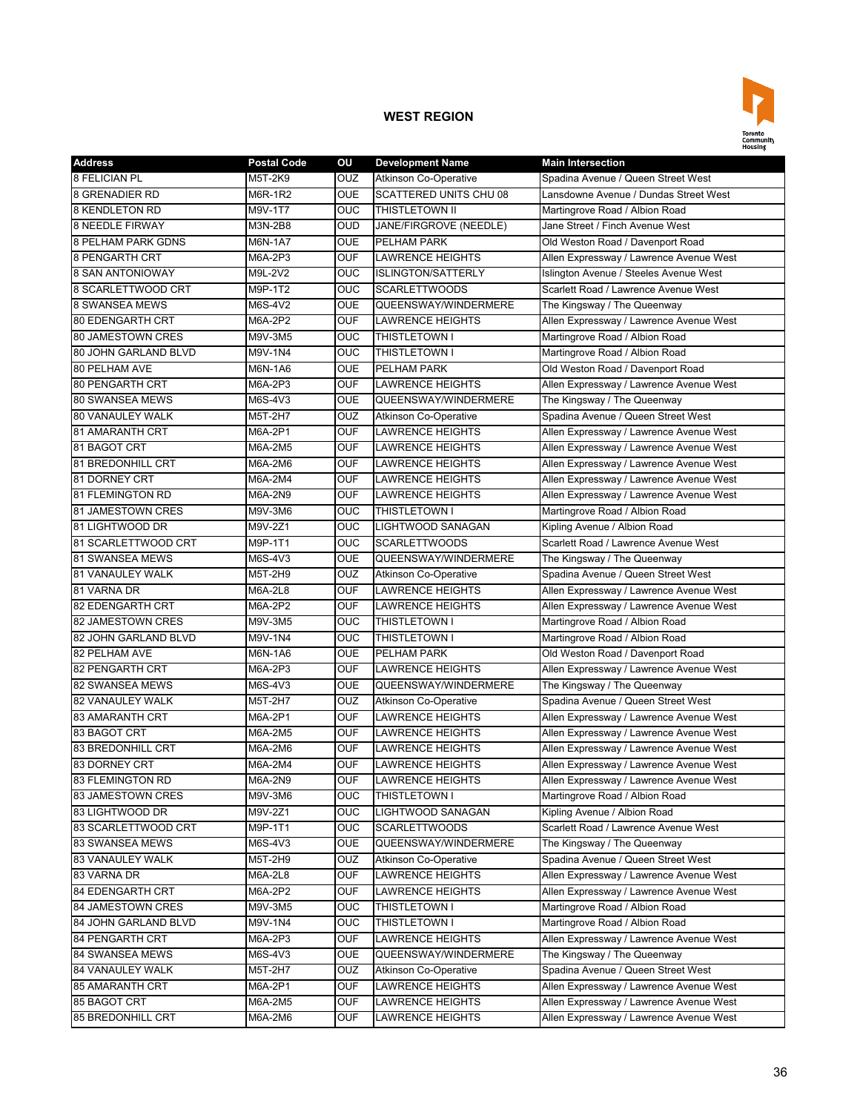

| <b>Address</b>            | <b>Postal Code</b> | OU                | <b>Development Name</b>                                 | <b>Main Intersection</b>                |
|---------------------------|--------------------|-------------------|---------------------------------------------------------|-----------------------------------------|
| 8 FELICIAN PL             | M5T-2K9            | <b>OUZ</b>        | <b>Atkinson Co-Operative</b>                            | Spadina Avenue / Queen Street West      |
| <b>8 GRENADIER RD</b>     | M6R-1R2            | <b>OUE</b>        | <b>SCATTERED UNITS CHU 08</b>                           | Lansdowne Avenue / Dundas Street West   |
| <b>8 KENDLETON RD</b>     | M9V-1T7            | <b>OUC</b>        | <b>THISTLETOWN II</b>                                   | Martingrove Road / Albion Road          |
| <b>8 NEEDLE FIRWAY</b>    | M3N-2B8            | <b>OUD</b>        | JANE/FIRGROVE (NEEDLE)                                  | Jane Street / Finch Avenue West         |
| <b>8 PELHAM PARK GDNS</b> | M6N-1A7            | <b>OUE</b>        | PELHAM PARK                                             | Old Weston Road / Davenport Road        |
| <b>8 PENGARTH CRT</b>     | M6A-2P3            | <b>OUF</b>        | <b>LAWRENCE HEIGHTS</b>                                 | Allen Expressway / Lawrence Avenue West |
| <b>8 SAN ANTONIOWAY</b>   | M9L-2V2            | OUC               | <b>ISLINGTON/SATTERLY</b>                               | Islington Avenue / Steeles Avenue West  |
| 8 SCARLETTWOOD CRT        | M9P-1T2            | <b>OUC</b>        | <b>SCARLETTWOODS</b>                                    | Scarlett Road / Lawrence Avenue West    |
| <b>8 SWANSEA MEWS</b>     | M6S-4V2            | <b>OUE</b>        | QUEENSWAY/WINDERMERE                                    | The Kingsway / The Queenway             |
| <b>80 EDENGARTH CRT</b>   | M6A-2P2            | <b>OUF</b>        | <b>LAWRENCE HEIGHTS</b>                                 | Allen Expressway / Lawrence Avenue West |
| 80 JAMESTOWN CRES         | M9V-3M5            | <b>OUC</b>        | THISTLETOWN I                                           | Martingrove Road / Albion Road          |
| 80 JOHN GARLAND BLVD      | M9V-1N4            | <b>OUC</b>        | <b>THISTLETOWN I</b>                                    | Martingrove Road / Albion Road          |
| 80 PELHAM AVE             | M6N-1A6            | <b>OUE</b>        | PELHAM PARK                                             | Old Weston Road / Davenport Road        |
| <b>80 PENGARTH CRT</b>    | M6A-2P3            | <b>OUF</b>        | <b>LAWRENCE HEIGHTS</b>                                 | Allen Expressway / Lawrence Avenue West |
| <b>80 SWANSEA MEWS</b>    | M6S-4V3            | <b>OUE</b>        | QUEENSWAY/WINDERMERE                                    | The Kingsway / The Queenway             |
| 80 VANAULEY WALK          | M5T-2H7            | OUZ               | Atkinson Co-Operative                                   | Spadina Avenue / Queen Street West      |
| 81 AMARANTH CRT           | M6A-2P1            | <b>OUF</b>        | <b>LAWRENCE HEIGHTS</b>                                 | Allen Expressway / Lawrence Avenue West |
| 81 BAGOT CRT              | M6A-2M5            | <b>OUF</b>        | <b>LAWRENCE HEIGHTS</b>                                 | Allen Expressway / Lawrence Avenue West |
| 81 BREDONHILL CRT         | M6A-2M6            | <b>OUF</b>        | <b>LAWRENCE HEIGHTS</b>                                 | Allen Expressway / Lawrence Avenue West |
| <b>81 DORNEY CRT</b>      | M6A-2M4            | <b>OUF</b>        | <b>LAWRENCE HEIGHTS</b>                                 | Allen Expressway / Lawrence Avenue West |
| <b>81 FLEMINGTON RD</b>   | M6A-2N9            | <b>OUF</b>        | <b>LAWRENCE HEIGHTS</b>                                 | Allen Expressway / Lawrence Avenue West |
| 81 JAMESTOWN CRES         | M9V-3M6            | OUC               | <b>THISTLETOWN I</b>                                    | Martingrove Road / Albion Road          |
| 81 LIGHTWOOD DR           | M9V-2Z1            | OUC               | LIGHTWOOD SANAGAN                                       | Kipling Avenue / Albion Road            |
| 81 SCARLETTWOOD CRT       | M9P-1T1            | OUC               | <b>SCARLETTWOODS</b>                                    | Scarlett Road / Lawrence Avenue West    |
| <b>81 SWANSEA MEWS</b>    | M6S-4V3            | <b>OUE</b>        | QUEENSWAY/WINDERMERE                                    |                                         |
|                           |                    |                   |                                                         | The Kingsway / The Queenway             |
| <b>81 VANAULEY WALK</b>   | M5T-2H9            | OUZ<br><b>OUF</b> | <b>Atkinson Co-Operative</b><br><b>LAWRENCE HEIGHTS</b> | Spadina Avenue / Queen Street West      |
| 81 VARNA DR               | M6A-2L8            |                   |                                                         | Allen Expressway / Lawrence Avenue West |
| <b>82 EDENGARTH CRT</b>   | M6A-2P2            | <b>OUF</b>        | <b>LAWRENCE HEIGHTS</b>                                 | Allen Expressway / Lawrence Avenue West |
| 82 JAMESTOWN CRES         | M9V-3M5            | <b>OUC</b>        | THISTLETOWN I                                           | Martingrove Road / Albion Road          |
| 82 JOHN GARLAND BLVD      | M9V-1N4            | <b>OUC</b>        | <b>THISTLETOWN I</b>                                    | Martingrove Road / Albion Road          |
| 82 PELHAM AVE             | M6N-1A6            | <b>OUE</b>        | PELHAM PARK                                             | Old Weston Road / Davenport Road        |
| 82 PENGARTH CRT           | M6A-2P3            | <b>OUF</b>        | <b>LAWRENCE HEIGHTS</b>                                 | Allen Expressway / Lawrence Avenue West |
| <b>82 SWANSEA MEWS</b>    | M6S-4V3            | <b>OUE</b>        | QUEENSWAY/WINDERMERE                                    | The Kingsway / The Queenway             |
| <b>82 VANAULEY WALK</b>   | M5T-2H7            | OUZ               | <b>Atkinson Co-Operative</b>                            | Spadina Avenue / Queen Street West      |
| <b>83 AMARANTH CRT</b>    | M6A-2P1            | <b>OUF</b>        | <b>LAWRENCE HEIGHTS</b>                                 | Allen Expressway / Lawrence Avenue West |
| 83 BAGOT CRT              | M6A-2M5            | <b>OUF</b>        | <b>LAWRENCE HEIGHTS</b>                                 | Allen Expressway / Lawrence Avenue West |
| <b>83 BREDONHILL CRT</b>  | M6A-2M6            | <b>OUF</b>        | <b>LAWRENCE HEIGHTS</b>                                 | Allen Expressway / Lawrence Avenue West |
| 83 DORNEY CRT             | M6A-2M4            | <b>OUF</b>        | <b>LAWRENCE HEIGHTS</b>                                 | Allen Expressway / Lawrence Avenue West |
| <b>83 FLEMINGTON RD</b>   | M6A-2N9            | <b>OUF</b>        | <b>LAWRENCE HEIGHTS</b>                                 | Allen Expressway / Lawrence Avenue West |
| 83 JAMESTOWN CRES         | M9V-3M6            | <b>OUC</b>        | THISTLETOWN I                                           | Martingrove Road / Albion Road          |
| 83 LIGHTWOOD DR           | M9V-2Z1            | <b>OUC</b>        | LIGHTWOOD SANAGAN                                       | Kipling Avenue / Albion Road            |
| 83 SCARLETTWOOD CRT       | M9P-1T1            | <b>OUC</b>        | <b>SCARLETTWOODS</b>                                    | Scarlett Road / Lawrence Avenue West    |
| 83 SWANSEA MEWS           | M6S-4V3            | <b>OUE</b>        | QUEENSWAY/WINDERMERE                                    | The Kingsway / The Queenway             |
| 83 VANAULEY WALK          | M5T-2H9            | <b>OUZ</b>        | <b>Atkinson Co-Operative</b>                            | Spadina Avenue / Queen Street West      |
| 83 VARNA DR               | M6A-2L8            | <b>OUF</b>        | <b>LAWRENCE HEIGHTS</b>                                 | Allen Expressway / Lawrence Avenue West |
| <b>84 EDENGARTH CRT</b>   | M6A-2P2            | <b>OUF</b>        | <b>LAWRENCE HEIGHTS</b>                                 | Allen Expressway / Lawrence Avenue West |
| 84 JAMESTOWN CRES         | M9V-3M5            | <b>OUC</b>        | <b>THISTLETOWN I</b>                                    | Martingrove Road / Albion Road          |
| 84 JOHN GARLAND BLVD      | M9V-1N4            | <b>OUC</b>        | THISTLETOWN I                                           | Martingrove Road / Albion Road          |
| <b>84 PENGARTH CRT</b>    | M6A-2P3            | <b>OUF</b>        | LAWRENCE HEIGHTS                                        | Allen Expressway / Lawrence Avenue West |
| <b>84 SWANSEA MEWS</b>    | M6S-4V3            | <b>OUE</b>        | QUEENSWAY/WINDERMERE                                    | The Kingsway / The Queenway             |
| 84 VANAULEY WALK          | M5T-2H7            | OUZ               | Atkinson Co-Operative                                   | Spadina Avenue / Queen Street West      |
| 85 AMARANTH CRT           | M6A-2P1            | <b>OUF</b>        | LAWRENCE HEIGHTS                                        | Allen Expressway / Lawrence Avenue West |
| 85 BAGOT CRT              | M6A-2M5            | <b>OUF</b>        | LAWRENCE HEIGHTS                                        | Allen Expressway / Lawrence Avenue West |
| 85 BREDONHILL CRT         | M6A-2M6            | <b>OUF</b>        | LAWRENCE HEIGHTS                                        | Allen Expressway / Lawrence Avenue West |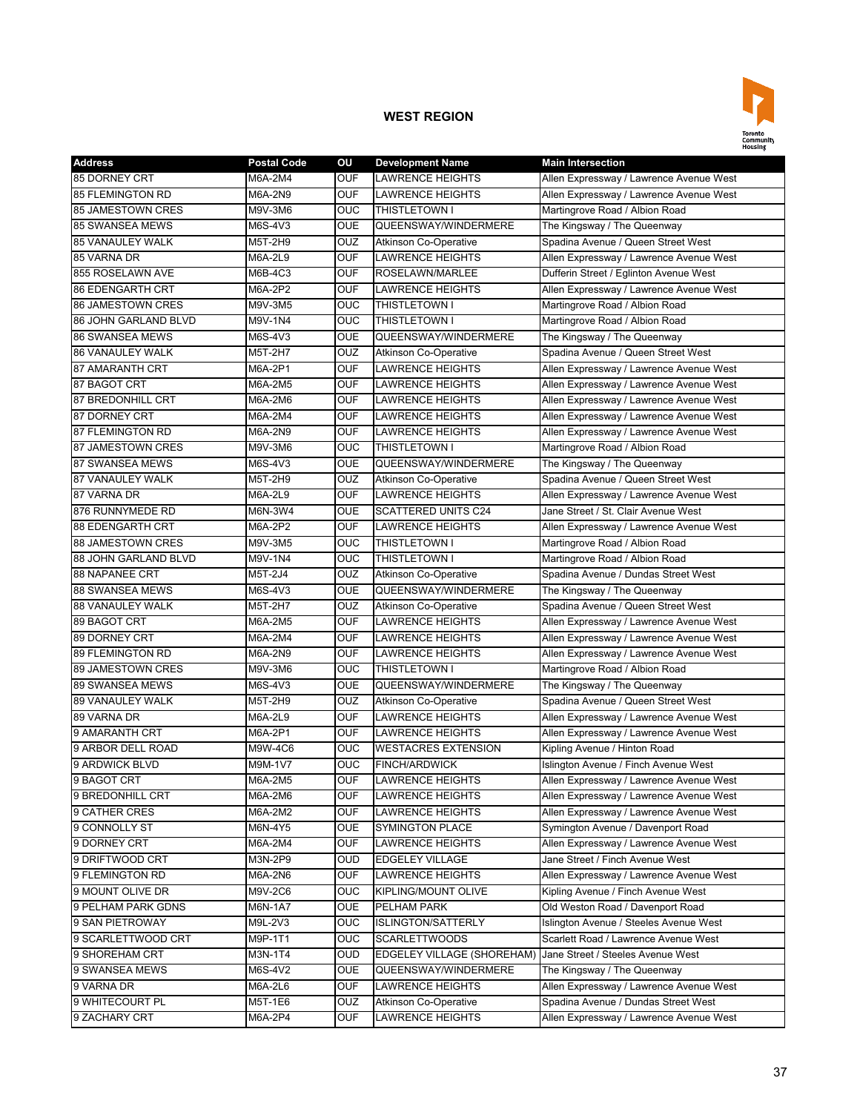

| <b>Address</b>           | <b>Postal Code</b> | OU         | <b>Development Name</b>      | <b>Main Intersection</b>                |
|--------------------------|--------------------|------------|------------------------------|-----------------------------------------|
| 85 DORNEY CRT            | M6A-2M4            | <b>OUF</b> | <b>LAWRENCE HEIGHTS</b>      | Allen Expressway / Lawrence Avenue West |
| <b>85 FLEMINGTON RD</b>  | M6A-2N9            | <b>OUF</b> | <b>LAWRENCE HEIGHTS</b>      | Allen Expressway / Lawrence Avenue West |
| <b>85 JAMESTOWN CRES</b> | M9V-3M6            | <b>OUC</b> | <b>THISTLETOWN I</b>         | Martingrove Road / Albion Road          |
| <b>85 SWANSEA MEWS</b>   | M6S-4V3            | <b>OUE</b> | QUEENSWAY/WINDERMERE         | The Kingsway / The Queenway             |
| <b>85 VANAULEY WALK</b>  | M5T-2H9            | OUZ        | <b>Atkinson Co-Operative</b> | Spadina Avenue / Queen Street West      |
| 85 VARNA DR              | M6A-2L9            | <b>OUF</b> | <b>LAWRENCE HEIGHTS</b>      | Allen Expressway / Lawrence Avenue West |
| 855 ROSELAWN AVE         | M6B-4C3            | <b>OUF</b> | ROSELAWN/MARLEE              | Dufferin Street / Eglinton Avenue West  |
| <b>86 EDENGARTH CRT</b>  | M6A-2P2            | <b>OUF</b> | <b>LAWRENCE HEIGHTS</b>      | Allen Expressway / Lawrence Avenue West |
| <b>86 JAMESTOWN CRES</b> | M9V-3M5            | <b>OUC</b> | THISTLETOWN I                | Martingrove Road / Albion Road          |
| 86 JOHN GARLAND BLVD     | M9V-1N4            | OUC        | THISTLETOWN I                | Martingrove Road / Albion Road          |
| <b>86 SWANSEA MEWS</b>   | M6S-4V3            | <b>OUE</b> | QUEENSWAY/WINDERMERE         | The Kingsway / The Queenway             |
| <b>86 VANAULEY WALK</b>  | M5T-2H7            | OUZ        | <b>Atkinson Co-Operative</b> | Spadina Avenue / Queen Street West      |
| 87 AMARANTH CRT          | M6A-2P1            | <b>OUF</b> | <b>LAWRENCE HEIGHTS</b>      | Allen Expressway / Lawrence Avenue West |
| 87 BAGOT CRT             | M6A-2M5            | <b>OUF</b> | <b>LAWRENCE HEIGHTS</b>      | Allen Expressway / Lawrence Avenue West |
| <b>87 BREDONHILL CRT</b> | M6A-2M6            | <b>OUF</b> | LAWRENCE HEIGHTS             | Allen Expressway / Lawrence Avenue West |
| 87 DORNEY CRT            | M6A-2M4            | <b>OUF</b> | LAWRENCE HEIGHTS             | Allen Expressway / Lawrence Avenue West |
| <b>87 FLEMINGTON RD</b>  | M6A-2N9            | <b>OUF</b> | <b>LAWRENCE HEIGHTS</b>      | Allen Expressway / Lawrence Avenue West |
| 87 JAMESTOWN CRES        | M9V-3M6            | <b>OUC</b> | <b>THISTLETOWN I</b>         | Martingrove Road / Albion Road          |
| <b>87 SWANSEA MEWS</b>   | M6S-4V3            | <b>OUE</b> | QUEENSWAY/WINDERMERE         | The Kingsway / The Queenway             |
| <b>87 VANAULEY WALK</b>  | M5T-2H9            | <b>OUZ</b> | <b>Atkinson Co-Operative</b> | Spadina Avenue / Queen Street West      |
| 87 VARNA DR              | M6A-2L9            | <b>OUF</b> | <b>LAWRENCE HEIGHTS</b>      | Allen Expressway / Lawrence Avenue West |
| 876 RUNNYMEDE RD         | M6N-3W4            | <b>OUE</b> | <b>SCATTERED UNITS C24</b>   | Jane Street / St. Clair Avenue West     |
| <b>88 EDENGARTH CRT</b>  | M6A-2P2            | <b>OUF</b> | <b>LAWRENCE HEIGHTS</b>      | Allen Expressway / Lawrence Avenue West |
| <b>88 JAMESTOWN CRES</b> | M9V-3M5            | OUC        | THISTLETOWN I                | Martingrove Road / Albion Road          |
| 88 JOHN GARLAND BLVD     | M9V-1N4            | <b>OUC</b> | THISTLETOWN I                | Martingrove Road / Albion Road          |
| <b>88 NAPANEE CRT</b>    | M5T-2J4            | OUZ        | Atkinson Co-Operative        | Spadina Avenue / Dundas Street West     |
| <b>88 SWANSEA MEWS</b>   | M6S-4V3            | <b>OUE</b> | QUEENSWAY/WINDERMERE         | The Kingsway / The Queenway             |
| <b>88 VANAULEY WALK</b>  | M5T-2H7            | OUZ        | <b>Atkinson Co-Operative</b> | Spadina Avenue / Queen Street West      |
| 89 BAGOT CRT             | M6A-2M5            | <b>OUF</b> | <b>LAWRENCE HEIGHTS</b>      | Allen Expressway / Lawrence Avenue West |
| 89 DORNEY CRT            | M6A-2M4            | <b>OUF</b> | <b>LAWRENCE HEIGHTS</b>      | Allen Expressway / Lawrence Avenue West |
| <b>89 FLEMINGTON RD</b>  | M6A-2N9            | <b>OUF</b> | <b>LAWRENCE HEIGHTS</b>      | Allen Expressway / Lawrence Avenue West |
| 89 JAMESTOWN CRES        | M9V-3M6            | OUC        | THISTLETOWN I                | Martingrove Road / Albion Road          |
| <b>89 SWANSEA MEWS</b>   | M6S-4V3            | <b>OUE</b> | QUEENSWAY/WINDERMERE         | The Kingsway / The Queenway             |
| <b>89 VANAULEY WALK</b>  | M5T-2H9            | OUZ        | <b>Atkinson Co-Operative</b> | Spadina Avenue / Queen Street West      |
| 89 VARNA DR              | M6A-2L9            | <b>OUF</b> | <b>LAWRENCE HEIGHTS</b>      | Allen Expressway / Lawrence Avenue West |
| 9 AMARANTH CRT           | M6A-2P1            | <b>OUF</b> | <b>LAWRENCE HEIGHTS</b>      | Allen Expressway / Lawrence Avenue West |
| 9 ARBOR DELL ROAD        | M9W-4C6            | <b>OUC</b> | <b>WESTACRES EXTENSION</b>   | Kipling Avenue / Hinton Road            |
| 9 ARDWICK BLVD           | M9M-1V7            | <b>OUC</b> | <b>FINCH/ARDWICK</b>         | Islington Avenue / Finch Avenue West    |
| 9 BAGOT CRT              | M6A-2M5            | <b>OUF</b> | <b>LAWRENCE HEIGHTS</b>      | Allen Expressway / Lawrence Avenue West |
| 9 BREDONHILL CRT         | M6A-2M6            | <b>OUF</b> | LAWRENCE HEIGHTS             | Allen Expressway / Lawrence Avenue West |
| 9 CATHER CRES            | M6A-2M2            | <b>OUF</b> | <b>LAWRENCE HEIGHTS</b>      | Allen Expressway / Lawrence Avenue West |
| 9 CONNOLLY ST            | M6N-4Y5            | <b>OUE</b> | <b>SYMINGTON PLACE</b>       | Symington Avenue / Davenport Road       |
| 9 DORNEY CRT             | M6A-2M4            | <b>OUF</b> | LAWRENCE HEIGHTS             | Allen Expressway / Lawrence Avenue West |
| 9 DRIFTWOOD CRT          | M3N-2P9            | <b>OUD</b> | <b>EDGELEY VILLAGE</b>       | Jane Street / Finch Avenue West         |
| 9 FLEMINGTON RD          | M6A-2N6            | <b>OUF</b> | <b>LAWRENCE HEIGHTS</b>      | Allen Expressway / Lawrence Avenue West |
| 9 MOUNT OLIVE DR         |                    | <b>OUC</b> | KIPLING/MOUNT OLIVE          | Kipling Avenue / Finch Avenue West      |
|                          | M9V-2C6            |            |                              |                                         |
| 9 PELHAM PARK GDNS       | M6N-1A7            | <b>OUE</b> | PELHAM PARK                  | Old Weston Road / Davenport Road        |
| 9 SAN PIETROWAY          | M9L-2V3            | <b>OUC</b> | <b>ISLINGTON/SATTERLY</b>    | Islington Avenue / Steeles Avenue West  |
| 9 SCARLETTWOOD CRT       | M9P-1T1            | <b>OUC</b> | <b>SCARLETTWOODS</b>         | Scarlett Road / Lawrence Avenue West    |
| 9 SHOREHAM CRT           | M3N-1T4            | <b>OUD</b> | EDGELEY VILLAGE (SHOREHAM)   | Jane Street / Steeles Avenue West       |
| 9 SWANSEA MEWS           | M6S-4V2            | <b>OUE</b> | QUEENSWAY/WINDERMERE         | The Kingsway / The Queenway             |
| 9 VARNA DR               | M6A-2L6            | <b>OUF</b> | <b>LAWRENCE HEIGHTS</b>      | Allen Expressway / Lawrence Avenue West |
| 9 WHITECOURT PL          | M5T-1E6            | <b>OUZ</b> | Atkinson Co-Operative        | Spadina Avenue / Dundas Street West     |
| 9 ZACHARY CRT            | M6A-2P4            | <b>OUF</b> | LAWRENCE HEIGHTS             | Allen Expressway / Lawrence Avenue West |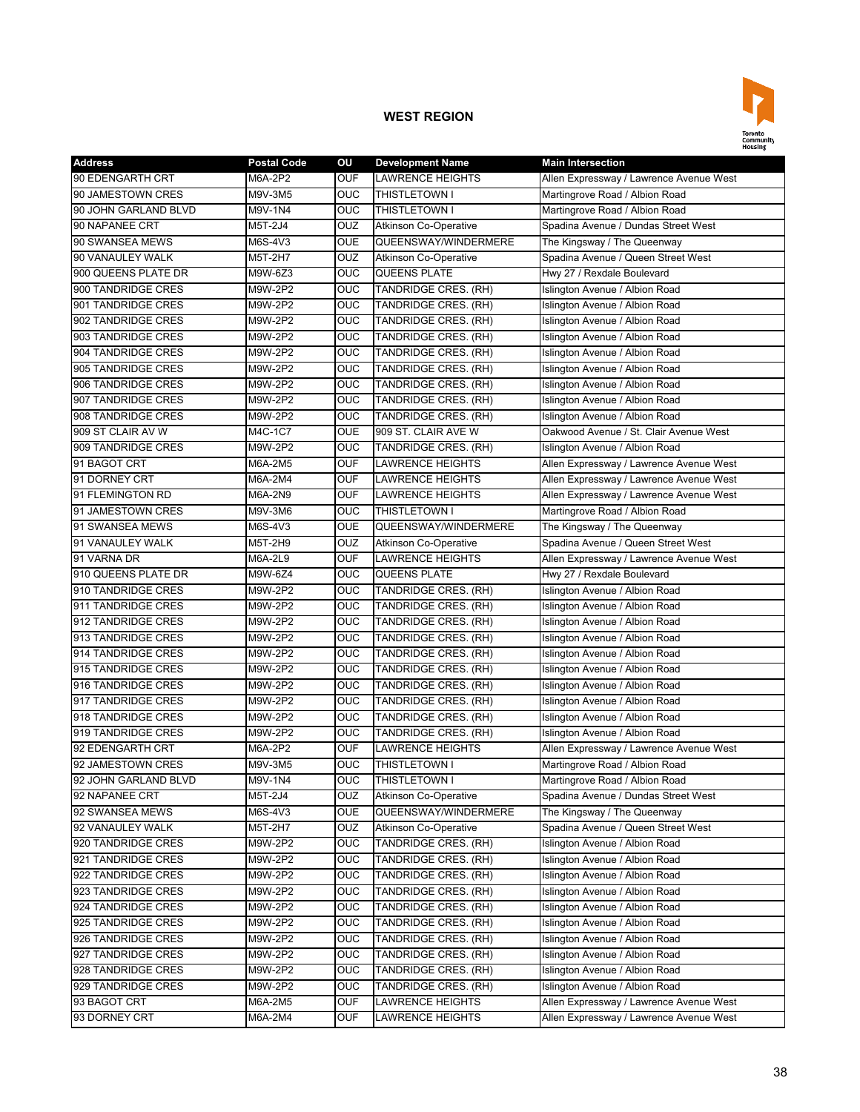

| <b>Address</b>       | <b>Postal Code</b> | ΟU             | <b>Development Name</b>      | <b>Main Intersection</b>                |
|----------------------|--------------------|----------------|------------------------------|-----------------------------------------|
| 90 EDENGARTH CRT     | M6A-2P2            | <b>OUF</b>     | <b>LAWRENCE HEIGHTS</b>      | Allen Expressway / Lawrence Avenue West |
| 90 JAMESTOWN CRES    | M9V-3M5            | OUC            | <b>THISTLETOWN I</b>         | Martingrove Road / Albion Road          |
| 90 JOHN GARLAND BLVD | M9V-1N4            | <b>OUC</b>     | THISTLETOWN I                | Martingrove Road / Albion Road          |
| 90 NAPANEE CRT       | M5T-2J4            | OUZ            | <b>Atkinson Co-Operative</b> | Spadina Avenue / Dundas Street West     |
| 90 SWANSEA MEWS      | M6S-4V3            | <b>OUE</b>     | QUEENSWAY/WINDERMERE         | The Kingsway / The Queenway             |
| 90 VANAULEY WALK     | M5T-2H7            | OUZ            | <b>Atkinson Co-Operative</b> | Spadina Avenue / Queen Street West      |
| 900 QUEENS PLATE DR  | M9W-6Z3            | <b>OUC</b>     | <b>QUEENS PLATE</b>          | Hwy 27 / Rexdale Boulevard              |
| 900 TANDRIDGE CRES   | M9W-2P2            | OUC            | TANDRIDGE CRES. (RH)         | Islington Avenue / Albion Road          |
| 901 TANDRIDGE CRES   | M9W-2P2            | OUC            | TANDRIDGE CRES. (RH)         | Islington Avenue / Albion Road          |
| 902 TANDRIDGE CRES   | M9W-2P2            | OUC            | TANDRIDGE CRES. (RH)         | Islington Avenue / Albion Road          |
| 903 TANDRIDGE CRES   | M9W-2P2            | OUC            | TANDRIDGE CRES. (RH)         | Islington Avenue / Albion Road          |
| 904 TANDRIDGE CRES   | M9W-2P2            | <b>OUC</b>     | TANDRIDGE CRES. (RH)         | Islington Avenue / Albion Road          |
| 905 TANDRIDGE CRES   | M9W-2P2            | <b>OUC</b>     | TANDRIDGE CRES. (RH)         | Islington Avenue / Albion Road          |
| 906 TANDRIDGE CRES   | M9W-2P2            | OUC            | TANDRIDGE CRES. (RH)         | Islington Avenue / Albion Road          |
| 907 TANDRIDGE CRES   | M9W-2P2            | OUC            | TANDRIDGE CRES. (RH)         | Islington Avenue / Albion Road          |
| 908 TANDRIDGE CRES   | M9W-2P2            | <b>OUC</b>     | TANDRIDGE CRES. (RH)         | Islington Avenue / Albion Road          |
| 909 ST CLAIR AV W    | M4C-1C7            | <b>OUE</b>     | 909 ST. CLAIR AVE W          | Oakwood Avenue / St. Clair Avenue West  |
| 909 TANDRIDGE CRES   | M9W-2P2            | <b>OUC</b>     | TANDRIDGE CRES. (RH)         | Islington Avenue / Albion Road          |
| 91 BAGOT CRT         | M6A-2M5            | <b>OUF</b>     | <b>LAWRENCE HEIGHTS</b>      | Allen Expressway / Lawrence Avenue West |
| 91 DORNEY CRT        | M6A-2M4            | <b>OUF</b>     | <b>LAWRENCE HEIGHTS</b>      | Allen Expressway / Lawrence Avenue West |
| 91 FLEMINGTON RD     | M6A-2N9            | <b>OUF</b>     | <b>LAWRENCE HEIGHTS</b>      | Allen Expressway / Lawrence Avenue West |
| 91 JAMESTOWN CRES    | M9V-3M6            | <b>OUC</b>     | THISTLETOWN I                | Martingrove Road / Albion Road          |
| 91 SWANSEA MEWS      | M6S-4V3            | <b>OUE</b>     | QUEENSWAY/WINDERMERE         | The Kingsway / The Queenway             |
| 91 VANAULEY WALK     | M5T-2H9            | OUZ            | <b>Atkinson Co-Operative</b> | Spadina Avenue / Queen Street West      |
| 91 VARNA DR          | M6A-2L9            | <b>OUF</b>     | <b>LAWRENCE HEIGHTS</b>      | Allen Expressway / Lawrence Avenue West |
| 910 QUEENS PLATE DR  | M9W-6Z4            | <b>OUC</b>     | <b>QUEENS PLATE</b>          | Hwy 27 / Rexdale Boulevard              |
| 910 TANDRIDGE CRES   | M9W-2P2            | <b>OUC</b>     | TANDRIDGE CRES. (RH)         | Islington Avenue / Albion Road          |
| 911 TANDRIDGE CRES   | M9W-2P2            | OUC            | TANDRIDGE CRES. (RH)         | Islington Avenue / Albion Road          |
| 912 TANDRIDGE CRES   | M9W-2P2            | <b>OUC</b>     | TANDRIDGE CRES. (RH)         | Islington Avenue / Albion Road          |
| 913 TANDRIDGE CRES   | M9W-2P2            | <b>OUC</b>     | TANDRIDGE CRES. (RH)         | Islington Avenue / Albion Road          |
| 914 TANDRIDGE CRES   | M9W-2P2            | OUC            | TANDRIDGE CRES. (RH)         | Islington Avenue / Albion Road          |
| 915 TANDRIDGE CRES   | M9W-2P2            | OUC            | TANDRIDGE CRES. (RH)         | Islington Avenue / Albion Road          |
| 916 TANDRIDGE CRES   | M9W-2P2            | <b>OUC</b>     | TANDRIDGE CRES. (RH)         | Islington Avenue / Albion Road          |
| 917 TANDRIDGE CRES   | M9W-2P2            | <b>OUC</b>     | TANDRIDGE CRES. (RH)         | Islington Avenue / Albion Road          |
| 918 TANDRIDGE CRES   | M9W-2P2            | <b>OUC</b>     | TANDRIDGE CRES. (RH)         | Islington Avenue / Albion Road          |
| 919 TANDRIDGE CRES   | M9W-2P2            | OUC            | TANDRIDGE CRES. (RH)         | Islington Avenue / Albion Road          |
| 92 EDENGARTH CRT     | M6A-2P2            | <b>OUF</b>     | <b>LAWRENCE HEIGHTS</b>      | Allen Expressway / Lawrence Avenue West |
| 92 JAMESTOWN CRES    | M9V-3M5            | <b>OUC</b>     | <b>THISTLETOWN I</b>         | Martingrove Road / Albion Road          |
| 92 JOHN GARLAND BLVD | M9V-1N4            | <b>OUC</b>     | <b>THISTLETOWN I</b>         | Martingrove Road / Albion Road          |
| 92 NAPANEE CRT       | M5T-2J4            | OUZ            | <b>Atkinson Co-Operative</b> | Spadina Avenue / Dundas Street West     |
| 92 SWANSEA MEWS      | M6S-4V3            | <b>OUE</b>     | QUEENSWAY/WINDERMERE         | The Kingsway / The Queenway             |
| 92 VANAULEY WALK     | M5T-2H7            | OUZ            | <b>Atkinson Co-Operative</b> | Spadina Avenue / Queen Street West      |
| 920 TANDRIDGE CRES   | M9W-2P2            | $\overline{C}$ | TANDRIDGE CRES. (RH)         | Islington Avenue / Albion Road          |
| 921 TANDRIDGE CRES   | M9W-2P2            | $\overline{C}$ | TANDRIDGE CRES. (RH)         | Islington Avenue / Albion Road          |
| 922 TANDRIDGE CRES   | M9W-2P2            | $\overline{C}$ | TANDRIDGE CRES. (RH)         | Islington Avenue / Albion Road          |
| 923 TANDRIDGE CRES   | M9W-2P2            | OUC            | TANDRIDGE CRES. (RH)         | Islington Avenue / Albion Road          |
| 924 TANDRIDGE CRES   | M9W-2P2            | <b>OUC</b>     | TANDRIDGE CRES. (RH)         | Islington Avenue / Albion Road          |
| 925 TANDRIDGE CRES   | M9W-2P2            | <b>OUC</b>     | TANDRIDGE CRES. (RH)         | Islington Avenue / Albion Road          |
| 926 TANDRIDGE CRES   | M9W-2P2            | <b>OUC</b>     | TANDRIDGE CRES. (RH)         | Islington Avenue / Albion Road          |
| 927 TANDRIDGE CRES   | M9W-2P2            | <b>OUC</b>     | TANDRIDGE CRES. (RH)         | Islington Avenue / Albion Road          |
| 928 TANDRIDGE CRES   | M9W-2P2            | <b>OUC</b>     | TANDRIDGE CRES. (RH)         | Islington Avenue / Albion Road          |
| 929 TANDRIDGE CRES   | M9W-2P2            | $\overline{C}$ | TANDRIDGE CRES. (RH)         | Islington Avenue / Albion Road          |
| 93 BAGOT CRT         | M6A-2M5            | <b>OUF</b>     | <b>LAWRENCE HEIGHTS</b>      | Allen Expressway / Lawrence Avenue West |
| 93 DORNEY CRT        | M6A-2M4            | <b>OUF</b>     | LAWRENCE HEIGHTS             | Allen Expressway / Lawrence Avenue West |
|                      |                    |                |                              |                                         |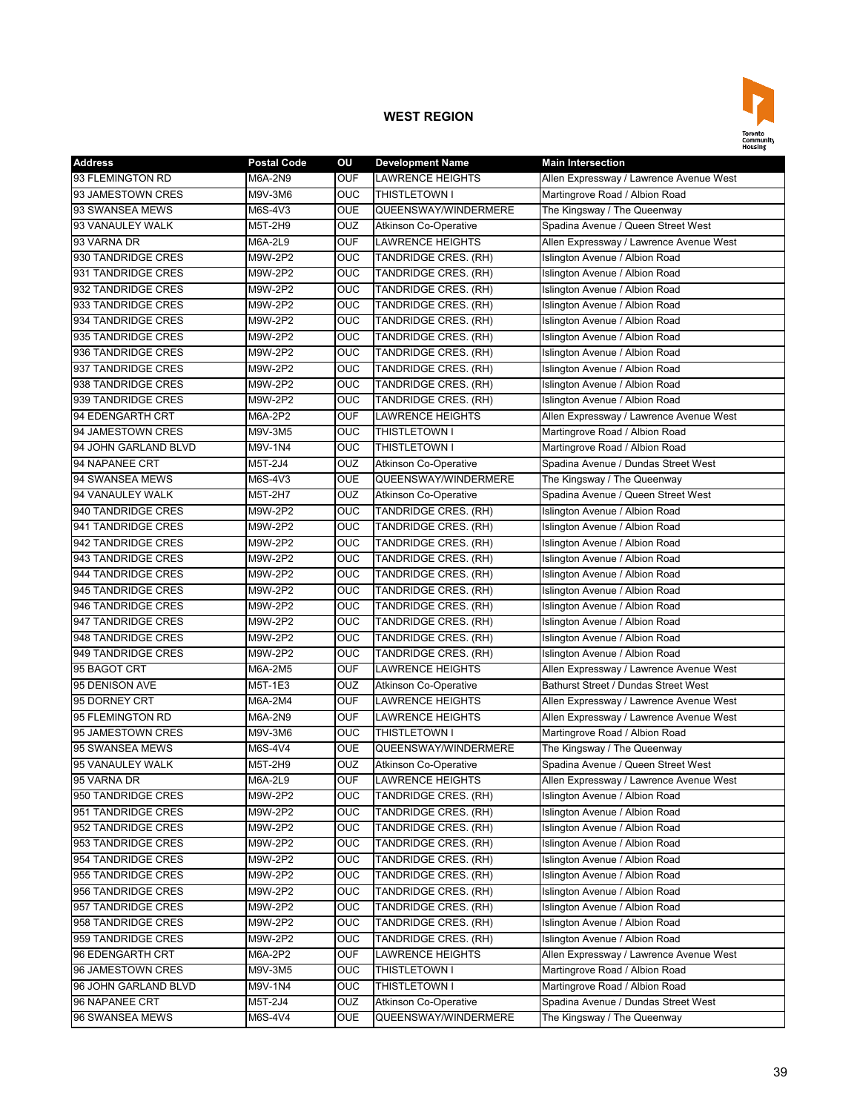

| <b>Address</b>       | <b>Postal Code</b> | OU             | <b>Development Name</b>      | <b>Main Intersection</b>                    |
|----------------------|--------------------|----------------|------------------------------|---------------------------------------------|
| 93 FLEMINGTON RD     | M6A-2N9            | <b>OUF</b>     | LAWRENCE HEIGHTS             | Allen Expressway / Lawrence Avenue West     |
| 93 JAMESTOWN CRES    | M9V-3M6            | <b>OUC</b>     | <b>THISTLETOWN I</b>         | Martingrove Road / Albion Road              |
| 93 SWANSEA MEWS      | M6S-4V3            | <b>OUE</b>     | QUEENSWAY/WINDERMERE         | The Kingsway / The Queenway                 |
| 93 VANAULEY WALK     | M5T-2H9            | <b>OUZ</b>     | <b>Atkinson Co-Operative</b> | Spadina Avenue / Queen Street West          |
| 93 VARNA DR          | M6A-2L9            | <b>OUF</b>     | <b>LAWRENCE HEIGHTS</b>      | Allen Expressway / Lawrence Avenue West     |
| 930 TANDRIDGE CRES   | M9W-2P2            | OUC            | TANDRIDGE CRES. (RH)         | Islington Avenue / Albion Road              |
| 931 TANDRIDGE CRES   | M9W-2P2            | OUC            | TANDRIDGE CRES. (RH)         | Islington Avenue / Albion Road              |
| 932 TANDRIDGE CRES   | M9W-2P2            | OUC            | TANDRIDGE CRES. (RH)         | Islington Avenue / Albion Road              |
| 933 TANDRIDGE CRES   | M9W-2P2            | <b>OUC</b>     | TANDRIDGE CRES. (RH)         | Islington Avenue / Albion Road              |
| 934 TANDRIDGE CRES   | M9W-2P2            | <b>OUC</b>     | TANDRIDGE CRES. (RH)         | Islington Avenue / Albion Road              |
| 935 TANDRIDGE CRES   | M9W-2P2            | OUC            | TANDRIDGE CRES. (RH)         | Islington Avenue / Albion Road              |
| 936 TANDRIDGE CRES   | M9W-2P2            | <b>OUC</b>     | TANDRIDGE CRES. (RH)         | Islington Avenue / Albion Road              |
| 937 TANDRIDGE CRES   | M9W-2P2            | <b>OUC</b>     | TANDRIDGE CRES. (RH)         | Islington Avenue / Albion Road              |
| 938 TANDRIDGE CRES   | M9W-2P2            | <b>OUC</b>     | TANDRIDGE CRES. (RH)         | Islington Avenue / Albion Road              |
| 939 TANDRIDGE CRES   | M9W-2P2            | OUC            | TANDRIDGE CRES. (RH)         | Islington Avenue / Albion Road              |
| 94 EDENGARTH CRT     | M6A-2P2            | <b>OUF</b>     | <b>LAWRENCE HEIGHTS</b>      | Allen Expressway / Lawrence Avenue West     |
| 94 JAMESTOWN CRES    | M9V-3M5            | <b>OUC</b>     | THISTLETOWN I                | Martingrove Road / Albion Road              |
| 94 JOHN GARLAND BLVD | M9V-1N4            | <b>OUC</b>     | THISTLETOWN I                | Martingrove Road / Albion Road              |
| 94 NAPANEE CRT       | M5T-2J4            | OUZ            | Atkinson Co-Operative        | Spadina Avenue / Dundas Street West         |
| 94 SWANSEA MEWS      | M6S-4V3            | <b>OUE</b>     | QUEENSWAY/WINDERMERE         | The Kingsway / The Queenway                 |
| 94 VANAULEY WALK     | M5T-2H7            | <b>OUZ</b>     | <b>Atkinson Co-Operative</b> | Spadina Avenue / Queen Street West          |
| 940 TANDRIDGE CRES   | M9W-2P2            | <b>OUC</b>     | TANDRIDGE CRES. (RH)         | Islington Avenue / Albion Road              |
| 941 TANDRIDGE CRES   | M9W-2P2            | OUC            | TANDRIDGE CRES. (RH)         | Islington Avenue / Albion Road              |
| 942 TANDRIDGE CRES   | M9W-2P2            | OUC            | TANDRIDGE CRES. (RH)         | Islington Avenue / Albion Road              |
| 943 TANDRIDGE CRES   | M9W-2P2            | OUC            | TANDRIDGE CRES. (RH)         | Islington Avenue / Albion Road              |
| 944 TANDRIDGE CRES   | M9W-2P2            | <b>OUC</b>     | TANDRIDGE CRES. (RH)         | Islington Avenue / Albion Road              |
| 945 TANDRIDGE CRES   | M9W-2P2            | <b>OUC</b>     | TANDRIDGE CRES. (RH)         | Islington Avenue / Albion Road              |
| 946 TANDRIDGE CRES   | M9W-2P2            | OUC            | TANDRIDGE CRES. (RH)         | Islington Avenue / Albion Road              |
| 947 TANDRIDGE CRES   | M9W-2P2            | <b>OUC</b>     | TANDRIDGE CRES. (RH)         | Islington Avenue / Albion Road              |
| 948 TANDRIDGE CRES   | M9W-2P2            | <b>OUC</b>     | TANDRIDGE CRES. (RH)         | Islington Avenue / Albion Road              |
| 949 TANDRIDGE CRES   | M9W-2P2            | <b>OUC</b>     | TANDRIDGE CRES. (RH)         | Islington Avenue / Albion Road              |
| 95 BAGOT CRT         | M6A-2M5            | <b>OUF</b>     | LAWRENCE HEIGHTS             | Allen Expressway / Lawrence Avenue West     |
| 95 DENISON AVE       | M5T-1E3            | OUZ            | Atkinson Co-Operative        | <b>Bathurst Street / Dundas Street West</b> |
| 95 DORNEY CRT        | M6A-2M4            | <b>OUF</b>     | LAWRENCE HEIGHTS             | Allen Expressway / Lawrence Avenue West     |
| 95 FLEMINGTON RD     | M6A-2N9            | <b>OUF</b>     | <b>LAWRENCE HEIGHTS</b>      | Allen Expressway / Lawrence Avenue West     |
| 95 JAMESTOWN CRES    | M9V-3M6            | OUC            | <b>THISTLETOWN I</b>         | Martingrove Road / Albion Road              |
| 95 SWANSEA MEWS      | M6S-4V4            | <b>OUE</b>     | QUEENSWAY/WINDERMERE         | The Kingsway / The Queenway                 |
| 95 VANAULEY WALK     | M5T-2H9            | <b>OUZ</b>     | <b>Atkinson Co-Operative</b> | Spadina Avenue / Queen Street West          |
| 95 VARNA DR          | M6A-2L9            | <b>OUF</b>     | <b>LAWRENCE HEIGHTS</b>      | Allen Expressway / Lawrence Avenue West     |
| 950 TANDRIDGE CRES   | M9W-2P2            | <b>OUC</b>     | TANDRIDGE CRES. (RH)         | Islington Avenue / Albion Road              |
| 951 TANDRIDGE CRES   | M9W-2P2            | <b>OUC</b>     | TANDRIDGE CRES. (RH)         | Islington Avenue / Albion Road              |
| 952 TANDRIDGE CRES   | M9W-2P2            | <b>OUC</b>     | TANDRIDGE CRES. (RH)         | Islington Avenue / Albion Road              |
| 953 TANDRIDGE CRES   | M9W-2P2            | $\overline{C}$ | TANDRIDGE CRES. (RH)         | Islington Avenue / Albion Road              |
| 954 TANDRIDGE CRES   | M9W-2P2            | <b>OUC</b>     | TANDRIDGE CRES. (RH)         | Islington Avenue / Albion Road              |
| 955 TANDRIDGE CRES   | M9W-2P2            | $\overline{C}$ | TANDRIDGE CRES. (RH)         | Islington Avenue / Albion Road              |
| 956 TANDRIDGE CRES   | M9W-2P2            | <b>OUC</b>     | TANDRIDGE CRES. (RH)         | Islington Avenue / Albion Road              |
| 957 TANDRIDGE CRES   | M9W-2P2            | <b>OUC</b>     | TANDRIDGE CRES. (RH)         | Islington Avenue / Albion Road              |
| 958 TANDRIDGE CRES   | M9W-2P2            | <b>OUC</b>     | TANDRIDGE CRES. (RH)         | Islington Avenue / Albion Road              |
| 959 TANDRIDGE CRES   | M9W-2P2            | <b>OUC</b>     | TANDRIDGE CRES. (RH)         | Islington Avenue / Albion Road              |
| 96 EDENGARTH CRT     | M6A-2P2            | <b>OUF</b>     | LAWRENCE HEIGHTS             | Allen Expressway / Lawrence Avenue West     |
| 96 JAMESTOWN CRES    | M9V-3M5            | <b>OUC</b>     | THISTLETOWN I                | Martingrove Road / Albion Road              |
| 96 JOHN GARLAND BLVD | M9V-1N4            | <b>OUC</b>     | THISTLETOWN I                | Martingrove Road / Albion Road              |
| 96 NAPANEE CRT       | M5T-2J4            | <b>OUZ</b>     | <b>Atkinson Co-Operative</b> | Spadina Avenue / Dundas Street West         |
| 96 SWANSEA MEWS      | M6S-4V4            | <b>OUE</b>     | QUEENSWAY/WINDERMERE         | The Kingsway / The Queenway                 |